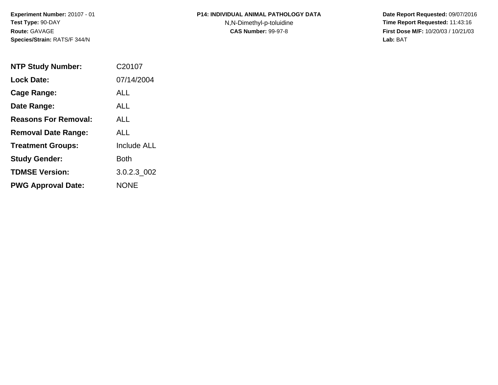**Experiment Number:** 20107 - 01**Test Type:** 90-DAY**Route:** GAVAGE**Species/Strain:** RATS/F 344/N

 **Date Report Requested:** 09/07/2016 **Time Report Requested:** 11:43:16 **First Dose M/F:** 10/20/03 / 10/21/03<br>**Lab:** BAT **Lab:** BAT

| <b>NTP Study Number:</b>    | C <sub>20107</sub> |
|-----------------------------|--------------------|
| <b>Lock Date:</b>           | 07/14/2004         |
| Cage Range:                 | ALL                |
| Date Range:                 | ALL.               |
| <b>Reasons For Removal:</b> | ALL.               |
| <b>Removal Date Range:</b>  | ALL                |
| <b>Treatment Groups:</b>    | <b>Include ALL</b> |
| <b>Study Gender:</b>        | Both               |
| <b>TDMSE Version:</b>       | 3.0.2.3 002        |
| <b>PWG Approval Date:</b>   | <b>NONE</b>        |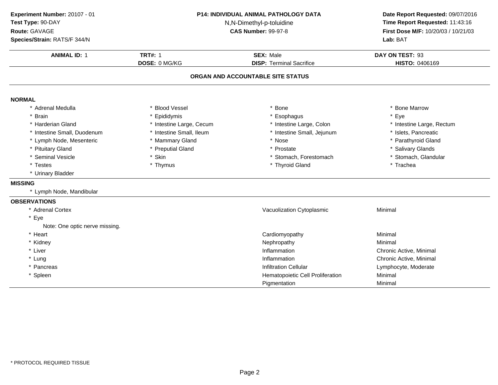**ANIMAL ID:** <sup>1</sup> **TRT#:** <sup>1</sup> **SEX:** Male **DAY ON TEST:** <sup>93</sup> **DOSE:** 0 MG/KG**DISP:** Terminal Sacrifice **HISTO:** 0406169 **ORGAN AND ACCOUNTABLE SITE STATUSNORMAL** \* Adrenal Medullaa the set of the Second Vessel that the set of the set of the set of the set of the set of the Marrow  $\ast$  Bone Marrow \* Brain \* Epididymis \* Esophagus \* Eye \* Harderian Gland \* Intestine Large, Cecum\* Intestine Large, Colon \* 11testine Large, Rectum<br>\* Intestine Small, Jeiunum \* \* Islets, Pancreatic \* Intestine Small, Duodenum\* Intestine Small, Jejunum \* Nose \* Lymph Node, Mesenteric \* Mammary Gland\* Mammary Gland \* 1992 \* 1993 \* 1994 \* Nose \* 1995 \* Parathyroid Gland \* Preputial Gland \* Preputial Gland \* Preputial Gland \* Preputial Gland \* Present \* Preputial Gland \* Present \* Present \* Preputial Glands \* Present \* \* Pituitary Glandd and the second of the preputial Gland the second of the second term of the second of the second of the second  $^*$  Salivary Glands \* Seminal Vesiclee the solution of the Skin term of the stomach, Forestomach term of the stomach, Glandular term of the Stomach, Glandular \* Testes\* Thymus  $*$  Thyroid Gland \* Trachea \* Urinary Bladder **MISSING** \* Lymph Node, Mandibular **OBSERVATIONS** \* Adrenal CortexVacuolization Cytoplasmic **Minimal** \* EyeNote: One optic nerve missing.\* Heart Cardiomyopathy Minimal \* Kidneyy the contract of the contract of the Nephropathy Nephropathy and the Minimal Minimal  $\lambda$ \* Liver \* Liver **Inflammation Inflammation** Inflammation Chronic Active, Minimal<br>
Inflammation Chronic Active, Minimal \* Lungg **Inflammation** Chronic Active, Minimal \* PancreasInfiltration Cellular **Lymphocyte**, Moderate \* SpleenHematopoietic Cell Proliferation **Minimal Pigmentation**  Minimal **Experiment Number:** 20107 - 01 **P14: INDIVIDUAL ANIMAL PATHOLOGY DATA Date Report Requested:** 09/07/2016 **Test Type:** 90-DAY N,N-Dimethyl-p-toluidine **Time Report Requested:** 11:43:16 **Route:** GAVAGE**First Dose M/F:** 10/20/03 / 10/21/03<br>**Lab:** BAT **Species/Strain:** RATS/F 344/N**Lab:** BAT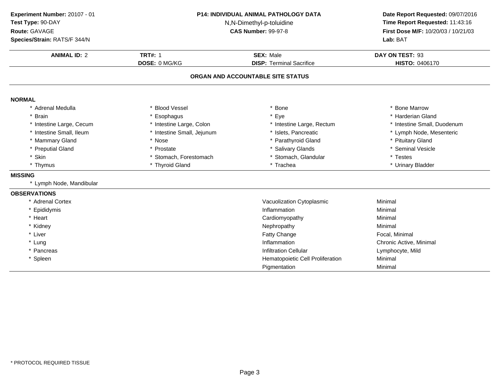**ANIMAL ID:** <sup>2</sup> **TRT#:** <sup>1</sup> **SEX:** Male **DAY ON TEST:** <sup>93</sup> **DOSE:** 0 MG/KG**DISP:** Terminal Sacrifice **HISTO:** 0406170 **ORGAN AND ACCOUNTABLE SITE STATUSNORMAL** \* Adrenal Medullaa the set of the Second Vessel that the set of the set of the set of the set of the set of the Marrow  $\ast$  Bone Marrow \* Harderian Gland \* Brain \* Esophagus \* Eye \* Harderian Gland \* Intestine Large, Cecum\* Intestine Large, Colon \* 1992 \* Intestine Large, Rectum \* 1994 \* Intestine Small, Duodenum<br>
\* Intestine Small, Jejunum \* 1996 \* 1997 \* Islets, Pancreatic \* 1997 \* 1997 \* Lymph Node, Mesenteric \* Intestine Small, Ileumm and the small, Jejunum and the state of the state of the state of the state of the state of the state of the state of the state of the state of the state of the state of the state of the state of the state of the state o \* Mammary Gland \* Nose \* Parathyroid Gland \* Pituitary Gland \* Preputial Gland \* Prostate \* Salivary Glands \* Seminal Vesicle \* Skinn and the stomach, Forestomach and the stomach, Stomach, Glandular the store of the steep and the steep and the steep and the steep and the steep and the steep and the steep and the steep and the steep and the steep and th \* Thymus \* Thyroid Gland\* Trachea \* Vinary Bladder **MISSING** \* Lymph Node, Mandibular **OBSERVATIONS** \* Adrenal CortexVacuolization Cytoplasmic **Minimal** \* Epididymiss and the contract of the contract of the contract of the contract of the contract of the contract of the contract of the contract of the contract of the contract of the contract of the contract of the contract of the cont Inflammation **Minimal** \* Heart Cardiomyopathy Minimal<br>Minimal \* Kidneyy the contract of the contract of the Mephropathy the Minimal Minimal of the Minimal  $\mathsf{M}_1$ \* Liver Fatty Change Focal, Minimal \* Lungg is a controller to the controller of the Inflammation controller to the Chronic Active, Minimal g \* Pancreas Infiltration Cellular Lymphocyte, Mild\* SpleenHematopoietic Cell Proliferation **Minimal** Pigmentation Minimal **Experiment Number:** 20107 - 01 **P14: INDIVIDUAL ANIMAL PATHOLOGY DATA Date Report Requested:** 09/07/2016 **Test Type:** 90-DAY N,N-Dimethyl-p-toluidine **Time Report Requested:** 11:43:16 **Route:** GAVAGE**First Dose M/F:** 10/20/03 / 10/21/03<br>**Lab:** BAT **Species/Strain:** RATS/F 344/N**Lab:** BAT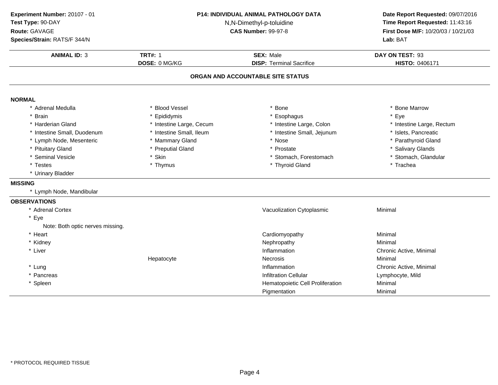| Experiment Number: 20107 - 01<br>Test Type: 90-DAY |                          | P14: INDIVIDUAL ANIMAL PATHOLOGY DATA<br>N,N-Dimethyl-p-toluidine | Date Report Requested: 09/07/2016<br>Time Report Requested: 11:43:16<br>First Dose M/F: 10/20/03 / 10/21/03 |
|----------------------------------------------------|--------------------------|-------------------------------------------------------------------|-------------------------------------------------------------------------------------------------------------|
| Route: GAVAGE                                      |                          | <b>CAS Number: 99-97-8</b>                                        |                                                                                                             |
| Species/Strain: RATS/F 344/N                       |                          |                                                                   | Lab: BAT                                                                                                    |
|                                                    |                          |                                                                   |                                                                                                             |
| <b>ANIMAL ID: 3</b>                                | <b>TRT#: 1</b>           | <b>SEX: Male</b>                                                  | DAY ON TEST: 93                                                                                             |
|                                                    | DOSE: 0 MG/KG            | <b>DISP: Terminal Sacrifice</b>                                   | HISTO: 0406171                                                                                              |
|                                                    |                          | ORGAN AND ACCOUNTABLE SITE STATUS                                 |                                                                                                             |
| <b>NORMAL</b>                                      |                          |                                                                   |                                                                                                             |
| * Adrenal Medulla                                  | * Blood Vessel           | Bone                                                              | * Bone Marrow                                                                                               |
| <b>Brain</b>                                       | * Epididymis             | Esophagus                                                         | * Eye                                                                                                       |
| * Harderian Gland                                  | * Intestine Large, Cecum | * Intestine Large, Colon                                          | * Intestine Large, Rectum                                                                                   |
| * Intestine Small, Duodenum                        | * Intestine Small, Ileum | * Intestine Small, Jejunum                                        | * Islets, Pancreatic                                                                                        |
| * Lymph Node, Mesenteric                           | * Mammary Gland          | * Nose                                                            | * Parathyroid Gland                                                                                         |
| * Pituitary Gland                                  | * Preputial Gland        | * Prostate                                                        | * Salivary Glands                                                                                           |
| * Seminal Vesicle                                  | * Skin                   | * Stomach, Forestomach                                            | * Stomach, Glandular                                                                                        |
| * Testes                                           | * Thymus                 | * Thyroid Gland                                                   | * Trachea                                                                                                   |
| * Urinary Bladder                                  |                          |                                                                   |                                                                                                             |
| <b>MISSING</b>                                     |                          |                                                                   |                                                                                                             |
| * Lymph Node, Mandibular                           |                          |                                                                   |                                                                                                             |
| <b>OBSERVATIONS</b>                                |                          |                                                                   |                                                                                                             |
| * Adrenal Cortex                                   |                          | Vacuolization Cytoplasmic                                         | Minimal                                                                                                     |
| * Eye<br>Note: Both optic nerves missing.          |                          |                                                                   |                                                                                                             |
| * Heart                                            |                          | Cardiomyopathy                                                    | Minimal                                                                                                     |
| * Kidney                                           |                          | Nephropathy                                                       | Minimal                                                                                                     |
| * Liver                                            |                          | Inflammation                                                      | Chronic Active, Minimal                                                                                     |
|                                                    | Hepatocyte               | <b>Necrosis</b>                                                   | Minimal                                                                                                     |
| * Lung                                             |                          | Inflammation                                                      | Chronic Active, Minimal                                                                                     |
| * Pancreas                                         |                          | <b>Infiltration Cellular</b>                                      | Lymphocyte, Mild                                                                                            |
| * Spleen                                           |                          | Hematopoietic Cell Proliferation                                  | Minimal                                                                                                     |
|                                                    |                          | Pigmentation                                                      | Minimal                                                                                                     |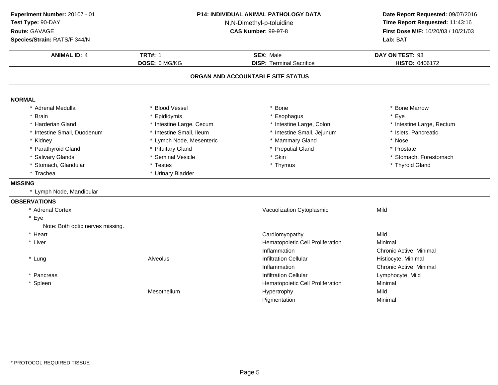**ANIMAL ID:** <sup>4</sup> **TRT#:** <sup>1</sup> **SEX:** Male **DAY ON TEST:** <sup>93</sup> **DOSE:** 0 MG/KG**DISP:** Terminal Sacrifice **HISTO:** 0406172 **ORGAN AND ACCOUNTABLE SITE STATUSNORMAL** \* Adrenal Medullaa the set of the Second Vessel that the set of the set of the set of the set of the set of the Marrow  $\ast$  Bone Marrow \* Brain \* Epididymis \* Esophagus \* Eye \* Harderian Gland \* Intestine Large, Cecum\* Intestine Large, Colon \* \* Intestine Large, Rectum<br>\* Intestine Small. Jeiunum \* \* Islets. Pancreatic \* Intestine Small, Duodenum\* Intestine Small, Jejunum<br>\* Mammary Gland \* Kidney\* Lymph Node, Mesenteric \* Mammary Gland<br>
\* Preputial Gland<br>
\* Prostate<br>
\* Prostate \* Parathyroid Glandd **the set of the set of the set of the set of the set of the set of the set of the set of the set of the set of the set of the set of the set of the set of the set of the set of the set of the set of the set of the set of** \* Salivary Glands \* Seminal Vesicle\* Skin \* Stomach, Forestomach<br>\* Thymus \* Thymus \* Thyroid Gland \* Stomach, Glandular \* Testes \* Testes \* Thymus \* Thymus \* Thymus \* Thymus \* Thyroid Gland \* Trachea \* Urinary Bladder **MISSING** \* Lymph Node, Mandibular **OBSERVATIONS** \* Adrenal CortexVacuolization Cytoplasmic **Mild** \* EyeNote: Both optic nerves missing.\* Heart Cardiomyopathy y Mild n Minimal \* Liver Hematopoietic Cell Proliferation InflammationInflammation **Chronic Active, Minimal**<br>
Infiltration Cellular **Chronic Active, Minimal** \* Lung Alveolus Infiltration Cellular Histiocyte, Minimal InflammationInflammation Chronic Active, Minimal<br>
Infiltration Cellular Chronic Active, Minimal<br>
Lymphocyte, Mild \* Pancreas Infiltration Cellular Lymphocyte, Mild\* SpleenHematopoietic Cell Proliferation Minimal<br>
Hypertrophy Mild Mesothelium Hypertrophy Mild **Pigmentation**  Minimal **Experiment Number:** 20107 - 01 **P14: INDIVIDUAL ANIMAL PATHOLOGY DATA Date Report Requested:** 09/07/2016 **Test Type:** 90-DAY N,N-Dimethyl-p-toluidine **Time Report Requested:** 11:43:16 **Route:** GAVAGE**First Dose M/F:** 10/20/03 / 10/21/03<br>**Lab:** BAT **Species/Strain:** RATS/F 344/N**Lab:** BAT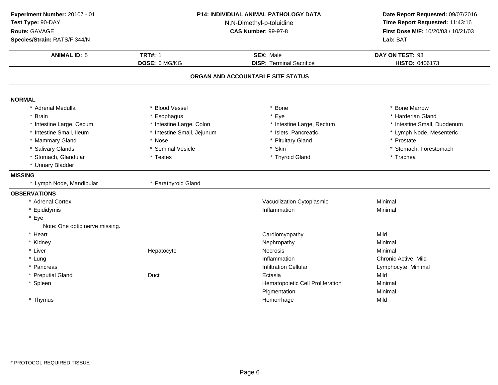| Experiment Number: 20107 - 01<br>Test Type: 90-DAY<br>Route: GAVAGE<br>Species/Strain: RATS/F 344/N | P14: INDIVIDUAL ANIMAL PATHOLOGY DATA<br>N,N-Dimethyl-p-toluidine<br><b>CAS Number: 99-97-8</b> |                                   | Date Report Requested: 09/07/2016<br>Time Report Requested: 11:43:16<br>First Dose M/F: 10/20/03 / 10/21/03<br>Lab: BAT |
|-----------------------------------------------------------------------------------------------------|-------------------------------------------------------------------------------------------------|-----------------------------------|-------------------------------------------------------------------------------------------------------------------------|
| <b>ANIMAL ID: 5</b>                                                                                 | <b>TRT#: 1</b>                                                                                  | <b>SEX: Male</b>                  | DAY ON TEST: 93                                                                                                         |
|                                                                                                     | DOSE: 0 MG/KG                                                                                   | <b>DISP: Terminal Sacrifice</b>   | HISTO: 0406173                                                                                                          |
|                                                                                                     |                                                                                                 | ORGAN AND ACCOUNTABLE SITE STATUS |                                                                                                                         |
| <b>NORMAL</b>                                                                                       |                                                                                                 |                                   |                                                                                                                         |
| * Adrenal Medulla                                                                                   | * Blood Vessel                                                                                  | * Bone                            | * Bone Marrow                                                                                                           |
| * Brain                                                                                             | * Esophagus                                                                                     | * Eye                             | * Harderian Gland                                                                                                       |
| * Intestine Large, Cecum                                                                            | * Intestine Large, Colon                                                                        | * Intestine Large, Rectum         | * Intestine Small, Duodenum                                                                                             |
| * Intestine Small, Ileum                                                                            | * Intestine Small, Jejunum                                                                      | * Islets, Pancreatic              | * Lymph Node, Mesenteric                                                                                                |
| * Mammary Gland                                                                                     | * Nose                                                                                          | * Pituitary Gland                 | * Prostate                                                                                                              |
| * Salivary Glands                                                                                   | * Seminal Vesicle                                                                               | * Skin                            | * Stomach, Forestomach                                                                                                  |
| * Stomach, Glandular                                                                                | * Testes                                                                                        | * Thyroid Gland                   | * Trachea                                                                                                               |
| * Urinary Bladder                                                                                   |                                                                                                 |                                   |                                                                                                                         |
| <b>MISSING</b>                                                                                      |                                                                                                 |                                   |                                                                                                                         |
| * Lymph Node, Mandibular                                                                            | * Parathyroid Gland                                                                             |                                   |                                                                                                                         |
| <b>OBSERVATIONS</b>                                                                                 |                                                                                                 |                                   |                                                                                                                         |
| * Adrenal Cortex                                                                                    |                                                                                                 | Vacuolization Cytoplasmic         | Minimal                                                                                                                 |
| * Epididymis                                                                                        |                                                                                                 | Inflammation                      | Minimal                                                                                                                 |
| * Eye                                                                                               |                                                                                                 |                                   |                                                                                                                         |
| Note: One optic nerve missing.                                                                      |                                                                                                 |                                   |                                                                                                                         |
| * Heart                                                                                             |                                                                                                 | Cardiomyopathy                    | Mild                                                                                                                    |
| * Kidney                                                                                            |                                                                                                 | Nephropathy                       | Minimal                                                                                                                 |
| * Liver                                                                                             | Hepatocyte                                                                                      | <b>Necrosis</b>                   | Minimal                                                                                                                 |
| * Lung                                                                                              |                                                                                                 | Inflammation                      | Chronic Active, Mild                                                                                                    |
| * Pancreas                                                                                          |                                                                                                 | <b>Infiltration Cellular</b>      | Lymphocyte, Minimal                                                                                                     |
| * Preputial Gland                                                                                   | Duct                                                                                            | Ectasia                           | Mild                                                                                                                    |
| * Spleen                                                                                            |                                                                                                 | Hematopoietic Cell Proliferation  | Minimal                                                                                                                 |
|                                                                                                     |                                                                                                 | Pigmentation                      | Minimal                                                                                                                 |
| * Thymus                                                                                            |                                                                                                 | Hemorrhage                        | Mild                                                                                                                    |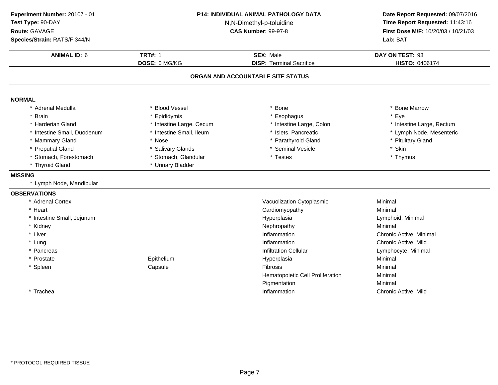**ANIMAL ID:** <sup>6</sup> **TRT#:** <sup>1</sup> **SEX:** Male **DAY ON TEST:** <sup>93</sup> **DOSE:** 0 MG/KG**DISP:** Terminal Sacrifice **HISTO:** 0406174 **ORGAN AND ACCOUNTABLE SITE STATUSNORMAL** \* Adrenal Medullaa the set of the Second Vessel that the set of the set of the set of the set of the set of the Marrow  $\ast$  Bone Marrow \* Brain \* Epididymis \* Esophagus \* Eye \* Harderian Gland \* Intestine Large, Cecum\* Intestine Large, Colon \* 11testine Large, Rectum<br>\* Islets, Pancreatic \* 11testine Node, Mesenteric \* Intestine Small, Duodenumm and the small, Ileum and the small of the small of the small of the small of the small of the small of the small of the small of the small of the small of the small of the small of the small of the small of the small of \* Mammary Gland \* Nose \* Parathyroid Gland \* Pituitary Gland \* Preputial Glandd the state of the Salivary Glands the state of the seminal Vesicle the state of the state of the state of the Skin \* Stomach, Forestomachh the test of the stomach, Glandular the test of the test of the storm  $*$  Thymus  $*$  Thymus \* Thyroid Gland \* Urinary Bladder **MISSING** \* Lymph Node, Mandibular **OBSERVATIONS** \* Adrenal CortexVacuolization Cytoplasmic **Minimal** \* Heart Cardiomyopathy Minimal \* Intestine Small, Jejunum Hyperplasia Lymphoid, Minimal \* Kidneyy the contract of the contract of the Mephropathy the Minimal Minimal of the Minimal  $\mathsf{M}_1$ \* Liver \* Liver **Inflammation** Inflammation Chronic Active, Minimal<br>
Inflammation Chronic Active, Mild \* Lungg is a controller to the inflammation that inflammation the chronic Active, Mild \* Pancreas Infiltration Cellular Lymphocyte, Minimal \* Prostate Epithelium Hyperplasia Minimal \* Spleenn and the Capsule Capsule Capsule and the Fibrosis Capsulation of the Minimal School of the Minimal School of Minimal School of the Minimal School of the Minimal School of the Minimal School of the Minimal School of the Mi Hematopoietic Cell Proliferation Minimal **Pigmentation** n Minimal \* Tracheaa <u>Inflammation Chronic Active, Mild</u> **Experiment Number:** 20107 - 01 **P14: INDIVIDUAL ANIMAL PATHOLOGY DATA Date Report Requested:** 09/07/2016 **Test Type:** 90-DAY N,N-Dimethyl-p-toluidine **Time Report Requested:** 11:43:16 **Route:** GAVAGE**First Dose M/F:** 10/20/03 / 10/21/03<br>**Lab:** BAT **Species/Strain:** RATS/F 344/N**Lab:** BAT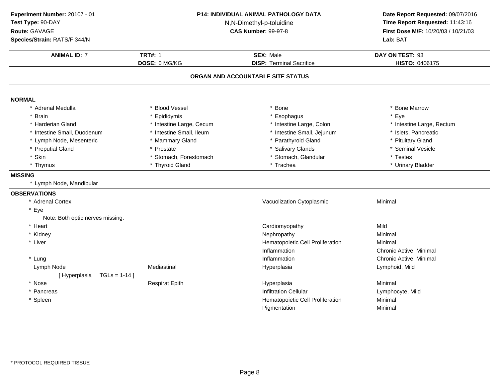**ANIMAL ID:** <sup>7</sup> **TRT#:** <sup>1</sup> **SEX:** Male **DAY ON TEST:** <sup>93</sup> **DOSE:** 0 MG/KG**DISP:** Terminal Sacrifice **HISTO:** 0406175 **ORGAN AND ACCOUNTABLE SITE STATUSNORMAL** \* Adrenal Medullaa the set of the Second Vessel that the set of the set of the set of the set of the set of the Marrow  $\ast$  Bone Marrow \* Brain \* Epididymis \* Esophagus \* Eye \* Harderian Gland \* Intestine Large, Cecum\* Intestine Large, Colon \* \* Intestine Large, Rectum<br>\* Intestine Small. Jeiunum \* \* Slets. Pancreatic \* Intestine Small, Duodenum\* Intestine Small, Jejunum \* 1945, Pancreatic and \* Islets, Pancreatic \* Pituitary Gland \* Lymph Node, Mesenteric \* Mammary Gland\* Parathyroid Gland \* \* Pituitary Gland<br>\* Salivary Glands \* \* Seminal Vesicle \* Preputial Gland \* Prostate \* Salivary Glands \* Seminal Vesicle \* Skinn and the stomach, Forestomach and the stomach, Stomach, Glandular the store of the steep and the steep and the steep and the steep and the steep and the steep and the steep and the steep and the steep and the steep and th \* Thymus \* Thyroid Gland\* Trachea \* Vinary Bladder **MISSING** \* Lymph Node, Mandibular **OBSERVATIONS** \* Adrenal CortexVacuolization Cytoplasmic **Minimal** \* EyeNote: Both optic nerves missing.\* Heart Cardiomyopathy y Mild Minimal \* Kidneyy the contract of the contract of the Mephropathy the Minimal Minimal Sepan $\sim$  Minimal Minimal Sepan $\sim$ \* Liver Hematopoietic Cell Proliferation Minimal InflammationInflammation Chronic Active, Minimal<br>
Inflammation Chronic Active, Minimal \* Lungg **Inflammation** Chronic Active, Minimal Lymph Node Mediastinal Hyperplasia Lymphoid, Mild [ Hyperplasia TGLs = 1-14 ]\* Nose Respirat Epith Hyperplasia Minimal \* Pancreas Infiltration Cellular Lymphocyte, Mild\* SpleenHematopoietic Cell Proliferation **Minimal**<br>Pigmentation Minimal **Pigmentation** n Minimal **Experiment Number:** 20107 - 01 **P14: INDIVIDUAL ANIMAL PATHOLOGY DATA Date Report Requested:** 09/07/2016 **Test Type:** 90-DAY N,N-Dimethyl-p-toluidine **Time Report Requested:** 11:43:16 **Route:** GAVAGE**First Dose M/F:** 10/20/03 / 10/21/03<br>**Lab:** BAT **Species/Strain:** RATS/F 344/N**Lab:** BAT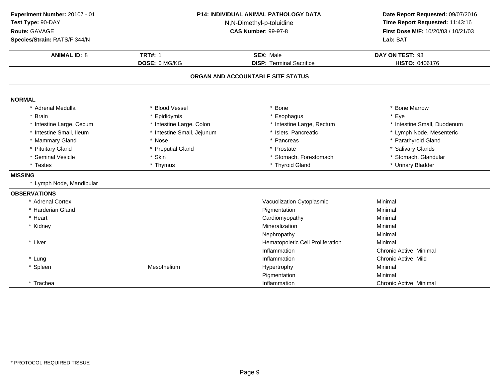**ANIMAL ID:** <sup>8</sup> **TRT#:** <sup>1</sup> **SEX:** Male **DAY ON TEST:** <sup>93</sup> **DOSE:** 0 MG/KG**DISP:** Terminal Sacrifice **HISTO:** 0406176 **ORGAN AND ACCOUNTABLE SITE STATUSNORMAL** \* Adrenal Medullaa the set of the Second Vessel that the set of the set of the set of the set of the set of the Marrow  $\ast$  Bone Marrow \* Brain \* Epididymis \* Esophagus \* Eye \* Intestine Large, Cecum\* Intestine Large, Colon \* 1992 \* 11testine Large, Rectum \* 11testine Small, Duodenum<br>
\* Intestine Small, Jejunum \* 15tets, Pancreatic \* 1996 \* 11testine Small, Duodenum \* Lymph Node, Mesenteric \* Intestine Small, Ileumm and the small, Jejunum and the state of the state of the state of the state of the state of the state of the state of the state of the state of the state of the state of the state of the state of the state of the state o \* Mammary Gland \* Nose \* Pancreas \* Parathyroid Gland \* Pituitary Glandd and the second of the preputial Gland the second of the second term of the second of the second of the second  $^*$  Salivary Glands \* Seminal Vesiclee the solution of the Skin term of the stomach, Forestomach term of the stomach, Glandular term of the Stomach, Glandular \* Testes\* Thymus  $*$  Thyroid Gland \* Urinary Bladder **MISSING** \* Lymph Node, Mandibular **OBSERVATIONS** \* Adrenal CortexVacuolization Cytoplasmic **Minimal** \* Harderian Glandd and the contraction of the Pigmentation and the Minimal of the Minimal of the Minimal of the Minimal of the  $\sim$ \* Heart Cardiomyopathy Minimal<br>Minimal \* Kidney Mineralizationn Minimal Nephropathy Minimal \* Liver Hematopoietic Cell Proliferation Minimal InflammationInflammation **Exercise 2 Chronic Active, Minimal**<br>
Inflammation **Chronic Active** Mild \* Lung Inflammation Chronic Active, Mild \* Spleen Mesothelium Hypertrophy Minimal **Pigmentation**  Minimal \* Tracheaa <u>Inflammation Chronic Active, Minimal Chronic Active</u>, Minimal **Experiment Number:** 20107 - 01 **P14: INDIVIDUAL ANIMAL PATHOLOGY DATA Date Report Requested:** 09/07/2016 **Test Type:** 90-DAY N,N-Dimethyl-p-toluidine **Time Report Requested:** 11:43:16 **Route:** GAVAGE**First Dose M/F:** 10/20/03 / 10/21/03<br>**Lab:** BAT **Species/Strain:** RATS/F 344/N**Lab:** BAT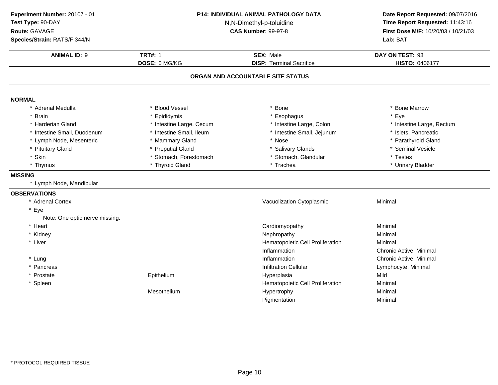**ANIMAL ID:** <sup>9</sup> **TRT#:** <sup>1</sup> **SEX:** Male **DAY ON TEST:** <sup>93</sup> **DOSE:** 0 MG/KG**DISP:** Terminal Sacrifice **HISTO:** 0406177 **ORGAN AND ACCOUNTABLE SITE STATUSNORMAL** \* Adrenal Medullaa the set of the Second Vessel that the set of the set of the set of the set of the set of the Marrow  $\ast$  Bone Marrow \* Brain \* Epididymis \* Esophagus \* Eye \* Harderian Gland \* Intestine Large, Cecum\* Intestine Large, Colon \* \* Intestine Large, Rectum<br>\* Intestine Small. Jeiunum \* \* \* Islets. Pancreatic \* Intestine Small, Duodenum\* Intestine Small, Jejunum<br>\* Nose \* Lymph Node, Mesenteric \* Mammary Gland\* Mammary Gland \* \* Nose \* Nose \* \* Parathyroid Gland \* Persisted and \* Persisted and \* Persisted \* Persisted \* Persisted \* Seminal Vesicle \* Pituitary Glandd \* Preputial Gland \* Salivary Glands \* Seminal Vesicle \* Skin\* Stomach, Forestomach \* \* Stomach, Glandular \* Testes \* Testes \* Testes \* Thyroid Gland \* Thymus \* Thyroid Gland\* Urinary Bladder **MISSING** \* Lymph Node, Mandibular **OBSERVATIONS** \* Adrenal CortexVacuolization Cytoplasmic **Minimal** \* EyeNote: One optic nerve missing.\* Heart Cardiomyopathy Minimal<br>Minimal \* Kidneyy the contract of the contract of the Mephropathy the Minimal Minimal Sepan $\sim$  Minimal Minimal Sepan $\sim$ \* Liver Hematopoietic Cell Proliferation Minimal InflammationInflammation **Chronic Active, Minimal**<br>
Inflammation **Chronic Active** Minimal \* Lungg **Inflammation** Chronic Active, Minimal \* Pancreas Infiltration Cellular Lymphocyte, Minimal \* Prostate Epithelium Hyperplasia Mild \* Spleenn and the material energy of the Hematopoietic Cell Proliferation and Minimal Mesothelium Hypertrophy Minimal Pigmentation Minimal **Experiment Number:** 20107 - 01 **P14: INDIVIDUAL ANIMAL PATHOLOGY DATA Date Report Requested:** 09/07/2016 **Test Type:** 90-DAY N,N-Dimethyl-p-toluidine **Time Report Requested:** 11:43:16 **Route:** GAVAGE**First Dose M/F:** 10/20/03 / 10/21/03<br>**Lab:** BAT **Species/Strain:** RATS/F 344/N**Lab:** BAT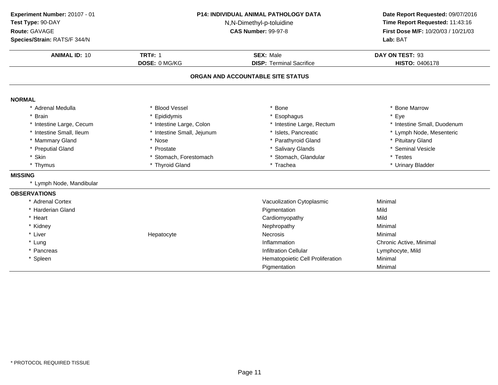| Experiment Number: 20107 - 01                 |                            | <b>P14: INDIVIDUAL ANIMAL PATHOLOGY DATA</b> | Date Report Requested: 09/07/2016   |
|-----------------------------------------------|----------------------------|----------------------------------------------|-------------------------------------|
| Test Type: 90-DAY<br>N,N-Dimethyl-p-toluidine |                            |                                              | Time Report Requested: 11:43:16     |
| Route: GAVAGE                                 |                            | <b>CAS Number: 99-97-8</b>                   | First Dose M/F: 10/20/03 / 10/21/03 |
| Species/Strain: RATS/F 344/N                  |                            |                                              | Lab: BAT                            |
| <b>ANIMAL ID: 10</b>                          | <b>TRT#: 1</b>             | <b>SEX: Male</b>                             | DAY ON TEST: 93                     |
|                                               | DOSE: 0 MG/KG              | <b>DISP: Terminal Sacrifice</b>              | <b>HISTO: 0406178</b>               |
|                                               |                            | ORGAN AND ACCOUNTABLE SITE STATUS            |                                     |
| <b>NORMAL</b>                                 |                            |                                              |                                     |
| * Adrenal Medulla                             | <b>Blood Vessel</b>        | * Bone                                       | * Bone Marrow                       |
| * Brain                                       | Epididymis                 | * Esophagus                                  | * Eye                               |
| * Intestine Large, Cecum                      | * Intestine Large, Colon   | * Intestine Large, Rectum                    | * Intestine Small, Duodenum         |
| * Intestine Small, Ileum                      | * Intestine Small, Jejunum | * Islets, Pancreatic                         | * Lymph Node, Mesenteric            |
| * Mammary Gland                               | * Nose                     | * Parathyroid Gland                          | * Pituitary Gland                   |
| * Preputial Gland                             | * Prostate                 | * Salivary Glands                            | * Seminal Vesicle                   |
| * Skin                                        | * Stomach, Forestomach     | * Stomach, Glandular                         | * Testes                            |
| * Thymus                                      | * Thyroid Gland            | * Trachea                                    | * Urinary Bladder                   |
| <b>MISSING</b>                                |                            |                                              |                                     |
| * Lymph Node, Mandibular                      |                            |                                              |                                     |
| <b>OBSERVATIONS</b>                           |                            |                                              |                                     |
| * Adrenal Cortex                              |                            | Vacuolization Cytoplasmic                    | Minimal                             |
| * Harderian Gland                             |                            | Pigmentation                                 | Mild                                |
| * Heart                                       |                            | Cardiomyopathy                               | Mild                                |
| * Kidney                                      |                            | Nephropathy                                  | Minimal                             |
| * Liver                                       | Hepatocyte                 | <b>Necrosis</b>                              | Minimal                             |
| * Lung                                        |                            | Inflammation                                 | Chronic Active, Minimal             |
| * Pancreas                                    |                            | <b>Infiltration Cellular</b>                 | Lymphocyte, Mild                    |
| * Spleen                                      |                            | Hematopoietic Cell Proliferation             | Minimal                             |
|                                               |                            | Pigmentation                                 | Minimal                             |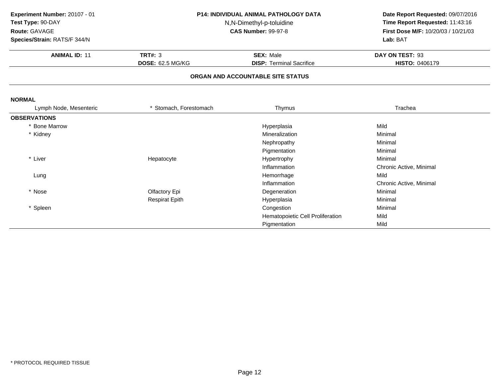| Experiment Number: 20107 - 01<br>Test Type: 90-DAY<br>Route: GAVAGE<br>Species/Strain: RATS/F 344/N |                         | P14: INDIVIDUAL ANIMAL PATHOLOGY DATA<br>N,N-Dimethyl-p-toluidine<br><b>CAS Number: 99-97-8</b> | Date Report Requested: 09/07/2016<br>Time Report Requested: 11:43:16<br>First Dose M/F: 10/20/03 / 10/21/03<br>Lab: BAT |
|-----------------------------------------------------------------------------------------------------|-------------------------|-------------------------------------------------------------------------------------------------|-------------------------------------------------------------------------------------------------------------------------|
| <b>ANIMAL ID: 11</b>                                                                                | <b>TRT#: 3</b>          | <b>SEX: Male</b>                                                                                | DAY ON TEST: 93                                                                                                         |
|                                                                                                     | <b>DOSE: 62.5 MG/KG</b> | <b>DISP: Terminal Sacrifice</b>                                                                 | HISTO: 0406179                                                                                                          |
|                                                                                                     |                         | ORGAN AND ACCOUNTABLE SITE STATUS                                                               |                                                                                                                         |
| <b>NORMAL</b>                                                                                       |                         |                                                                                                 |                                                                                                                         |
| Lymph Node, Mesenteric                                                                              | * Stomach, Forestomach  | Thymus                                                                                          | Trachea                                                                                                                 |
| <b>OBSERVATIONS</b>                                                                                 |                         |                                                                                                 |                                                                                                                         |
| * Bone Marrow                                                                                       |                         | Hyperplasia                                                                                     | Mild                                                                                                                    |
| * Kidney                                                                                            |                         | Mineralization                                                                                  | Minimal                                                                                                                 |
|                                                                                                     |                         | Nephropathy                                                                                     | Minimal                                                                                                                 |
|                                                                                                     |                         | Pigmentation                                                                                    | Minimal                                                                                                                 |
| * Liver                                                                                             | Hepatocyte              | Hypertrophy                                                                                     | Minimal                                                                                                                 |
|                                                                                                     |                         | Inflammation                                                                                    | Chronic Active, Minimal                                                                                                 |
| Lung                                                                                                |                         | Hemorrhage                                                                                      | Mild                                                                                                                    |
|                                                                                                     |                         | Inflammation                                                                                    | Chronic Active, Minimal                                                                                                 |
| * Nose                                                                                              | Olfactory Epi           | Degeneration                                                                                    | Minimal                                                                                                                 |
|                                                                                                     | <b>Respirat Epith</b>   | Hyperplasia                                                                                     | Minimal                                                                                                                 |
| * Spleen                                                                                            |                         | Congestion                                                                                      | Minimal                                                                                                                 |
|                                                                                                     |                         | Hematopoietic Cell Proliferation                                                                | Mild                                                                                                                    |
|                                                                                                     |                         | Pigmentation                                                                                    | Mild                                                                                                                    |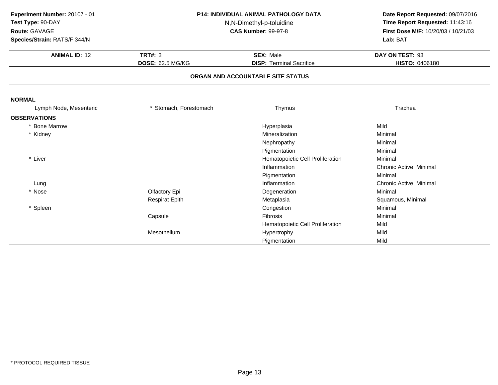| Experiment Number: 20107 - 01<br>Test Type: 90-DAY<br>Route: GAVAGE<br>Species/Strain: RATS/F 344/N<br><b>ANIMAL ID: 12</b> | <b>P14: INDIVIDUAL ANIMAL PATHOLOGY DATA</b><br>N,N-Dimethyl-p-toluidine<br><b>CAS Number: 99-97-8</b><br><b>TRT#: 3</b><br><b>SEX: Male</b><br><b>DOSE: 62.5 MG/KG</b><br><b>DISP: Terminal Sacrifice</b> |                                   | Date Report Requested: 09/07/2016<br>Time Report Requested: 11:43:16<br>First Dose M/F: 10/20/03 / 10/21/03<br>Lab: BAT<br>DAY ON TEST: 93<br>HISTO: 0406180 |
|-----------------------------------------------------------------------------------------------------------------------------|------------------------------------------------------------------------------------------------------------------------------------------------------------------------------------------------------------|-----------------------------------|--------------------------------------------------------------------------------------------------------------------------------------------------------------|
|                                                                                                                             |                                                                                                                                                                                                            | ORGAN AND ACCOUNTABLE SITE STATUS |                                                                                                                                                              |
| <b>NORMAL</b>                                                                                                               |                                                                                                                                                                                                            |                                   |                                                                                                                                                              |
| Lymph Node, Mesenteric                                                                                                      | * Stomach, Forestomach                                                                                                                                                                                     | Thymus                            | Trachea                                                                                                                                                      |
| <b>OBSERVATIONS</b>                                                                                                         |                                                                                                                                                                                                            |                                   |                                                                                                                                                              |
| * Bone Marrow                                                                                                               |                                                                                                                                                                                                            | Hyperplasia                       | Mild                                                                                                                                                         |
| * Kidney                                                                                                                    |                                                                                                                                                                                                            | Mineralization                    | Minimal                                                                                                                                                      |
|                                                                                                                             |                                                                                                                                                                                                            | Nephropathy                       | Minimal                                                                                                                                                      |
|                                                                                                                             |                                                                                                                                                                                                            | Pigmentation                      | Minimal                                                                                                                                                      |
| * Liver                                                                                                                     |                                                                                                                                                                                                            | Hematopoietic Cell Proliferation  | Minimal                                                                                                                                                      |
|                                                                                                                             |                                                                                                                                                                                                            | Inflammation                      | Chronic Active, Minimal                                                                                                                                      |
|                                                                                                                             |                                                                                                                                                                                                            | Pigmentation                      | Minimal                                                                                                                                                      |
| Lung                                                                                                                        |                                                                                                                                                                                                            | Inflammation                      | Chronic Active, Minimal                                                                                                                                      |
| * Nose                                                                                                                      | Olfactory Epi                                                                                                                                                                                              | Degeneration                      | Minimal                                                                                                                                                      |
|                                                                                                                             | <b>Respirat Epith</b>                                                                                                                                                                                      | Metaplasia                        | Squamous, Minimal                                                                                                                                            |
| * Spleen                                                                                                                    |                                                                                                                                                                                                            | Congestion                        | Minimal                                                                                                                                                      |
|                                                                                                                             | Capsule                                                                                                                                                                                                    | Fibrosis                          | Minimal                                                                                                                                                      |
|                                                                                                                             |                                                                                                                                                                                                            | Hematopoietic Cell Proliferation  | Mild                                                                                                                                                         |
|                                                                                                                             | Mesothelium                                                                                                                                                                                                | Hypertrophy                       | Mild                                                                                                                                                         |
|                                                                                                                             |                                                                                                                                                                                                            | Pigmentation                      | Mild                                                                                                                                                         |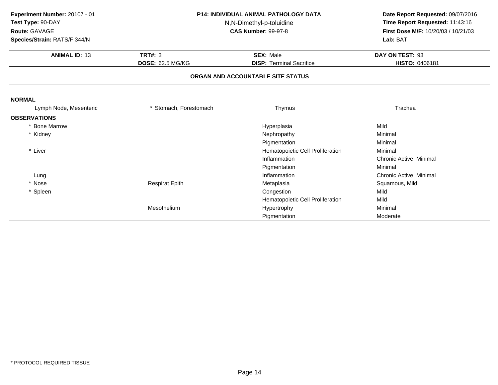| Experiment Number: 20107 - 01<br>Test Type: 90-DAY<br>Route: GAVAGE<br>Species/Strain: RATS/F 344/N | <b>P14: INDIVIDUAL ANIMAL PATHOLOGY DATA</b><br>N,N-Dimethyl-p-toluidine<br><b>CAS Number: 99-97-8</b> |                                   | Date Report Requested: 09/07/2016<br>Time Report Requested: 11:43:16<br>First Dose M/F: 10/20/03 / 10/21/03<br>Lab: BAT |
|-----------------------------------------------------------------------------------------------------|--------------------------------------------------------------------------------------------------------|-----------------------------------|-------------------------------------------------------------------------------------------------------------------------|
| <b>ANIMAL ID: 13</b>                                                                                | <b>TRT#: 3</b>                                                                                         | <b>SEX: Male</b>                  | DAY ON TEST: 93                                                                                                         |
|                                                                                                     | <b>DOSE: 62.5 MG/KG</b>                                                                                | <b>DISP: Terminal Sacrifice</b>   | HISTO: 0406181                                                                                                          |
|                                                                                                     |                                                                                                        | ORGAN AND ACCOUNTABLE SITE STATUS |                                                                                                                         |
| <b>NORMAL</b>                                                                                       |                                                                                                        |                                   |                                                                                                                         |
| Lymph Node, Mesenteric                                                                              | * Stomach, Forestomach                                                                                 | Thymus                            | Trachea                                                                                                                 |
| <b>OBSERVATIONS</b>                                                                                 |                                                                                                        |                                   |                                                                                                                         |
| * Bone Marrow                                                                                       |                                                                                                        | Hyperplasia                       | Mild                                                                                                                    |
| * Kidney                                                                                            |                                                                                                        | Nephropathy                       | Minimal                                                                                                                 |
|                                                                                                     |                                                                                                        | Pigmentation                      | Minimal                                                                                                                 |
| * Liver                                                                                             |                                                                                                        | Hematopoietic Cell Proliferation  | Minimal                                                                                                                 |
|                                                                                                     |                                                                                                        | Inflammation                      | Chronic Active, Minimal                                                                                                 |
|                                                                                                     |                                                                                                        | Pigmentation                      | Minimal                                                                                                                 |
| Lung                                                                                                |                                                                                                        | Inflammation                      | Chronic Active, Minimal                                                                                                 |
| * Nose                                                                                              | <b>Respirat Epith</b>                                                                                  | Metaplasia                        | Squamous, Mild                                                                                                          |
| * Spleen                                                                                            |                                                                                                        | Congestion                        | Mild                                                                                                                    |
|                                                                                                     |                                                                                                        | Hematopoietic Cell Proliferation  | Mild                                                                                                                    |
|                                                                                                     | Mesothelium                                                                                            | Hypertrophy                       | Minimal                                                                                                                 |
|                                                                                                     |                                                                                                        | Pigmentation                      | Moderate                                                                                                                |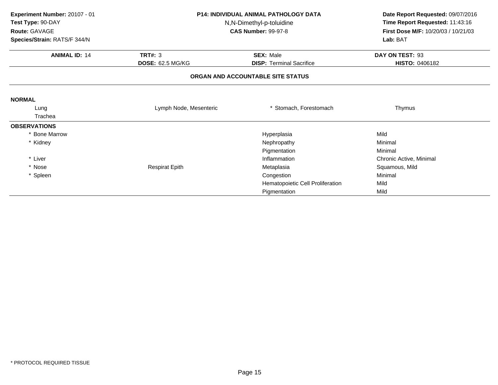| Experiment Number: 20107 - 01 | <b>P14: INDIVIDUAL ANIMAL PATHOLOGY DATA</b><br>N,N-Dimethyl-p-toluidine |                                   | Date Report Requested: 09/07/2016   |  |
|-------------------------------|--------------------------------------------------------------------------|-----------------------------------|-------------------------------------|--|
| Test Type: 90-DAY             |                                                                          |                                   | Time Report Requested: 11:43:16     |  |
| Route: GAVAGE                 |                                                                          | <b>CAS Number: 99-97-8</b>        | First Dose M/F: 10/20/03 / 10/21/03 |  |
| Species/Strain: RATS/F 344/N  |                                                                          |                                   | Lab: BAT                            |  |
| <b>ANIMAL ID: 14</b>          | TRT#: $3$                                                                | <b>SEX: Male</b>                  | DAY ON TEST: 93                     |  |
|                               | <b>DOSE: 62.5 MG/KG</b>                                                  | <b>DISP: Terminal Sacrifice</b>   | HISTO: 0406182                      |  |
|                               |                                                                          | ORGAN AND ACCOUNTABLE SITE STATUS |                                     |  |
| <b>NORMAL</b>                 |                                                                          |                                   |                                     |  |
| Lung                          | Lymph Node, Mesenteric                                                   | * Stomach, Forestomach            | Thymus                              |  |
| Trachea                       |                                                                          |                                   |                                     |  |
| <b>OBSERVATIONS</b>           |                                                                          |                                   |                                     |  |
| * Bone Marrow                 |                                                                          | Hyperplasia                       | Mild                                |  |
| * Kidney                      |                                                                          | Nephropathy                       | Minimal                             |  |
|                               |                                                                          | Pigmentation                      | Minimal                             |  |
| * Liver                       |                                                                          | Inflammation                      | Chronic Active, Minimal             |  |
| * Nose                        | <b>Respirat Epith</b>                                                    | Metaplasia                        | Squamous, Mild                      |  |
| * Spleen                      |                                                                          | Congestion                        | Minimal                             |  |
|                               |                                                                          | Hematopoietic Cell Proliferation  | Mild                                |  |
|                               |                                                                          | Pigmentation                      | Mild                                |  |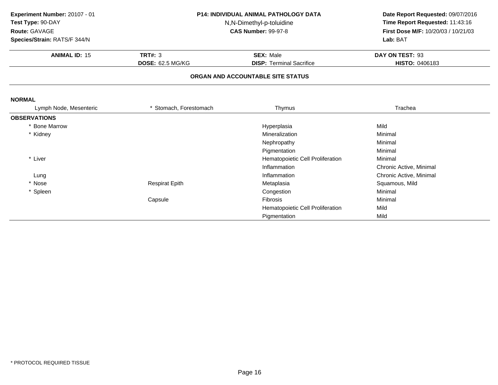| Experiment Number: 20107 - 01<br>Test Type: 90-DAY<br>Route: GAVAGE<br>Species/Strain: RATS/F 344/N | <b>P14: INDIVIDUAL ANIMAL PATHOLOGY DATA</b><br>N,N-Dimethyl-p-toluidine<br><b>CAS Number: 99-97-8</b> |                                   | Date Report Requested: 09/07/2016<br>Time Report Requested: 11:43:16<br>First Dose M/F: 10/20/03 / 10/21/03<br>Lab: BAT |
|-----------------------------------------------------------------------------------------------------|--------------------------------------------------------------------------------------------------------|-----------------------------------|-------------------------------------------------------------------------------------------------------------------------|
| <b>ANIMAL ID: 15</b>                                                                                | TRT#: $3$                                                                                              | <b>SEX: Male</b>                  | DAY ON TEST: 93                                                                                                         |
|                                                                                                     | <b>DOSE: 62.5 MG/KG</b>                                                                                | <b>DISP: Terminal Sacrifice</b>   | HISTO: 0406183                                                                                                          |
|                                                                                                     |                                                                                                        | ORGAN AND ACCOUNTABLE SITE STATUS |                                                                                                                         |
| <b>NORMAL</b>                                                                                       |                                                                                                        |                                   |                                                                                                                         |
| Lymph Node, Mesenteric                                                                              | * Stomach, Forestomach                                                                                 | Thymus                            | Trachea                                                                                                                 |
| <b>OBSERVATIONS</b>                                                                                 |                                                                                                        |                                   |                                                                                                                         |
| * Bone Marrow                                                                                       |                                                                                                        | Hyperplasia                       | Mild                                                                                                                    |
| * Kidney                                                                                            |                                                                                                        | Mineralization                    | Minimal                                                                                                                 |
|                                                                                                     |                                                                                                        | Nephropathy                       | Minimal                                                                                                                 |
|                                                                                                     |                                                                                                        | Pigmentation                      | Minimal                                                                                                                 |
| * Liver                                                                                             |                                                                                                        | Hematopoietic Cell Proliferation  | Minimal                                                                                                                 |
|                                                                                                     |                                                                                                        | Inflammation                      | Chronic Active, Minimal                                                                                                 |
| Lung                                                                                                |                                                                                                        | Inflammation                      | Chronic Active, Minimal                                                                                                 |
| * Nose                                                                                              | <b>Respirat Epith</b>                                                                                  | Metaplasia                        | Squamous, Mild                                                                                                          |
| * Spleen                                                                                            |                                                                                                        | Congestion                        | Minimal                                                                                                                 |
|                                                                                                     | Capsule                                                                                                | Fibrosis                          | Minimal                                                                                                                 |
|                                                                                                     |                                                                                                        | Hematopoietic Cell Proliferation  | Mild                                                                                                                    |
|                                                                                                     |                                                                                                        | Pigmentation                      | Mild                                                                                                                    |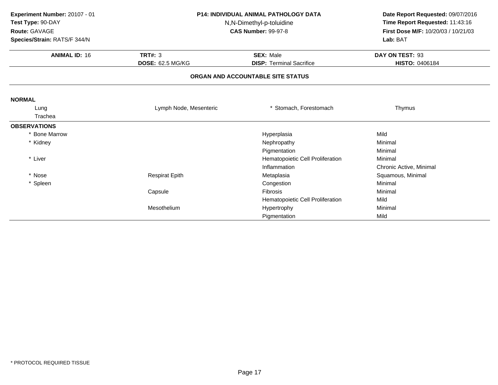| Experiment Number: 20107 - 01<br>Test Type: 90-DAY<br>Route: GAVAGE<br>Species/Strain: RATS/F 344/N | <b>P14: INDIVIDUAL ANIMAL PATHOLOGY DATA</b><br>N,N-Dimethyl-p-toluidine<br><b>CAS Number: 99-97-8</b> |                                   | Date Report Requested: 09/07/2016<br>Time Report Requested: 11:43:16<br>First Dose M/F: 10/20/03 / 10/21/03<br>Lab: BAT |
|-----------------------------------------------------------------------------------------------------|--------------------------------------------------------------------------------------------------------|-----------------------------------|-------------------------------------------------------------------------------------------------------------------------|
| <b>ANIMAL ID: 16</b>                                                                                | TRT#: $3$                                                                                              | <b>SEX: Male</b>                  | DAY ON TEST: 93                                                                                                         |
|                                                                                                     | <b>DOSE: 62.5 MG/KG</b>                                                                                | <b>DISP: Terminal Sacrifice</b>   | <b>HISTO: 0406184</b>                                                                                                   |
|                                                                                                     |                                                                                                        | ORGAN AND ACCOUNTABLE SITE STATUS |                                                                                                                         |
| <b>NORMAL</b>                                                                                       |                                                                                                        |                                   |                                                                                                                         |
| Lung                                                                                                | Lymph Node, Mesenteric                                                                                 | * Stomach, Forestomach            | Thymus                                                                                                                  |
| Trachea                                                                                             |                                                                                                        |                                   |                                                                                                                         |
| <b>OBSERVATIONS</b>                                                                                 |                                                                                                        |                                   |                                                                                                                         |
| * Bone Marrow                                                                                       |                                                                                                        | Hyperplasia                       | Mild                                                                                                                    |
| * Kidney                                                                                            |                                                                                                        | Nephropathy                       | Minimal                                                                                                                 |
|                                                                                                     |                                                                                                        | Pigmentation                      | Minimal                                                                                                                 |
| * Liver                                                                                             |                                                                                                        | Hematopoietic Cell Proliferation  | Minimal                                                                                                                 |
|                                                                                                     |                                                                                                        | Inflammation                      | Chronic Active, Minimal                                                                                                 |
| * Nose                                                                                              | <b>Respirat Epith</b>                                                                                  | Metaplasia                        | Squamous, Minimal                                                                                                       |
| * Spleen                                                                                            |                                                                                                        | Congestion                        | Minimal                                                                                                                 |
|                                                                                                     | Capsule                                                                                                | <b>Fibrosis</b>                   | Minimal                                                                                                                 |
|                                                                                                     |                                                                                                        | Hematopoietic Cell Proliferation  | Mild                                                                                                                    |
|                                                                                                     | Mesothelium                                                                                            | Hypertrophy                       | Minimal                                                                                                                 |
|                                                                                                     |                                                                                                        | Pigmentation                      | Mild                                                                                                                    |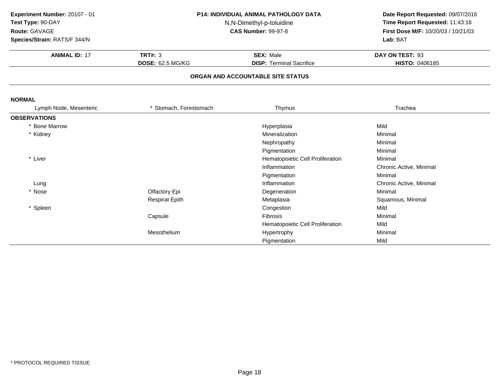| Experiment Number: 20107 - 01<br>Test Type: 90-DAY<br>Route: GAVAGE<br>Species/Strain: RATS/F 344/N<br><b>ANIMAL ID: 17</b> | <b>P14: INDIVIDUAL ANIMAL PATHOLOGY DATA</b><br>N,N-Dimethyl-p-toluidine<br><b>CAS Number: 99-97-8</b><br><b>TRT#: 3</b><br><b>SEX: Male</b><br><b>DOSE: 62.5 MG/KG</b><br><b>DISP: Terminal Sacrifice</b> |                                   | Date Report Requested: 09/07/2016<br>Time Report Requested: 11:43:16<br>First Dose M/F: 10/20/03 / 10/21/03<br>Lab: BAT<br>DAY ON TEST: 93<br>HISTO: 0406185 |
|-----------------------------------------------------------------------------------------------------------------------------|------------------------------------------------------------------------------------------------------------------------------------------------------------------------------------------------------------|-----------------------------------|--------------------------------------------------------------------------------------------------------------------------------------------------------------|
|                                                                                                                             |                                                                                                                                                                                                            | ORGAN AND ACCOUNTABLE SITE STATUS |                                                                                                                                                              |
| <b>NORMAL</b>                                                                                                               |                                                                                                                                                                                                            |                                   |                                                                                                                                                              |
| Lymph Node, Mesenteric                                                                                                      | * Stomach, Forestomach                                                                                                                                                                                     | Thymus                            | Trachea                                                                                                                                                      |
| <b>OBSERVATIONS</b>                                                                                                         |                                                                                                                                                                                                            |                                   |                                                                                                                                                              |
| * Bone Marrow                                                                                                               |                                                                                                                                                                                                            | Hyperplasia                       | Mild                                                                                                                                                         |
| * Kidney                                                                                                                    |                                                                                                                                                                                                            | Mineralization                    | Minimal                                                                                                                                                      |
|                                                                                                                             |                                                                                                                                                                                                            | Nephropathy                       | Minimal                                                                                                                                                      |
|                                                                                                                             |                                                                                                                                                                                                            | Pigmentation                      | Minimal                                                                                                                                                      |
| * Liver                                                                                                                     |                                                                                                                                                                                                            | Hematopoietic Cell Proliferation  | Minimal                                                                                                                                                      |
|                                                                                                                             |                                                                                                                                                                                                            | Inflammation                      | Chronic Active, Minimal                                                                                                                                      |
|                                                                                                                             |                                                                                                                                                                                                            | Pigmentation                      | Minimal                                                                                                                                                      |
| Lung                                                                                                                        |                                                                                                                                                                                                            | Inflammation                      | Chronic Active, Minimal                                                                                                                                      |
| * Nose                                                                                                                      | Olfactory Epi                                                                                                                                                                                              | Degeneration                      | Minimal                                                                                                                                                      |
|                                                                                                                             | <b>Respirat Epith</b>                                                                                                                                                                                      | Metaplasia                        | Squamous, Minimal                                                                                                                                            |
| * Spleen                                                                                                                    |                                                                                                                                                                                                            | Congestion                        | Mild                                                                                                                                                         |
|                                                                                                                             | Capsule                                                                                                                                                                                                    | Fibrosis                          | Minimal                                                                                                                                                      |
|                                                                                                                             |                                                                                                                                                                                                            | Hematopoietic Cell Proliferation  | Mild                                                                                                                                                         |
|                                                                                                                             | Mesothelium                                                                                                                                                                                                | Hypertrophy                       | Minimal                                                                                                                                                      |
|                                                                                                                             |                                                                                                                                                                                                            | Pigmentation                      | Mild                                                                                                                                                         |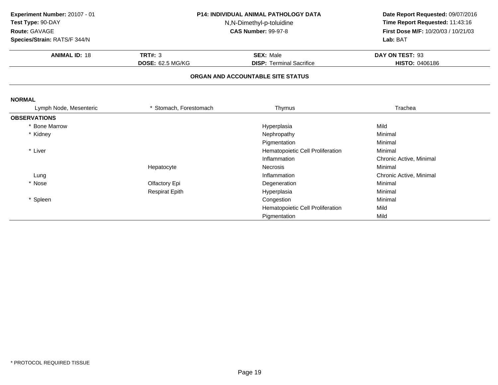| N,N-Dimethyl-p-toluidine<br><b>CAS Number: 99-97-8</b> |                         | Experiment Number: 20107 - 01<br>Test Type: 90-DAY<br>Route: GAVAGE<br>Species/Strain: RATS/F 344/N |                         | <b>P14: INDIVIDUAL ANIMAL PATHOLOGY DATA</b> |  |
|--------------------------------------------------------|-------------------------|-----------------------------------------------------------------------------------------------------|-------------------------|----------------------------------------------|--|
| <b>ANIMAL ID: 18</b>                                   | <b>TRT#: 3</b>          | <b>SEX: Male</b>                                                                                    | DAY ON TEST: 93         |                                              |  |
|                                                        | <b>DOSE: 62.5 MG/KG</b> | <b>DISP: Terminal Sacrifice</b>                                                                     | HISTO: 0406186          |                                              |  |
|                                                        |                         | ORGAN AND ACCOUNTABLE SITE STATUS                                                                   |                         |                                              |  |
| <b>NORMAL</b>                                          |                         |                                                                                                     |                         |                                              |  |
| Lymph Node, Mesenteric                                 | * Stomach, Forestomach  | Thymus                                                                                              | Trachea                 |                                              |  |
| <b>OBSERVATIONS</b>                                    |                         |                                                                                                     |                         |                                              |  |
| <b>Bone Marrow</b>                                     |                         | Hyperplasia                                                                                         | Mild                    |                                              |  |
| * Kidney                                               |                         | Nephropathy                                                                                         | Minimal                 |                                              |  |
|                                                        |                         | Pigmentation                                                                                        | Minimal                 |                                              |  |
| * Liver                                                |                         | Hematopoietic Cell Proliferation                                                                    | Minimal                 |                                              |  |
|                                                        |                         | Inflammation                                                                                        | Chronic Active, Minimal |                                              |  |
|                                                        | Hepatocyte              | <b>Necrosis</b>                                                                                     | Minimal                 |                                              |  |
| Lung                                                   |                         | Inflammation                                                                                        | Chronic Active, Minimal |                                              |  |
| * Nose                                                 | Olfactory Epi           | Degeneration                                                                                        | Minimal                 |                                              |  |
|                                                        | <b>Respirat Epith</b>   | Hyperplasia                                                                                         | Minimal                 |                                              |  |
| * Spleen                                               |                         | Congestion                                                                                          | Minimal                 |                                              |  |
|                                                        |                         | Hematopoietic Cell Proliferation                                                                    | Mild                    |                                              |  |
|                                                        |                         | Pigmentation                                                                                        | Mild                    |                                              |  |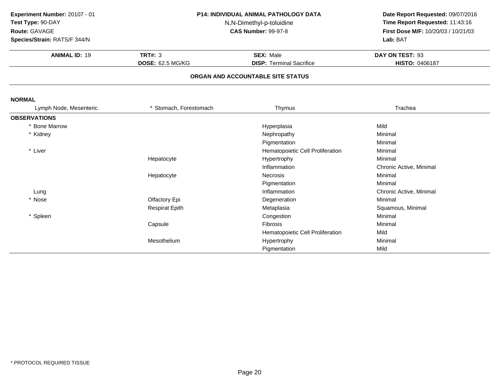| Experiment Number: 20107 - 01<br>Test Type: 90-DAY<br>Route: GAVAGE<br>Species/Strain: RATS/F 344/N<br><b>ANIMAL ID: 19</b> | P14: INDIVIDUAL ANIMAL PATHOLOGY DATA<br>N,N-Dimethyl-p-toluidine<br><b>CAS Number: 99-97-8</b><br><b>TRT#: 3</b><br><b>SEX: Male</b><br><b>DOSE: 62.5 MG/KG</b><br><b>DISP: Terminal Sacrifice</b> |                                   | Date Report Requested: 09/07/2016<br>Time Report Requested: 11:43:16<br>First Dose M/F: 10/20/03 / 10/21/03<br>Lab: BAT<br>DAY ON TEST: 93<br>HISTO: 0406187 |
|-----------------------------------------------------------------------------------------------------------------------------|-----------------------------------------------------------------------------------------------------------------------------------------------------------------------------------------------------|-----------------------------------|--------------------------------------------------------------------------------------------------------------------------------------------------------------|
|                                                                                                                             |                                                                                                                                                                                                     | ORGAN AND ACCOUNTABLE SITE STATUS |                                                                                                                                                              |
| <b>NORMAL</b>                                                                                                               |                                                                                                                                                                                                     |                                   |                                                                                                                                                              |
| Lymph Node, Mesenteric                                                                                                      | * Stomach, Forestomach                                                                                                                                                                              | Thymus                            | Trachea                                                                                                                                                      |
| <b>OBSERVATIONS</b>                                                                                                         |                                                                                                                                                                                                     |                                   |                                                                                                                                                              |
| * Bone Marrow                                                                                                               |                                                                                                                                                                                                     | Hyperplasia                       | Mild                                                                                                                                                         |
| * Kidney                                                                                                                    |                                                                                                                                                                                                     | Nephropathy                       | Minimal                                                                                                                                                      |
|                                                                                                                             |                                                                                                                                                                                                     | Pigmentation                      | Minimal                                                                                                                                                      |
| * Liver                                                                                                                     |                                                                                                                                                                                                     | Hematopoietic Cell Proliferation  | Minimal                                                                                                                                                      |
|                                                                                                                             | Hepatocyte                                                                                                                                                                                          | Hypertrophy                       | Minimal                                                                                                                                                      |
|                                                                                                                             |                                                                                                                                                                                                     | Inflammation                      | Chronic Active, Minimal                                                                                                                                      |
|                                                                                                                             | Hepatocyte                                                                                                                                                                                          | Necrosis                          | Minimal                                                                                                                                                      |
|                                                                                                                             |                                                                                                                                                                                                     | Pigmentation                      | Minimal                                                                                                                                                      |
| Lung                                                                                                                        |                                                                                                                                                                                                     | Inflammation                      | Chronic Active, Minimal                                                                                                                                      |
| * Nose                                                                                                                      | Olfactory Epi                                                                                                                                                                                       | Degeneration                      | Minimal                                                                                                                                                      |
|                                                                                                                             | <b>Respirat Epith</b>                                                                                                                                                                               | Metaplasia                        | Squamous, Minimal                                                                                                                                            |
| * Spleen                                                                                                                    |                                                                                                                                                                                                     | Congestion                        | Minimal                                                                                                                                                      |
|                                                                                                                             | Capsule                                                                                                                                                                                             | Fibrosis                          | Minimal                                                                                                                                                      |
|                                                                                                                             |                                                                                                                                                                                                     | Hematopoietic Cell Proliferation  | Mild                                                                                                                                                         |
|                                                                                                                             | Mesothelium                                                                                                                                                                                         | Hypertrophy                       | Minimal                                                                                                                                                      |
|                                                                                                                             |                                                                                                                                                                                                     | Pigmentation                      | Mild                                                                                                                                                         |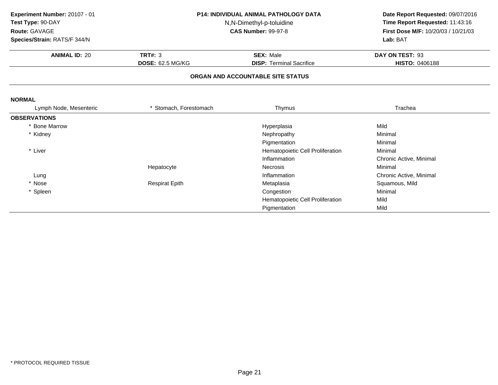| Experiment Number: 20107 - 01<br>Test Type: 90-DAY | <b>P14: INDIVIDUAL ANIMAL PATHOLOGY DATA</b><br>N,N-Dimethyl-p-toluidine |                                   | Date Report Requested: 09/07/2016<br>Time Report Requested: 11:43:16 |  |
|----------------------------------------------------|--------------------------------------------------------------------------|-----------------------------------|----------------------------------------------------------------------|--|
| Route: GAVAGE                                      |                                                                          | <b>CAS Number: 99-97-8</b>        | First Dose M/F: 10/20/03 / 10/21/03                                  |  |
| Species/Strain: RATS/F 344/N                       |                                                                          |                                   | Lab: BAT                                                             |  |
| <b>ANIMAL ID: 20</b>                               | <b>TRT#: 3</b>                                                           | <b>SEX: Male</b>                  | DAY ON TEST: 93                                                      |  |
|                                                    | <b>DOSE: 62.5 MG/KG</b>                                                  | <b>DISP: Terminal Sacrifice</b>   | <b>HISTO: 0406188</b>                                                |  |
|                                                    |                                                                          | ORGAN AND ACCOUNTABLE SITE STATUS |                                                                      |  |
| <b>NORMAL</b>                                      |                                                                          |                                   |                                                                      |  |
| Lymph Node, Mesenteric                             | * Stomach, Forestomach                                                   | Thymus                            | Trachea                                                              |  |
| <b>OBSERVATIONS</b>                                |                                                                          |                                   |                                                                      |  |
| * Bone Marrow                                      |                                                                          | Hyperplasia                       | Mild                                                                 |  |
| * Kidney                                           |                                                                          | Nephropathy                       | Minimal                                                              |  |
|                                                    |                                                                          | Pigmentation                      | Minimal                                                              |  |
| * Liver                                            |                                                                          | Hematopoietic Cell Proliferation  | Minimal                                                              |  |
|                                                    |                                                                          | Inflammation                      | Chronic Active, Minimal                                              |  |
|                                                    | Hepatocyte                                                               | <b>Necrosis</b>                   | Minimal                                                              |  |
| Lung                                               |                                                                          | Inflammation                      | Chronic Active, Minimal                                              |  |
| * Nose                                             | <b>Respirat Epith</b>                                                    | Metaplasia                        | Squamous, Mild                                                       |  |
| * Spleen                                           |                                                                          | Congestion                        | Minimal                                                              |  |
|                                                    |                                                                          | Hematopoietic Cell Proliferation  | Mild                                                                 |  |
|                                                    |                                                                          | Pigmentation                      | Mild                                                                 |  |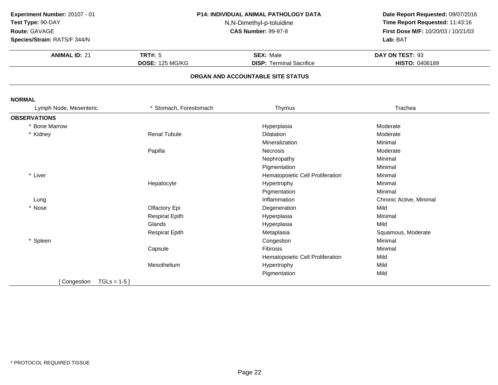| Experiment Number: 20107 - 01 | P14: INDIVIDUAL ANIMAL PATHOLOGY DATA<br>N,N-Dimethyl-p-toluidine |                                   | Date Report Requested: 09/07/2016   |
|-------------------------------|-------------------------------------------------------------------|-----------------------------------|-------------------------------------|
| Test Type: 90-DAY             |                                                                   |                                   | Time Report Requested: 11:43:16     |
| Route: GAVAGE                 |                                                                   | <b>CAS Number: 99-97-8</b>        | First Dose M/F: 10/20/03 / 10/21/03 |
| Species/Strain: RATS/F 344/N  |                                                                   |                                   | Lab: BAT                            |
| <b>ANIMAL ID: 21</b>          | <b>TRT#: 5</b>                                                    | <b>SEX: Male</b>                  | DAY ON TEST: 93                     |
|                               | <b>DOSE: 125 MG/KG</b>                                            | <b>DISP: Terminal Sacrifice</b>   | HISTO: 0406189                      |
|                               |                                                                   | ORGAN AND ACCOUNTABLE SITE STATUS |                                     |
| <b>NORMAL</b>                 |                                                                   |                                   |                                     |
| Lymph Node, Mesenteric        | * Stomach, Forestomach                                            | Thymus                            | Trachea                             |
| <b>OBSERVATIONS</b>           |                                                                   |                                   |                                     |
| * Bone Marrow                 |                                                                   | Hyperplasia                       | Moderate                            |
| * Kidney                      | <b>Renal Tubule</b>                                               | Dilatation                        | Moderate                            |
|                               |                                                                   | Mineralization                    | Minimal                             |
|                               | Papilla                                                           | Necrosis                          | Moderate                            |
|                               |                                                                   | Nephropathy                       | Minimal                             |
|                               |                                                                   | Pigmentation                      | Minimal                             |
| * Liver                       |                                                                   | Hematopoietic Cell Proliferation  | Minimal                             |
|                               | Hepatocyte                                                        | Hypertrophy                       | Minimal                             |
|                               |                                                                   | Pigmentation                      | Minimal                             |
| Lung                          |                                                                   | Inflammation                      | Chronic Active, Minimal             |
| * Nose                        | Olfactory Epi                                                     | Degeneration                      | Mild                                |
|                               | <b>Respirat Epith</b>                                             | Hyperplasia                       | Minimal                             |
|                               | Glands                                                            | Hyperplasia                       | Mild                                |
|                               | <b>Respirat Epith</b>                                             | Metaplasia                        | Squamous, Moderate                  |
| * Spleen                      |                                                                   | Congestion                        | Minimal                             |
|                               | Capsule                                                           | Fibrosis                          | Minimal                             |
|                               |                                                                   | Hematopoietic Cell Proliferation  | Mild                                |
|                               | Mesothelium                                                       | Hypertrophy                       | Mild                                |
|                               |                                                                   | Pigmentation                      | Mild                                |
| [Congestion<br>$TGLs = 1-5$ ] |                                                                   |                                   |                                     |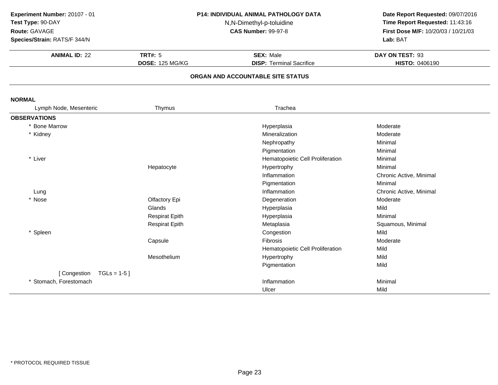| Experiment Number: 20107 - 01<br>Test Type: 90-DAY<br>Route: GAVAGE<br>Species/Strain: RATS/F 344/N<br><b>ANIMAL ID: 22</b> | <b>TRT#: 5</b>         | P14: INDIVIDUAL ANIMAL PATHOLOGY DATA<br>N,N-Dimethyl-p-toluidine<br><b>CAS Number: 99-97-8</b><br><b>SEX: Male</b> | Date Report Requested: 09/07/2016<br>Time Report Requested: 11:43:16<br>First Dose M/F: 10/20/03 / 10/21/03<br>Lab: BAT<br>DAY ON TEST: 93 |
|-----------------------------------------------------------------------------------------------------------------------------|------------------------|---------------------------------------------------------------------------------------------------------------------|--------------------------------------------------------------------------------------------------------------------------------------------|
|                                                                                                                             | <b>DOSE: 125 MG/KG</b> | <b>DISP: Terminal Sacrifice</b>                                                                                     | HISTO: 0406190                                                                                                                             |
|                                                                                                                             |                        | ORGAN AND ACCOUNTABLE SITE STATUS                                                                                   |                                                                                                                                            |
| <b>NORMAL</b>                                                                                                               |                        |                                                                                                                     |                                                                                                                                            |
| Lymph Node, Mesenteric                                                                                                      | Thymus                 | Trachea                                                                                                             |                                                                                                                                            |
| <b>OBSERVATIONS</b>                                                                                                         |                        |                                                                                                                     |                                                                                                                                            |
| * Bone Marrow                                                                                                               |                        | Hyperplasia                                                                                                         | Moderate                                                                                                                                   |
| * Kidney                                                                                                                    |                        | Mineralization                                                                                                      | Moderate                                                                                                                                   |
|                                                                                                                             |                        | Nephropathy                                                                                                         | Minimal                                                                                                                                    |
|                                                                                                                             |                        | Pigmentation                                                                                                        | Minimal                                                                                                                                    |
| * Liver                                                                                                                     |                        | Hematopoietic Cell Proliferation                                                                                    | Minimal                                                                                                                                    |
|                                                                                                                             | Hepatocyte             | Hypertrophy                                                                                                         | Minimal                                                                                                                                    |
|                                                                                                                             |                        | Inflammation                                                                                                        | Chronic Active, Minimal                                                                                                                    |
|                                                                                                                             |                        | Pigmentation                                                                                                        | Minimal                                                                                                                                    |
| Lung                                                                                                                        |                        | Inflammation                                                                                                        | Chronic Active, Minimal                                                                                                                    |
| * Nose                                                                                                                      | Olfactory Epi          | Degeneration                                                                                                        | Moderate                                                                                                                                   |
|                                                                                                                             | Glands                 | Hyperplasia                                                                                                         | Mild                                                                                                                                       |
|                                                                                                                             | <b>Respirat Epith</b>  | Hyperplasia                                                                                                         | Minimal                                                                                                                                    |
|                                                                                                                             | <b>Respirat Epith</b>  | Metaplasia                                                                                                          | Squamous, Minimal                                                                                                                          |
| * Spleen                                                                                                                    |                        | Congestion                                                                                                          | Mild                                                                                                                                       |
|                                                                                                                             | Capsule                | Fibrosis                                                                                                            | Moderate                                                                                                                                   |
|                                                                                                                             |                        | Hematopoietic Cell Proliferation                                                                                    | Mild                                                                                                                                       |
|                                                                                                                             | Mesothelium            | Hypertrophy                                                                                                         | Mild                                                                                                                                       |
|                                                                                                                             |                        | Pigmentation                                                                                                        | Mild                                                                                                                                       |
| [Congestion<br>$TGLs = 1-5$ ]                                                                                               |                        |                                                                                                                     |                                                                                                                                            |
| * Stomach, Forestomach                                                                                                      |                        | Inflammation                                                                                                        | Minimal                                                                                                                                    |
|                                                                                                                             |                        | Ulcer                                                                                                               | Mild                                                                                                                                       |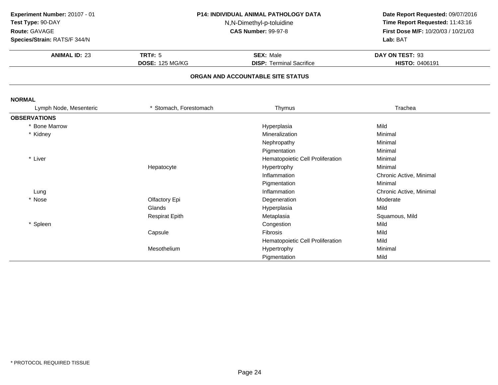| Experiment Number: 20107 - 01<br>Test Type: 90-DAY<br>Route: GAVAGE<br>Species/Strain: RATS/F 344/N<br><b>ANIMAL ID: 23</b> | P14: INDIVIDUAL ANIMAL PATHOLOGY DATA<br>N,N-Dimethyl-p-toluidine<br><b>CAS Number: 99-97-8</b><br><b>TRT#: 5</b><br><b>SEX: Male</b><br><b>DOSE: 125 MG/KG</b><br><b>DISP: Terminal Sacrifice</b> |                                   | Date Report Requested: 09/07/2016<br>Time Report Requested: 11:43:16<br>First Dose M/F: 10/20/03 / 10/21/03<br>Lab: BAT<br>DAY ON TEST: 93<br>HISTO: 0406191 |
|-----------------------------------------------------------------------------------------------------------------------------|----------------------------------------------------------------------------------------------------------------------------------------------------------------------------------------------------|-----------------------------------|--------------------------------------------------------------------------------------------------------------------------------------------------------------|
|                                                                                                                             |                                                                                                                                                                                                    | ORGAN AND ACCOUNTABLE SITE STATUS |                                                                                                                                                              |
| <b>NORMAL</b>                                                                                                               |                                                                                                                                                                                                    |                                   |                                                                                                                                                              |
| Lymph Node, Mesenteric                                                                                                      | * Stomach, Forestomach                                                                                                                                                                             | Thymus                            | Trachea                                                                                                                                                      |
| <b>OBSERVATIONS</b>                                                                                                         |                                                                                                                                                                                                    |                                   |                                                                                                                                                              |
| * Bone Marrow                                                                                                               |                                                                                                                                                                                                    | Hyperplasia                       | Mild                                                                                                                                                         |
| * Kidney                                                                                                                    |                                                                                                                                                                                                    | Mineralization                    | Minimal                                                                                                                                                      |
|                                                                                                                             |                                                                                                                                                                                                    | Nephropathy                       | Minimal                                                                                                                                                      |
|                                                                                                                             |                                                                                                                                                                                                    | Pigmentation                      | Minimal                                                                                                                                                      |
| * Liver                                                                                                                     |                                                                                                                                                                                                    | Hematopoietic Cell Proliferation  | Minimal                                                                                                                                                      |
|                                                                                                                             | Hepatocyte                                                                                                                                                                                         | Hypertrophy                       | Minimal                                                                                                                                                      |
|                                                                                                                             |                                                                                                                                                                                                    | Inflammation                      | Chronic Active, Minimal                                                                                                                                      |
|                                                                                                                             |                                                                                                                                                                                                    | Pigmentation                      | Minimal                                                                                                                                                      |
| Lung                                                                                                                        |                                                                                                                                                                                                    | Inflammation                      | Chronic Active, Minimal                                                                                                                                      |
| * Nose                                                                                                                      | Olfactory Epi                                                                                                                                                                                      | Degeneration                      | Moderate                                                                                                                                                     |
|                                                                                                                             | Glands                                                                                                                                                                                             | Hyperplasia                       | Mild                                                                                                                                                         |
|                                                                                                                             | <b>Respirat Epith</b>                                                                                                                                                                              | Metaplasia                        | Squamous, Mild                                                                                                                                               |
| * Spleen                                                                                                                    |                                                                                                                                                                                                    | Congestion                        | Mild                                                                                                                                                         |
|                                                                                                                             | Capsule                                                                                                                                                                                            | Fibrosis                          | Mild                                                                                                                                                         |
|                                                                                                                             |                                                                                                                                                                                                    | Hematopoietic Cell Proliferation  | Mild                                                                                                                                                         |
|                                                                                                                             | Mesothelium                                                                                                                                                                                        | Hypertrophy                       | Minimal                                                                                                                                                      |
|                                                                                                                             |                                                                                                                                                                                                    | Pigmentation                      | Mild                                                                                                                                                         |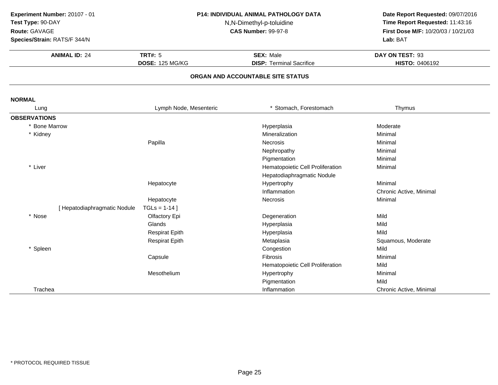| Experiment Number: 20107 - 01<br>Test Type: 90-DAY<br>Route: GAVAGE<br>Species/Strain: RATS/F 344/N<br><b>ANIMAL ID: 24</b> | <b>TRT#: 5</b>         | P14: INDIVIDUAL ANIMAL PATHOLOGY DATA<br>N,N-Dimethyl-p-toluidine<br><b>CAS Number: 99-97-8</b><br><b>SEX: Male</b> |                         |
|-----------------------------------------------------------------------------------------------------------------------------|------------------------|---------------------------------------------------------------------------------------------------------------------|-------------------------|
|                                                                                                                             | <b>DOSE: 125 MG/KG</b> | <b>DISP: Terminal Sacrifice</b>                                                                                     | HISTO: 0406192          |
|                                                                                                                             |                        | ORGAN AND ACCOUNTABLE SITE STATUS                                                                                   |                         |
| <b>NORMAL</b>                                                                                                               |                        |                                                                                                                     |                         |
| Lung                                                                                                                        | Lymph Node, Mesenteric | * Stomach, Forestomach                                                                                              | Thymus                  |
| <b>OBSERVATIONS</b>                                                                                                         |                        |                                                                                                                     |                         |
| * Bone Marrow                                                                                                               |                        | Hyperplasia                                                                                                         | Moderate                |
| * Kidney                                                                                                                    |                        | Mineralization                                                                                                      | Minimal                 |
|                                                                                                                             | Papilla                | Necrosis                                                                                                            | Minimal                 |
|                                                                                                                             |                        | Nephropathy                                                                                                         | Minimal                 |
|                                                                                                                             |                        | Pigmentation                                                                                                        | Minimal                 |
| * Liver                                                                                                                     |                        | Hematopoietic Cell Proliferation                                                                                    | Minimal                 |
|                                                                                                                             |                        | Hepatodiaphragmatic Nodule                                                                                          |                         |
|                                                                                                                             | Hepatocyte             | Hypertrophy                                                                                                         | Minimal                 |
|                                                                                                                             |                        | Inflammation                                                                                                        | Chronic Active, Minimal |
|                                                                                                                             | Hepatocyte             | Necrosis                                                                                                            | Minimal                 |
| [ Hepatodiaphragmatic Nodule                                                                                                | $TGLs = 1-14$          |                                                                                                                     |                         |
| * Nose                                                                                                                      | Olfactory Epi          | Degeneration                                                                                                        | Mild                    |
|                                                                                                                             | Glands                 | Hyperplasia                                                                                                         | Mild                    |
|                                                                                                                             | <b>Respirat Epith</b>  | Hyperplasia                                                                                                         | Mild                    |
|                                                                                                                             | <b>Respirat Epith</b>  | Metaplasia                                                                                                          | Squamous, Moderate      |
| * Spleen                                                                                                                    |                        | Congestion                                                                                                          | Mild                    |
|                                                                                                                             | Capsule                | Fibrosis                                                                                                            | Minimal                 |
|                                                                                                                             |                        | Hematopoietic Cell Proliferation                                                                                    | Mild                    |
|                                                                                                                             | Mesothelium            | Hypertrophy                                                                                                         | Minimal                 |
|                                                                                                                             |                        | Pigmentation                                                                                                        | Mild                    |
| Trachea                                                                                                                     |                        | Inflammation                                                                                                        | Chronic Active, Minimal |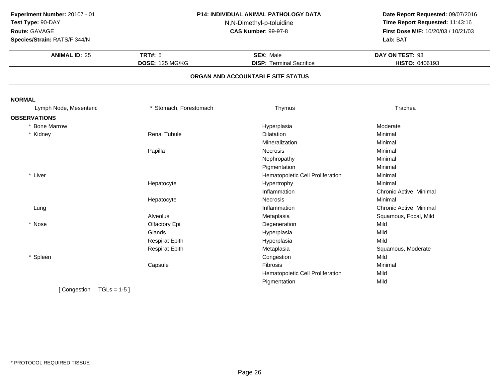| Experiment Number: 20107 - 01<br>Test Type: 90-DAY<br>Route: GAVAGE<br>Species/Strain: RATS/F 344/N | <b>P14: INDIVIDUAL ANIMAL PATHOLOGY DATA</b><br>N,N-Dimethyl-p-toluidine<br><b>CAS Number: 99-97-8</b> |                                                     | Date Report Requested: 09/07/2016<br>Time Report Requested: 11:43:16<br>First Dose M/F: 10/20/03 / 10/21/03<br>Lab: BAT |
|-----------------------------------------------------------------------------------------------------|--------------------------------------------------------------------------------------------------------|-----------------------------------------------------|-------------------------------------------------------------------------------------------------------------------------|
| <b>ANIMAL ID: 25</b>                                                                                | <b>TRT#: 5</b><br><b>DOSE: 125 MG/KG</b>                                                               | <b>SEX: Male</b><br><b>DISP: Terminal Sacrifice</b> | DAY ON TEST: 93<br>HISTO: 0406193                                                                                       |
|                                                                                                     |                                                                                                        | ORGAN AND ACCOUNTABLE SITE STATUS                   |                                                                                                                         |
| <b>NORMAL</b>                                                                                       |                                                                                                        |                                                     |                                                                                                                         |
| Lymph Node, Mesenteric                                                                              | * Stomach, Forestomach                                                                                 | Thymus                                              | Trachea                                                                                                                 |
| <b>OBSERVATIONS</b>                                                                                 |                                                                                                        |                                                     |                                                                                                                         |
| * Bone Marrow                                                                                       |                                                                                                        | Hyperplasia                                         | Moderate                                                                                                                |
| * Kidney                                                                                            | <b>Renal Tubule</b>                                                                                    | <b>Dilatation</b>                                   | Minimal                                                                                                                 |
|                                                                                                     |                                                                                                        | Mineralization                                      | Minimal                                                                                                                 |
|                                                                                                     | Papilla                                                                                                | Necrosis                                            | Minimal                                                                                                                 |
|                                                                                                     |                                                                                                        | Nephropathy                                         | Minimal                                                                                                                 |
|                                                                                                     |                                                                                                        | Pigmentation                                        | Minimal                                                                                                                 |
| * Liver                                                                                             |                                                                                                        | Hematopoietic Cell Proliferation                    | Minimal                                                                                                                 |
|                                                                                                     | Hepatocyte                                                                                             | Hypertrophy                                         | Minimal                                                                                                                 |
|                                                                                                     |                                                                                                        | Inflammation                                        | Chronic Active, Minimal                                                                                                 |
|                                                                                                     | Hepatocyte                                                                                             | Necrosis                                            | Minimal                                                                                                                 |
| Lung                                                                                                |                                                                                                        | Inflammation                                        | Chronic Active, Minimal                                                                                                 |
|                                                                                                     | Alveolus                                                                                               | Metaplasia                                          | Squamous, Focal, Mild                                                                                                   |
| * Nose                                                                                              | Olfactory Epi                                                                                          | Degeneration                                        | Mild                                                                                                                    |
|                                                                                                     | Glands                                                                                                 | Hyperplasia                                         | Mild                                                                                                                    |
|                                                                                                     | <b>Respirat Epith</b>                                                                                  | Hyperplasia                                         | Mild                                                                                                                    |
|                                                                                                     | <b>Respirat Epith</b>                                                                                  | Metaplasia                                          | Squamous, Moderate                                                                                                      |
| * Spleen                                                                                            |                                                                                                        | Congestion                                          | Mild                                                                                                                    |
|                                                                                                     | Capsule                                                                                                | Fibrosis                                            | Minimal                                                                                                                 |
|                                                                                                     |                                                                                                        | Hematopoietic Cell Proliferation                    | Mild                                                                                                                    |
|                                                                                                     |                                                                                                        | Pigmentation                                        | Mild                                                                                                                    |
| [Congestion<br>$TGLs = 1-5$                                                                         |                                                                                                        |                                                     |                                                                                                                         |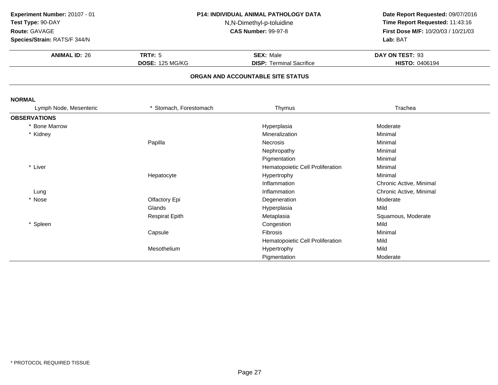| Experiment Number: 20107 - 01<br>Test Type: 90-DAY<br>Route: GAVAGE<br>Species/Strain: RATS/F 344/N<br><b>ANIMAL ID: 26</b> | P14: INDIVIDUAL ANIMAL PATHOLOGY DATA<br>N,N-Dimethyl-p-toluidine<br><b>CAS Number: 99-97-8</b><br><b>TRT#: 5</b><br><b>SEX: Male</b><br><b>DOSE: 125 MG/KG</b><br><b>DISP: Terminal Sacrifice</b> |                                   | Date Report Requested: 09/07/2016<br>Time Report Requested: 11:43:16<br>First Dose M/F: 10/20/03 / 10/21/03<br>Lab: BAT<br>DAY ON TEST: 93<br>HISTO: 0406194 |
|-----------------------------------------------------------------------------------------------------------------------------|----------------------------------------------------------------------------------------------------------------------------------------------------------------------------------------------------|-----------------------------------|--------------------------------------------------------------------------------------------------------------------------------------------------------------|
|                                                                                                                             |                                                                                                                                                                                                    | ORGAN AND ACCOUNTABLE SITE STATUS |                                                                                                                                                              |
| <b>NORMAL</b>                                                                                                               |                                                                                                                                                                                                    |                                   |                                                                                                                                                              |
| Lymph Node, Mesenteric                                                                                                      | * Stomach, Forestomach                                                                                                                                                                             | Thymus                            | Trachea                                                                                                                                                      |
| <b>OBSERVATIONS</b>                                                                                                         |                                                                                                                                                                                                    |                                   |                                                                                                                                                              |
| <b>Bone Marrow</b>                                                                                                          |                                                                                                                                                                                                    | Hyperplasia                       | Moderate                                                                                                                                                     |
| * Kidney                                                                                                                    |                                                                                                                                                                                                    | Mineralization                    | Minimal                                                                                                                                                      |
|                                                                                                                             | Papilla                                                                                                                                                                                            | Necrosis                          | Minimal                                                                                                                                                      |
|                                                                                                                             |                                                                                                                                                                                                    | Nephropathy                       | Minimal                                                                                                                                                      |
|                                                                                                                             |                                                                                                                                                                                                    | Pigmentation                      | Minimal                                                                                                                                                      |
| * Liver                                                                                                                     |                                                                                                                                                                                                    | Hematopoietic Cell Proliferation  | Minimal                                                                                                                                                      |
|                                                                                                                             | Hepatocyte                                                                                                                                                                                         | Hypertrophy                       | Minimal                                                                                                                                                      |
|                                                                                                                             |                                                                                                                                                                                                    | Inflammation                      | Chronic Active, Minimal                                                                                                                                      |
| Lung                                                                                                                        |                                                                                                                                                                                                    | Inflammation                      | Chronic Active, Minimal                                                                                                                                      |
| * Nose                                                                                                                      | Olfactory Epi                                                                                                                                                                                      | Degeneration                      | Moderate                                                                                                                                                     |
|                                                                                                                             | Glands                                                                                                                                                                                             | Hyperplasia                       | Mild                                                                                                                                                         |
|                                                                                                                             | <b>Respirat Epith</b>                                                                                                                                                                              | Metaplasia                        | Squamous, Moderate                                                                                                                                           |
| Spleen                                                                                                                      |                                                                                                                                                                                                    | Congestion                        | Mild                                                                                                                                                         |
|                                                                                                                             | Capsule                                                                                                                                                                                            | Fibrosis                          | Minimal                                                                                                                                                      |
|                                                                                                                             |                                                                                                                                                                                                    | Hematopoietic Cell Proliferation  | Mild                                                                                                                                                         |
|                                                                                                                             | Mesothelium                                                                                                                                                                                        | Hypertrophy                       | Mild                                                                                                                                                         |
|                                                                                                                             |                                                                                                                                                                                                    | Pigmentation                      | Moderate                                                                                                                                                     |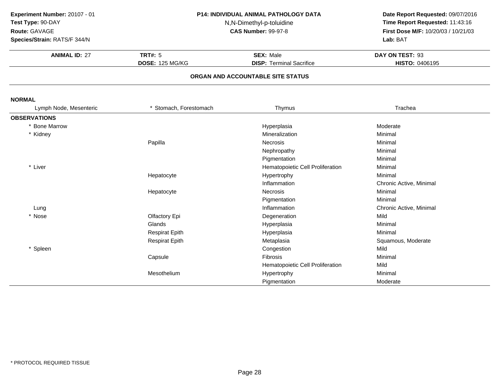| Experiment Number: 20107 - 01<br>Test Type: 90-DAY<br>Route: GAVAGE<br>Species/Strain: RATS/F 344/N | P14: INDIVIDUAL ANIMAL PATHOLOGY DATA<br>N,N-Dimethyl-p-toluidine<br><b>CAS Number: 99-97-8</b><br><b>TRT#: 5</b><br><b>SEX: Male</b><br>DOSE: 125 MG/KG<br><b>DISP: Terminal Sacrifice</b> |                                   | Date Report Requested: 09/07/2016<br>Time Report Requested: 11:43:16<br>First Dose M/F: 10/20/03 / 10/21/03<br>Lab: BAT |
|-----------------------------------------------------------------------------------------------------|---------------------------------------------------------------------------------------------------------------------------------------------------------------------------------------------|-----------------------------------|-------------------------------------------------------------------------------------------------------------------------|
| <b>ANIMAL ID: 27</b>                                                                                |                                                                                                                                                                                             |                                   | DAY ON TEST: 93<br>HISTO: 0406195                                                                                       |
|                                                                                                     |                                                                                                                                                                                             | ORGAN AND ACCOUNTABLE SITE STATUS |                                                                                                                         |
| <b>NORMAL</b>                                                                                       |                                                                                                                                                                                             |                                   |                                                                                                                         |
| Lymph Node, Mesenteric                                                                              | * Stomach, Forestomach                                                                                                                                                                      | Thymus                            | Trachea                                                                                                                 |
| <b>OBSERVATIONS</b>                                                                                 |                                                                                                                                                                                             |                                   |                                                                                                                         |
| * Bone Marrow                                                                                       |                                                                                                                                                                                             | Hyperplasia                       | Moderate                                                                                                                |
| * Kidney                                                                                            |                                                                                                                                                                                             | Mineralization                    | Minimal                                                                                                                 |
|                                                                                                     | Papilla                                                                                                                                                                                     | Necrosis                          | Minimal                                                                                                                 |
|                                                                                                     |                                                                                                                                                                                             | Nephropathy                       | Minimal                                                                                                                 |
|                                                                                                     |                                                                                                                                                                                             | Pigmentation                      | Minimal                                                                                                                 |
| * Liver                                                                                             |                                                                                                                                                                                             | Hematopoietic Cell Proliferation  | Minimal                                                                                                                 |
|                                                                                                     | Hepatocyte                                                                                                                                                                                  | Hypertrophy                       | Minimal                                                                                                                 |
|                                                                                                     |                                                                                                                                                                                             | Inflammation                      | Chronic Active, Minimal                                                                                                 |
|                                                                                                     | Hepatocyte                                                                                                                                                                                  | <b>Necrosis</b>                   | Minimal                                                                                                                 |
|                                                                                                     |                                                                                                                                                                                             | Pigmentation                      | Minimal                                                                                                                 |
| Lung                                                                                                |                                                                                                                                                                                             | Inflammation                      | Chronic Active, Minimal                                                                                                 |
| * Nose                                                                                              | Olfactory Epi                                                                                                                                                                               | Degeneration                      | Mild                                                                                                                    |
|                                                                                                     | Glands                                                                                                                                                                                      | Hyperplasia                       | Minimal                                                                                                                 |
|                                                                                                     | <b>Respirat Epith</b>                                                                                                                                                                       | Hyperplasia                       | Minimal                                                                                                                 |
|                                                                                                     | <b>Respirat Epith</b>                                                                                                                                                                       | Metaplasia                        | Squamous, Moderate                                                                                                      |
| * Spleen                                                                                            |                                                                                                                                                                                             | Congestion                        | Mild                                                                                                                    |
|                                                                                                     | Capsule                                                                                                                                                                                     | Fibrosis                          | Minimal                                                                                                                 |
|                                                                                                     |                                                                                                                                                                                             | Hematopoietic Cell Proliferation  | Mild                                                                                                                    |
|                                                                                                     | Mesothelium                                                                                                                                                                                 | Hypertrophy                       | Minimal                                                                                                                 |
|                                                                                                     |                                                                                                                                                                                             | Pigmentation                      | Moderate                                                                                                                |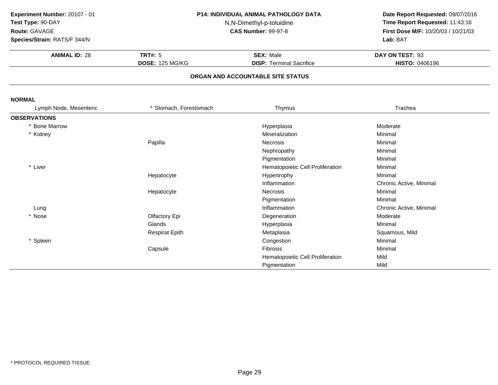| Experiment Number: 20107 - 01<br>Test Type: 90-DAY<br>Route: GAVAGE<br>Species/Strain: RATS/F 344/N |                                                                                                 | P14: INDIVIDUAL ANIMAL PATHOLOGY DATA<br>N,N-Dimethyl-p-toluidine<br><b>CAS Number: 99-97-8</b> |                                   |
|-----------------------------------------------------------------------------------------------------|-------------------------------------------------------------------------------------------------|-------------------------------------------------------------------------------------------------|-----------------------------------|
| <b>ANIMAL ID: 28</b>                                                                                | <b>TRT#: 5</b><br><b>SEX: Male</b><br><b>DOSE: 125 MG/KG</b><br><b>DISP: Terminal Sacrifice</b> |                                                                                                 | DAY ON TEST: 93<br>HISTO: 0406196 |
|                                                                                                     |                                                                                                 | ORGAN AND ACCOUNTABLE SITE STATUS                                                               |                                   |
| <b>NORMAL</b>                                                                                       |                                                                                                 |                                                                                                 |                                   |
| Lymph Node, Mesenteric                                                                              | * Stomach, Forestomach                                                                          | Thymus                                                                                          | Trachea                           |
| <b>OBSERVATIONS</b>                                                                                 |                                                                                                 |                                                                                                 |                                   |
| * Bone Marrow                                                                                       |                                                                                                 | Hyperplasia                                                                                     | Moderate                          |
| * Kidney                                                                                            |                                                                                                 | Mineralization                                                                                  | Minimal                           |
|                                                                                                     | Papilla                                                                                         | Necrosis                                                                                        | Minimal                           |
|                                                                                                     |                                                                                                 | Nephropathy                                                                                     | Minimal                           |
|                                                                                                     |                                                                                                 | Pigmentation                                                                                    | Minimal                           |
| * Liver                                                                                             |                                                                                                 | Hematopoietic Cell Proliferation                                                                | Minimal                           |
|                                                                                                     | Hepatocyte                                                                                      | Hypertrophy                                                                                     | Minimal                           |
|                                                                                                     |                                                                                                 | Inflammation                                                                                    | Chronic Active, Minimal           |
|                                                                                                     | Hepatocyte                                                                                      | <b>Necrosis</b>                                                                                 | Minimal                           |
|                                                                                                     |                                                                                                 | Pigmentation                                                                                    | Minimal                           |
| Lung                                                                                                |                                                                                                 | Inflammation                                                                                    | Chronic Active, Minimal           |
| * Nose                                                                                              | Olfactory Epi                                                                                   | Degeneration                                                                                    | Moderate                          |
|                                                                                                     | Glands                                                                                          | Hyperplasia                                                                                     | Minimal                           |
|                                                                                                     | <b>Respirat Epith</b>                                                                           | Metaplasia                                                                                      | Squamous, Mild                    |
| * Spleen                                                                                            |                                                                                                 | Congestion                                                                                      | Minimal                           |
|                                                                                                     | Capsule                                                                                         | Fibrosis                                                                                        | Minimal                           |
|                                                                                                     |                                                                                                 | Hematopoietic Cell Proliferation                                                                | Mild                              |
|                                                                                                     |                                                                                                 | Pigmentation                                                                                    | Mild                              |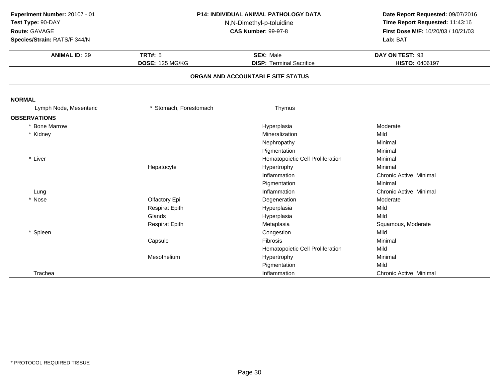| Experiment Number: 20107 - 01<br>Test Type: 90-DAY<br>Route: GAVAGE<br>Species/Strain: RATS/F 344/N<br><b>ANIMAL ID: 29</b> | <b>P14: INDIVIDUAL ANIMAL PATHOLOGY DATA</b><br>N,N-Dimethyl-p-toluidine<br><b>CAS Number: 99-97-8</b><br><b>TRT#: 5</b><br><b>SEX: Male</b><br><b>DOSE: 125 MG/KG</b><br><b>DISP: Terminal Sacrifice</b> |                                   | Date Report Requested: 09/07/2016<br>Time Report Requested: 11:43:16<br>First Dose M/F: 10/20/03 / 10/21/03<br>Lab: BAT<br>DAY ON TEST: 93<br>HISTO: 0406197 |
|-----------------------------------------------------------------------------------------------------------------------------|-----------------------------------------------------------------------------------------------------------------------------------------------------------------------------------------------------------|-----------------------------------|--------------------------------------------------------------------------------------------------------------------------------------------------------------|
|                                                                                                                             |                                                                                                                                                                                                           | ORGAN AND ACCOUNTABLE SITE STATUS |                                                                                                                                                              |
| <b>NORMAL</b>                                                                                                               |                                                                                                                                                                                                           |                                   |                                                                                                                                                              |
| Lymph Node, Mesenteric                                                                                                      | * Stomach, Forestomach                                                                                                                                                                                    | Thymus                            |                                                                                                                                                              |
| <b>OBSERVATIONS</b>                                                                                                         |                                                                                                                                                                                                           |                                   |                                                                                                                                                              |
| * Bone Marrow                                                                                                               |                                                                                                                                                                                                           | Hyperplasia                       | Moderate                                                                                                                                                     |
| * Kidney                                                                                                                    |                                                                                                                                                                                                           | Mineralization                    | Mild                                                                                                                                                         |
|                                                                                                                             |                                                                                                                                                                                                           | Nephropathy                       | Minimal                                                                                                                                                      |
|                                                                                                                             |                                                                                                                                                                                                           | Pigmentation                      | Minimal                                                                                                                                                      |
| * Liver                                                                                                                     |                                                                                                                                                                                                           | Hematopoietic Cell Proliferation  | Minimal                                                                                                                                                      |
|                                                                                                                             | Hepatocyte                                                                                                                                                                                                | Hypertrophy                       | Minimal                                                                                                                                                      |
|                                                                                                                             |                                                                                                                                                                                                           | Inflammation                      | Chronic Active, Minimal                                                                                                                                      |
|                                                                                                                             |                                                                                                                                                                                                           | Pigmentation                      | Minimal                                                                                                                                                      |
| Lung                                                                                                                        |                                                                                                                                                                                                           | Inflammation                      | Chronic Active, Minimal                                                                                                                                      |
| * Nose                                                                                                                      | Olfactory Epi                                                                                                                                                                                             | Degeneration                      | Moderate                                                                                                                                                     |
|                                                                                                                             | <b>Respirat Epith</b>                                                                                                                                                                                     | Hyperplasia                       | Mild                                                                                                                                                         |
|                                                                                                                             | Glands                                                                                                                                                                                                    | Hyperplasia                       | Mild                                                                                                                                                         |
|                                                                                                                             | <b>Respirat Epith</b>                                                                                                                                                                                     | Metaplasia                        | Squamous, Moderate                                                                                                                                           |
| * Spleen                                                                                                                    |                                                                                                                                                                                                           | Congestion                        | Mild                                                                                                                                                         |
|                                                                                                                             | Capsule                                                                                                                                                                                                   | Fibrosis                          | Minimal                                                                                                                                                      |
|                                                                                                                             |                                                                                                                                                                                                           | Hematopoietic Cell Proliferation  | Mild                                                                                                                                                         |
|                                                                                                                             | Mesothelium                                                                                                                                                                                               | Hypertrophy                       | Minimal                                                                                                                                                      |
|                                                                                                                             |                                                                                                                                                                                                           | Pigmentation                      | Mild                                                                                                                                                         |
| Trachea                                                                                                                     |                                                                                                                                                                                                           | Inflammation                      | Chronic Active, Minimal                                                                                                                                      |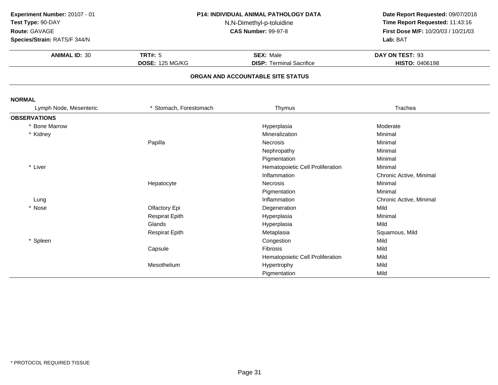| Experiment Number: 20107 - 01<br>Test Type: 90-DAY<br>Route: GAVAGE<br>Species/Strain: RATS/F 344/N | <b>P14: INDIVIDUAL ANIMAL PATHOLOGY DATA</b><br>N,N-Dimethyl-p-toluidine<br><b>CAS Number: 99-97-8</b> |                                                     | Date Report Requested: 09/07/2016<br>Time Report Requested: 11:43:16<br>First Dose M/F: 10/20/03 / 10/21/03<br>Lab: BAT |
|-----------------------------------------------------------------------------------------------------|--------------------------------------------------------------------------------------------------------|-----------------------------------------------------|-------------------------------------------------------------------------------------------------------------------------|
| <b>ANIMAL ID: 30</b>                                                                                | <b>TRT#: 5</b><br><b>DOSE: 125 MG/KG</b>                                                               | <b>SEX: Male</b><br><b>DISP: Terminal Sacrifice</b> | DAY ON TEST: 93<br>HISTO: 0406198                                                                                       |
|                                                                                                     |                                                                                                        | ORGAN AND ACCOUNTABLE SITE STATUS                   |                                                                                                                         |
| <b>NORMAL</b>                                                                                       |                                                                                                        |                                                     |                                                                                                                         |
| Lymph Node, Mesenteric                                                                              | * Stomach, Forestomach                                                                                 | Thymus                                              | Trachea                                                                                                                 |
| <b>OBSERVATIONS</b>                                                                                 |                                                                                                        |                                                     |                                                                                                                         |
| * Bone Marrow                                                                                       |                                                                                                        | Hyperplasia                                         | Moderate                                                                                                                |
| * Kidney                                                                                            |                                                                                                        | Mineralization                                      | Minimal                                                                                                                 |
|                                                                                                     | Papilla                                                                                                | Necrosis                                            | Minimal                                                                                                                 |
|                                                                                                     |                                                                                                        | Nephropathy                                         | Minimal                                                                                                                 |
|                                                                                                     |                                                                                                        | Pigmentation                                        | Minimal                                                                                                                 |
| * Liver                                                                                             |                                                                                                        | Hematopoietic Cell Proliferation                    | Minimal                                                                                                                 |
|                                                                                                     |                                                                                                        | Inflammation                                        | Chronic Active, Minimal                                                                                                 |
|                                                                                                     | Hepatocyte                                                                                             | Necrosis                                            | Minimal                                                                                                                 |
|                                                                                                     |                                                                                                        | Pigmentation                                        | Minimal                                                                                                                 |
| Lung                                                                                                |                                                                                                        | Inflammation                                        | Chronic Active, Minimal                                                                                                 |
| * Nose                                                                                              | Olfactory Epi                                                                                          | Degeneration                                        | Mild                                                                                                                    |
|                                                                                                     | <b>Respirat Epith</b>                                                                                  | Hyperplasia                                         | Minimal                                                                                                                 |
|                                                                                                     | Glands                                                                                                 | Hyperplasia                                         | Mild                                                                                                                    |
|                                                                                                     | <b>Respirat Epith</b>                                                                                  | Metaplasia                                          | Squamous, Mild                                                                                                          |
| * Spleen                                                                                            |                                                                                                        | Congestion                                          | Mild                                                                                                                    |
|                                                                                                     | Capsule                                                                                                | Fibrosis                                            | Mild                                                                                                                    |
|                                                                                                     |                                                                                                        | Hematopoietic Cell Proliferation                    | Mild                                                                                                                    |
|                                                                                                     | Mesothelium                                                                                            | Hypertrophy                                         | Mild                                                                                                                    |
|                                                                                                     |                                                                                                        | Pigmentation                                        | Mild                                                                                                                    |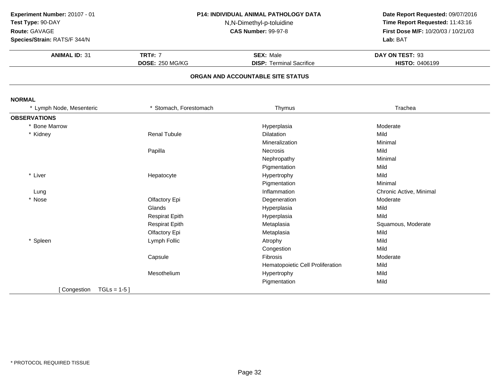| Experiment Number: 20107 - 01<br>Test Type: 90-DAY<br>Route: GAVAGE<br>Species/Strain: RATS/F 344/N | P14: INDIVIDUAL ANIMAL PATHOLOGY DATA<br>N,N-Dimethyl-p-toluidine<br><b>CAS Number: 99-97-8</b> |                                   | Date Report Requested: 09/07/2016<br>Time Report Requested: 11:43:16<br>First Dose M/F: 10/20/03 / 10/21/03<br>Lab: BAT |
|-----------------------------------------------------------------------------------------------------|-------------------------------------------------------------------------------------------------|-----------------------------------|-------------------------------------------------------------------------------------------------------------------------|
| <b>ANIMAL ID: 31</b>                                                                                | <b>TRT#: 7</b>                                                                                  | <b>SEX: Male</b>                  | DAY ON TEST: 93                                                                                                         |
|                                                                                                     | <b>DOSE: 250 MG/KG</b>                                                                          | <b>DISP: Terminal Sacrifice</b>   | HISTO: 0406199                                                                                                          |
|                                                                                                     |                                                                                                 | ORGAN AND ACCOUNTABLE SITE STATUS |                                                                                                                         |
| <b>NORMAL</b>                                                                                       |                                                                                                 |                                   |                                                                                                                         |
| * Lymph Node, Mesenteric                                                                            | * Stomach, Forestomach                                                                          | Thymus                            | Trachea                                                                                                                 |
| <b>OBSERVATIONS</b>                                                                                 |                                                                                                 |                                   |                                                                                                                         |
| * Bone Marrow                                                                                       |                                                                                                 | Hyperplasia                       | Moderate                                                                                                                |
| * Kidney                                                                                            | <b>Renal Tubule</b>                                                                             | <b>Dilatation</b>                 | Mild                                                                                                                    |
|                                                                                                     |                                                                                                 | Mineralization                    | Minimal                                                                                                                 |
|                                                                                                     | Papilla                                                                                         | Necrosis                          | Mild                                                                                                                    |
|                                                                                                     |                                                                                                 | Nephropathy                       | Minimal                                                                                                                 |
|                                                                                                     |                                                                                                 | Pigmentation                      | Mild                                                                                                                    |
| * Liver                                                                                             | Hepatocyte                                                                                      | Hypertrophy                       | Mild                                                                                                                    |
|                                                                                                     |                                                                                                 | Pigmentation                      | Minimal                                                                                                                 |
| Lung                                                                                                |                                                                                                 | Inflammation                      | Chronic Active, Minimal                                                                                                 |
| * Nose                                                                                              | Olfactory Epi                                                                                   | Degeneration                      | Moderate                                                                                                                |
|                                                                                                     | Glands                                                                                          | Hyperplasia                       | Mild                                                                                                                    |
|                                                                                                     | <b>Respirat Epith</b>                                                                           | Hyperplasia                       | Mild                                                                                                                    |
|                                                                                                     | <b>Respirat Epith</b>                                                                           | Metaplasia                        | Squamous, Moderate                                                                                                      |
|                                                                                                     | Olfactory Epi                                                                                   | Metaplasia                        | Mild                                                                                                                    |
| * Spleen                                                                                            | Lymph Follic                                                                                    | Atrophy                           | Mild                                                                                                                    |
|                                                                                                     |                                                                                                 | Congestion                        | Mild                                                                                                                    |
|                                                                                                     | Capsule                                                                                         | Fibrosis                          | Moderate                                                                                                                |
|                                                                                                     |                                                                                                 | Hematopoietic Cell Proliferation  | Mild                                                                                                                    |
|                                                                                                     | Mesothelium                                                                                     | Hypertrophy                       | Mild                                                                                                                    |
|                                                                                                     |                                                                                                 | Pigmentation                      | Mild                                                                                                                    |
| [Congestion<br>$TGLs = 1-5$                                                                         |                                                                                                 |                                   |                                                                                                                         |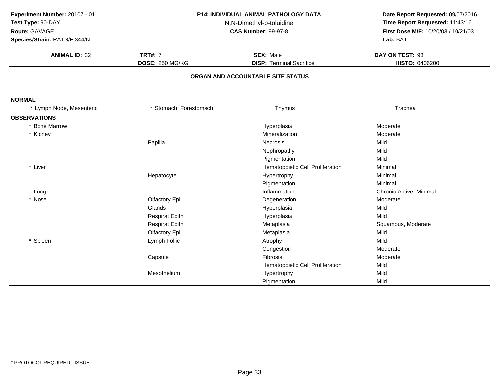| Experiment Number: 20107 - 01<br>Test Type: 90-DAY<br>Route: GAVAGE<br>Species/Strain: RATS/F 344/N | P14: INDIVIDUAL ANIMAL PATHOLOGY DATA<br>N,N-Dimethyl-p-toluidine<br><b>CAS Number: 99-97-8</b> |                                                     | Date Report Requested: 09/07/2016<br>Time Report Requested: 11:43:16<br>First Dose M/F: 10/20/03 / 10/21/03<br>Lab: BAT |
|-----------------------------------------------------------------------------------------------------|-------------------------------------------------------------------------------------------------|-----------------------------------------------------|-------------------------------------------------------------------------------------------------------------------------|
| <b>ANIMAL ID: 32</b>                                                                                | <b>TRT#: 7</b><br>DOSE: 250 MG/KG                                                               | <b>SEX: Male</b><br><b>DISP: Terminal Sacrifice</b> | DAY ON TEST: 93<br>HISTO: 0406200                                                                                       |
|                                                                                                     |                                                                                                 | ORGAN AND ACCOUNTABLE SITE STATUS                   |                                                                                                                         |
| <b>NORMAL</b>                                                                                       |                                                                                                 |                                                     |                                                                                                                         |
| * Lymph Node, Mesenteric                                                                            | * Stomach, Forestomach                                                                          | Thymus                                              | Trachea                                                                                                                 |
| <b>OBSERVATIONS</b>                                                                                 |                                                                                                 |                                                     |                                                                                                                         |
| * Bone Marrow                                                                                       |                                                                                                 | Hyperplasia                                         | Moderate                                                                                                                |
| * Kidney                                                                                            |                                                                                                 | Mineralization                                      | Moderate                                                                                                                |
|                                                                                                     | Papilla                                                                                         | Necrosis                                            | Mild                                                                                                                    |
|                                                                                                     |                                                                                                 | Nephropathy                                         | Mild                                                                                                                    |
|                                                                                                     |                                                                                                 | Pigmentation                                        | Mild                                                                                                                    |
| * Liver                                                                                             |                                                                                                 | Hematopoietic Cell Proliferation                    | Minimal                                                                                                                 |
|                                                                                                     | Hepatocyte                                                                                      | Hypertrophy                                         | Minimal                                                                                                                 |
|                                                                                                     |                                                                                                 | Pigmentation                                        | Minimal                                                                                                                 |
| Lung                                                                                                |                                                                                                 | Inflammation                                        | Chronic Active, Minimal                                                                                                 |
| * Nose                                                                                              | Olfactory Epi                                                                                   | Degeneration                                        | Moderate                                                                                                                |
|                                                                                                     | Glands                                                                                          | Hyperplasia                                         | Mild                                                                                                                    |
|                                                                                                     | <b>Respirat Epith</b>                                                                           | Hyperplasia                                         | Mild                                                                                                                    |
|                                                                                                     | <b>Respirat Epith</b>                                                                           | Metaplasia                                          | Squamous, Moderate                                                                                                      |
|                                                                                                     | Olfactory Epi                                                                                   | Metaplasia                                          | Mild                                                                                                                    |
| * Spleen                                                                                            | Lymph Follic                                                                                    | Atrophy                                             | Mild                                                                                                                    |
|                                                                                                     |                                                                                                 | Congestion                                          | Moderate                                                                                                                |
|                                                                                                     | Capsule                                                                                         | Fibrosis                                            | Moderate                                                                                                                |
|                                                                                                     |                                                                                                 | Hematopoietic Cell Proliferation                    | Mild                                                                                                                    |
|                                                                                                     | Mesothelium                                                                                     | Hypertrophy                                         | Mild                                                                                                                    |
|                                                                                                     |                                                                                                 | Pigmentation                                        | Mild                                                                                                                    |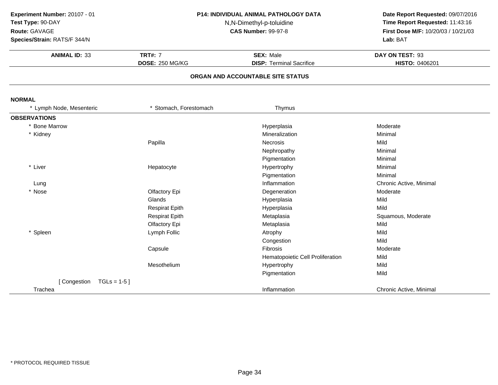| Experiment Number: 20107 - 01<br>Test Type: 90-DAY<br>Route: GAVAGE<br>Species/Strain: RATS/F 344/N | <b>P14: INDIVIDUAL ANIMAL PATHOLOGY DATA</b><br>N,N-Dimethyl-p-toluidine<br><b>CAS Number: 99-97-8</b> |                                                     | Date Report Requested: 09/07/2016<br>Time Report Requested: 11:43:16<br>First Dose M/F: 10/20/03 / 10/21/03<br>Lab: BAT |
|-----------------------------------------------------------------------------------------------------|--------------------------------------------------------------------------------------------------------|-----------------------------------------------------|-------------------------------------------------------------------------------------------------------------------------|
| <b>ANIMAL ID: 33</b>                                                                                | <b>TRT#: 7</b><br><b>DOSE: 250 MG/KG</b>                                                               | <b>SEX: Male</b><br><b>DISP: Terminal Sacrifice</b> | DAY ON TEST: 93<br>HISTO: 0406201                                                                                       |
|                                                                                                     |                                                                                                        | ORGAN AND ACCOUNTABLE SITE STATUS                   |                                                                                                                         |
| <b>NORMAL</b>                                                                                       |                                                                                                        |                                                     |                                                                                                                         |
| * Lymph Node, Mesenteric                                                                            | * Stomach, Forestomach                                                                                 | Thymus                                              |                                                                                                                         |
| <b>OBSERVATIONS</b>                                                                                 |                                                                                                        |                                                     |                                                                                                                         |
| * Bone Marrow                                                                                       |                                                                                                        | Hyperplasia                                         | Moderate                                                                                                                |
| * Kidney                                                                                            |                                                                                                        | Mineralization                                      | Minimal                                                                                                                 |
|                                                                                                     | Papilla                                                                                                | <b>Necrosis</b>                                     | Mild                                                                                                                    |
|                                                                                                     |                                                                                                        | Nephropathy                                         | Minimal                                                                                                                 |
|                                                                                                     |                                                                                                        | Pigmentation                                        | Minimal                                                                                                                 |
| * Liver                                                                                             | Hepatocyte                                                                                             | Hypertrophy                                         | Minimal                                                                                                                 |
|                                                                                                     |                                                                                                        | Pigmentation                                        | Minimal                                                                                                                 |
| Lung                                                                                                |                                                                                                        | Inflammation                                        | Chronic Active, Minimal                                                                                                 |
| * Nose                                                                                              | Olfactory Epi                                                                                          | Degeneration                                        | Moderate                                                                                                                |
|                                                                                                     | Glands                                                                                                 | Hyperplasia                                         | Mild                                                                                                                    |
|                                                                                                     | <b>Respirat Epith</b>                                                                                  | Hyperplasia                                         | Mild                                                                                                                    |
|                                                                                                     | <b>Respirat Epith</b>                                                                                  | Metaplasia                                          | Squamous, Moderate                                                                                                      |
|                                                                                                     | Olfactory Epi                                                                                          | Metaplasia                                          | Mild                                                                                                                    |
| * Spleen                                                                                            | Lymph Follic                                                                                           | Atrophy                                             | Mild                                                                                                                    |
|                                                                                                     |                                                                                                        | Congestion                                          | Mild                                                                                                                    |
|                                                                                                     | Capsule                                                                                                | Fibrosis                                            | Moderate                                                                                                                |
|                                                                                                     |                                                                                                        | Hematopoietic Cell Proliferation                    | Mild                                                                                                                    |
|                                                                                                     | Mesothelium                                                                                            | Hypertrophy                                         | Mild                                                                                                                    |
|                                                                                                     |                                                                                                        | Pigmentation                                        | Mild                                                                                                                    |
| [ Congestion<br>$TGLs = 1-5$                                                                        |                                                                                                        |                                                     |                                                                                                                         |
| Trachea                                                                                             |                                                                                                        | Inflammation                                        | Chronic Active, Minimal                                                                                                 |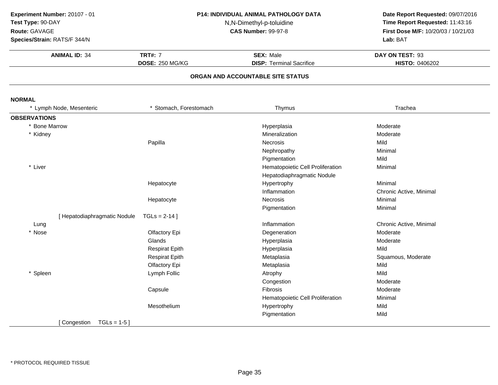| Experiment Number: 20107 - 01<br>Test Type: 90-DAY<br>Route: GAVAGE<br>Species/Strain: RATS/F 344/N | <b>P14: INDIVIDUAL ANIMAL PATHOLOGY DATA</b><br>N,N-Dimethyl-p-toluidine<br><b>CAS Number: 99-97-8</b> |                                   | Date Report Requested: 09/07/2016<br>Time Report Requested: 11:43:16<br>First Dose M/F: 10/20/03 / 10/21/03<br>Lab: BAT |
|-----------------------------------------------------------------------------------------------------|--------------------------------------------------------------------------------------------------------|-----------------------------------|-------------------------------------------------------------------------------------------------------------------------|
| <b>ANIMAL ID: 34</b>                                                                                | <b>TRT#: 7</b>                                                                                         | <b>SEX: Male</b>                  | DAY ON TEST: 93                                                                                                         |
|                                                                                                     | <b>DOSE: 250 MG/KG</b>                                                                                 | <b>DISP: Terminal Sacrifice</b>   | HISTO: 0406202                                                                                                          |
|                                                                                                     |                                                                                                        | ORGAN AND ACCOUNTABLE SITE STATUS |                                                                                                                         |
| <b>NORMAL</b>                                                                                       |                                                                                                        |                                   |                                                                                                                         |
| * Lymph Node, Mesenteric                                                                            | * Stomach, Forestomach                                                                                 | Thymus                            | Trachea                                                                                                                 |
| <b>OBSERVATIONS</b>                                                                                 |                                                                                                        |                                   |                                                                                                                         |
| * Bone Marrow                                                                                       |                                                                                                        | Hyperplasia                       | Moderate                                                                                                                |
| * Kidney                                                                                            |                                                                                                        | Mineralization                    | Moderate                                                                                                                |
|                                                                                                     | Papilla                                                                                                | Necrosis                          | Mild                                                                                                                    |
|                                                                                                     |                                                                                                        | Nephropathy                       | Minimal                                                                                                                 |
|                                                                                                     |                                                                                                        | Pigmentation                      | Mild                                                                                                                    |
| * Liver                                                                                             |                                                                                                        | Hematopoietic Cell Proliferation  | Minimal                                                                                                                 |
|                                                                                                     |                                                                                                        | Hepatodiaphragmatic Nodule        |                                                                                                                         |
|                                                                                                     | Hepatocyte                                                                                             | Hypertrophy                       | Minimal                                                                                                                 |
|                                                                                                     |                                                                                                        | Inflammation                      | Chronic Active, Minimal                                                                                                 |
|                                                                                                     | Hepatocyte                                                                                             | <b>Necrosis</b>                   | Minimal                                                                                                                 |
|                                                                                                     |                                                                                                        | Pigmentation                      | Minimal                                                                                                                 |
| [ Hepatodiaphragmatic Nodule                                                                        | $TGLs = 2-14$                                                                                          |                                   |                                                                                                                         |
| Lung                                                                                                |                                                                                                        | Inflammation                      | Chronic Active, Minimal                                                                                                 |
| * Nose                                                                                              | Olfactory Epi                                                                                          | Degeneration                      | Moderate                                                                                                                |
|                                                                                                     | Glands                                                                                                 | Hyperplasia                       | Moderate                                                                                                                |
|                                                                                                     | <b>Respirat Epith</b>                                                                                  | Hyperplasia                       | Mild                                                                                                                    |
|                                                                                                     | <b>Respirat Epith</b>                                                                                  | Metaplasia                        | Squamous, Moderate                                                                                                      |
|                                                                                                     | Olfactory Epi                                                                                          | Metaplasia                        | Mild                                                                                                                    |
| * Spleen                                                                                            | Lymph Follic                                                                                           | Atrophy                           | Mild                                                                                                                    |
|                                                                                                     |                                                                                                        | Congestion                        | Moderate                                                                                                                |
|                                                                                                     | Capsule                                                                                                | Fibrosis                          | Moderate                                                                                                                |
|                                                                                                     |                                                                                                        | Hematopoietic Cell Proliferation  | Minimal                                                                                                                 |
|                                                                                                     | Mesothelium                                                                                            | Hypertrophy                       | Mild                                                                                                                    |
|                                                                                                     |                                                                                                        | Pigmentation                      | Mild                                                                                                                    |
| [Congestion<br>$TGLs = 1-5$ ]                                                                       |                                                                                                        |                                   |                                                                                                                         |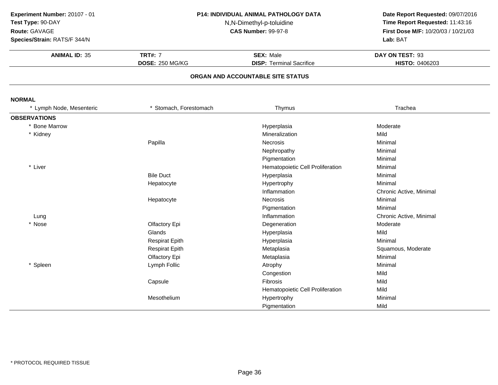| Experiment Number: 20107 - 01<br>Test Type: 90-DAY<br>Route: GAVAGE<br>Species/Strain: RATS/F 344/N | P14: INDIVIDUAL ANIMAL PATHOLOGY DATA<br>N,N-Dimethyl-p-toluidine<br><b>CAS Number: 99-97-8</b> |                                                                      | Date Report Requested: 09/07/2016<br>Time Report Requested: 11:43:16<br>First Dose M/F: 10/20/03 / 10/21/03<br>Lab: BAT |
|-----------------------------------------------------------------------------------------------------|-------------------------------------------------------------------------------------------------|----------------------------------------------------------------------|-------------------------------------------------------------------------------------------------------------------------|
| <b>ANIMAL ID: 35</b>                                                                                | <b>TRT#: 7</b>                                                                                  | <b>SEX: Male</b>                                                     | DAY ON TEST: 93                                                                                                         |
|                                                                                                     | <b>DOSE: 250 MG/KG</b>                                                                          | <b>DISP: Terminal Sacrifice</b><br>ORGAN AND ACCOUNTABLE SITE STATUS | HISTO: 0406203                                                                                                          |
| <b>NORMAL</b>                                                                                       |                                                                                                 |                                                                      |                                                                                                                         |
| * Lymph Node, Mesenteric                                                                            | * Stomach, Forestomach                                                                          | Thymus                                                               | Trachea                                                                                                                 |
| <b>OBSERVATIONS</b>                                                                                 |                                                                                                 |                                                                      |                                                                                                                         |
| * Bone Marrow                                                                                       |                                                                                                 | Hyperplasia                                                          | Moderate                                                                                                                |
| * Kidney                                                                                            |                                                                                                 | Mineralization                                                       | Mild                                                                                                                    |
|                                                                                                     | Papilla                                                                                         | <b>Necrosis</b>                                                      | Minimal                                                                                                                 |
|                                                                                                     |                                                                                                 | Nephropathy                                                          | Minimal                                                                                                                 |
|                                                                                                     |                                                                                                 | Pigmentation                                                         | Minimal                                                                                                                 |
| * Liver                                                                                             |                                                                                                 | Hematopoietic Cell Proliferation                                     | Minimal                                                                                                                 |
|                                                                                                     | <b>Bile Duct</b>                                                                                | Hyperplasia                                                          | Minimal                                                                                                                 |
|                                                                                                     | Hepatocyte                                                                                      | Hypertrophy                                                          | Minimal                                                                                                                 |
|                                                                                                     |                                                                                                 | Inflammation                                                         | Chronic Active, Minimal                                                                                                 |
|                                                                                                     | Hepatocyte                                                                                      | <b>Necrosis</b>                                                      | Minimal                                                                                                                 |
|                                                                                                     |                                                                                                 | Pigmentation                                                         | Minimal                                                                                                                 |
| Lung                                                                                                |                                                                                                 | Inflammation                                                         | Chronic Active, Minimal                                                                                                 |
| * Nose                                                                                              | Olfactory Epi                                                                                   | Degeneration                                                         | Moderate                                                                                                                |
|                                                                                                     | Glands                                                                                          | Hyperplasia                                                          | Mild                                                                                                                    |
|                                                                                                     | <b>Respirat Epith</b>                                                                           | Hyperplasia                                                          | Minimal                                                                                                                 |
|                                                                                                     | <b>Respirat Epith</b>                                                                           | Metaplasia                                                           | Squamous, Moderate                                                                                                      |
|                                                                                                     | Olfactory Epi                                                                                   | Metaplasia                                                           | Minimal                                                                                                                 |
| * Spleen                                                                                            | Lymph Follic                                                                                    | Atrophy                                                              | Minimal                                                                                                                 |
|                                                                                                     |                                                                                                 | Congestion                                                           | Mild                                                                                                                    |
|                                                                                                     | Capsule                                                                                         | Fibrosis                                                             | Mild                                                                                                                    |
|                                                                                                     |                                                                                                 | Hematopoietic Cell Proliferation                                     | Mild                                                                                                                    |
|                                                                                                     | Mesothelium                                                                                     | Hypertrophy                                                          | Minimal                                                                                                                 |
|                                                                                                     |                                                                                                 | Pigmentation                                                         | Mild                                                                                                                    |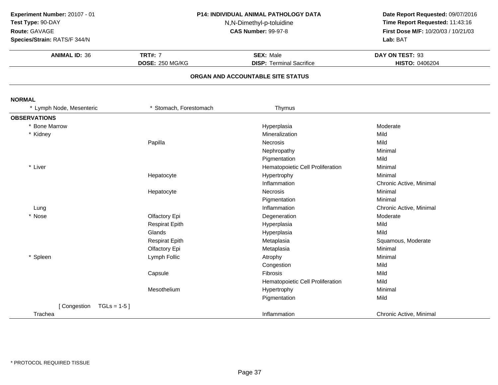| Experiment Number: 20107 - 01<br>Test Type: 90-DAY<br>Route: GAVAGE<br>Species/Strain: RATS/F 344/N | P14: INDIVIDUAL ANIMAL PATHOLOGY DATA<br>N,N-Dimethyl-p-toluidine<br><b>CAS Number: 99-97-8</b> |                                   | Date Report Requested: 09/07/2016<br>Time Report Requested: 11:43:16<br>First Dose M/F: 10/20/03 / 10/21/03<br>Lab: BAT |
|-----------------------------------------------------------------------------------------------------|-------------------------------------------------------------------------------------------------|-----------------------------------|-------------------------------------------------------------------------------------------------------------------------|
| <b>ANIMAL ID: 36</b>                                                                                | <b>TRT#: 7</b>                                                                                  | <b>SEX: Male</b>                  | DAY ON TEST: 93                                                                                                         |
|                                                                                                     | DOSE: 250 MG/KG                                                                                 | <b>DISP: Terminal Sacrifice</b>   | HISTO: 0406204                                                                                                          |
|                                                                                                     |                                                                                                 | ORGAN AND ACCOUNTABLE SITE STATUS |                                                                                                                         |
| <b>NORMAL</b>                                                                                       |                                                                                                 |                                   |                                                                                                                         |
| * Lymph Node, Mesenteric                                                                            | * Stomach, Forestomach                                                                          | Thymus                            |                                                                                                                         |
| <b>OBSERVATIONS</b>                                                                                 |                                                                                                 |                                   |                                                                                                                         |
| <b>Bone Marrow</b>                                                                                  |                                                                                                 | Hyperplasia                       | Moderate                                                                                                                |
| * Kidney                                                                                            |                                                                                                 | Mineralization                    | Mild                                                                                                                    |
|                                                                                                     | Papilla                                                                                         | <b>Necrosis</b>                   | Mild                                                                                                                    |
|                                                                                                     |                                                                                                 | Nephropathy                       | Minimal                                                                                                                 |
|                                                                                                     |                                                                                                 | Pigmentation                      | Mild                                                                                                                    |
| * Liver                                                                                             |                                                                                                 | Hematopoietic Cell Proliferation  | Minimal                                                                                                                 |
|                                                                                                     | Hepatocyte                                                                                      | Hypertrophy                       | Minimal                                                                                                                 |
|                                                                                                     |                                                                                                 | Inflammation                      | Chronic Active, Minimal                                                                                                 |
|                                                                                                     | Hepatocyte                                                                                      | Necrosis                          | Minimal                                                                                                                 |
|                                                                                                     |                                                                                                 | Pigmentation                      | Minimal                                                                                                                 |
| Lung                                                                                                |                                                                                                 | Inflammation                      | Chronic Active, Minimal                                                                                                 |
| * Nose                                                                                              | Olfactory Epi                                                                                   | Degeneration                      | Moderate                                                                                                                |
|                                                                                                     | <b>Respirat Epith</b>                                                                           | Hyperplasia                       | Mild                                                                                                                    |
|                                                                                                     | Glands                                                                                          | Hyperplasia                       | Mild                                                                                                                    |
|                                                                                                     | <b>Respirat Epith</b>                                                                           | Metaplasia                        | Squamous, Moderate                                                                                                      |
|                                                                                                     | Olfactory Epi                                                                                   | Metaplasia                        | Minimal                                                                                                                 |
| * Spleen                                                                                            | Lymph Follic                                                                                    | Atrophy                           | Minimal                                                                                                                 |
|                                                                                                     |                                                                                                 | Congestion                        | Mild                                                                                                                    |
|                                                                                                     | Capsule                                                                                         | Fibrosis                          | Mild                                                                                                                    |
|                                                                                                     |                                                                                                 | Hematopoietic Cell Proliferation  | Mild                                                                                                                    |
|                                                                                                     | Mesothelium                                                                                     | Hypertrophy                       | Minimal                                                                                                                 |
|                                                                                                     |                                                                                                 | Pigmentation                      | Mild                                                                                                                    |
| [Congestion<br>$TGLs = 1-5$                                                                         |                                                                                                 |                                   |                                                                                                                         |
| Trachea                                                                                             |                                                                                                 | Inflammation                      | Chronic Active, Minimal                                                                                                 |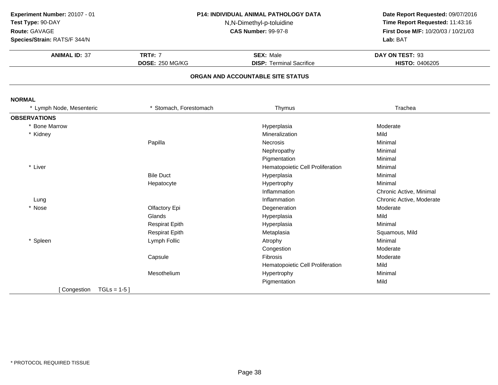| Experiment Number: 20107 - 01<br>Test Type: 90-DAY<br>Route: GAVAGE<br>Species/Strain: RATS/F 344/N | <b>P14: INDIVIDUAL ANIMAL PATHOLOGY DATA</b><br>N,N-Dimethyl-p-toluidine<br><b>CAS Number: 99-97-8</b> |                                                     | Date Report Requested: 09/07/2016<br>Time Report Requested: 11:43:16<br>First Dose M/F: 10/20/03 / 10/21/03<br>Lab: BAT |
|-----------------------------------------------------------------------------------------------------|--------------------------------------------------------------------------------------------------------|-----------------------------------------------------|-------------------------------------------------------------------------------------------------------------------------|
| <b>ANIMAL ID: 37</b>                                                                                | <b>TRT#: 7</b><br><b>DOSE: 250 MG/KG</b>                                                               | <b>SEX: Male</b><br><b>DISP: Terminal Sacrifice</b> |                                                                                                                         |
|                                                                                                     |                                                                                                        | ORGAN AND ACCOUNTABLE SITE STATUS                   | HISTO: 0406205                                                                                                          |
| <b>NORMAL</b>                                                                                       |                                                                                                        |                                                     |                                                                                                                         |
| * Lymph Node, Mesenteric                                                                            | * Stomach, Forestomach                                                                                 | Thymus                                              | Trachea                                                                                                                 |
| <b>OBSERVATIONS</b>                                                                                 |                                                                                                        |                                                     |                                                                                                                         |
| * Bone Marrow                                                                                       |                                                                                                        | Hyperplasia                                         | Moderate                                                                                                                |
| * Kidney                                                                                            |                                                                                                        | Mineralization                                      | Mild                                                                                                                    |
|                                                                                                     | Papilla                                                                                                | Necrosis                                            | Minimal                                                                                                                 |
|                                                                                                     |                                                                                                        | Nephropathy                                         | Minimal                                                                                                                 |
|                                                                                                     |                                                                                                        | Pigmentation                                        | Minimal                                                                                                                 |
| * Liver                                                                                             |                                                                                                        | Hematopoietic Cell Proliferation                    | Minimal                                                                                                                 |
|                                                                                                     | <b>Bile Duct</b>                                                                                       | Hyperplasia                                         | Minimal                                                                                                                 |
|                                                                                                     | Hepatocyte                                                                                             | Hypertrophy                                         | Minimal                                                                                                                 |
|                                                                                                     |                                                                                                        | Inflammation                                        | Chronic Active, Minimal                                                                                                 |
| Lung                                                                                                |                                                                                                        | Inflammation                                        | Chronic Active, Moderate                                                                                                |
| * Nose                                                                                              | Olfactory Epi                                                                                          | Degeneration                                        | Moderate                                                                                                                |
|                                                                                                     | Glands                                                                                                 | Hyperplasia                                         | Mild                                                                                                                    |
|                                                                                                     | <b>Respirat Epith</b>                                                                                  | Hyperplasia                                         | Minimal                                                                                                                 |
|                                                                                                     | <b>Respirat Epith</b>                                                                                  | Metaplasia                                          | Squamous, Mild                                                                                                          |
| * Spleen                                                                                            | Lymph Follic                                                                                           | Atrophy                                             | Minimal                                                                                                                 |
|                                                                                                     |                                                                                                        | Congestion                                          | Moderate                                                                                                                |
|                                                                                                     | Capsule                                                                                                | Fibrosis                                            | Moderate                                                                                                                |
|                                                                                                     |                                                                                                        | Hematopoietic Cell Proliferation                    | Mild                                                                                                                    |
|                                                                                                     | Mesothelium                                                                                            | Hypertrophy                                         | Minimal                                                                                                                 |
|                                                                                                     |                                                                                                        | Pigmentation                                        | Mild                                                                                                                    |
| [Congestion<br>$TGLs = 1-5$                                                                         |                                                                                                        |                                                     |                                                                                                                         |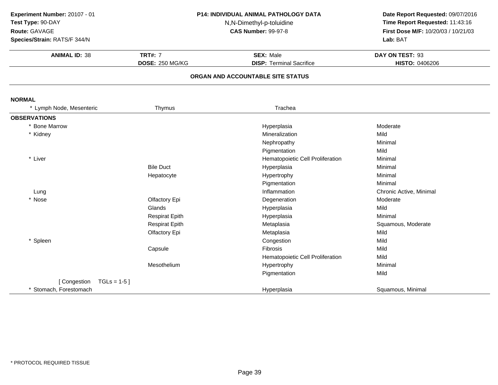| Experiment Number: 20107 - 01<br>Test Type: 90-DAY<br>Route: GAVAGE<br>Species/Strain: RATS/F 344/N<br><b>ANIMAL ID: 38</b> | P14: INDIVIDUAL ANIMAL PATHOLOGY DATA<br>N,N-Dimethyl-p-toluidine<br><b>CAS Number: 99-97-8</b><br><b>TRT#: 7</b><br><b>SEX: Male</b> |                                   | Date Report Requested: 09/07/2016<br>Time Report Requested: 11:43:16<br>First Dose M/F: 10/20/03 / 10/21/03<br>Lab: BAT<br>DAY ON TEST: 93 |
|-----------------------------------------------------------------------------------------------------------------------------|---------------------------------------------------------------------------------------------------------------------------------------|-----------------------------------|--------------------------------------------------------------------------------------------------------------------------------------------|
|                                                                                                                             | <b>DOSE: 250 MG/KG</b>                                                                                                                | <b>DISP: Terminal Sacrifice</b>   | HISTO: 0406206                                                                                                                             |
|                                                                                                                             |                                                                                                                                       | ORGAN AND ACCOUNTABLE SITE STATUS |                                                                                                                                            |
| <b>NORMAL</b>                                                                                                               |                                                                                                                                       |                                   |                                                                                                                                            |
| * Lymph Node, Mesenteric                                                                                                    | Thymus                                                                                                                                | Trachea                           |                                                                                                                                            |
| <b>OBSERVATIONS</b>                                                                                                         |                                                                                                                                       |                                   |                                                                                                                                            |
| * Bone Marrow                                                                                                               |                                                                                                                                       | Hyperplasia                       | Moderate                                                                                                                                   |
| * Kidney                                                                                                                    |                                                                                                                                       | Mineralization                    | Mild                                                                                                                                       |
|                                                                                                                             |                                                                                                                                       | Nephropathy                       | Minimal                                                                                                                                    |
|                                                                                                                             |                                                                                                                                       | Pigmentation                      | Mild                                                                                                                                       |
| * Liver                                                                                                                     |                                                                                                                                       | Hematopoietic Cell Proliferation  | Minimal                                                                                                                                    |
|                                                                                                                             | <b>Bile Duct</b>                                                                                                                      | Hyperplasia                       | Minimal                                                                                                                                    |
|                                                                                                                             | Hepatocyte                                                                                                                            | Hypertrophy                       | Minimal                                                                                                                                    |
|                                                                                                                             |                                                                                                                                       | Pigmentation                      | Minimal                                                                                                                                    |
| Lung                                                                                                                        |                                                                                                                                       | Inflammation                      | Chronic Active, Minimal                                                                                                                    |
| * Nose                                                                                                                      | Olfactory Epi                                                                                                                         | Degeneration                      | Moderate                                                                                                                                   |
|                                                                                                                             | Glands                                                                                                                                | Hyperplasia                       | Mild                                                                                                                                       |
|                                                                                                                             | <b>Respirat Epith</b>                                                                                                                 | Hyperplasia                       | Minimal                                                                                                                                    |
|                                                                                                                             | <b>Respirat Epith</b>                                                                                                                 | Metaplasia                        | Squamous, Moderate                                                                                                                         |
|                                                                                                                             | Olfactory Epi                                                                                                                         | Metaplasia                        | Mild                                                                                                                                       |
| * Spleen                                                                                                                    |                                                                                                                                       | Congestion                        | Mild                                                                                                                                       |
|                                                                                                                             | Capsule                                                                                                                               | Fibrosis                          | Mild                                                                                                                                       |
|                                                                                                                             |                                                                                                                                       | Hematopoietic Cell Proliferation  | Mild                                                                                                                                       |
|                                                                                                                             | Mesothelium                                                                                                                           | Hypertrophy                       | Minimal                                                                                                                                    |
|                                                                                                                             |                                                                                                                                       | Pigmentation                      | Mild                                                                                                                                       |
| [ Congestion<br>$TGLs = 1-5$ ]                                                                                              |                                                                                                                                       |                                   |                                                                                                                                            |
| * Stomach, Forestomach                                                                                                      |                                                                                                                                       | Hyperplasia                       | Squamous, Minimal                                                                                                                          |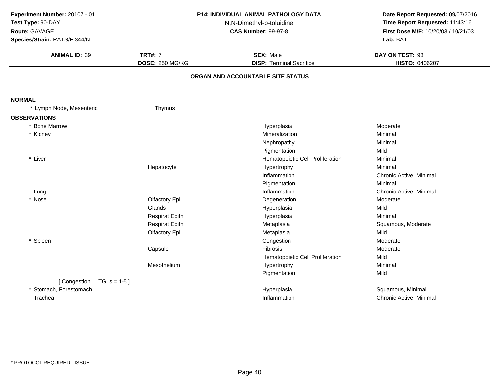| Experiment Number: 20107 - 01<br>Test Type: 90-DAY<br>Route: GAVAGE<br>Species/Strain: RATS/F 344/N |                                          | P14: INDIVIDUAL ANIMAL PATHOLOGY DATA<br>N,N-Dimethyl-p-toluidine<br><b>CAS Number: 99-97-8</b> | Date Report Requested: 09/07/2016<br>Time Report Requested: 11:43:16<br>First Dose M/F: 10/20/03 / 10/21/03<br>Lab: BAT |
|-----------------------------------------------------------------------------------------------------|------------------------------------------|-------------------------------------------------------------------------------------------------|-------------------------------------------------------------------------------------------------------------------------|
| <b>ANIMAL ID: 39</b>                                                                                | <b>TRT#: 7</b><br><b>DOSE: 250 MG/KG</b> | <b>SEX: Male</b><br><b>DISP: Terminal Sacrifice</b>                                             | DAY ON TEST: 93<br>HISTO: 0406207                                                                                       |
|                                                                                                     |                                          | ORGAN AND ACCOUNTABLE SITE STATUS                                                               |                                                                                                                         |
| <b>NORMAL</b>                                                                                       |                                          |                                                                                                 |                                                                                                                         |
| * Lymph Node, Mesenteric                                                                            | Thymus                                   |                                                                                                 |                                                                                                                         |
| <b>OBSERVATIONS</b>                                                                                 |                                          |                                                                                                 |                                                                                                                         |
| <b>Bone Marrow</b>                                                                                  |                                          | Hyperplasia                                                                                     | Moderate                                                                                                                |
| * Kidney                                                                                            |                                          | Mineralization                                                                                  | Minimal                                                                                                                 |
|                                                                                                     |                                          | Nephropathy                                                                                     | Minimal                                                                                                                 |
|                                                                                                     |                                          | Pigmentation                                                                                    | Mild                                                                                                                    |
| * Liver                                                                                             |                                          | Hematopoietic Cell Proliferation                                                                | Minimal                                                                                                                 |
|                                                                                                     | Hepatocyte                               | Hypertrophy                                                                                     | Minimal                                                                                                                 |
|                                                                                                     |                                          | Inflammation                                                                                    | Chronic Active, Minimal                                                                                                 |
|                                                                                                     |                                          | Pigmentation                                                                                    | Minimal                                                                                                                 |
| Lung                                                                                                |                                          | Inflammation                                                                                    | Chronic Active, Minimal                                                                                                 |
| * Nose                                                                                              | Olfactory Epi                            | Degeneration                                                                                    | Moderate                                                                                                                |
|                                                                                                     | Glands                                   | Hyperplasia                                                                                     | Mild                                                                                                                    |
|                                                                                                     | <b>Respirat Epith</b>                    | Hyperplasia                                                                                     | Minimal                                                                                                                 |
|                                                                                                     | <b>Respirat Epith</b>                    | Metaplasia                                                                                      | Squamous, Moderate                                                                                                      |
|                                                                                                     | Olfactory Epi                            | Metaplasia                                                                                      | Mild                                                                                                                    |
| * Spleen                                                                                            |                                          | Congestion                                                                                      | Moderate                                                                                                                |
|                                                                                                     | Capsule                                  | Fibrosis                                                                                        | Moderate                                                                                                                |
|                                                                                                     |                                          | Hematopoietic Cell Proliferation                                                                | Mild                                                                                                                    |
|                                                                                                     | Mesothelium                              | Hypertrophy                                                                                     | Minimal                                                                                                                 |
|                                                                                                     |                                          | Pigmentation                                                                                    | Mild                                                                                                                    |
| [Congestion<br>$TGLs = 1-5$ ]                                                                       |                                          |                                                                                                 |                                                                                                                         |
| * Stomach, Forestomach                                                                              |                                          | Hyperplasia                                                                                     | Squamous, Minimal                                                                                                       |
| Trachea                                                                                             |                                          | Inflammation                                                                                    | Chronic Active, Minimal                                                                                                 |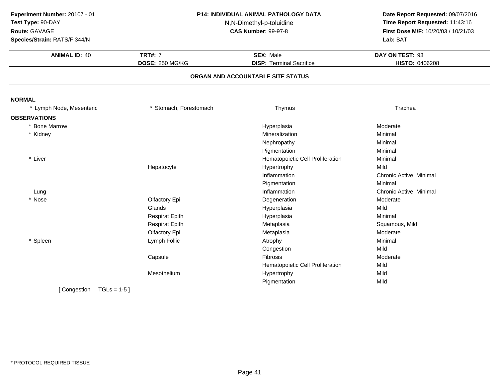| Experiment Number: 20107 - 01<br>Test Type: 90-DAY<br>Route: GAVAGE<br>Species/Strain: RATS/F 344/N | P14: INDIVIDUAL ANIMAL PATHOLOGY DATA<br>N,N-Dimethyl-p-toluidine<br><b>CAS Number: 99-97-8</b> |                                   | Date Report Requested: 09/07/2016<br>Time Report Requested: 11:43:16<br>First Dose M/F: 10/20/03 / 10/21/03<br>Lab: BAT |
|-----------------------------------------------------------------------------------------------------|-------------------------------------------------------------------------------------------------|-----------------------------------|-------------------------------------------------------------------------------------------------------------------------|
| <b>ANIMAL ID: 40</b>                                                                                | <b>TRT#: 7</b>                                                                                  | <b>SEX: Male</b>                  | DAY ON TEST: 93                                                                                                         |
|                                                                                                     | DOSE: 250 MG/KG                                                                                 | <b>DISP: Terminal Sacrifice</b>   | HISTO: 0406208                                                                                                          |
|                                                                                                     |                                                                                                 | ORGAN AND ACCOUNTABLE SITE STATUS |                                                                                                                         |
| <b>NORMAL</b>                                                                                       |                                                                                                 |                                   |                                                                                                                         |
| * Lymph Node, Mesenteric                                                                            | * Stomach, Forestomach                                                                          | Thymus                            | Trachea                                                                                                                 |
| <b>OBSERVATIONS</b>                                                                                 |                                                                                                 |                                   |                                                                                                                         |
| * Bone Marrow                                                                                       |                                                                                                 | Hyperplasia                       | Moderate                                                                                                                |
| * Kidney                                                                                            |                                                                                                 | Mineralization                    | Minimal                                                                                                                 |
|                                                                                                     |                                                                                                 | Nephropathy                       | Minimal                                                                                                                 |
|                                                                                                     |                                                                                                 | Pigmentation                      | Minimal                                                                                                                 |
| * Liver                                                                                             |                                                                                                 | Hematopoietic Cell Proliferation  | Minimal                                                                                                                 |
|                                                                                                     | Hepatocyte                                                                                      | Hypertrophy                       | Mild                                                                                                                    |
|                                                                                                     |                                                                                                 | Inflammation                      | Chronic Active, Minimal                                                                                                 |
|                                                                                                     |                                                                                                 | Pigmentation                      | Minimal                                                                                                                 |
| Lung                                                                                                |                                                                                                 | Inflammation                      | Chronic Active, Minimal                                                                                                 |
| * Nose                                                                                              | Olfactory Epi                                                                                   | Degeneration                      | Moderate                                                                                                                |
|                                                                                                     | Glands                                                                                          | Hyperplasia                       | Mild                                                                                                                    |
|                                                                                                     | <b>Respirat Epith</b>                                                                           | Hyperplasia                       | Minimal                                                                                                                 |
|                                                                                                     | <b>Respirat Epith</b>                                                                           | Metaplasia                        | Squamous, Mild                                                                                                          |
|                                                                                                     | Olfactory Epi                                                                                   | Metaplasia                        | Moderate                                                                                                                |
| * Spleen                                                                                            | Lymph Follic                                                                                    | Atrophy                           | Minimal                                                                                                                 |
|                                                                                                     |                                                                                                 | Congestion                        | Mild                                                                                                                    |
|                                                                                                     | Capsule                                                                                         | Fibrosis                          | Moderate                                                                                                                |
|                                                                                                     |                                                                                                 | Hematopoietic Cell Proliferation  | Mild                                                                                                                    |
|                                                                                                     | Mesothelium                                                                                     | Hypertrophy                       | Mild                                                                                                                    |
|                                                                                                     |                                                                                                 | Pigmentation                      | Mild                                                                                                                    |
| [Congestion<br>$TGLs = 1-5$ ]                                                                       |                                                                                                 |                                   |                                                                                                                         |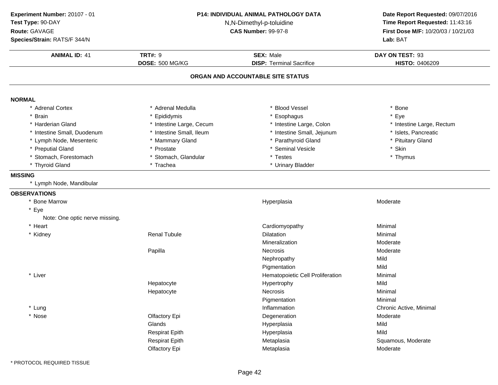| Experiment Number: 20107 - 01  |                            | <b>P14: INDIVIDUAL ANIMAL PATHOLOGY DATA</b> | Date Report Requested: 09/07/2016<br>Time Report Requested: 11:43:16 |  |
|--------------------------------|----------------------------|----------------------------------------------|----------------------------------------------------------------------|--|
| Test Type: 90-DAY              |                            | N,N-Dimethyl-p-toluidine                     |                                                                      |  |
| Route: GAVAGE                  | <b>CAS Number: 99-97-8</b> |                                              | First Dose M/F: 10/20/03 / 10/21/03                                  |  |
| Species/Strain: RATS/F 344/N   |                            |                                              | Lab: BAT                                                             |  |
| <b>ANIMAL ID: 41</b>           | <b>TRT#: 9</b>             | <b>SEX: Male</b>                             | DAY ON TEST: 93                                                      |  |
|                                | DOSE: 500 MG/KG            | <b>DISP: Terminal Sacrifice</b>              | HISTO: 0406209                                                       |  |
|                                |                            | ORGAN AND ACCOUNTABLE SITE STATUS            |                                                                      |  |
| <b>NORMAL</b>                  |                            |                                              |                                                                      |  |
| * Adrenal Cortex               | * Adrenal Medulla          | * Blood Vessel                               | * Bone                                                               |  |
| * Brain                        | * Epididymis               | Esophagus                                    | * Eye                                                                |  |
| * Harderian Gland              | * Intestine Large, Cecum   | * Intestine Large, Colon                     | * Intestine Large, Rectum                                            |  |
| * Intestine Small, Duodenum    | * Intestine Small, Ileum   | Intestine Small, Jejunum                     | * Islets, Pancreatic                                                 |  |
| * Lymph Node, Mesenteric       | * Mammary Gland            | Parathyroid Gland                            | * Pituitary Gland                                                    |  |
| * Preputial Gland              | * Prostate                 | * Seminal Vesicle                            | * Skin                                                               |  |
| * Stomach, Forestomach         | * Stomach, Glandular       | * Testes                                     | * Thymus                                                             |  |
| * Thyroid Gland                | * Trachea                  | * Urinary Bladder                            |                                                                      |  |
| <b>MISSING</b>                 |                            |                                              |                                                                      |  |
| * Lymph Node, Mandibular       |                            |                                              |                                                                      |  |
| <b>OBSERVATIONS</b>            |                            |                                              |                                                                      |  |
| * Bone Marrow                  |                            | Hyperplasia                                  | Moderate                                                             |  |
| * Eye                          |                            |                                              |                                                                      |  |
| Note: One optic nerve missing. |                            |                                              |                                                                      |  |
| * Heart                        |                            | Cardiomyopathy                               | Minimal                                                              |  |
| * Kidney                       | <b>Renal Tubule</b>        | <b>Dilatation</b>                            | Minimal                                                              |  |
|                                |                            | Mineralization                               | Moderate                                                             |  |
|                                | Papilla                    | Necrosis                                     | Moderate                                                             |  |
|                                |                            | Nephropathy                                  | Mild                                                                 |  |
|                                |                            | Pigmentation                                 | Mild                                                                 |  |
| * Liver                        |                            | Hematopoietic Cell Proliferation             | Minimal                                                              |  |
|                                | Hepatocyte                 | Hypertrophy                                  | Mild                                                                 |  |
|                                | Hepatocyte                 | Necrosis                                     | Minimal                                                              |  |
|                                |                            | Pigmentation                                 | Minimal                                                              |  |
| * Lung                         |                            | Inflammation                                 | Chronic Active, Minimal                                              |  |
| * Nose                         | Olfactory Epi              | Degeneration                                 | Moderate                                                             |  |
|                                | Glands                     | Hyperplasia                                  | Mild                                                                 |  |
|                                | <b>Respirat Epith</b>      | Hyperplasia                                  | Mild                                                                 |  |
|                                | <b>Respirat Epith</b>      | Metaplasia                                   | Squamous, Moderate                                                   |  |
|                                | Olfactory Epi              | Metaplasia                                   | Moderate                                                             |  |
|                                |                            |                                              |                                                                      |  |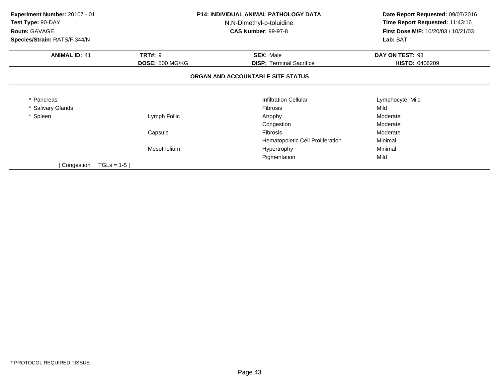| Experiment Number: 20107 - 01<br>Test Type: 90-DAY<br>Route: GAVAGE<br>Species/Strain: RATS/F 344/N |                                          | <b>P14: INDIVIDUAL ANIMAL PATHOLOGY DATA</b><br>N,N-Dimethyl-p-toluidine<br><b>CAS Number: 99-97-8</b> | Date Report Requested: 09/07/2016<br>Time Report Requested: 11:43:16<br>First Dose M/F: 10/20/03 / 10/21/03<br>Lab: BAT |
|-----------------------------------------------------------------------------------------------------|------------------------------------------|--------------------------------------------------------------------------------------------------------|-------------------------------------------------------------------------------------------------------------------------|
| <b>ANIMAL ID: 41</b>                                                                                | <b>TRT#: 9</b><br><b>DOSE: 500 MG/KG</b> | <b>SEX: Male</b><br><b>DISP:</b> Terminal Sacrifice                                                    | DAY ON TEST: 93<br><b>HISTO: 0406209</b>                                                                                |
|                                                                                                     |                                          | ORGAN AND ACCOUNTABLE SITE STATUS                                                                      |                                                                                                                         |
| * Pancreas                                                                                          |                                          | <b>Infiltration Cellular</b>                                                                           | Lymphocyte, Mild                                                                                                        |
| * Salivary Glands                                                                                   |                                          | Fibrosis                                                                                               | Mild                                                                                                                    |
| * Spleen                                                                                            | Lymph Follic                             | Atrophy                                                                                                | Moderate                                                                                                                |
|                                                                                                     |                                          | Congestion                                                                                             | Moderate                                                                                                                |
|                                                                                                     | Capsule                                  | <b>Fibrosis</b>                                                                                        | Moderate                                                                                                                |
|                                                                                                     |                                          | Hematopoietic Cell Proliferation                                                                       | Minimal                                                                                                                 |
|                                                                                                     | Mesothelium                              | Hypertrophy                                                                                            | Minimal                                                                                                                 |
|                                                                                                     |                                          | Pigmentation                                                                                           | Mild                                                                                                                    |
| [ Congestion<br>$TGLs = 1-5$                                                                        |                                          |                                                                                                        |                                                                                                                         |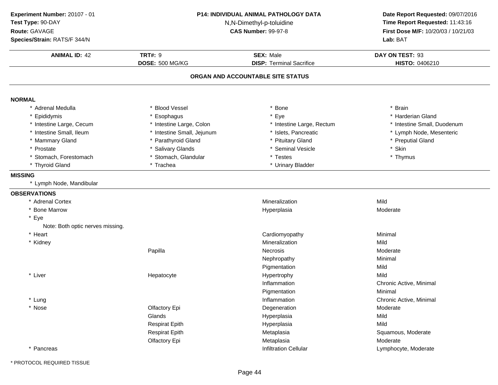| Test Type: 90-DAY<br>Time Report Requested: 11:43:16<br>N,N-Dimethyl-p-toluidine<br>Route: GAVAGE<br>First Dose M/F: 10/20/03 / 10/21/03<br><b>CAS Number: 99-97-8</b><br>Lab: BAT<br><b>ANIMAL ID: 42</b><br><b>TRT#: 9</b><br><b>SEX: Male</b><br>DAY ON TEST: 93<br>DOSE: 500 MG/KG<br><b>DISP: Terminal Sacrifice</b><br>HISTO: 0406210<br>ORGAN AND ACCOUNTABLE SITE STATUS<br>* Adrenal Medulla<br>* Blood Vessel<br>* Brain<br>* Bone<br>* Esophagus<br>* Eye<br>* Harderian Gland<br>* Epididymis<br>* Intestine Large, Cecum<br>* Intestine Large, Colon<br>* Intestine Large, Rectum<br>* Intestine Small, Duodenum<br>* Intestine Small, Ileum<br>* Islets, Pancreatic<br>* Intestine Small, Jejunum<br>* Lymph Node, Mesenteric<br>* Parathyroid Gland<br>* Pituitary Gland<br>* Preputial Gland<br>* Mammary Gland<br>* Skin<br>* Prostate<br>* Salivary Glands<br>* Seminal Vesicle<br>* Stomach, Glandular<br>* Stomach, Forestomach<br>* Testes<br>* Thymus<br>* Thyroid Gland<br>* Trachea<br>* Urinary Bladder<br>* Lymph Node, Mandibular<br>* Adrenal Cortex<br>Mild<br>Mineralization<br>* Bone Marrow<br>Hyperplasia<br>Moderate<br>* Eye<br>Note: Both optic nerves missing.<br>* Heart<br>Cardiomyopathy<br>Minimal<br>* Kidney<br>Mineralization<br>Mild<br>Papilla<br>Necrosis<br>Moderate<br>Minimal<br>Nephropathy<br>Mild<br>Pigmentation<br>* Liver<br>Mild<br>Hypertrophy<br>Hepatocyte<br>Inflammation<br>Chronic Active, Minimal<br>Pigmentation<br>Minimal<br>* Lung<br>Inflammation<br>Chronic Active, Minimal<br>* Nose<br>Olfactory Epi<br>Degeneration<br>Moderate<br>Mild<br>Glands<br>Hyperplasia<br>Mild<br><b>Respirat Epith</b><br>Hyperplasia<br><b>Respirat Epith</b><br>Metaplasia<br>Squamous, Moderate<br>Olfactory Epi<br>Metaplasia<br>Moderate<br>Infiltration Cellular<br>* Pancreas<br>Lymphocyte, Moderate | Experiment Number: 20107 - 01 | P14: INDIVIDUAL ANIMAL PATHOLOGY DATA |  | Date Report Requested: 09/07/2016 |
|------------------------------------------------------------------------------------------------------------------------------------------------------------------------------------------------------------------------------------------------------------------------------------------------------------------------------------------------------------------------------------------------------------------------------------------------------------------------------------------------------------------------------------------------------------------------------------------------------------------------------------------------------------------------------------------------------------------------------------------------------------------------------------------------------------------------------------------------------------------------------------------------------------------------------------------------------------------------------------------------------------------------------------------------------------------------------------------------------------------------------------------------------------------------------------------------------------------------------------------------------------------------------------------------------------------------------------------------------------------------------------------------------------------------------------------------------------------------------------------------------------------------------------------------------------------------------------------------------------------------------------------------------------------------------------------------------------------------------------------------------------------------------------------------------------------------------------------------------------------|-------------------------------|---------------------------------------|--|-----------------------------------|
|                                                                                                                                                                                                                                                                                                                                                                                                                                                                                                                                                                                                                                                                                                                                                                                                                                                                                                                                                                                                                                                                                                                                                                                                                                                                                                                                                                                                                                                                                                                                                                                                                                                                                                                                                                                                                                                                  |                               |                                       |  |                                   |
|                                                                                                                                                                                                                                                                                                                                                                                                                                                                                                                                                                                                                                                                                                                                                                                                                                                                                                                                                                                                                                                                                                                                                                                                                                                                                                                                                                                                                                                                                                                                                                                                                                                                                                                                                                                                                                                                  |                               |                                       |  |                                   |
|                                                                                                                                                                                                                                                                                                                                                                                                                                                                                                                                                                                                                                                                                                                                                                                                                                                                                                                                                                                                                                                                                                                                                                                                                                                                                                                                                                                                                                                                                                                                                                                                                                                                                                                                                                                                                                                                  | Species/Strain: RATS/F 344/N  |                                       |  |                                   |
|                                                                                                                                                                                                                                                                                                                                                                                                                                                                                                                                                                                                                                                                                                                                                                                                                                                                                                                                                                                                                                                                                                                                                                                                                                                                                                                                                                                                                                                                                                                                                                                                                                                                                                                                                                                                                                                                  |                               |                                       |  |                                   |
|                                                                                                                                                                                                                                                                                                                                                                                                                                                                                                                                                                                                                                                                                                                                                                                                                                                                                                                                                                                                                                                                                                                                                                                                                                                                                                                                                                                                                                                                                                                                                                                                                                                                                                                                                                                                                                                                  |                               |                                       |  |                                   |
|                                                                                                                                                                                                                                                                                                                                                                                                                                                                                                                                                                                                                                                                                                                                                                                                                                                                                                                                                                                                                                                                                                                                                                                                                                                                                                                                                                                                                                                                                                                                                                                                                                                                                                                                                                                                                                                                  |                               |                                       |  |                                   |
|                                                                                                                                                                                                                                                                                                                                                                                                                                                                                                                                                                                                                                                                                                                                                                                                                                                                                                                                                                                                                                                                                                                                                                                                                                                                                                                                                                                                                                                                                                                                                                                                                                                                                                                                                                                                                                                                  | <b>NORMAL</b>                 |                                       |  |                                   |
|                                                                                                                                                                                                                                                                                                                                                                                                                                                                                                                                                                                                                                                                                                                                                                                                                                                                                                                                                                                                                                                                                                                                                                                                                                                                                                                                                                                                                                                                                                                                                                                                                                                                                                                                                                                                                                                                  |                               |                                       |  |                                   |
|                                                                                                                                                                                                                                                                                                                                                                                                                                                                                                                                                                                                                                                                                                                                                                                                                                                                                                                                                                                                                                                                                                                                                                                                                                                                                                                                                                                                                                                                                                                                                                                                                                                                                                                                                                                                                                                                  |                               |                                       |  |                                   |
|                                                                                                                                                                                                                                                                                                                                                                                                                                                                                                                                                                                                                                                                                                                                                                                                                                                                                                                                                                                                                                                                                                                                                                                                                                                                                                                                                                                                                                                                                                                                                                                                                                                                                                                                                                                                                                                                  |                               |                                       |  |                                   |
|                                                                                                                                                                                                                                                                                                                                                                                                                                                                                                                                                                                                                                                                                                                                                                                                                                                                                                                                                                                                                                                                                                                                                                                                                                                                                                                                                                                                                                                                                                                                                                                                                                                                                                                                                                                                                                                                  |                               |                                       |  |                                   |
|                                                                                                                                                                                                                                                                                                                                                                                                                                                                                                                                                                                                                                                                                                                                                                                                                                                                                                                                                                                                                                                                                                                                                                                                                                                                                                                                                                                                                                                                                                                                                                                                                                                                                                                                                                                                                                                                  |                               |                                       |  |                                   |
|                                                                                                                                                                                                                                                                                                                                                                                                                                                                                                                                                                                                                                                                                                                                                                                                                                                                                                                                                                                                                                                                                                                                                                                                                                                                                                                                                                                                                                                                                                                                                                                                                                                                                                                                                                                                                                                                  |                               |                                       |  |                                   |
|                                                                                                                                                                                                                                                                                                                                                                                                                                                                                                                                                                                                                                                                                                                                                                                                                                                                                                                                                                                                                                                                                                                                                                                                                                                                                                                                                                                                                                                                                                                                                                                                                                                                                                                                                                                                                                                                  |                               |                                       |  |                                   |
|                                                                                                                                                                                                                                                                                                                                                                                                                                                                                                                                                                                                                                                                                                                                                                                                                                                                                                                                                                                                                                                                                                                                                                                                                                                                                                                                                                                                                                                                                                                                                                                                                                                                                                                                                                                                                                                                  |                               |                                       |  |                                   |
|                                                                                                                                                                                                                                                                                                                                                                                                                                                                                                                                                                                                                                                                                                                                                                                                                                                                                                                                                                                                                                                                                                                                                                                                                                                                                                                                                                                                                                                                                                                                                                                                                                                                                                                                                                                                                                                                  | <b>MISSING</b>                |                                       |  |                                   |
|                                                                                                                                                                                                                                                                                                                                                                                                                                                                                                                                                                                                                                                                                                                                                                                                                                                                                                                                                                                                                                                                                                                                                                                                                                                                                                                                                                                                                                                                                                                                                                                                                                                                                                                                                                                                                                                                  |                               |                                       |  |                                   |
|                                                                                                                                                                                                                                                                                                                                                                                                                                                                                                                                                                                                                                                                                                                                                                                                                                                                                                                                                                                                                                                                                                                                                                                                                                                                                                                                                                                                                                                                                                                                                                                                                                                                                                                                                                                                                                                                  | <b>OBSERVATIONS</b>           |                                       |  |                                   |
|                                                                                                                                                                                                                                                                                                                                                                                                                                                                                                                                                                                                                                                                                                                                                                                                                                                                                                                                                                                                                                                                                                                                                                                                                                                                                                                                                                                                                                                                                                                                                                                                                                                                                                                                                                                                                                                                  |                               |                                       |  |                                   |
|                                                                                                                                                                                                                                                                                                                                                                                                                                                                                                                                                                                                                                                                                                                                                                                                                                                                                                                                                                                                                                                                                                                                                                                                                                                                                                                                                                                                                                                                                                                                                                                                                                                                                                                                                                                                                                                                  |                               |                                       |  |                                   |
|                                                                                                                                                                                                                                                                                                                                                                                                                                                                                                                                                                                                                                                                                                                                                                                                                                                                                                                                                                                                                                                                                                                                                                                                                                                                                                                                                                                                                                                                                                                                                                                                                                                                                                                                                                                                                                                                  |                               |                                       |  |                                   |
|                                                                                                                                                                                                                                                                                                                                                                                                                                                                                                                                                                                                                                                                                                                                                                                                                                                                                                                                                                                                                                                                                                                                                                                                                                                                                                                                                                                                                                                                                                                                                                                                                                                                                                                                                                                                                                                                  |                               |                                       |  |                                   |
|                                                                                                                                                                                                                                                                                                                                                                                                                                                                                                                                                                                                                                                                                                                                                                                                                                                                                                                                                                                                                                                                                                                                                                                                                                                                                                                                                                                                                                                                                                                                                                                                                                                                                                                                                                                                                                                                  |                               |                                       |  |                                   |
|                                                                                                                                                                                                                                                                                                                                                                                                                                                                                                                                                                                                                                                                                                                                                                                                                                                                                                                                                                                                                                                                                                                                                                                                                                                                                                                                                                                                                                                                                                                                                                                                                                                                                                                                                                                                                                                                  |                               |                                       |  |                                   |
|                                                                                                                                                                                                                                                                                                                                                                                                                                                                                                                                                                                                                                                                                                                                                                                                                                                                                                                                                                                                                                                                                                                                                                                                                                                                                                                                                                                                                                                                                                                                                                                                                                                                                                                                                                                                                                                                  |                               |                                       |  |                                   |
|                                                                                                                                                                                                                                                                                                                                                                                                                                                                                                                                                                                                                                                                                                                                                                                                                                                                                                                                                                                                                                                                                                                                                                                                                                                                                                                                                                                                                                                                                                                                                                                                                                                                                                                                                                                                                                                                  |                               |                                       |  |                                   |
|                                                                                                                                                                                                                                                                                                                                                                                                                                                                                                                                                                                                                                                                                                                                                                                                                                                                                                                                                                                                                                                                                                                                                                                                                                                                                                                                                                                                                                                                                                                                                                                                                                                                                                                                                                                                                                                                  |                               |                                       |  |                                   |
|                                                                                                                                                                                                                                                                                                                                                                                                                                                                                                                                                                                                                                                                                                                                                                                                                                                                                                                                                                                                                                                                                                                                                                                                                                                                                                                                                                                                                                                                                                                                                                                                                                                                                                                                                                                                                                                                  |                               |                                       |  |                                   |
|                                                                                                                                                                                                                                                                                                                                                                                                                                                                                                                                                                                                                                                                                                                                                                                                                                                                                                                                                                                                                                                                                                                                                                                                                                                                                                                                                                                                                                                                                                                                                                                                                                                                                                                                                                                                                                                                  |                               |                                       |  |                                   |
|                                                                                                                                                                                                                                                                                                                                                                                                                                                                                                                                                                                                                                                                                                                                                                                                                                                                                                                                                                                                                                                                                                                                                                                                                                                                                                                                                                                                                                                                                                                                                                                                                                                                                                                                                                                                                                                                  |                               |                                       |  |                                   |
|                                                                                                                                                                                                                                                                                                                                                                                                                                                                                                                                                                                                                                                                                                                                                                                                                                                                                                                                                                                                                                                                                                                                                                                                                                                                                                                                                                                                                                                                                                                                                                                                                                                                                                                                                                                                                                                                  |                               |                                       |  |                                   |
|                                                                                                                                                                                                                                                                                                                                                                                                                                                                                                                                                                                                                                                                                                                                                                                                                                                                                                                                                                                                                                                                                                                                                                                                                                                                                                                                                                                                                                                                                                                                                                                                                                                                                                                                                                                                                                                                  |                               |                                       |  |                                   |
|                                                                                                                                                                                                                                                                                                                                                                                                                                                                                                                                                                                                                                                                                                                                                                                                                                                                                                                                                                                                                                                                                                                                                                                                                                                                                                                                                                                                                                                                                                                                                                                                                                                                                                                                                                                                                                                                  |                               |                                       |  |                                   |
|                                                                                                                                                                                                                                                                                                                                                                                                                                                                                                                                                                                                                                                                                                                                                                                                                                                                                                                                                                                                                                                                                                                                                                                                                                                                                                                                                                                                                                                                                                                                                                                                                                                                                                                                                                                                                                                                  |                               |                                       |  |                                   |
|                                                                                                                                                                                                                                                                                                                                                                                                                                                                                                                                                                                                                                                                                                                                                                                                                                                                                                                                                                                                                                                                                                                                                                                                                                                                                                                                                                                                                                                                                                                                                                                                                                                                                                                                                                                                                                                                  |                               |                                       |  |                                   |
|                                                                                                                                                                                                                                                                                                                                                                                                                                                                                                                                                                                                                                                                                                                                                                                                                                                                                                                                                                                                                                                                                                                                                                                                                                                                                                                                                                                                                                                                                                                                                                                                                                                                                                                                                                                                                                                                  |                               |                                       |  |                                   |
|                                                                                                                                                                                                                                                                                                                                                                                                                                                                                                                                                                                                                                                                                                                                                                                                                                                                                                                                                                                                                                                                                                                                                                                                                                                                                                                                                                                                                                                                                                                                                                                                                                                                                                                                                                                                                                                                  |                               |                                       |  |                                   |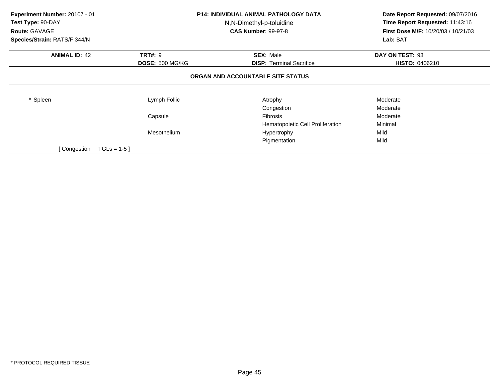| Experiment Number: 20107 - 01<br>Test Type: 90-DAY<br>Route: GAVAGE<br>Species/Strain: RATS/F 344/N |                                   | <b>P14: INDIVIDUAL ANIMAL PATHOLOGY DATA</b><br>N,N-Dimethyl-p-toluidine<br><b>CAS Number: 99-97-8</b> | Date Report Requested: 09/07/2016<br>Time Report Requested: 11:43:16<br><b>First Dose M/F: 10/20/03 / 10/21/03</b><br>Lab: BAT |
|-----------------------------------------------------------------------------------------------------|-----------------------------------|--------------------------------------------------------------------------------------------------------|--------------------------------------------------------------------------------------------------------------------------------|
| <b>ANIMAL ID: 42</b>                                                                                | <b>TRT#: 9</b><br>DOSE: 500 MG/KG | <b>SEX: Male</b><br><b>DISP:</b> Terminal Sacrifice                                                    | DAY ON TEST: 93<br><b>HISTO: 0406210</b>                                                                                       |
|                                                                                                     |                                   | ORGAN AND ACCOUNTABLE SITE STATUS                                                                      |                                                                                                                                |
| Spleen                                                                                              | Lymph Follic                      | Atrophy<br>Congestion                                                                                  | Moderate<br>Moderate                                                                                                           |
|                                                                                                     | Capsule                           | <b>Fibrosis</b><br>Hematopoietic Cell Proliferation                                                    | Moderate<br>Minimal                                                                                                            |
| $TGLs = 1-5$<br>[ Congestion                                                                        | Mesothelium                       | Hypertrophy<br>Pigmentation                                                                            | Mild<br>Mild                                                                                                                   |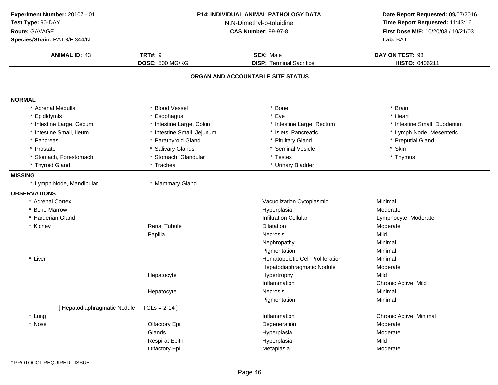| Experiment Number: 20107 - 01 | P14: INDIVIDUAL ANIMAL PATHOLOGY DATA<br>N,N-Dimethyl-p-toluidine |                                   | Date Report Requested: 09/07/2016<br>Time Report Requested: 11:43:16<br>First Dose M/F: 10/20/03 / 10/21/03 |  |
|-------------------------------|-------------------------------------------------------------------|-----------------------------------|-------------------------------------------------------------------------------------------------------------|--|
| Test Type: 90-DAY             |                                                                   |                                   |                                                                                                             |  |
| Route: GAVAGE                 |                                                                   | <b>CAS Number: 99-97-8</b>        |                                                                                                             |  |
| Species/Strain: RATS/F 344/N  |                                                                   |                                   | Lab: BAT                                                                                                    |  |
| <b>ANIMAL ID: 43</b>          | <b>TRT#: 9</b>                                                    | <b>SEX: Male</b>                  | DAY ON TEST: 93                                                                                             |  |
|                               | DOSE: 500 MG/KG                                                   | <b>DISP: Terminal Sacrifice</b>   | HISTO: 0406211                                                                                              |  |
|                               |                                                                   | ORGAN AND ACCOUNTABLE SITE STATUS |                                                                                                             |  |
| <b>NORMAL</b>                 |                                                                   |                                   |                                                                                                             |  |
| * Adrenal Medulla             | * Blood Vessel                                                    | * Bone                            | * Brain                                                                                                     |  |
| * Epididymis                  | Esophagus                                                         | * Eye                             | * Heart                                                                                                     |  |
| * Intestine Large, Cecum      | * Intestine Large, Colon                                          | * Intestine Large, Rectum         | * Intestine Small, Duodenum                                                                                 |  |
| * Intestine Small, Ileum      | * Intestine Small, Jejunum                                        | * Islets, Pancreatic              | * Lymph Node, Mesenteric                                                                                    |  |
| * Pancreas                    | * Parathyroid Gland                                               | * Pituitary Gland                 | * Preputial Gland                                                                                           |  |
| * Prostate                    | * Salivary Glands                                                 | * Seminal Vesicle                 | * Skin                                                                                                      |  |
| * Stomach, Forestomach        | * Stomach, Glandular                                              | * Testes                          | * Thymus                                                                                                    |  |
| * Thyroid Gland               | * Trachea                                                         | * Urinary Bladder                 |                                                                                                             |  |
| <b>MISSING</b>                |                                                                   |                                   |                                                                                                             |  |
| * Lymph Node, Mandibular      | * Mammary Gland                                                   |                                   |                                                                                                             |  |
| <b>OBSERVATIONS</b>           |                                                                   |                                   |                                                                                                             |  |
| * Adrenal Cortex              |                                                                   | Vacuolization Cytoplasmic         | Minimal                                                                                                     |  |
| * Bone Marrow                 |                                                                   | Hyperplasia                       | Moderate                                                                                                    |  |
| * Harderian Gland             |                                                                   | <b>Infiltration Cellular</b>      | Lymphocyte, Moderate                                                                                        |  |
| * Kidney                      | <b>Renal Tubule</b>                                               | Dilatation                        | Moderate                                                                                                    |  |
|                               | Papilla                                                           | <b>Necrosis</b>                   | Mild                                                                                                        |  |
|                               |                                                                   | Nephropathy                       | Minimal                                                                                                     |  |
|                               |                                                                   | Pigmentation                      | Minimal                                                                                                     |  |
| * Liver                       |                                                                   | Hematopoietic Cell Proliferation  | Minimal                                                                                                     |  |
|                               |                                                                   | Hepatodiaphragmatic Nodule        | Moderate                                                                                                    |  |
|                               | Hepatocyte                                                        | Hypertrophy                       | Mild                                                                                                        |  |
|                               |                                                                   | Inflammation                      | Chronic Active, Mild                                                                                        |  |
|                               | Hepatocyte                                                        | Necrosis                          | Minimal                                                                                                     |  |
|                               |                                                                   | Pigmentation                      | Minimal                                                                                                     |  |
| [ Hepatodiaphragmatic Nodule  | $TGLs = 2-14$ ]                                                   |                                   |                                                                                                             |  |
| * Lung                        |                                                                   | Inflammation                      | Chronic Active, Minimal                                                                                     |  |
| * Nose                        | Olfactory Epi                                                     | Degeneration                      | Moderate                                                                                                    |  |
|                               | Glands                                                            | Hyperplasia                       | Moderate                                                                                                    |  |
|                               | <b>Respirat Epith</b>                                             | Hyperplasia                       | Mild                                                                                                        |  |
|                               | Olfactory Epi                                                     | Metaplasia                        | Moderate                                                                                                    |  |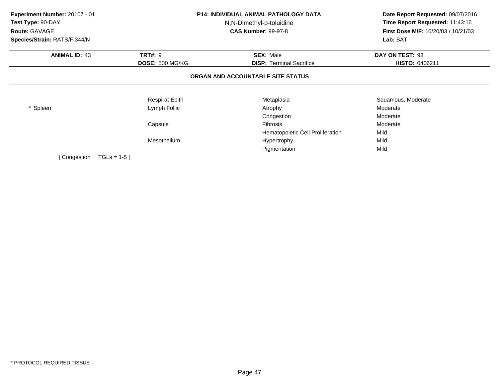| Experiment Number: 20107 - 01<br>Test Type: 90-DAY<br>Route: GAVAGE<br>Species/Strain: RATS/F 344/N |                        | <b>P14: INDIVIDUAL ANIMAL PATHOLOGY DATA</b><br>N,N-Dimethyl-p-toluidine<br><b>CAS Number: 99-97-8</b> | Date Report Requested: 09/07/2016<br>Time Report Requested: 11:43:16<br>First Dose M/F: 10/20/03 / 10/21/03<br>Lab: BAT |  |
|-----------------------------------------------------------------------------------------------------|------------------------|--------------------------------------------------------------------------------------------------------|-------------------------------------------------------------------------------------------------------------------------|--|
| <b>ANIMAL ID: 43</b>                                                                                | <b>TRT#: 9</b>         | <b>SEX: Male</b>                                                                                       | DAY ON TEST: 93                                                                                                         |  |
|                                                                                                     | <b>DOSE: 500 MG/KG</b> | <b>DISP:</b> Terminal Sacrifice                                                                        | <b>HISTO: 0406211</b>                                                                                                   |  |
|                                                                                                     |                        | ORGAN AND ACCOUNTABLE SITE STATUS                                                                      |                                                                                                                         |  |
|                                                                                                     | <b>Respirat Epith</b>  | Metaplasia                                                                                             | Squamous, Moderate                                                                                                      |  |
| Spleen                                                                                              | Lymph Follic           | Atrophy                                                                                                | Moderate                                                                                                                |  |
|                                                                                                     |                        | Congestion                                                                                             | Moderate                                                                                                                |  |
|                                                                                                     | Capsule                | <b>Fibrosis</b>                                                                                        | Moderate                                                                                                                |  |
|                                                                                                     |                        | Hematopoietic Cell Proliferation                                                                       | Mild                                                                                                                    |  |
|                                                                                                     | Mesothelium            | Hypertrophy                                                                                            | Mild                                                                                                                    |  |
|                                                                                                     |                        | Pigmentation                                                                                           | Mild                                                                                                                    |  |
| $TGLs = 1-5$<br>[ Congestion                                                                        |                        |                                                                                                        |                                                                                                                         |  |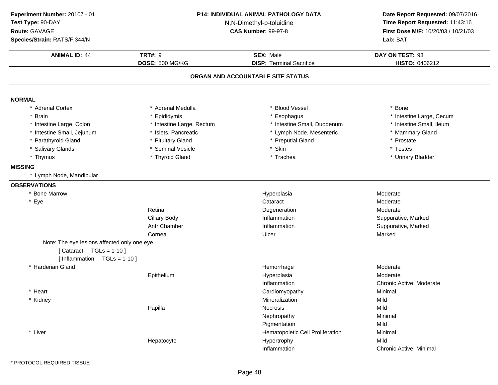| Experiment Number: 20107 - 01                           |                           | P14: INDIVIDUAL ANIMAL PATHOLOGY DATA | Date Report Requested: 09/07/2016   |  |
|---------------------------------------------------------|---------------------------|---------------------------------------|-------------------------------------|--|
| Test Type: 90-DAY                                       | N,N-Dimethyl-p-toluidine  |                                       | Time Report Requested: 11:43:16     |  |
| Route: GAVAGE                                           |                           | <b>CAS Number: 99-97-8</b>            | First Dose M/F: 10/20/03 / 10/21/03 |  |
| Species/Strain: RATS/F 344/N                            |                           |                                       | Lab: BAT                            |  |
| <b>ANIMAL ID: 44</b>                                    | <b>TRT#: 9</b>            | <b>SEX: Male</b>                      | DAY ON TEST: 93                     |  |
|                                                         | DOSE: 500 MG/KG           | <b>DISP: Terminal Sacrifice</b>       | HISTO: 0406212                      |  |
|                                                         |                           | ORGAN AND ACCOUNTABLE SITE STATUS     |                                     |  |
| <b>NORMAL</b>                                           |                           |                                       |                                     |  |
| * Adrenal Cortex                                        | * Adrenal Medulla         | * Blood Vessel                        | * Bone                              |  |
| * Brain                                                 | * Epididymis              | * Esophagus                           | * Intestine Large, Cecum            |  |
| * Intestine Large, Colon                                | * Intestine Large, Rectum | * Intestine Small, Duodenum           | * Intestine Small, Ileum            |  |
| * Intestine Small, Jejunum                              | * Islets, Pancreatic      | * Lymph Node, Mesenteric              | * Mammary Gland                     |  |
| * Parathyroid Gland                                     | * Pituitary Gland         | * Preputial Gland                     | * Prostate                          |  |
| * Salivary Glands                                       | * Seminal Vesicle         | * Skin                                | * Testes                            |  |
| * Thymus                                                | * Thyroid Gland           | * Trachea                             | * Urinary Bladder                   |  |
| <b>MISSING</b>                                          |                           |                                       |                                     |  |
| * Lymph Node, Mandibular                                |                           |                                       |                                     |  |
| <b>OBSERVATIONS</b>                                     |                           |                                       |                                     |  |
| * Bone Marrow                                           |                           | Hyperplasia                           | Moderate                            |  |
| * Eye                                                   |                           | Cataract                              | Moderate                            |  |
|                                                         | Retina                    | Degeneration                          | Moderate                            |  |
|                                                         | <b>Ciliary Body</b>       | Inflammation                          | Suppurative, Marked                 |  |
|                                                         | Antr Chamber              | Inflammation                          | Suppurative, Marked                 |  |
|                                                         | Cornea                    | Ulcer                                 | Marked                              |  |
| Note: The eye lesions affected only one eye.            |                           |                                       |                                     |  |
| [Cataract $TGLs = 1-10$ ]<br>[Inflammation TGLs = 1-10] |                           |                                       |                                     |  |
| * Harderian Gland                                       |                           |                                       | Moderate                            |  |
|                                                         |                           | Hemorrhage                            | Moderate                            |  |
|                                                         | Epithelium                | Hyperplasia<br>Inflammation           |                                     |  |
|                                                         |                           |                                       | Chronic Active, Moderate            |  |
| * Heart                                                 |                           | Cardiomyopathy                        | Minimal                             |  |
| * Kidney                                                |                           | Mineralization                        | Mild                                |  |
|                                                         | Papilla                   | Necrosis                              | Mild                                |  |
|                                                         |                           | Nephropathy                           | Minimal                             |  |
|                                                         |                           | Pigmentation                          | Mild                                |  |
| * Liver                                                 |                           | Hematopoietic Cell Proliferation      | Minimal                             |  |
|                                                         | Hepatocyte                | Hypertrophy                           | Mild                                |  |
|                                                         |                           | Inflammation                          | Chronic Active, Minimal             |  |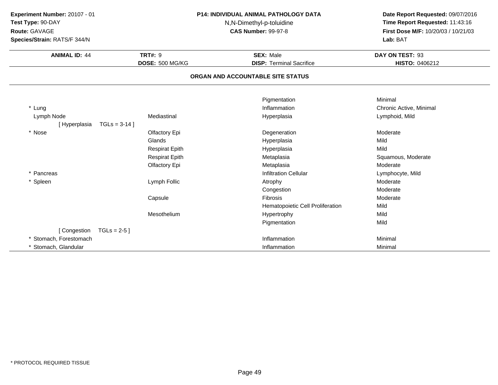| Experiment Number: 20107 - 01<br>Test Type: 90-DAY<br>Route: GAVAGE<br>Species/Strain: RATS/F 344/N<br><b>ANIMAL ID: 44</b> | <b>TRT#: 9</b>        | <b>P14: INDIVIDUAL ANIMAL PATHOLOGY DATA</b><br>N,N-Dimethyl-p-toluidine<br><b>CAS Number: 99-97-8</b><br><b>SEX: Male</b> | Date Report Requested: 09/07/2016<br>Time Report Requested: 11:43:16<br>First Dose M/F: 10/20/03 / 10/21/03<br>Lab: BAT<br>DAY ON TEST: 93 |
|-----------------------------------------------------------------------------------------------------------------------------|-----------------------|----------------------------------------------------------------------------------------------------------------------------|--------------------------------------------------------------------------------------------------------------------------------------------|
|                                                                                                                             | DOSE: 500 MG/KG       | <b>DISP: Terminal Sacrifice</b>                                                                                            | HISTO: 0406212                                                                                                                             |
|                                                                                                                             |                       | ORGAN AND ACCOUNTABLE SITE STATUS                                                                                          |                                                                                                                                            |
|                                                                                                                             |                       | Pigmentation                                                                                                               | Minimal                                                                                                                                    |
| * Lung                                                                                                                      |                       | Inflammation                                                                                                               | Chronic Active, Minimal                                                                                                                    |
| Lymph Node                                                                                                                  | Mediastinal           | Hyperplasia                                                                                                                | Lymphoid, Mild                                                                                                                             |
| [Hyperplasia                                                                                                                | $TGLs = 3-14$ ]       |                                                                                                                            |                                                                                                                                            |
| * Nose                                                                                                                      | Olfactory Epi         | Degeneration                                                                                                               | Moderate                                                                                                                                   |
|                                                                                                                             | Glands                | Hyperplasia                                                                                                                | Mild                                                                                                                                       |
|                                                                                                                             | <b>Respirat Epith</b> | Hyperplasia                                                                                                                | Mild                                                                                                                                       |
|                                                                                                                             | <b>Respirat Epith</b> | Metaplasia                                                                                                                 | Squamous, Moderate                                                                                                                         |
|                                                                                                                             | Olfactory Epi         | Metaplasia                                                                                                                 | Moderate                                                                                                                                   |
| * Pancreas                                                                                                                  |                       | <b>Infiltration Cellular</b>                                                                                               | Lymphocyte, Mild                                                                                                                           |
| * Spleen                                                                                                                    | Lymph Follic          | Atrophy                                                                                                                    | Moderate                                                                                                                                   |
|                                                                                                                             |                       | Congestion                                                                                                                 | Moderate                                                                                                                                   |
|                                                                                                                             | Capsule               | Fibrosis                                                                                                                   | Moderate                                                                                                                                   |
|                                                                                                                             |                       | Hematopoietic Cell Proliferation                                                                                           | Mild                                                                                                                                       |
|                                                                                                                             | Mesothelium           | Hypertrophy                                                                                                                | Mild                                                                                                                                       |
|                                                                                                                             |                       | Pigmentation                                                                                                               | Mild                                                                                                                                       |
| [ Congestion                                                                                                                | TGLs = $2-5$ ]        |                                                                                                                            |                                                                                                                                            |
| * Stomach, Forestomach                                                                                                      |                       | Inflammation                                                                                                               | Minimal                                                                                                                                    |
| * Stomach, Glandular                                                                                                        |                       | Inflammation                                                                                                               | Minimal                                                                                                                                    |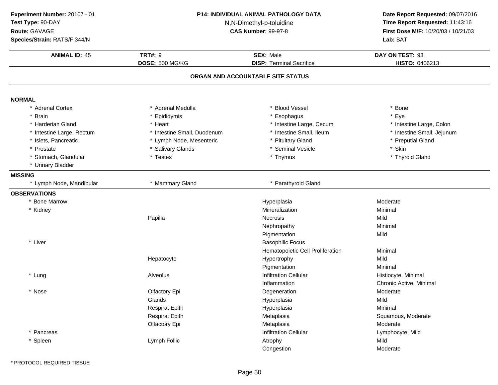| Experiment Number: 20107 - 01 |                                                        | P14: INDIVIDUAL ANIMAL PATHOLOGY DATA | Date Report Requested: 09/07/2016   |  |
|-------------------------------|--------------------------------------------------------|---------------------------------------|-------------------------------------|--|
| Test Type: 90-DAY             | N,N-Dimethyl-p-toluidine<br><b>CAS Number: 99-97-8</b> |                                       | Time Report Requested: 11:43:16     |  |
| Route: GAVAGE                 |                                                        |                                       | First Dose M/F: 10/20/03 / 10/21/03 |  |
| Species/Strain: RATS/F 344/N  |                                                        |                                       |                                     |  |
| <b>ANIMAL ID: 45</b>          | <b>TRT#: 9</b>                                         | <b>SEX: Male</b>                      | DAY ON TEST: 93                     |  |
|                               | DOSE: 500 MG/KG                                        | <b>DISP: Terminal Sacrifice</b>       | HISTO: 0406213                      |  |
|                               |                                                        | ORGAN AND ACCOUNTABLE SITE STATUS     |                                     |  |
| <b>NORMAL</b>                 |                                                        |                                       |                                     |  |
| * Adrenal Cortex              | * Adrenal Medulla                                      | * Blood Vessel                        | * Bone                              |  |
| * Brain                       | * Epididymis                                           | * Esophagus                           | * Eye                               |  |
| * Harderian Gland             | * Heart                                                | * Intestine Large, Cecum              | * Intestine Large, Colon            |  |
| * Intestine Large, Rectum     | * Intestine Small, Duodenum                            | * Intestine Small, Ileum              | * Intestine Small, Jejunum          |  |
| * Islets, Pancreatic          | * Lymph Node, Mesenteric                               | * Pituitary Gland                     | * Preputial Gland                   |  |
| * Prostate                    | * Salivary Glands                                      | * Seminal Vesicle                     | * Skin                              |  |
| * Stomach, Glandular          | * Testes                                               | * Thymus                              | * Thyroid Gland                     |  |
| * Urinary Bladder             |                                                        |                                       |                                     |  |
| <b>MISSING</b>                |                                                        |                                       |                                     |  |
| * Lymph Node, Mandibular      | * Mammary Gland                                        | * Parathyroid Gland                   |                                     |  |
| <b>OBSERVATIONS</b>           |                                                        |                                       |                                     |  |
| <b>Bone Marrow</b>            |                                                        | Hyperplasia                           | Moderate                            |  |
| * Kidney                      |                                                        | Mineralization                        | Minimal                             |  |
|                               | Papilla                                                | <b>Necrosis</b>                       | Mild                                |  |
|                               |                                                        | Nephropathy                           | Minimal                             |  |
|                               |                                                        | Pigmentation                          | Mild                                |  |
| * Liver                       |                                                        | <b>Basophilic Focus</b>               |                                     |  |
|                               |                                                        | Hematopoietic Cell Proliferation      | Minimal                             |  |
|                               | Hepatocyte                                             | Hypertrophy                           | Mild                                |  |
|                               |                                                        | Pigmentation                          | Minimal                             |  |
| * Lung                        | Alveolus                                               | <b>Infiltration Cellular</b>          | Histiocyte, Minimal                 |  |
|                               |                                                        | Inflammation                          | Chronic Active, Minimal             |  |
| $*$ Nose                      | Olfactory Epi                                          | Degeneration                          | Moderate                            |  |
|                               | Glands                                                 | Hyperplasia                           | Mild                                |  |
|                               | <b>Respirat Epith</b>                                  | Hyperplasia                           | Minimal                             |  |
|                               | <b>Respirat Epith</b>                                  | Metaplasia                            | Squamous, Moderate                  |  |
|                               | Olfactory Epi                                          | Metaplasia                            | Moderate                            |  |
| * Pancreas                    |                                                        | <b>Infiltration Cellular</b>          | Lymphocyte, Mild                    |  |
| * Spleen                      | Lymph Follic                                           | Atrophy                               | Mild                                |  |
|                               |                                                        | Congestion                            | Moderate                            |  |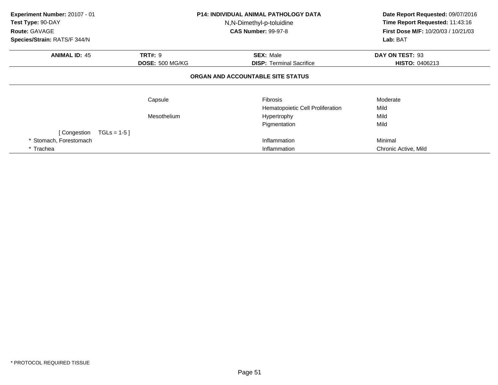| Experiment Number: 20107 - 01<br>Test Type: 90-DAY<br>Route: GAVAGE<br>Species/Strain: RATS/F 344/N |                                          | <b>P14: INDIVIDUAL ANIMAL PATHOLOGY DATA</b><br>N,N-Dimethyl-p-toluidine<br><b>CAS Number: 99-97-8</b> | Date Report Requested: 09/07/2016<br>Time Report Requested: 11:43:16<br>First Dose M/F: 10/20/03 / 10/21/03<br>Lab: BAT |  |
|-----------------------------------------------------------------------------------------------------|------------------------------------------|--------------------------------------------------------------------------------------------------------|-------------------------------------------------------------------------------------------------------------------------|--|
| <b>ANIMAL ID: 45</b>                                                                                | <b>TRT#: 9</b><br><b>DOSE: 500 MG/KG</b> | <b>SEX: Male</b><br><b>DISP: Terminal Sacrifice</b>                                                    | DAY ON TEST: 93<br><b>HISTO: 0406213</b>                                                                                |  |
|                                                                                                     |                                          | ORGAN AND ACCOUNTABLE SITE STATUS                                                                      |                                                                                                                         |  |
|                                                                                                     | Capsule                                  | <b>Fibrosis</b>                                                                                        | Moderate                                                                                                                |  |
|                                                                                                     | Mesothelium                              | Hematopoietic Cell Proliferation<br>Hypertrophy                                                        | Mild<br>Mild                                                                                                            |  |
|                                                                                                     |                                          | Pigmentation                                                                                           | Mild                                                                                                                    |  |
| $TGLs = 1-5$<br>[ Congestion                                                                        |                                          |                                                                                                        |                                                                                                                         |  |
| * Stomach, Forestomach                                                                              |                                          | Inflammation                                                                                           | Minimal                                                                                                                 |  |
| * Trachea                                                                                           |                                          | Inflammation                                                                                           | Chronic Active, Mild                                                                                                    |  |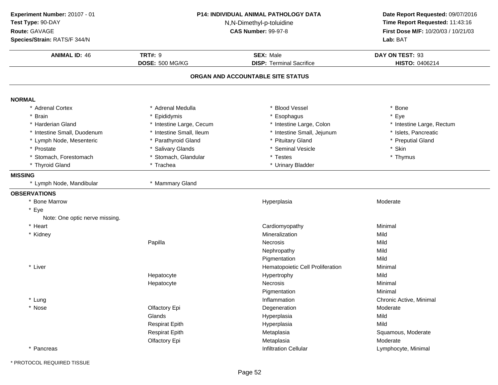| Experiment Number: 20107 - 01<br>Test Type: 90-DAY<br>N,N-Dimethyl-p-toluidine<br>Route: GAVAGE<br><b>CAS Number: 99-97-8</b><br>Species/Strain: RATS/F 344/N<br>Lab: BAT<br><b>TRT#: 9</b><br><b>SEX: Male</b><br><b>ANIMAL ID: 46</b><br>DAY ON TEST: 93<br><b>DISP: Terminal Sacrifice</b><br>DOSE: 500 MG/KG<br>HISTO: 0406214<br>ORGAN AND ACCOUNTABLE SITE STATUS<br><b>NORMAL</b><br>* Adrenal Medulla<br><b>Blood Vessel</b><br>Bone<br>* Adrenal Cortex<br>* Eye<br>* Brain<br>Epididymis<br>Esophagus<br>* Harderian Gland<br>* Intestine Large, Cecum<br>* Intestine Large, Colon<br>* Intestine Large, Rectum<br>* Intestine Small, Ileum<br>* Intestine Small, Duodenum<br>* Intestine Small, Jejunum<br>* Islets, Pancreatic<br>* Parathyroid Gland<br>* Pituitary Gland<br>* Preputial Gland<br>* Lymph Node, Mesenteric<br>* Skin<br>* Prostate<br>* Salivary Glands<br>* Seminal Vesicle<br>* Stomach, Glandular<br>* Stomach, Forestomach<br>* Testes<br>* Thymus<br>* Thyroid Gland<br>* Trachea<br>* Urinary Bladder<br><b>MISSING</b><br>* Mammary Gland<br>* Lymph Node, Mandibular<br><b>OBSERVATIONS</b> |                                                                                                             |  |
|----------------------------------------------------------------------------------------------------------------------------------------------------------------------------------------------------------------------------------------------------------------------------------------------------------------------------------------------------------------------------------------------------------------------------------------------------------------------------------------------------------------------------------------------------------------------------------------------------------------------------------------------------------------------------------------------------------------------------------------------------------------------------------------------------------------------------------------------------------------------------------------------------------------------------------------------------------------------------------------------------------------------------------------------------------------------------------------------------------------------------------|-------------------------------------------------------------------------------------------------------------|--|
|                                                                                                                                                                                                                                                                                                                                                                                                                                                                                                                                                                                                                                                                                                                                                                                                                                                                                                                                                                                                                                                                                                                                  | Date Report Requested: 09/07/2016<br>Time Report Requested: 11:43:16<br>First Dose M/F: 10/20/03 / 10/21/03 |  |
|                                                                                                                                                                                                                                                                                                                                                                                                                                                                                                                                                                                                                                                                                                                                                                                                                                                                                                                                                                                                                                                                                                                                  |                                                                                                             |  |
|                                                                                                                                                                                                                                                                                                                                                                                                                                                                                                                                                                                                                                                                                                                                                                                                                                                                                                                                                                                                                                                                                                                                  |                                                                                                             |  |
|                                                                                                                                                                                                                                                                                                                                                                                                                                                                                                                                                                                                                                                                                                                                                                                                                                                                                                                                                                                                                                                                                                                                  |                                                                                                             |  |
|                                                                                                                                                                                                                                                                                                                                                                                                                                                                                                                                                                                                                                                                                                                                                                                                                                                                                                                                                                                                                                                                                                                                  |                                                                                                             |  |
|                                                                                                                                                                                                                                                                                                                                                                                                                                                                                                                                                                                                                                                                                                                                                                                                                                                                                                                                                                                                                                                                                                                                  |                                                                                                             |  |
|                                                                                                                                                                                                                                                                                                                                                                                                                                                                                                                                                                                                                                                                                                                                                                                                                                                                                                                                                                                                                                                                                                                                  |                                                                                                             |  |
|                                                                                                                                                                                                                                                                                                                                                                                                                                                                                                                                                                                                                                                                                                                                                                                                                                                                                                                                                                                                                                                                                                                                  |                                                                                                             |  |
|                                                                                                                                                                                                                                                                                                                                                                                                                                                                                                                                                                                                                                                                                                                                                                                                                                                                                                                                                                                                                                                                                                                                  |                                                                                                             |  |
|                                                                                                                                                                                                                                                                                                                                                                                                                                                                                                                                                                                                                                                                                                                                                                                                                                                                                                                                                                                                                                                                                                                                  |                                                                                                             |  |
|                                                                                                                                                                                                                                                                                                                                                                                                                                                                                                                                                                                                                                                                                                                                                                                                                                                                                                                                                                                                                                                                                                                                  |                                                                                                             |  |
|                                                                                                                                                                                                                                                                                                                                                                                                                                                                                                                                                                                                                                                                                                                                                                                                                                                                                                                                                                                                                                                                                                                                  |                                                                                                             |  |
|                                                                                                                                                                                                                                                                                                                                                                                                                                                                                                                                                                                                                                                                                                                                                                                                                                                                                                                                                                                                                                                                                                                                  |                                                                                                             |  |
|                                                                                                                                                                                                                                                                                                                                                                                                                                                                                                                                                                                                                                                                                                                                                                                                                                                                                                                                                                                                                                                                                                                                  |                                                                                                             |  |
|                                                                                                                                                                                                                                                                                                                                                                                                                                                                                                                                                                                                                                                                                                                                                                                                                                                                                                                                                                                                                                                                                                                                  |                                                                                                             |  |
|                                                                                                                                                                                                                                                                                                                                                                                                                                                                                                                                                                                                                                                                                                                                                                                                                                                                                                                                                                                                                                                                                                                                  |                                                                                                             |  |
|                                                                                                                                                                                                                                                                                                                                                                                                                                                                                                                                                                                                                                                                                                                                                                                                                                                                                                                                                                                                                                                                                                                                  |                                                                                                             |  |
|                                                                                                                                                                                                                                                                                                                                                                                                                                                                                                                                                                                                                                                                                                                                                                                                                                                                                                                                                                                                                                                                                                                                  |                                                                                                             |  |
| * Bone Marrow<br>Hyperplasia<br>Moderate                                                                                                                                                                                                                                                                                                                                                                                                                                                                                                                                                                                                                                                                                                                                                                                                                                                                                                                                                                                                                                                                                         |                                                                                                             |  |
| * Eye                                                                                                                                                                                                                                                                                                                                                                                                                                                                                                                                                                                                                                                                                                                                                                                                                                                                                                                                                                                                                                                                                                                            |                                                                                                             |  |
| Note: One optic nerve missing.                                                                                                                                                                                                                                                                                                                                                                                                                                                                                                                                                                                                                                                                                                                                                                                                                                                                                                                                                                                                                                                                                                   |                                                                                                             |  |
| * Heart<br>Cardiomyopathy<br>Minimal                                                                                                                                                                                                                                                                                                                                                                                                                                                                                                                                                                                                                                                                                                                                                                                                                                                                                                                                                                                                                                                                                             |                                                                                                             |  |
| * Kidney<br>Mineralization<br>Mild                                                                                                                                                                                                                                                                                                                                                                                                                                                                                                                                                                                                                                                                                                                                                                                                                                                                                                                                                                                                                                                                                               |                                                                                                             |  |
| Mild<br>Papilla<br><b>Necrosis</b>                                                                                                                                                                                                                                                                                                                                                                                                                                                                                                                                                                                                                                                                                                                                                                                                                                                                                                                                                                                                                                                                                               |                                                                                                             |  |
| Mild<br>Nephropathy                                                                                                                                                                                                                                                                                                                                                                                                                                                                                                                                                                                                                                                                                                                                                                                                                                                                                                                                                                                                                                                                                                              |                                                                                                             |  |
| Mild<br>Pigmentation                                                                                                                                                                                                                                                                                                                                                                                                                                                                                                                                                                                                                                                                                                                                                                                                                                                                                                                                                                                                                                                                                                             |                                                                                                             |  |
| * Liver<br>Hematopoietic Cell Proliferation<br>Minimal                                                                                                                                                                                                                                                                                                                                                                                                                                                                                                                                                                                                                                                                                                                                                                                                                                                                                                                                                                                                                                                                           |                                                                                                             |  |
| Mild<br>Hypertrophy<br>Hepatocyte                                                                                                                                                                                                                                                                                                                                                                                                                                                                                                                                                                                                                                                                                                                                                                                                                                                                                                                                                                                                                                                                                                |                                                                                                             |  |
| Necrosis<br>Minimal<br>Hepatocyte                                                                                                                                                                                                                                                                                                                                                                                                                                                                                                                                                                                                                                                                                                                                                                                                                                                                                                                                                                                                                                                                                                |                                                                                                             |  |
| Minimal<br>Pigmentation                                                                                                                                                                                                                                                                                                                                                                                                                                                                                                                                                                                                                                                                                                                                                                                                                                                                                                                                                                                                                                                                                                          |                                                                                                             |  |
| * Lung<br>Inflammation<br>Chronic Active, Minimal                                                                                                                                                                                                                                                                                                                                                                                                                                                                                                                                                                                                                                                                                                                                                                                                                                                                                                                                                                                                                                                                                |                                                                                                             |  |
| * Nose<br>Olfactory Epi<br>Degeneration<br>Moderate                                                                                                                                                                                                                                                                                                                                                                                                                                                                                                                                                                                                                                                                                                                                                                                                                                                                                                                                                                                                                                                                              |                                                                                                             |  |
| Mild<br>Glands<br>Hyperplasia                                                                                                                                                                                                                                                                                                                                                                                                                                                                                                                                                                                                                                                                                                                                                                                                                                                                                                                                                                                                                                                                                                    |                                                                                                             |  |
| Mild<br><b>Respirat Epith</b><br>Hyperplasia                                                                                                                                                                                                                                                                                                                                                                                                                                                                                                                                                                                                                                                                                                                                                                                                                                                                                                                                                                                                                                                                                     |                                                                                                             |  |
| <b>Respirat Epith</b><br>Metaplasia<br>Squamous, Moderate                                                                                                                                                                                                                                                                                                                                                                                                                                                                                                                                                                                                                                                                                                                                                                                                                                                                                                                                                                                                                                                                        |                                                                                                             |  |
| Olfactory Epi<br>Metaplasia<br>Moderate                                                                                                                                                                                                                                                                                                                                                                                                                                                                                                                                                                                                                                                                                                                                                                                                                                                                                                                                                                                                                                                                                          |                                                                                                             |  |
| <b>Infiltration Cellular</b><br>* Pancreas<br>Lymphocyte, Minimal                                                                                                                                                                                                                                                                                                                                                                                                                                                                                                                                                                                                                                                                                                                                                                                                                                                                                                                                                                                                                                                                |                                                                                                             |  |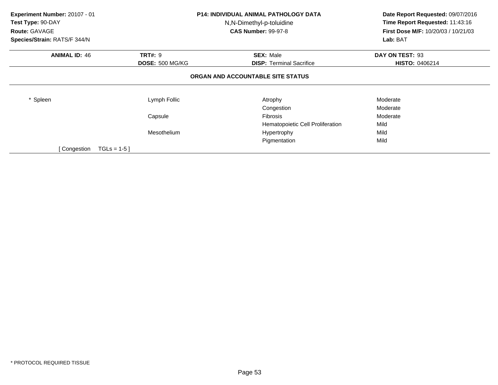| Experiment Number: 20107 - 01<br>Test Type: 90-DAY<br>Route: GAVAGE<br>Species/Strain: RATS/F 344/N |                                          | <b>P14: INDIVIDUAL ANIMAL PATHOLOGY DATA</b><br>N,N-Dimethyl-p-toluidine<br><b>CAS Number: 99-97-8</b> | Date Report Requested: 09/07/2016<br>Time Report Requested: 11:43:16<br>First Dose M/F: 10/20/03 / 10/21/03<br>Lab: BAT |  |
|-----------------------------------------------------------------------------------------------------|------------------------------------------|--------------------------------------------------------------------------------------------------------|-------------------------------------------------------------------------------------------------------------------------|--|
| <b>ANIMAL ID: 46</b>                                                                                | <b>TRT#: 9</b><br><b>DOSE: 500 MG/KG</b> | <b>SEX: Male</b><br><b>DISP:</b> Terminal Sacrifice                                                    | DAY ON TEST: 93<br><b>HISTO: 0406214</b>                                                                                |  |
|                                                                                                     |                                          | ORGAN AND ACCOUNTABLE SITE STATUS                                                                      |                                                                                                                         |  |
| Spleen                                                                                              | Lymph Follic                             | Atrophy<br>Congestion                                                                                  | Moderate<br>Moderate                                                                                                    |  |
|                                                                                                     | Capsule                                  | <b>Fibrosis</b><br>Hematopoietic Cell Proliferation                                                    | Moderate<br>Mild                                                                                                        |  |
| $TGLs = 1-5$<br>[ Congestion                                                                        | Mesothelium                              | Hypertrophy<br>Pigmentation                                                                            | Mild<br>Mild                                                                                                            |  |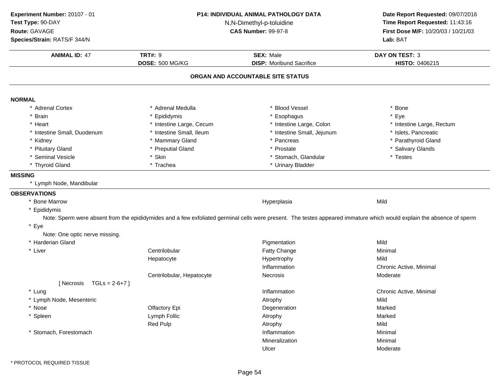| Experiment Number: 20107 - 01  | <b>P14: INDIVIDUAL ANIMAL PATHOLOGY DATA</b> |                                   | Date Report Requested: 09/07/2016<br>Time Report Requested: 11:43:16<br>First Dose M/F: 10/20/03 / 10/21/03                                                           |  |
|--------------------------------|----------------------------------------------|-----------------------------------|-----------------------------------------------------------------------------------------------------------------------------------------------------------------------|--|
| Test Type: 90-DAY              | N,N-Dimethyl-p-toluidine                     |                                   |                                                                                                                                                                       |  |
| Route: GAVAGE                  |                                              | <b>CAS Number: 99-97-8</b>        |                                                                                                                                                                       |  |
| Species/Strain: RATS/F 344/N   |                                              |                                   | Lab: BAT                                                                                                                                                              |  |
| <b>ANIMAL ID: 47</b>           | <b>TRT#: 9</b>                               | <b>SEX: Male</b>                  | <b>DAY ON TEST: 3</b>                                                                                                                                                 |  |
|                                | <b>DOSE: 500 MG/KG</b>                       | <b>DISP:</b> Moribund Sacrifice   | HISTO: 0406215                                                                                                                                                        |  |
|                                |                                              | ORGAN AND ACCOUNTABLE SITE STATUS |                                                                                                                                                                       |  |
| <b>NORMAL</b>                  |                                              |                                   |                                                                                                                                                                       |  |
| * Adrenal Cortex               | * Adrenal Medulla                            | * Blood Vessel                    | * Bone                                                                                                                                                                |  |
| * Brain                        | * Epididymis                                 | * Esophagus                       | * Eye                                                                                                                                                                 |  |
| * Heart                        | * Intestine Large, Cecum                     | * Intestine Large, Colon          | * Intestine Large, Rectum                                                                                                                                             |  |
| * Intestine Small, Duodenum    | * Intestine Small, Ileum                     | * Intestine Small, Jejunum        | * Islets, Pancreatic                                                                                                                                                  |  |
| * Kidney                       | * Mammary Gland                              | * Pancreas                        | * Parathyroid Gland                                                                                                                                                   |  |
| * Pituitary Gland              | * Preputial Gland                            | * Prostate                        | * Salivary Glands                                                                                                                                                     |  |
| * Seminal Vesicle              | * Skin                                       | * Stomach, Glandular              | * Testes                                                                                                                                                              |  |
| * Thyroid Gland                | * Trachea                                    | * Urinary Bladder                 |                                                                                                                                                                       |  |
| <b>MISSING</b>                 |                                              |                                   |                                                                                                                                                                       |  |
| * Lymph Node, Mandibular       |                                              |                                   |                                                                                                                                                                       |  |
| <b>OBSERVATIONS</b>            |                                              |                                   |                                                                                                                                                                       |  |
| * Bone Marrow                  |                                              | Hyperplasia                       | Mild                                                                                                                                                                  |  |
| * Epididymis                   |                                              |                                   |                                                                                                                                                                       |  |
|                                |                                              |                                   | Note: Sperm were absent from the epididymides and a few exfoliated germinal cells were present. The testes appeared immature which would explain the absence of sperm |  |
| * Eye                          |                                              |                                   |                                                                                                                                                                       |  |
| Note: One optic nerve missing. |                                              |                                   |                                                                                                                                                                       |  |
| * Harderian Gland              |                                              | Pigmentation                      | Mild                                                                                                                                                                  |  |
| * Liver                        | Centrilobular                                | <b>Fatty Change</b>               | Minimal                                                                                                                                                               |  |
|                                | Hepatocyte                                   | Hypertrophy                       | Mild                                                                                                                                                                  |  |
|                                |                                              | Inflammation                      | Chronic Active, Minimal                                                                                                                                               |  |
|                                | Centrilobular, Hepatocyte                    | <b>Necrosis</b>                   | Moderate                                                                                                                                                              |  |
| $TGLs = 2-6+7$ ]<br>[ Necrosis |                                              |                                   |                                                                                                                                                                       |  |
| * Lung                         |                                              | Inflammation                      | Chronic Active, Minimal                                                                                                                                               |  |
| * Lymph Node, Mesenteric       |                                              | Atrophy                           | Mild                                                                                                                                                                  |  |
| * Nose                         | Olfactory Epi                                | Degeneration                      | Marked                                                                                                                                                                |  |
| * Spleen                       | Lymph Follic                                 | Atrophy                           | Marked                                                                                                                                                                |  |
|                                | Red Pulp                                     | Atrophy                           | Mild                                                                                                                                                                  |  |
| * Stomach, Forestomach         |                                              | Inflammation                      | Minimal                                                                                                                                                               |  |
|                                |                                              | Mineralization                    | Minimal                                                                                                                                                               |  |
|                                |                                              | Ulcer                             | Moderate                                                                                                                                                              |  |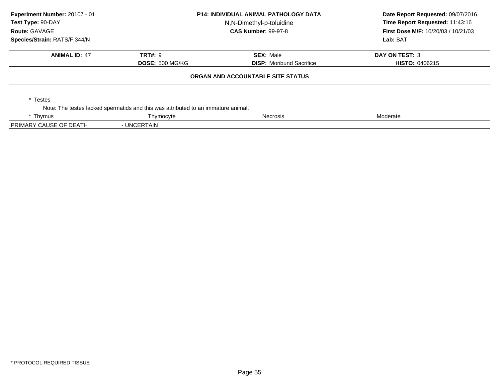| Experiment Number: 20107 - 01<br>Test Type: 90-DAY<br>Route: GAVAGE<br>Species/Strain: RATS/F 344/N |                                                                                   | P14: INDIVIDUAL ANIMAL PATHOLOGY DATA<br>N,N-Dimethyl-p-toluidine<br><b>CAS Number: 99-97-8</b> | Date Report Requested: 09/07/2016<br>Time Report Requested: 11:43:16<br>First Dose M/F: 10/20/03 / 10/21/03<br>Lab: BAT |  |
|-----------------------------------------------------------------------------------------------------|-----------------------------------------------------------------------------------|-------------------------------------------------------------------------------------------------|-------------------------------------------------------------------------------------------------------------------------|--|
| <b>ANIMAL ID: 47</b>                                                                                | TRT#: 9                                                                           | <b>SEX: Male</b>                                                                                | <b>DAY ON TEST: 3</b>                                                                                                   |  |
|                                                                                                     | <b>DOSE: 500 MG/KG</b>                                                            | <b>DISP:</b> Moribund Sacrifice                                                                 | <b>HISTO: 0406215</b>                                                                                                   |  |
| ORGAN AND ACCOUNTABLE SITE STATUS                                                                   |                                                                                   |                                                                                                 |                                                                                                                         |  |
| * Testes                                                                                            |                                                                                   |                                                                                                 |                                                                                                                         |  |
|                                                                                                     | Note: The testes lacked spermatids and this was attributed to an immature animal. |                                                                                                 |                                                                                                                         |  |
| * Thymus                                                                                            | Thymocyte                                                                         | <b>Necrosis</b>                                                                                 | Moderate                                                                                                                |  |
| PRIMARY CAUSE OF DEATH                                                                              | - UNCERTAIN                                                                       |                                                                                                 |                                                                                                                         |  |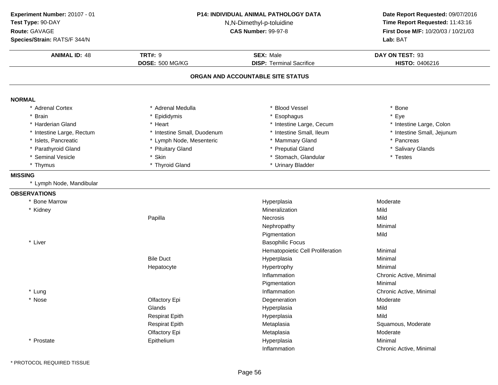| Experiment Number: 20107 - 01 | P14: INDIVIDUAL ANIMAL PATHOLOGY DATA<br>N,N-Dimethyl-p-toluidine |                                   | Date Report Requested: 09/07/2016<br>Time Report Requested: 11:43:16 |  |
|-------------------------------|-------------------------------------------------------------------|-----------------------------------|----------------------------------------------------------------------|--|
| Test Type: 90-DAY             |                                                                   |                                   |                                                                      |  |
| Route: GAVAGE                 |                                                                   | <b>CAS Number: 99-97-8</b>        | First Dose M/F: 10/20/03 / 10/21/03                                  |  |
| Species/Strain: RATS/F 344/N  |                                                                   |                                   | Lab: BAT                                                             |  |
| <b>ANIMAL ID: 48</b>          | <b>TRT#: 9</b>                                                    | <b>SEX: Male</b>                  | DAY ON TEST: 93                                                      |  |
|                               | DOSE: 500 MG/KG                                                   | <b>DISP: Terminal Sacrifice</b>   | HISTO: 0406216                                                       |  |
|                               |                                                                   | ORGAN AND ACCOUNTABLE SITE STATUS |                                                                      |  |
| <b>NORMAL</b>                 |                                                                   |                                   |                                                                      |  |
| * Adrenal Cortex              | * Adrenal Medulla                                                 | * Blood Vessel                    | * Bone                                                               |  |
| * Brain                       | * Epididymis                                                      | * Esophagus                       | * Eye                                                                |  |
| * Harderian Gland             | * Heart                                                           | * Intestine Large, Cecum          | * Intestine Large, Colon                                             |  |
| * Intestine Large, Rectum     | * Intestine Small, Duodenum                                       | * Intestine Small, Ileum          | * Intestine Small, Jejunum                                           |  |
| * Islets, Pancreatic          | * Lymph Node, Mesenteric                                          | * Mammary Gland                   | * Pancreas                                                           |  |
| * Parathyroid Gland           | * Pituitary Gland                                                 | * Preputial Gland                 | * Salivary Glands                                                    |  |
| * Seminal Vesicle             | * Skin                                                            | * Stomach, Glandular              | * Testes                                                             |  |
| * Thymus                      | * Thyroid Gland                                                   | * Urinary Bladder                 |                                                                      |  |
| <b>MISSING</b>                |                                                                   |                                   |                                                                      |  |
| * Lymph Node, Mandibular      |                                                                   |                                   |                                                                      |  |
| <b>OBSERVATIONS</b>           |                                                                   |                                   |                                                                      |  |
| * Bone Marrow                 |                                                                   | Hyperplasia                       | Moderate                                                             |  |
| * Kidney                      |                                                                   | Mineralization                    | Mild                                                                 |  |
|                               | Papilla                                                           | Necrosis                          | Mild                                                                 |  |
|                               |                                                                   | Nephropathy                       | Minimal                                                              |  |
|                               |                                                                   | Pigmentation                      | Mild                                                                 |  |
| * Liver                       |                                                                   | <b>Basophilic Focus</b>           |                                                                      |  |
|                               |                                                                   | Hematopoietic Cell Proliferation  | Minimal                                                              |  |
|                               | <b>Bile Duct</b>                                                  | Hyperplasia                       | Minimal                                                              |  |
|                               | Hepatocyte                                                        | Hypertrophy                       | Minimal                                                              |  |
|                               |                                                                   | Inflammation                      | Chronic Active, Minimal                                              |  |
|                               |                                                                   | Pigmentation                      | Minimal                                                              |  |
| * Lung                        |                                                                   | Inflammation                      | Chronic Active, Minimal                                              |  |
| * Nose                        | Olfactory Epi                                                     | Degeneration                      | Moderate                                                             |  |
|                               | Glands                                                            | Hyperplasia                       | Mild                                                                 |  |
|                               | <b>Respirat Epith</b>                                             | Hyperplasia                       | Mild                                                                 |  |
|                               | <b>Respirat Epith</b>                                             | Metaplasia                        | Squamous, Moderate                                                   |  |
|                               | Olfactory Epi                                                     | Metaplasia                        | Moderate                                                             |  |
| * Prostate                    | Epithelium                                                        | Hyperplasia                       | Minimal                                                              |  |
|                               |                                                                   | Inflammation                      | Chronic Active, Minimal                                              |  |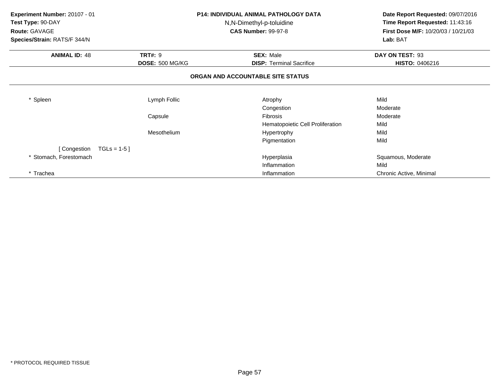| Experiment Number: 20107 - 01<br>Test Type: 90-DAY<br>Route: GAVAGE<br>Species/Strain: RATS/F 344/N |                                   | <b>P14: INDIVIDUAL ANIMAL PATHOLOGY DATA</b><br>N,N-Dimethyl-p-toluidine<br><b>CAS Number: 99-97-8</b> | Date Report Requested: 09/07/2016<br>Time Report Requested: 11:43:16<br>First Dose M/F: 10/20/03 / 10/21/03<br>Lab: BAT |
|-----------------------------------------------------------------------------------------------------|-----------------------------------|--------------------------------------------------------------------------------------------------------|-------------------------------------------------------------------------------------------------------------------------|
| <b>ANIMAL ID: 48</b>                                                                                | <b>TRT#: 9</b><br>DOSE: 500 MG/KG | <b>SEX: Male</b><br><b>DISP: Terminal Sacrifice</b>                                                    | DAY ON TEST: 93<br><b>HISTO: 0406216</b>                                                                                |
|                                                                                                     |                                   | ORGAN AND ACCOUNTABLE SITE STATUS                                                                      |                                                                                                                         |
| Spleen                                                                                              | Lymph Follic                      | Atrophy<br>Congestion                                                                                  | Mild<br>Moderate                                                                                                        |
|                                                                                                     | Capsule                           | <b>Fibrosis</b><br>Hematopoietic Cell Proliferation                                                    | Moderate<br>Mild                                                                                                        |
|                                                                                                     | Mesothelium                       | Hypertrophy<br>Pigmentation                                                                            | Mild<br>Mild                                                                                                            |
| $TGLs = 1-5$<br>[ Congestion                                                                        |                                   |                                                                                                        |                                                                                                                         |
| * Stomach, Forestomach                                                                              |                                   | Hyperplasia<br>Inflammation                                                                            | Squamous, Moderate<br>Mild                                                                                              |
| * Trachea                                                                                           |                                   | Inflammation                                                                                           | Chronic Active, Minimal                                                                                                 |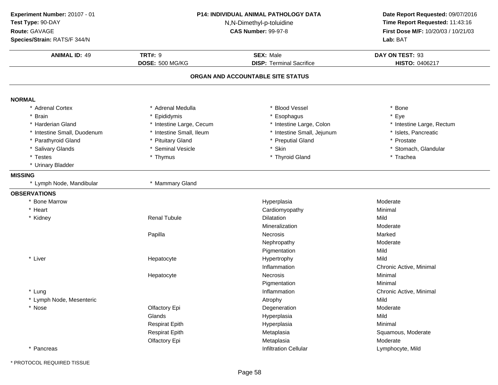| Experiment Number: 20107 - 01 |                                        | <b>P14: INDIVIDUAL ANIMAL PATHOLOGY DATA</b>      | Date Report Requested: 09/07/2016                  |  |
|-------------------------------|----------------------------------------|---------------------------------------------------|----------------------------------------------------|--|
| Test Type: 90-DAY             | N,N-Dimethyl-p-toluidine               |                                                   | Time Report Requested: 11:43:16                    |  |
| Route: GAVAGE                 |                                        | <b>CAS Number: 99-97-8</b>                        | First Dose M/F: 10/20/03 / 10/21/03<br>Lab: BAT    |  |
| Species/Strain: RATS/F 344/N  |                                        |                                                   |                                                    |  |
| <b>ANIMAL ID: 49</b>          | <b>TRT#: 9</b>                         | <b>SEX: Male</b>                                  | DAY ON TEST: 93                                    |  |
|                               | DOSE: 500 MG/KG                        | <b>DISP: Terminal Sacrifice</b>                   | HISTO: 0406217                                     |  |
|                               |                                        | ORGAN AND ACCOUNTABLE SITE STATUS                 |                                                    |  |
| <b>NORMAL</b>                 |                                        |                                                   |                                                    |  |
| * Adrenal Cortex              | * Adrenal Medulla                      | * Blood Vessel                                    | * Bone                                             |  |
| * Brain                       | * Epididymis                           | * Esophagus                                       | * Eye                                              |  |
| * Harderian Gland             | * Intestine Large, Cecum               | * Intestine Large, Colon                          | * Intestine Large, Rectum                          |  |
| * Intestine Small, Duodenum   | * Intestine Small, Ileum               | * Intestine Small, Jejunum                        | * Islets, Pancreatic                               |  |
| * Parathyroid Gland           | * Pituitary Gland                      | * Preputial Gland                                 | * Prostate                                         |  |
| * Salivary Glands             | * Seminal Vesicle                      | * Skin                                            | * Stomach, Glandular                               |  |
| * Testes                      | * Thymus                               | * Thyroid Gland                                   | * Trachea                                          |  |
| * Urinary Bladder             |                                        |                                                   |                                                    |  |
| <b>MISSING</b>                |                                        |                                                   |                                                    |  |
| * Lymph Node, Mandibular      | * Mammary Gland                        |                                                   |                                                    |  |
| <b>OBSERVATIONS</b>           |                                        |                                                   |                                                    |  |
| * Bone Marrow                 |                                        | Hyperplasia                                       | Moderate                                           |  |
| * Heart                       |                                        | Cardiomyopathy                                    | Minimal                                            |  |
| * Kidney                      | <b>Renal Tubule</b>                    | <b>Dilatation</b>                                 | Mild                                               |  |
|                               |                                        | Mineralization                                    | Moderate                                           |  |
|                               | Papilla                                | Necrosis                                          | Marked                                             |  |
|                               |                                        | Nephropathy                                       | Moderate                                           |  |
|                               |                                        | Pigmentation                                      | Mild                                               |  |
| * Liver                       | Hepatocyte                             | Hypertrophy                                       | Mild                                               |  |
|                               |                                        | Inflammation                                      | Chronic Active, Minimal                            |  |
|                               | Hepatocyte                             | <b>Necrosis</b>                                   | Minimal                                            |  |
|                               |                                        | Pigmentation                                      | Minimal                                            |  |
| * Lung                        |                                        | Inflammation                                      | Chronic Active, Minimal                            |  |
| * Lymph Node, Mesenteric      |                                        | Atrophy                                           | Mild                                               |  |
| * Nose                        | Olfactory Epi                          | Degeneration                                      | Moderate                                           |  |
|                               | Glands                                 | Hyperplasia                                       | Mild                                               |  |
|                               | <b>Respirat Epith</b>                  | Hyperplasia                                       | Minimal                                            |  |
|                               |                                        |                                                   |                                                    |  |
|                               |                                        |                                                   |                                                    |  |
|                               |                                        |                                                   |                                                    |  |
| * Pancreas                    | <b>Respirat Epith</b><br>Olfactory Epi | Metaplasia<br>Metaplasia<br>Infiltration Cellular | Squamous, Moderate<br>Moderate<br>Lymphocyte, Mild |  |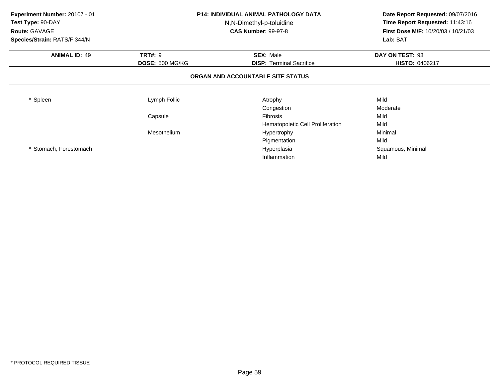| Experiment Number: 20107 - 01<br>Test Type: 90-DAY<br>Route: GAVAGE<br>Species/Strain: RATS/F 344/N |                 | <b>P14: INDIVIDUAL ANIMAL PATHOLOGY DATA</b><br>N,N-Dimethyl-p-toluidine<br><b>CAS Number: 99-97-8</b> | Date Report Requested: 09/07/2016<br>Time Report Requested: 11:43:16<br>First Dose M/F: 10/20/03 / 10/21/03<br>Lab: BAT |  |
|-----------------------------------------------------------------------------------------------------|-----------------|--------------------------------------------------------------------------------------------------------|-------------------------------------------------------------------------------------------------------------------------|--|
| <b>ANIMAL ID: 49</b>                                                                                | <b>TRT#: 9</b>  | <b>SEX: Male</b>                                                                                       | DAY ON TEST: 93                                                                                                         |  |
|                                                                                                     | DOSE: 500 MG/KG | <b>DISP: Terminal Sacrifice</b>                                                                        | HISTO: 0406217                                                                                                          |  |
|                                                                                                     |                 | ORGAN AND ACCOUNTABLE SITE STATUS                                                                      |                                                                                                                         |  |
| Spleen                                                                                              | Lymph Follic    | Atrophy                                                                                                | Mild                                                                                                                    |  |
|                                                                                                     |                 | Congestion                                                                                             | Moderate                                                                                                                |  |
|                                                                                                     | Capsule         | <b>Fibrosis</b>                                                                                        | Mild                                                                                                                    |  |
|                                                                                                     |                 | Hematopoietic Cell Proliferation                                                                       | Mild                                                                                                                    |  |
|                                                                                                     | Mesothelium     | Hypertrophy                                                                                            | Minimal                                                                                                                 |  |
|                                                                                                     |                 | Pigmentation                                                                                           | Mild                                                                                                                    |  |
| Stomach, Forestomach                                                                                |                 | Hyperplasia                                                                                            | Squamous, Minimal                                                                                                       |  |
|                                                                                                     |                 | Inflammation                                                                                           | Mild                                                                                                                    |  |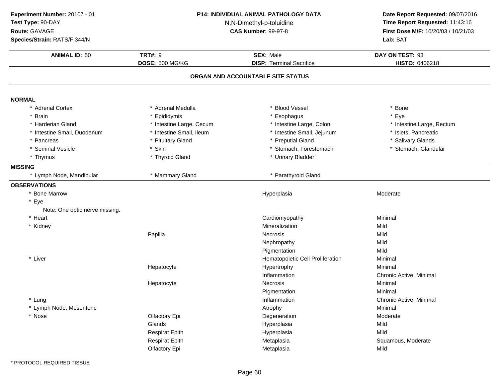| Experiment Number: 20107 - 01  |                          | P14: INDIVIDUAL ANIMAL PATHOLOGY DATA | Date Report Requested: 09/07/2016   |  |
|--------------------------------|--------------------------|---------------------------------------|-------------------------------------|--|
| Test Type: 90-DAY              | N,N-Dimethyl-p-toluidine |                                       | Time Report Requested: 11:43:16     |  |
| Route: GAVAGE                  |                          | <b>CAS Number: 99-97-8</b>            | First Dose M/F: 10/20/03 / 10/21/03 |  |
| Species/Strain: RATS/F 344/N   |                          |                                       | Lab: BAT                            |  |
| <b>ANIMAL ID: 50</b>           | <b>TRT#: 9</b>           | <b>SEX: Male</b>                      | DAY ON TEST: 93                     |  |
|                                | DOSE: 500 MG/KG          | <b>DISP: Terminal Sacrifice</b>       | HISTO: 0406218                      |  |
|                                |                          | ORGAN AND ACCOUNTABLE SITE STATUS     |                                     |  |
| <b>NORMAL</b>                  |                          |                                       |                                     |  |
| * Adrenal Cortex               | * Adrenal Medulla        | * Blood Vessel                        | * Bone                              |  |
| * Brain                        | * Epididymis             | * Esophagus                           | * Eye                               |  |
| * Harderian Gland              | * Intestine Large, Cecum | * Intestine Large, Colon              | * Intestine Large, Rectum           |  |
| * Intestine Small, Duodenum    | * Intestine Small, Ileum | * Intestine Small, Jejunum            | * Islets, Pancreatic                |  |
| * Pancreas                     | * Pituitary Gland        | * Preputial Gland                     | * Salivary Glands                   |  |
| * Seminal Vesicle              | * Skin                   | * Stomach, Forestomach                | * Stomach, Glandular                |  |
| * Thymus                       | * Thyroid Gland          | * Urinary Bladder                     |                                     |  |
| <b>MISSING</b>                 |                          |                                       |                                     |  |
| * Lymph Node, Mandibular       | * Mammary Gland          | * Parathyroid Gland                   |                                     |  |
| <b>OBSERVATIONS</b>            |                          |                                       |                                     |  |
| * Bone Marrow                  |                          | Hyperplasia                           | Moderate                            |  |
| * Eye                          |                          |                                       |                                     |  |
| Note: One optic nerve missing. |                          |                                       |                                     |  |
| * Heart                        |                          | Cardiomyopathy                        | Minimal                             |  |
| * Kidney                       |                          | Mineralization                        | Mild                                |  |
|                                | Papilla                  | <b>Necrosis</b>                       | Mild                                |  |
|                                |                          | Nephropathy                           | Mild                                |  |
|                                |                          | Pigmentation                          | Mild                                |  |
| * Liver                        |                          | Hematopoietic Cell Proliferation      | Minimal                             |  |
|                                | Hepatocyte               | Hypertrophy                           | Minimal                             |  |
|                                |                          | Inflammation                          | Chronic Active, Minimal             |  |
|                                | Hepatocyte               | <b>Necrosis</b>                       | Minimal                             |  |
|                                |                          | Pigmentation                          | Minimal                             |  |
| * Lung                         |                          | Inflammation                          | Chronic Active, Minimal             |  |
| * Lymph Node, Mesenteric       |                          | Atrophy                               | Minimal                             |  |
| * Nose                         | Olfactory Epi            | Degeneration                          | Moderate                            |  |
|                                | Glands                   | Hyperplasia                           | Mild                                |  |
|                                | <b>Respirat Epith</b>    | Hyperplasia                           | Mild                                |  |
|                                | <b>Respirat Epith</b>    | Metaplasia                            | Squamous, Moderate                  |  |
|                                | Olfactory Epi            | Metaplasia                            | Mild                                |  |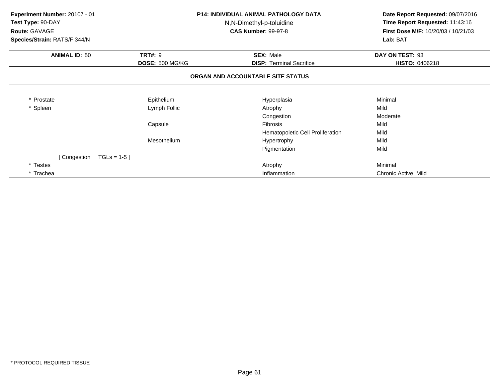| Experiment Number: 20107 - 01<br>Test Type: 90-DAY<br>Route: GAVAGE<br>Species/Strain: RATS/F 344/N |                 | <b>P14: INDIVIDUAL ANIMAL PATHOLOGY DATA</b><br>N,N-Dimethyl-p-toluidine<br><b>CAS Number: 99-97-8</b> | Date Report Requested: 09/07/2016<br>Time Report Requested: 11:43:16<br>First Dose M/F: 10/20/03 / 10/21/03<br>Lab: BAT |
|-----------------------------------------------------------------------------------------------------|-----------------|--------------------------------------------------------------------------------------------------------|-------------------------------------------------------------------------------------------------------------------------|
| <b>ANIMAL ID: 50</b>                                                                                | <b>TRT#: 9</b>  | <b>SEX: Male</b>                                                                                       | DAY ON TEST: 93                                                                                                         |
|                                                                                                     | DOSE: 500 MG/KG | <b>DISP: Terminal Sacrifice</b>                                                                        | <b>HISTO: 0406218</b>                                                                                                   |
|                                                                                                     |                 | ORGAN AND ACCOUNTABLE SITE STATUS                                                                      |                                                                                                                         |
| * Prostate                                                                                          | Epithelium      | Hyperplasia                                                                                            | Minimal                                                                                                                 |
| * Spleen                                                                                            | Lymph Follic    | Atrophy                                                                                                | Mild                                                                                                                    |
|                                                                                                     |                 | Congestion                                                                                             | Moderate                                                                                                                |
|                                                                                                     | Capsule         | Fibrosis                                                                                               | Mild                                                                                                                    |
|                                                                                                     |                 | Hematopoietic Cell Proliferation                                                                       | Mild                                                                                                                    |
|                                                                                                     | Mesothelium     | Hypertrophy                                                                                            | Mild                                                                                                                    |
|                                                                                                     |                 | Pigmentation                                                                                           | Mild                                                                                                                    |
| [ Congestion<br>$TGLs = 1-5$                                                                        |                 |                                                                                                        |                                                                                                                         |
| * Testes                                                                                            |                 | Atrophy                                                                                                | Minimal                                                                                                                 |
| * Trachea                                                                                           |                 | Inflammation                                                                                           | Chronic Active, Mild                                                                                                    |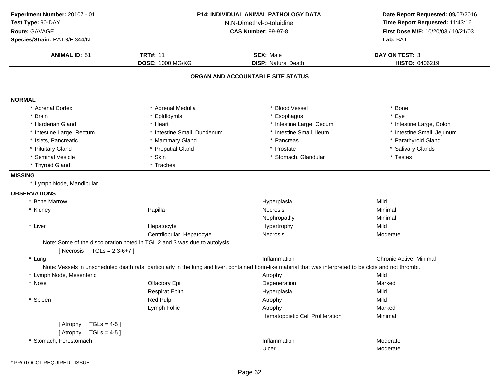| Experiment Number: 20107 - 01 | P14: INDIVIDUAL ANIMAL PATHOLOGY DATA                                      |                                                                                                                                                               | Date Report Requested: 09/07/2016                                      |  |
|-------------------------------|----------------------------------------------------------------------------|---------------------------------------------------------------------------------------------------------------------------------------------------------------|------------------------------------------------------------------------|--|
| Test Type: 90-DAY             |                                                                            | N,N-Dimethyl-p-toluidine                                                                                                                                      | Time Report Requested: 11:43:16<br>First Dose M/F: 10/20/03 / 10/21/03 |  |
| Route: GAVAGE                 |                                                                            | <b>CAS Number: 99-97-8</b>                                                                                                                                    |                                                                        |  |
| Species/Strain: RATS/F 344/N  |                                                                            |                                                                                                                                                               | Lab: BAT                                                               |  |
| <b>ANIMAL ID: 51</b>          | <b>TRT#: 11</b>                                                            | <b>SEX: Male</b>                                                                                                                                              | <b>DAY ON TEST: 3</b>                                                  |  |
|                               | <b>DOSE: 1000 MG/KG</b>                                                    | <b>DISP: Natural Death</b>                                                                                                                                    | HISTO: 0406219                                                         |  |
|                               |                                                                            | ORGAN AND ACCOUNTABLE SITE STATUS                                                                                                                             |                                                                        |  |
| <b>NORMAL</b>                 |                                                                            |                                                                                                                                                               |                                                                        |  |
| * Adrenal Cortex              | * Adrenal Medulla                                                          | * Blood Vessel                                                                                                                                                | * Bone                                                                 |  |
| * Brain                       | * Epididymis                                                               | Esophagus                                                                                                                                                     | * Eye                                                                  |  |
| * Harderian Gland             | * Heart                                                                    | * Intestine Large, Cecum                                                                                                                                      | * Intestine Large, Colon                                               |  |
| * Intestine Large, Rectum     | * Intestine Small, Duodenum                                                | * Intestine Small, Ileum                                                                                                                                      | * Intestine Small, Jejunum                                             |  |
| * Islets, Pancreatic          | * Mammary Gland                                                            | * Pancreas                                                                                                                                                    | * Parathyroid Gland                                                    |  |
| * Pituitary Gland             | * Preputial Gland                                                          | * Prostate                                                                                                                                                    | * Salivary Glands                                                      |  |
| * Seminal Vesicle             | * Skin                                                                     | * Stomach, Glandular                                                                                                                                          | * Testes                                                               |  |
| * Thyroid Gland               | * Trachea                                                                  |                                                                                                                                                               |                                                                        |  |
| <b>MISSING</b>                |                                                                            |                                                                                                                                                               |                                                                        |  |
| * Lymph Node, Mandibular      |                                                                            |                                                                                                                                                               |                                                                        |  |
| <b>OBSERVATIONS</b>           |                                                                            |                                                                                                                                                               |                                                                        |  |
| * Bone Marrow                 |                                                                            | Hyperplasia                                                                                                                                                   | Mild                                                                   |  |
| * Kidney                      | Papilla                                                                    | Necrosis                                                                                                                                                      | Minimal                                                                |  |
|                               |                                                                            | Nephropathy                                                                                                                                                   | Minimal                                                                |  |
| * Liver                       | Hepatocyte                                                                 | Hypertrophy                                                                                                                                                   | Mild                                                                   |  |
|                               | Centrilobular, Hepatocyte                                                  | Necrosis                                                                                                                                                      | Moderate                                                               |  |
|                               | Note: Some of the discoloration noted in TGL 2 and 3 was due to autolysis. |                                                                                                                                                               |                                                                        |  |
| [Necrosis $TGLs = 2,3-6+7$ ]  |                                                                            |                                                                                                                                                               |                                                                        |  |
| * Lung                        |                                                                            | Inflammation                                                                                                                                                  | Chronic Active, Minimal                                                |  |
|                               |                                                                            | Note: Vessels in unscheduled death rats, particularly in the lung and liver, contained fibrin-like material that was interpreted to be clots and not thrombi. |                                                                        |  |
| * Lymph Node, Mesenteric      |                                                                            | Atrophy                                                                                                                                                       | Mild                                                                   |  |
| * Nose                        | Olfactory Epi                                                              | Degeneration                                                                                                                                                  | Marked                                                                 |  |
|                               | <b>Respirat Epith</b>                                                      | Hyperplasia                                                                                                                                                   | Mild                                                                   |  |
| * Spleen                      | Red Pulp                                                                   | Atrophy                                                                                                                                                       | Mild                                                                   |  |
|                               | Lymph Follic                                                               | Atrophy                                                                                                                                                       | Marked                                                                 |  |
|                               |                                                                            | Hematopoietic Cell Proliferation                                                                                                                              | Minimal                                                                |  |
| $TGLs = 4-5$ ]<br>[ Atrophy   |                                                                            |                                                                                                                                                               |                                                                        |  |
| [ Atrophy<br>$TGLs = 4-5$ ]   |                                                                            |                                                                                                                                                               |                                                                        |  |
| * Stomach, Forestomach        |                                                                            | Inflammation                                                                                                                                                  | Moderate                                                               |  |
|                               |                                                                            | Ulcer                                                                                                                                                         | Moderate                                                               |  |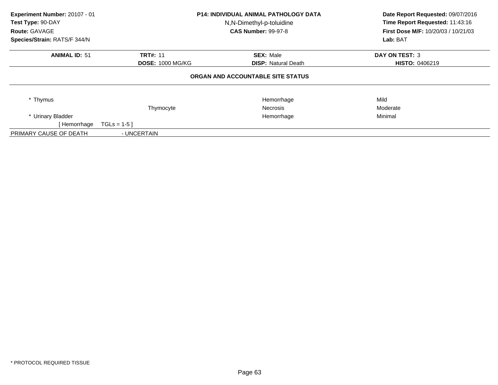| Experiment Number: 20107 - 01<br>Test Type: 90-DAY<br>Route: GAVAGE<br>Species/Strain: RATS/F 344/N |                         | <b>P14: INDIVIDUAL ANIMAL PATHOLOGY DATA</b><br>N,N-Dimethyl-p-toluidine<br><b>CAS Number: 99-97-8</b> |                       |
|-----------------------------------------------------------------------------------------------------|-------------------------|--------------------------------------------------------------------------------------------------------|-----------------------|
| <b>ANIMAL ID: 51</b>                                                                                | <b>TRT#: 11</b>         | <b>SEX: Male</b>                                                                                       | <b>DAY ON TEST: 3</b> |
|                                                                                                     | <b>DOSE: 1000 MG/KG</b> | <b>DISP:</b> Natural Death                                                                             | <b>HISTO: 0406219</b> |
|                                                                                                     |                         | ORGAN AND ACCOUNTABLE SITE STATUS                                                                      |                       |
| * Thymus                                                                                            |                         | Hemorrhage                                                                                             | Mild                  |
|                                                                                                     | Thymocyte               | <b>Necrosis</b>                                                                                        | Moderate              |
| * Urinary Bladder                                                                                   |                         | Hemorrhage                                                                                             | Minimal               |
| [Hemorrhage                                                                                         | $TGLs = 1-5$            |                                                                                                        |                       |
| PRIMARY CAUSE OF DEATH                                                                              | - UNCERTAIN             |                                                                                                        |                       |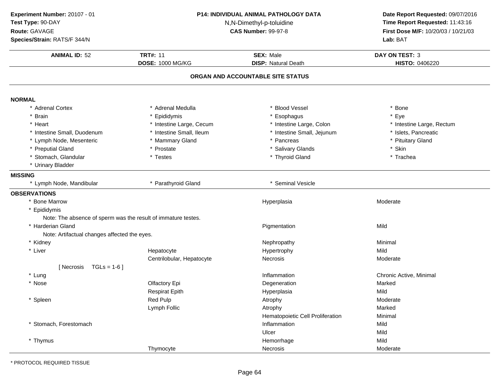| Experiment Number: 20107 - 01                                 | P14: INDIVIDUAL ANIMAL PATHOLOGY DATA |                                   | Date Report Requested: 09/07/2016   |  |
|---------------------------------------------------------------|---------------------------------------|-----------------------------------|-------------------------------------|--|
| Test Type: 90-DAY                                             |                                       | N,N-Dimethyl-p-toluidine          | Time Report Requested: 11:43:16     |  |
| Route: GAVAGE                                                 |                                       | <b>CAS Number: 99-97-8</b>        | First Dose M/F: 10/20/03 / 10/21/03 |  |
| Species/Strain: RATS/F 344/N                                  |                                       |                                   | Lab: BAT                            |  |
| <b>ANIMAL ID: 52</b>                                          | <b>TRT#: 11</b>                       | <b>SEX: Male</b>                  | <b>DAY ON TEST: 3</b>               |  |
|                                                               | <b>DOSE: 1000 MG/KG</b>               | <b>DISP: Natural Death</b>        | HISTO: 0406220                      |  |
|                                                               |                                       | ORGAN AND ACCOUNTABLE SITE STATUS |                                     |  |
| <b>NORMAL</b>                                                 |                                       |                                   |                                     |  |
| * Adrenal Cortex                                              | * Adrenal Medulla                     | * Blood Vessel                    | * Bone                              |  |
| * Brain                                                       | * Epididymis                          | * Esophagus                       | * Eye                               |  |
| * Heart                                                       | * Intestine Large, Cecum              | * Intestine Large, Colon          | * Intestine Large, Rectum           |  |
| * Intestine Small, Duodenum                                   | * Intestine Small, Ileum              | * Intestine Small, Jejunum        | * Islets, Pancreatic                |  |
| * Lymph Node, Mesenteric                                      | * Mammary Gland                       | * Pancreas                        | * Pituitary Gland                   |  |
| * Preputial Gland                                             | * Prostate                            | * Salivary Glands                 | * Skin                              |  |
| * Stomach, Glandular                                          | * Testes                              | * Thyroid Gland                   | * Trachea                           |  |
| * Urinary Bladder                                             |                                       |                                   |                                     |  |
| <b>MISSING</b>                                                |                                       |                                   |                                     |  |
| * Lymph Node, Mandibular                                      | * Parathyroid Gland                   | * Seminal Vesicle                 |                                     |  |
| <b>OBSERVATIONS</b>                                           |                                       |                                   |                                     |  |
| * Bone Marrow                                                 |                                       | Hyperplasia                       | Moderate                            |  |
| * Epididymis                                                  |                                       |                                   |                                     |  |
| Note: The absence of sperm was the result of immature testes. |                                       |                                   |                                     |  |
| * Harderian Gland                                             |                                       | Pigmentation                      | Mild                                |  |
| Note: Artifactual changes affected the eyes.                  |                                       |                                   |                                     |  |
| * Kidney                                                      |                                       | Nephropathy                       | Minimal                             |  |
| * Liver                                                       | Hepatocyte                            | Hypertrophy                       | Mild                                |  |
|                                                               | Centrilobular, Hepatocyte             | <b>Necrosis</b>                   | Moderate                            |  |
| $TGLs = 1-6$ ]<br>[ Necrosis                                  |                                       |                                   |                                     |  |
| * Lung                                                        |                                       | Inflammation                      | Chronic Active, Minimal             |  |
| * Nose                                                        | Olfactory Epi                         | Degeneration                      | Marked                              |  |
|                                                               | <b>Respirat Epith</b>                 | Hyperplasia                       | Mild                                |  |
| * Spleen                                                      | Red Pulp                              | Atrophy                           | Moderate                            |  |
|                                                               | Lymph Follic                          | Atrophy                           | Marked                              |  |
|                                                               |                                       | Hematopoietic Cell Proliferation  | Minimal                             |  |
| * Stomach, Forestomach                                        |                                       | Inflammation                      | Mild                                |  |
|                                                               |                                       | Ulcer                             | Mild                                |  |
| * Thymus                                                      |                                       | Hemorrhage                        | Mild                                |  |
|                                                               | Thymocyte                             | Necrosis                          | Moderate                            |  |

\* PROTOCOL REQUIRED TISSUE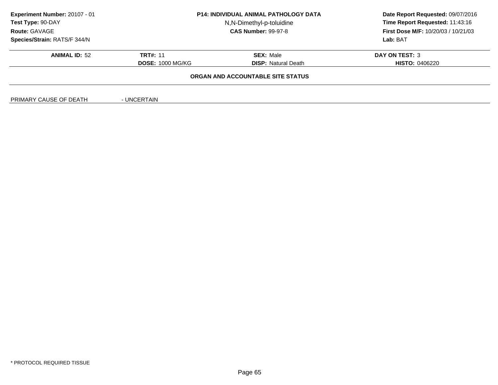| Experiment Number: 20107 - 01<br>Test Type: 90-DAY | <b>P14: INDIVIDUAL ANIMAL PATHOLOGY DATA</b><br>N,N-Dimethyl-p-toluidine |                                                | Date Report Requested: 09/07/2016<br>Time Report Requested: 11:43:16 |  |
|----------------------------------------------------|--------------------------------------------------------------------------|------------------------------------------------|----------------------------------------------------------------------|--|
| Route: GAVAGE<br>Species/Strain: RATS/F 344/N      | <b>CAS Number: 99-97-8</b>                                               |                                                | <b>First Dose M/F: 10/20/03 / 10/21/03</b><br>Lab: BAT               |  |
| <b>ANIMAL ID: 52</b>                               | <b>TRT#: 11</b><br><b>DOSE: 1000 MG/KG</b>                               | <b>SEX: Male</b><br><b>DISP:</b> Natural Death | DAY ON TEST: 3<br><b>HISTO: 0406220</b>                              |  |
|                                                    |                                                                          | ORGAN AND ACCOUNTABLE SITE STATUS              |                                                                      |  |
| PRIMARY CAUSE OF DEATH                             | - UNCERTAIN                                                              |                                                |                                                                      |  |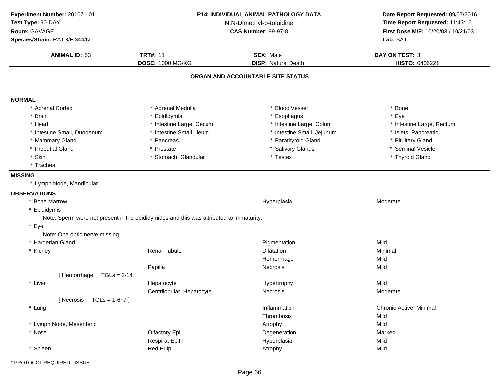| Experiment Number: 20107 - 01<br>Test Type: 90-DAY |                                                                                         | P14: INDIVIDUAL ANIMAL PATHOLOGY DATA<br>N,N-Dimethyl-p-toluidine | Date Report Requested: 09/07/2016<br>Time Report Requested: 11:43:16 |
|----------------------------------------------------|-----------------------------------------------------------------------------------------|-------------------------------------------------------------------|----------------------------------------------------------------------|
| Route: GAVAGE<br>Species/Strain: RATS/F 344/N      |                                                                                         | <b>CAS Number: 99-97-8</b>                                        | First Dose M/F: 10/20/03 / 10/21/03<br>Lab: BAT                      |
| <b>ANIMAL ID: 53</b>                               | <b>TRT#: 11</b>                                                                         | <b>SEX: Male</b>                                                  | <b>DAY ON TEST: 3</b>                                                |
|                                                    | <b>DOSE: 1000 MG/KG</b>                                                                 | <b>DISP: Natural Death</b>                                        | HISTO: 0406221                                                       |
|                                                    |                                                                                         | ORGAN AND ACCOUNTABLE SITE STATUS                                 |                                                                      |
| <b>NORMAL</b>                                      |                                                                                         |                                                                   |                                                                      |
| * Adrenal Cortex                                   | * Adrenal Medulla                                                                       | * Blood Vessel                                                    | * Bone                                                               |
| * Brain                                            | * Epididymis                                                                            | Esophagus                                                         | * Eye                                                                |
| * Heart                                            | * Intestine Large, Cecum                                                                | * Intestine Large, Colon                                          | * Intestine Large, Rectum                                            |
| * Intestine Small, Duodenum                        | * Intestine Small, Ileum                                                                | * Intestine Small, Jejunum                                        | * Islets, Pancreatic                                                 |
| * Mammary Gland                                    | * Pancreas                                                                              | * Parathyroid Gland                                               | * Pituitary Gland                                                    |
| * Preputial Gland                                  | * Prostate                                                                              | * Salivary Glands                                                 | * Seminal Vesicle                                                    |
| * Skin                                             | * Stomach, Glandular                                                                    | * Testes                                                          | * Thyroid Gland                                                      |
| * Trachea                                          |                                                                                         |                                                                   |                                                                      |
| <b>MISSING</b>                                     |                                                                                         |                                                                   |                                                                      |
| * Lymph Node, Mandibular                           |                                                                                         |                                                                   |                                                                      |
| <b>OBSERVATIONS</b>                                |                                                                                         |                                                                   |                                                                      |
| * Bone Marrow                                      |                                                                                         | Hyperplasia                                                       | Moderate                                                             |
| * Epididymis                                       |                                                                                         |                                                                   |                                                                      |
|                                                    | Note: Sperm were not present in the epididymides and this was attributed to immaturity. |                                                                   |                                                                      |
| * Eye                                              |                                                                                         |                                                                   |                                                                      |
| Note: One optic nerve missing.                     |                                                                                         |                                                                   |                                                                      |
| * Harderian Gland                                  |                                                                                         | Pigmentation                                                      | Mild                                                                 |
| * Kidney                                           | <b>Renal Tubule</b>                                                                     | <b>Dilatation</b>                                                 | Minimal                                                              |
|                                                    |                                                                                         | Hemorrhage                                                        | Mild                                                                 |
|                                                    | Papilla                                                                                 | <b>Necrosis</b>                                                   | Mild                                                                 |
| $TGLs = 2-14$ ]<br>[Hemorrhage                     |                                                                                         |                                                                   |                                                                      |
| * Liver                                            | Hepatocyte                                                                              | Hypertrophy                                                       | Mild                                                                 |
|                                                    | Centrilobular, Hepatocyte                                                               | Necrosis                                                          | Moderate                                                             |
| [Necrosis $TGLs = 1-6+7$ ]                         |                                                                                         |                                                                   |                                                                      |
| * Lung                                             |                                                                                         | Inflammation                                                      | Chronic Active, Minimal                                              |
|                                                    |                                                                                         | Thrombosis                                                        | Mild                                                                 |
| * Lymph Node, Mesenteric                           |                                                                                         | Atrophy                                                           | Mild                                                                 |
| * Nose                                             | Olfactory Epi                                                                           | Degeneration                                                      | Marked                                                               |
|                                                    | <b>Respirat Epith</b>                                                                   | Hyperplasia                                                       | Mild                                                                 |
| * Spleen                                           | Red Pulp                                                                                | Atrophy                                                           | Mild                                                                 |
|                                                    |                                                                                         |                                                                   |                                                                      |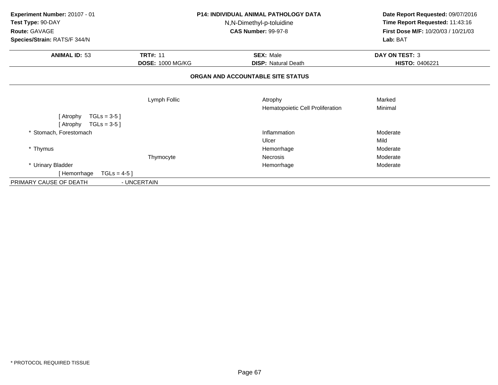| Experiment Number: 20107 - 01                 | <b>P14: INDIVIDUAL ANIMAL PATHOLOGY DATA</b> | Date Report Requested: 09/07/2016   |
|-----------------------------------------------|----------------------------------------------|-------------------------------------|
| Test Type: 90-DAY<br>N,N-Dimethyl-p-toluidine |                                              | Time Report Requested: 11:43:16     |
| Route: GAVAGE                                 | <b>CAS Number: 99-97-8</b>                   | First Dose M/F: 10/20/03 / 10/21/03 |
| Species/Strain: RATS/F 344/N                  |                                              | Lab: BAT                            |
| <b>ANIMAL ID: 53</b><br><b>TRT#: 11</b>       | <b>SEX: Male</b>                             | DAY ON TEST: 3                      |
| <b>DOSE: 1000 MG/KG</b>                       | <b>DISP: Natural Death</b>                   | HISTO: 0406221                      |
|                                               | ORGAN AND ACCOUNTABLE SITE STATUS            |                                     |
| Lymph Follic                                  | Atrophy                                      | Marked                              |
|                                               | Hematopoietic Cell Proliferation             | Minimal                             |
| $TGLs = 3-5$ ]<br>[ Atrophy                   |                                              |                                     |
| $TGLs = 3-5$ ]<br>[ Atrophy                   |                                              |                                     |
| * Stomach, Forestomach                        | Inflammation                                 | Moderate                            |
|                                               | Ulcer                                        | Mild                                |
| * Thymus                                      | Hemorrhage                                   | Moderate                            |
| Thymocyte                                     | <b>Necrosis</b>                              | Moderate                            |
| * Urinary Bladder                             | Hemorrhage                                   | Moderate                            |
| [Hemorrhage]<br>$TGLs = 4-5$                  |                                              |                                     |
| PRIMARY CAUSE OF DEATH<br>- UNCERTAIN         |                                              |                                     |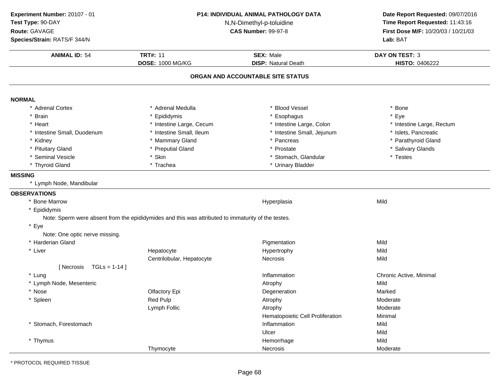| <b>P14: INDIVIDUAL ANIMAL PATHOLOGY DATA</b> |                                                                                      | Date Report Requested: 09/07/2016                                                                                                                                                                                                                                                                |  |
|----------------------------------------------|--------------------------------------------------------------------------------------|--------------------------------------------------------------------------------------------------------------------------------------------------------------------------------------------------------------------------------------------------------------------------------------------------|--|
|                                              |                                                                                      | Time Report Requested: 11:43:16                                                                                                                                                                                                                                                                  |  |
|                                              |                                                                                      | First Dose M/F: 10/20/03 / 10/21/03                                                                                                                                                                                                                                                              |  |
|                                              |                                                                                      | Lab: BAT                                                                                                                                                                                                                                                                                         |  |
| <b>TRT#: 11</b>                              | <b>SEX: Male</b>                                                                     | <b>DAY ON TEST: 3</b>                                                                                                                                                                                                                                                                            |  |
| <b>DOSE: 1000 MG/KG</b>                      | <b>DISP: Natural Death</b>                                                           | HISTO: 0406222                                                                                                                                                                                                                                                                                   |  |
|                                              |                                                                                      |                                                                                                                                                                                                                                                                                                  |  |
|                                              |                                                                                      |                                                                                                                                                                                                                                                                                                  |  |
| * Adrenal Medulla                            | * Blood Vessel                                                                       | * Bone                                                                                                                                                                                                                                                                                           |  |
| * Epididymis                                 | Esophagus                                                                            | * Eye                                                                                                                                                                                                                                                                                            |  |
| * Intestine Large, Cecum                     | * Intestine Large, Colon                                                             | * Intestine Large, Rectum                                                                                                                                                                                                                                                                        |  |
| * Intestine Small, Ileum                     | * Intestine Small, Jejunum                                                           | * Islets, Pancreatic                                                                                                                                                                                                                                                                             |  |
| * Mammary Gland                              | * Pancreas                                                                           | * Parathyroid Gland                                                                                                                                                                                                                                                                              |  |
| * Preputial Gland                            | Prostate                                                                             | * Salivary Glands                                                                                                                                                                                                                                                                                |  |
| * Skin                                       | * Stomach, Glandular                                                                 | * Testes                                                                                                                                                                                                                                                                                         |  |
| * Trachea                                    | * Urinary Bladder                                                                    |                                                                                                                                                                                                                                                                                                  |  |
|                                              |                                                                                      |                                                                                                                                                                                                                                                                                                  |  |
|                                              |                                                                                      |                                                                                                                                                                                                                                                                                                  |  |
|                                              |                                                                                      |                                                                                                                                                                                                                                                                                                  |  |
|                                              |                                                                                      | Mild                                                                                                                                                                                                                                                                                             |  |
|                                              |                                                                                      |                                                                                                                                                                                                                                                                                                  |  |
|                                              |                                                                                      |                                                                                                                                                                                                                                                                                                  |  |
|                                              |                                                                                      |                                                                                                                                                                                                                                                                                                  |  |
|                                              |                                                                                      |                                                                                                                                                                                                                                                                                                  |  |
|                                              |                                                                                      | Mild                                                                                                                                                                                                                                                                                             |  |
|                                              |                                                                                      | Mild                                                                                                                                                                                                                                                                                             |  |
|                                              | Necrosis                                                                             | Mild                                                                                                                                                                                                                                                                                             |  |
| $TGLs = 1-14$ ]                              |                                                                                      |                                                                                                                                                                                                                                                                                                  |  |
|                                              | Inflammation                                                                         | Chronic Active, Minimal                                                                                                                                                                                                                                                                          |  |
|                                              |                                                                                      | Mild                                                                                                                                                                                                                                                                                             |  |
|                                              |                                                                                      | Marked                                                                                                                                                                                                                                                                                           |  |
|                                              |                                                                                      | Moderate                                                                                                                                                                                                                                                                                         |  |
|                                              |                                                                                      | Moderate                                                                                                                                                                                                                                                                                         |  |
|                                              | Hematopoietic Cell Proliferation                                                     | Minimal                                                                                                                                                                                                                                                                                          |  |
|                                              | Inflammation                                                                         | Mild                                                                                                                                                                                                                                                                                             |  |
|                                              | Ulcer                                                                                | Mild                                                                                                                                                                                                                                                                                             |  |
|                                              | Hemorrhage                                                                           | Mild                                                                                                                                                                                                                                                                                             |  |
| Thymocyte                                    | Necrosis                                                                             | Moderate                                                                                                                                                                                                                                                                                         |  |
|                                              | Hepatocyte<br>Centrilobular, Hepatocyte<br>Olfactory Epi<br>Red Pulp<br>Lymph Follic | N,N-Dimethyl-p-toluidine<br><b>CAS Number: 99-97-8</b><br>ORGAN AND ACCOUNTABLE SITE STATUS<br>Hyperplasia<br>Note: Sperm were absent from the epididymides and this was attributed to immaturity of the testes.<br>Pigmentation<br>Hypertrophy<br>Atrophy<br>Degeneration<br>Atrophy<br>Atrophy |  |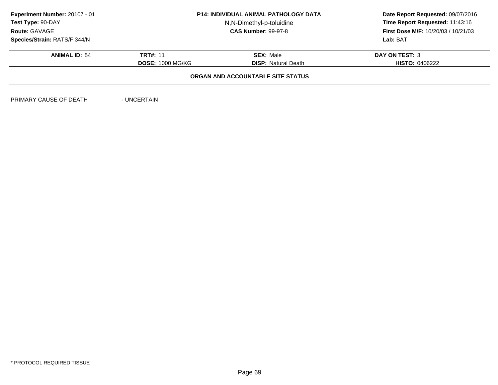| Experiment Number: 20107 - 01<br>Test Type: 90-DAY | <b>P14: INDIVIDUAL ANIMAL PATHOLOGY DATA</b><br>N,N-Dimethyl-p-toluidine |                                                | Date Report Requested: 09/07/2016<br>Time Report Requested: 11:43:16 |  |
|----------------------------------------------------|--------------------------------------------------------------------------|------------------------------------------------|----------------------------------------------------------------------|--|
| Route: GAVAGE<br>Species/Strain: RATS/F 344/N      |                                                                          | <b>CAS Number: 99-97-8</b>                     |                                                                      |  |
| <b>ANIMAL ID: 54</b>                               | <b>TRT#: 11</b><br><b>DOSE: 1000 MG/KG</b>                               | <b>SEX: Male</b><br><b>DISP: Natural Death</b> | Lab: BAT<br>DAY ON TEST: 3<br><b>HISTO: 0406222</b>                  |  |
|                                                    |                                                                          | ORGAN AND ACCOUNTABLE SITE STATUS              |                                                                      |  |
| PRIMARY CAUSE OF DEATH                             | - UNCERTAIN                                                              |                                                |                                                                      |  |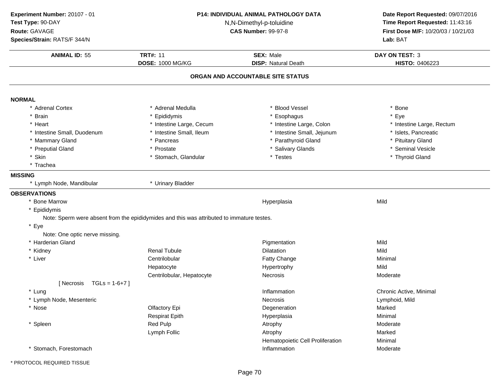| Experiment Number: 20107 - 01  |                                                                                           | <b>P14: INDIVIDUAL ANIMAL PATHOLOGY DATA</b> | Date Report Requested: 09/07/2016<br>Time Report Requested: 11:43:16 |  |
|--------------------------------|-------------------------------------------------------------------------------------------|----------------------------------------------|----------------------------------------------------------------------|--|
| Test Type: 90-DAY              |                                                                                           | N,N-Dimethyl-p-toluidine                     |                                                                      |  |
| Route: GAVAGE                  |                                                                                           | <b>CAS Number: 99-97-8</b>                   | First Dose M/F: 10/20/03 / 10/21/03                                  |  |
| Species/Strain: RATS/F 344/N   |                                                                                           | Lab: BAT                                     |                                                                      |  |
| <b>ANIMAL ID: 55</b>           | <b>TRT#: 11</b>                                                                           | <b>SEX: Male</b>                             | <b>DAY ON TEST: 3</b>                                                |  |
|                                | <b>DOSE: 1000 MG/KG</b>                                                                   | <b>DISP: Natural Death</b>                   | HISTO: 0406223                                                       |  |
|                                |                                                                                           | ORGAN AND ACCOUNTABLE SITE STATUS            |                                                                      |  |
| <b>NORMAL</b>                  |                                                                                           |                                              |                                                                      |  |
| * Adrenal Cortex               | * Adrenal Medulla                                                                         | <b>Blood Vessel</b>                          | * Bone                                                               |  |
| * Brain                        | * Epididymis                                                                              | Esophagus                                    | * Eye                                                                |  |
| * Heart                        | * Intestine Large, Cecum                                                                  | * Intestine Large, Colon                     | * Intestine Large, Rectum                                            |  |
| * Intestine Small, Duodenum    | * Intestine Small, Ileum                                                                  | * Intestine Small, Jejunum                   | * Islets, Pancreatic                                                 |  |
| * Mammary Gland                | * Pancreas                                                                                | Parathyroid Gland                            | * Pituitary Gland                                                    |  |
| * Preputial Gland              | * Prostate                                                                                | * Salivary Glands                            | * Seminal Vesicle                                                    |  |
| * Skin                         | * Stomach, Glandular                                                                      | * Testes                                     | * Thyroid Gland                                                      |  |
| * Trachea                      |                                                                                           |                                              |                                                                      |  |
| <b>MISSING</b>                 |                                                                                           |                                              |                                                                      |  |
| * Lymph Node, Mandibular       | * Urinary Bladder                                                                         |                                              |                                                                      |  |
| <b>OBSERVATIONS</b>            |                                                                                           |                                              |                                                                      |  |
| * Bone Marrow                  |                                                                                           | Hyperplasia                                  | Mild                                                                 |  |
| * Epididymis                   |                                                                                           |                                              |                                                                      |  |
|                                | Note: Sperm were absent from the epididymides and this was attributed to immature testes. |                                              |                                                                      |  |
| * Eye                          |                                                                                           |                                              |                                                                      |  |
| Note: One optic nerve missing. |                                                                                           |                                              |                                                                      |  |
| * Harderian Gland              |                                                                                           | Pigmentation                                 | Mild                                                                 |  |
| * Kidney                       | <b>Renal Tubule</b>                                                                       | Dilatation                                   | Mild                                                                 |  |
| * Liver                        | Centrilobular                                                                             | <b>Fatty Change</b>                          | Minimal                                                              |  |
|                                | Hepatocyte                                                                                | Hypertrophy                                  | Mild                                                                 |  |
|                                | Centrilobular, Hepatocyte                                                                 | <b>Necrosis</b>                              | Moderate                                                             |  |
| $TGLs = 1-6+7$ ]<br>[ Necrosis |                                                                                           |                                              |                                                                      |  |
| * Lung                         |                                                                                           | Inflammation                                 | Chronic Active, Minimal                                              |  |
| * Lymph Node, Mesenteric       |                                                                                           | Necrosis                                     | Lymphoid, Mild                                                       |  |
| * Nose                         | Olfactory Epi                                                                             | Degeneration                                 | Marked                                                               |  |
|                                | <b>Respirat Epith</b>                                                                     | Hyperplasia                                  | Minimal                                                              |  |
| * Spleen                       | Red Pulp                                                                                  | Atrophy                                      | Moderate                                                             |  |
|                                | Lymph Follic                                                                              | Atrophy                                      | Marked                                                               |  |
|                                |                                                                                           | Hematopoietic Cell Proliferation             | Minimal                                                              |  |
| * Stomach, Forestomach         |                                                                                           | Inflammation                                 | Moderate                                                             |  |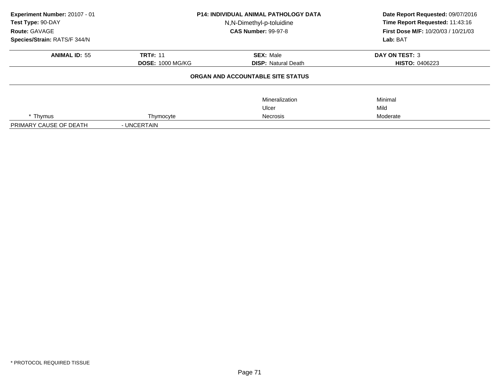| Experiment Number: 20107 - 01<br>Test Type: 90-DAY<br>Route: GAVAGE<br>Species/Strain: RATS/F 344/N |                         | <b>P14: INDIVIDUAL ANIMAL PATHOLOGY DATA</b><br>N,N-Dimethyl-p-toluidine<br><b>CAS Number: 99-97-8</b> |                       |
|-----------------------------------------------------------------------------------------------------|-------------------------|--------------------------------------------------------------------------------------------------------|-----------------------|
| <b>ANIMAL ID: 55</b>                                                                                | <b>TRT#: 11</b>         | <b>SEX: Male</b>                                                                                       | <b>DAY ON TEST: 3</b> |
|                                                                                                     | <b>DOSE: 1000 MG/KG</b> | <b>DISP:</b> Natural Death                                                                             | <b>HISTO: 0406223</b> |
|                                                                                                     |                         | ORGAN AND ACCOUNTABLE SITE STATUS                                                                      |                       |
|                                                                                                     |                         | Mineralization                                                                                         | Minimal               |
|                                                                                                     |                         | Ulcer                                                                                                  | Mild                  |
| * Thymus                                                                                            | Thymocyte               | <b>Necrosis</b>                                                                                        | Moderate              |
| PRIMARY CAUSE OF DEATH                                                                              | - UNCERTAIN             |                                                                                                        |                       |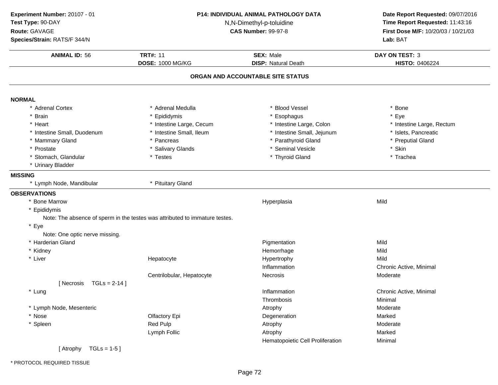| Experiment Number: 20107 - 01  |                                                                             | P14: INDIVIDUAL ANIMAL PATHOLOGY DATA | Date Report Requested: 09/07/2016   |  |
|--------------------------------|-----------------------------------------------------------------------------|---------------------------------------|-------------------------------------|--|
| Test Type: 90-DAY              |                                                                             | N,N-Dimethyl-p-toluidine              | Time Report Requested: 11:43:16     |  |
| Route: GAVAGE                  |                                                                             | <b>CAS Number: 99-97-8</b>            | First Dose M/F: 10/20/03 / 10/21/03 |  |
| Species/Strain: RATS/F 344/N   |                                                                             |                                       | Lab: BAT                            |  |
| <b>ANIMAL ID: 56</b>           | <b>TRT#: 11</b>                                                             | <b>SEX: Male</b>                      | <b>DAY ON TEST: 3</b>               |  |
|                                | <b>DOSE: 1000 MG/KG</b>                                                     | <b>DISP: Natural Death</b>            | HISTO: 0406224                      |  |
|                                |                                                                             | ORGAN AND ACCOUNTABLE SITE STATUS     |                                     |  |
| <b>NORMAL</b>                  |                                                                             |                                       |                                     |  |
| * Adrenal Cortex               | * Adrenal Medulla                                                           | * Blood Vessel                        | * Bone                              |  |
| * Brain                        | * Epididymis                                                                | Esophagus                             | * Eye                               |  |
| * Heart                        | * Intestine Large, Cecum                                                    | * Intestine Large, Colon              | * Intestine Large, Rectum           |  |
| * Intestine Small, Duodenum    | * Intestine Small, Ileum                                                    | * Intestine Small, Jejunum            | * Islets, Pancreatic                |  |
| * Mammary Gland                | * Pancreas                                                                  | * Parathyroid Gland                   | * Preputial Gland                   |  |
| * Prostate                     | * Salivary Glands                                                           | * Seminal Vesicle                     | * Skin                              |  |
| * Stomach, Glandular           | * Testes                                                                    | * Thyroid Gland                       | * Trachea                           |  |
| * Urinary Bladder              |                                                                             |                                       |                                     |  |
| <b>MISSING</b>                 |                                                                             |                                       |                                     |  |
| * Lymph Node, Mandibular       | * Pituitary Gland                                                           |                                       |                                     |  |
| <b>OBSERVATIONS</b>            |                                                                             |                                       |                                     |  |
| * Bone Marrow                  |                                                                             | Hyperplasia                           | Mild                                |  |
| * Epididymis                   |                                                                             |                                       |                                     |  |
|                                | Note: The absence of sperm in the testes was attributed to immature testes. |                                       |                                     |  |
| * Eye                          |                                                                             |                                       |                                     |  |
| Note: One optic nerve missing. |                                                                             |                                       |                                     |  |
| * Harderian Gland              |                                                                             | Pigmentation                          | Mild                                |  |
| * Kidney                       |                                                                             | Hemorrhage                            | Mild                                |  |
| * Liver                        | Hepatocyte                                                                  | Hypertrophy                           | Mild                                |  |
|                                |                                                                             | Inflammation                          | Chronic Active, Minimal             |  |
|                                | Centrilobular, Hepatocyte                                                   | <b>Necrosis</b>                       | Moderate                            |  |
| $TGLs = 2-14$<br>[ Necrosis    |                                                                             |                                       |                                     |  |
| * Lung                         |                                                                             | Inflammation                          | Chronic Active, Minimal             |  |
|                                |                                                                             | Thrombosis                            | Minimal                             |  |
| * Lymph Node, Mesenteric       |                                                                             | Atrophy                               | Moderate                            |  |
| * Nose                         | Olfactory Epi                                                               | Degeneration                          | Marked                              |  |
| * Spleen                       | Red Pulp                                                                    | Atrophy                               | Moderate                            |  |
|                                | Lymph Follic                                                                | Atrophy                               | Marked                              |  |
|                                |                                                                             | Hematopoietic Cell Proliferation      | Minimal                             |  |
| $TGLs = 1-5$ ]<br>[ Atrophy    |                                                                             |                                       |                                     |  |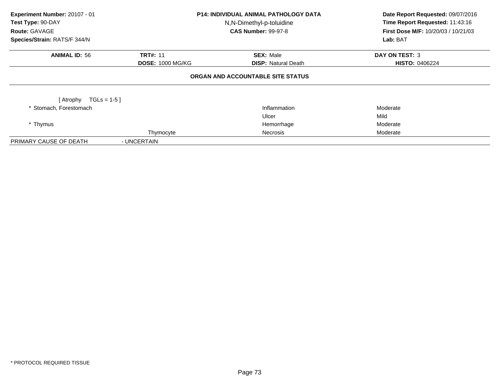| Experiment Number: 20107 - 01<br>Test Type: 90-DAY<br>Route: GAVAGE<br>Species/Strain: RATS/F 344/N |                         | <b>P14: INDIVIDUAL ANIMAL PATHOLOGY DATA</b><br>N,N-Dimethyl-p-toluidine<br><b>CAS Number: 99-97-8</b> | Date Report Requested: 09/07/2016<br>Time Report Requested: 11:43:16<br>First Dose M/F: 10/20/03 / 10/21/03<br>Lab: BAT |
|-----------------------------------------------------------------------------------------------------|-------------------------|--------------------------------------------------------------------------------------------------------|-------------------------------------------------------------------------------------------------------------------------|
| <b>ANIMAL ID: 56</b>                                                                                | <b>TRT#: 11</b>         | <b>SEX: Male</b>                                                                                       | <b>DAY ON TEST: 3</b>                                                                                                   |
|                                                                                                     | <b>DOSE: 1000 MG/KG</b> | <b>DISP:</b> Natural Death                                                                             | <b>HISTO: 0406224</b>                                                                                                   |
|                                                                                                     |                         | ORGAN AND ACCOUNTABLE SITE STATUS                                                                      |                                                                                                                         |
| $TGLs = 1-5$ ]<br>[ Atrophy                                                                         |                         |                                                                                                        |                                                                                                                         |
| * Stomach, Forestomach                                                                              |                         | Inflammation                                                                                           | Moderate                                                                                                                |
|                                                                                                     |                         | Ulcer                                                                                                  | Mild                                                                                                                    |
| * Thymus                                                                                            |                         | Hemorrhage                                                                                             | Moderate                                                                                                                |
|                                                                                                     | Thymocyte               | Necrosis                                                                                               | Moderate                                                                                                                |
| PRIMARY CAUSE OF DEATH                                                                              | - UNCERTAIN             |                                                                                                        |                                                                                                                         |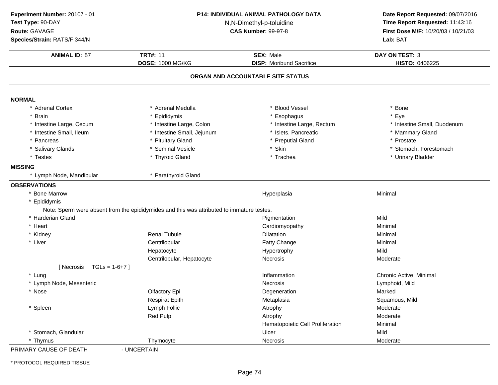| N,N-Dimethyl-p-toluidine   |                                                          | Time Report Requested: 11:43:16                                                                                                                                                                                                                                     |  |
|----------------------------|----------------------------------------------------------|---------------------------------------------------------------------------------------------------------------------------------------------------------------------------------------------------------------------------------------------------------------------|--|
|                            |                                                          | First Dose M/F: 10/20/03 / 10/21/03                                                                                                                                                                                                                                 |  |
|                            |                                                          | Lab: BAT                                                                                                                                                                                                                                                            |  |
| <b>TRT#: 11</b>            | <b>SEX: Male</b>                                         | <b>DAY ON TEST: 3</b>                                                                                                                                                                                                                                               |  |
| <b>DOSE: 1000 MG/KG</b>    | <b>DISP:</b> Moribund Sacrifice                          | HISTO: 0406225                                                                                                                                                                                                                                                      |  |
|                            |                                                          |                                                                                                                                                                                                                                                                     |  |
|                            |                                                          |                                                                                                                                                                                                                                                                     |  |
| * Adrenal Medulla          | * Blood Vessel                                           | * Bone                                                                                                                                                                                                                                                              |  |
| * Epididymis               | * Esophagus                                              | * Eye                                                                                                                                                                                                                                                               |  |
| * Intestine Large, Colon   | * Intestine Large, Rectum                                | * Intestine Small, Duodenum                                                                                                                                                                                                                                         |  |
| * Intestine Small, Jejunum | * Islets, Pancreatic                                     | * Mammary Gland                                                                                                                                                                                                                                                     |  |
| * Pituitary Gland          | * Preputial Gland                                        | * Prostate                                                                                                                                                                                                                                                          |  |
| * Seminal Vesicle          | * Skin                                                   | * Stomach, Forestomach                                                                                                                                                                                                                                              |  |
| * Thyroid Gland            | * Trachea                                                | * Urinary Bladder                                                                                                                                                                                                                                                   |  |
|                            |                                                          |                                                                                                                                                                                                                                                                     |  |
| * Parathyroid Gland        |                                                          |                                                                                                                                                                                                                                                                     |  |
|                            |                                                          |                                                                                                                                                                                                                                                                     |  |
|                            |                                                          | Minimal                                                                                                                                                                                                                                                             |  |
|                            |                                                          |                                                                                                                                                                                                                                                                     |  |
|                            |                                                          |                                                                                                                                                                                                                                                                     |  |
|                            |                                                          | Mild                                                                                                                                                                                                                                                                |  |
|                            |                                                          | Minimal                                                                                                                                                                                                                                                             |  |
| <b>Renal Tubule</b>        | <b>Dilatation</b>                                        | Minimal                                                                                                                                                                                                                                                             |  |
| Centrilobular              |                                                          | Minimal                                                                                                                                                                                                                                                             |  |
|                            |                                                          | Mild                                                                                                                                                                                                                                                                |  |
|                            | Necrosis                                                 | Moderate                                                                                                                                                                                                                                                            |  |
| $TGLs = 1-6+7$ ]           |                                                          |                                                                                                                                                                                                                                                                     |  |
|                            | Inflammation                                             | Chronic Active, Minimal                                                                                                                                                                                                                                             |  |
|                            | <b>Necrosis</b>                                          | Lymphoid, Mild                                                                                                                                                                                                                                                      |  |
|                            |                                                          | Marked                                                                                                                                                                                                                                                              |  |
| <b>Respirat Epith</b>      | Metaplasia                                               | Squamous, Mild                                                                                                                                                                                                                                                      |  |
| Lymph Follic               | Atrophy                                                  | Moderate                                                                                                                                                                                                                                                            |  |
| Red Pulp                   | Atrophy                                                  | Moderate                                                                                                                                                                                                                                                            |  |
|                            | Hematopoietic Cell Proliferation                         | Minimal                                                                                                                                                                                                                                                             |  |
|                            | Ulcer                                                    | Mild                                                                                                                                                                                                                                                                |  |
| Thymocyte                  | Necrosis                                                 | Moderate                                                                                                                                                                                                                                                            |  |
|                            | Hepatocyte<br>Centrilobular, Hepatocyte<br>Olfactory Epi | <b>CAS Number: 99-97-8</b><br>ORGAN AND ACCOUNTABLE SITE STATUS<br>Hyperplasia<br>Note: Sperm were absent from the epididymides and this was attributed to immature testes.<br>Pigmentation<br>Cardiomyopathy<br><b>Fatty Change</b><br>Hypertrophy<br>Degeneration |  |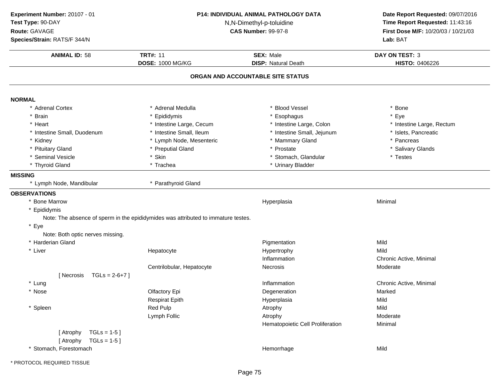| Experiment Number: 20107 - 01    |                                                                                   | P14: INDIVIDUAL ANIMAL PATHOLOGY DATA | Date Report Requested: 09/07/2016   |
|----------------------------------|-----------------------------------------------------------------------------------|---------------------------------------|-------------------------------------|
| Test Type: 90-DAY                | N,N-Dimethyl-p-toluidine                                                          |                                       | Time Report Requested: 11:43:16     |
| Route: GAVAGE                    |                                                                                   | <b>CAS Number: 99-97-8</b>            | First Dose M/F: 10/20/03 / 10/21/03 |
| Species/Strain: RATS/F 344/N     |                                                                                   |                                       | Lab: BAT                            |
| <b>ANIMAL ID: 58</b>             | <b>TRT#: 11</b>                                                                   | <b>SEX: Male</b>                      | <b>DAY ON TEST: 3</b>               |
|                                  | <b>DOSE: 1000 MG/KG</b>                                                           | <b>DISP: Natural Death</b>            | HISTO: 0406226                      |
|                                  |                                                                                   | ORGAN AND ACCOUNTABLE SITE STATUS     |                                     |
| <b>NORMAL</b>                    |                                                                                   |                                       |                                     |
| * Adrenal Cortex                 | * Adrenal Medulla                                                                 | * Blood Vessel                        | * Bone                              |
| * Brain                          | * Epididymis                                                                      | * Esophagus                           | * Eye                               |
| * Heart                          | * Intestine Large, Cecum                                                          | * Intestine Large, Colon              | * Intestine Large, Rectum           |
| * Intestine Small, Duodenum      | * Intestine Small, Ileum                                                          | * Intestine Small, Jejunum            | * Islets, Pancreatic                |
| * Kidney                         | * Lymph Node, Mesenteric                                                          | * Mammary Gland                       | * Pancreas                          |
| * Pituitary Gland                | * Preputial Gland                                                                 | * Prostate                            | * Salivary Glands                   |
| * Seminal Vesicle                | * Skin                                                                            | * Stomach, Glandular                  | * Testes                            |
| * Thyroid Gland                  | * Trachea                                                                         | * Urinary Bladder                     |                                     |
| <b>MISSING</b>                   |                                                                                   |                                       |                                     |
| * Lymph Node, Mandibular         | * Parathyroid Gland                                                               |                                       |                                     |
| <b>OBSERVATIONS</b>              |                                                                                   |                                       |                                     |
| * Bone Marrow                    |                                                                                   | Hyperplasia                           | Minimal                             |
| * Epididymis                     |                                                                                   |                                       |                                     |
|                                  | Note: The absence of sperm in the epididymides was attributed to immature testes. |                                       |                                     |
| * Eye                            |                                                                                   |                                       |                                     |
| Note: Both optic nerves missing. |                                                                                   |                                       |                                     |
| * Harderian Gland                |                                                                                   | Pigmentation                          | Mild                                |
| * Liver                          | Hepatocyte                                                                        | Hypertrophy                           | Mild                                |
|                                  |                                                                                   | Inflammation                          | Chronic Active, Minimal             |
|                                  | Centrilobular, Hepatocyte                                                         | <b>Necrosis</b>                       | Moderate                            |
| $TGLs = 2-6+7$ ]<br>[Necrosis    |                                                                                   |                                       |                                     |
| * Lung                           |                                                                                   | Inflammation                          | Chronic Active, Minimal             |
| * Nose                           | Olfactory Epi                                                                     | Degeneration                          | Marked                              |
|                                  | <b>Respirat Epith</b>                                                             | Hyperplasia                           | Mild                                |
| * Spleen                         | Red Pulp                                                                          | Atrophy                               | Mild                                |
|                                  | Lymph Follic                                                                      | Atrophy                               | Moderate                            |
|                                  |                                                                                   | Hematopoietic Cell Proliferation      | Minimal                             |
| $TGLs = 1-5$ ]<br>[ Atrophy      |                                                                                   |                                       |                                     |
| [ Atrophy<br>$TGLs = 1-5$ ]      |                                                                                   |                                       |                                     |
| * Stomach, Forestomach           |                                                                                   | Hemorrhage                            | Mild                                |
|                                  |                                                                                   |                                       |                                     |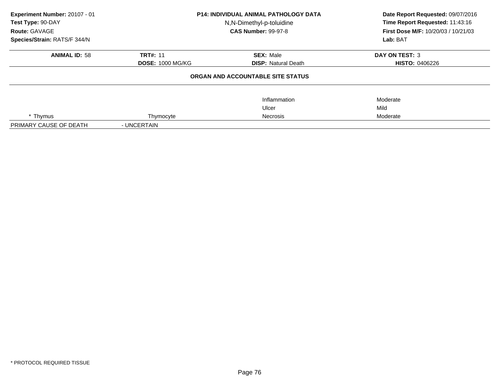| Experiment Number: 20107 - 01<br>Test Type: 90-DAY<br>Route: GAVAGE<br>Species/Strain: RATS/F 344/N |                         | <b>P14: INDIVIDUAL ANIMAL PATHOLOGY DATA</b><br>N,N-Dimethyl-p-toluidine<br><b>CAS Number: 99-97-8</b> |                       |
|-----------------------------------------------------------------------------------------------------|-------------------------|--------------------------------------------------------------------------------------------------------|-----------------------|
| <b>ANIMAL ID: 58</b>                                                                                | <b>TRT#: 11</b>         | <b>SEX: Male</b>                                                                                       | <b>DAY ON TEST: 3</b> |
|                                                                                                     | <b>DOSE: 1000 MG/KG</b> | <b>DISP:</b> Natural Death                                                                             | <b>HISTO: 0406226</b> |
|                                                                                                     |                         | ORGAN AND ACCOUNTABLE SITE STATUS                                                                      |                       |
|                                                                                                     |                         | Inflammation                                                                                           | Moderate              |
|                                                                                                     |                         | Ulcer                                                                                                  | Mild                  |
| * Thymus                                                                                            | Thymocyte               | <b>Necrosis</b>                                                                                        | Moderate              |
| PRIMARY CAUSE OF DEATH                                                                              | - UNCERTAIN             |                                                                                                        |                       |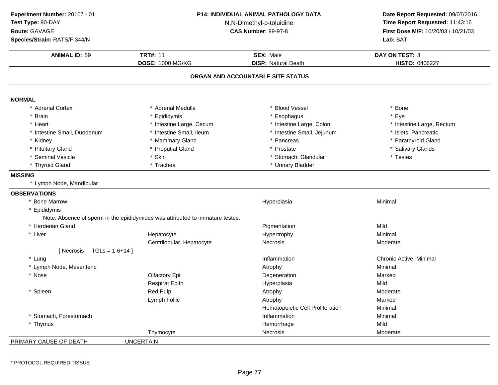**ANIMAL ID:** <sup>59</sup> **TRT#:** <sup>11</sup> **SEX:** Male **DAY ON TEST:** <sup>3</sup> **DOSE:** 1000 MG/KG**DISP:** Natural Death **HISTO:** 0406227 **ORGAN AND ACCOUNTABLE SITE STATUSNORMAL** \* Adrenal Cortex \* Adrenal Medullaa the set of the set of the set of the set of the set of the set of the set of the set of the set of the set o<br>Set of the set of the set of the set of the set of the set of the set of the set of the set of the set of the s \* Brain \* Epididymis \* Esophagus \* Eye \* Heart \* Intestine Large, Cecum \* Intestine Large, Cecum \* 1ntestine Large, Colon \* 11. \* Intestine Large, Rectum \* Intestine Small. Jeiunum \* 11. \* Intestine Small. Jeiunum \* Intestine Small. Jeiunum \* Islets. Pancreatic \* Intestine Small, Duodenum\* Intestine Small, Jejunum \* Pancreas \* Kidney \* Mammary Gland\* Mammary Gland \* **All and \* Pancreas \* Pancreas \* Pancreas \* Parathyroid Gland \* Prostate \* Prostate \* Prostate \* Prostate \* Prostate \* Prostate \* Prostate \* Prostate \* Prostate \* Prostate \***  $\bullet$  **\* Salivary Glands \* Prost** \* Pituitary Glandd and the second of the preputial Gland the second of the second term of the second of the second of the second  $^*$  Salivary Glands \* Seminal Vesiclee the settlement of the Skin the settlement of the settlement of the settlement of the settlement of the settlement of the settlement of the settlement of the settlement of the settlement of the settlement of the settlemen \* Thyroid Gland\* Trachea **\*** Urinary Bladder **MISSING** \* Lymph Node, Mandibular **OBSERVATIONS** \* Bone Marroww the contract of the contract of the Hyperplasia contract of the Minimal Minimal Section 1, 2016, 2017, 2017, 2017, 2017, 2017, 2017, 2017, 2017, 2017, 2017, 2017, 2017, 2017, 2017, 2017, 2017, 2017, 2017, 2017, 2017, 201 \* Epididymis Note: Absence of sperm in the epididymides was attributed to immature testes.\* Harderian Glandd and the contract of the Pigmentation and the Mild of the Mild of the Mild of the Mild of the Mild of the Mild of the Mild of the Mild of the Mild of the Mild of the Mild of the Mild of the Mild of the Mild of the Mild of \* Liver Hepatocyte Hypertrophy Minimal Centrilobular, Hepatocyte Necrosis Moderate  $[$  Necrosis  $TGLs = 1-6+14]$ \* Lungg **Inflammation** Chronic Active, Minimal \* Lymph Node, Mesentericc and the contract of the contract of the Atrophy contract of the Minimal Minimal of the Minimal of the Contract of the Minimal of the Contract of the Contract of the Contract of the Contract of the Contract of the Contrac \* Nosee and the Colfactory Epi and the Degeneration Degeneration and Marked Respirat Epithh Mild Hyperplasia that are much mild that the Mild Mild Mild that  $\mathsf{M}$ \* Spleenn and the Red Pulp and the Atrophy Atrophy and the Moderate Moderate Lymph Follicc **Example 2018** Atrophy **Marked** n Minimal Hematopoietic Cell Proliferation\* Stomach, Forestomachh ann an t-ìre ann an t-ìre ann an t-ìre ann an t-ìre ann an t-ìre ann an t-ìre ann an t-ìre ann an t-ìre ann a<br>Inflammation \* Thymuss and the contract of the contract of the contract of the contract of the contract of the contract of the contract of the contract of the contract of the contract of the contract of the contract of the contract of the cont e Mild **Thymocyte** e Moderate Recrosis Necrosis Anderate Moderate PRIMARY CAUSE OF DEATH - UNCERTAIN **Experiment Number:** 20107 - 01 **P14: INDIVIDUAL ANIMAL PATHOLOGY DATA Date Report Requested:** 09/07/2016 **Test Type:** 90-DAY N,N-Dimethyl-p-toluidine **Time Report Requested:** 11:43:16 **Route:** GAVAGE**First Dose M/F:** 10/20/03 / 10/21/03<br>**Lab:** BAT **Species/Strain:** RATS/F 344/N**Lab:** BAT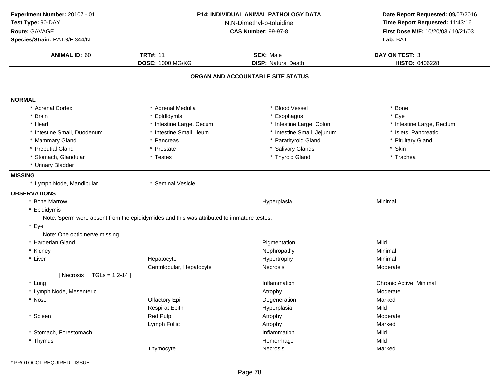| Experiment Number: 20107 - 01  | P14: INDIVIDUAL ANIMAL PATHOLOGY DATA<br>N,N-Dimethyl-p-toluidine                         |                                   | Date Report Requested: 09/07/2016<br>Time Report Requested: 11:43:16 |  |
|--------------------------------|-------------------------------------------------------------------------------------------|-----------------------------------|----------------------------------------------------------------------|--|
| Test Type: 90-DAY              |                                                                                           |                                   |                                                                      |  |
| Route: GAVAGE                  |                                                                                           | <b>CAS Number: 99-97-8</b>        | First Dose M/F: 10/20/03 / 10/21/03                                  |  |
| Species/Strain: RATS/F 344/N   |                                                                                           |                                   | Lab: BAT                                                             |  |
| <b>ANIMAL ID: 60</b>           | <b>TRT#: 11</b>                                                                           | <b>SEX: Male</b>                  | <b>DAY ON TEST: 3</b>                                                |  |
|                                | <b>DOSE: 1000 MG/KG</b>                                                                   | <b>DISP: Natural Death</b>        | HISTO: 0406228                                                       |  |
|                                |                                                                                           | ORGAN AND ACCOUNTABLE SITE STATUS |                                                                      |  |
| <b>NORMAL</b>                  |                                                                                           |                                   |                                                                      |  |
| * Adrenal Cortex               | * Adrenal Medulla                                                                         | <b>Blood Vessel</b>               | * Bone                                                               |  |
| * Brain                        | * Epididymis                                                                              | Esophagus                         | * Eye                                                                |  |
| * Heart                        | * Intestine Large, Cecum                                                                  | * Intestine Large, Colon          | * Intestine Large, Rectum                                            |  |
| * Intestine Small, Duodenum    | * Intestine Small, Ileum                                                                  | * Intestine Small, Jejunum        | * Islets, Pancreatic                                                 |  |
| * Mammary Gland                | * Pancreas                                                                                | Parathyroid Gland                 | * Pituitary Gland                                                    |  |
| * Preputial Gland              | * Prostate                                                                                | * Salivary Glands                 | * Skin                                                               |  |
| * Stomach, Glandular           | * Testes                                                                                  | * Thyroid Gland                   | * Trachea                                                            |  |
| * Urinary Bladder              |                                                                                           |                                   |                                                                      |  |
| <b>MISSING</b>                 |                                                                                           |                                   |                                                                      |  |
| * Lymph Node, Mandibular       | * Seminal Vesicle                                                                         |                                   |                                                                      |  |
| <b>OBSERVATIONS</b>            |                                                                                           |                                   |                                                                      |  |
| * Bone Marrow                  |                                                                                           | Hyperplasia                       | Minimal                                                              |  |
| * Epididymis                   |                                                                                           |                                   |                                                                      |  |
|                                | Note: Sperm were absent from the epididymides and this was attributed to immature testes. |                                   |                                                                      |  |
| * Eye                          |                                                                                           |                                   |                                                                      |  |
| Note: One optic nerve missing. |                                                                                           |                                   |                                                                      |  |
| * Harderian Gland              |                                                                                           | Pigmentation                      | Mild                                                                 |  |
| * Kidney                       |                                                                                           | Nephropathy                       | Minimal                                                              |  |
| * Liver                        | Hepatocyte                                                                                | Hypertrophy                       | Minimal                                                              |  |
|                                | Centrilobular, Hepatocyte                                                                 | <b>Necrosis</b>                   | Moderate                                                             |  |
| $TGLs = 1,2-14$<br>[ Necrosis  |                                                                                           |                                   |                                                                      |  |
| * Lung                         |                                                                                           | Inflammation                      | Chronic Active, Minimal                                              |  |
| * Lymph Node, Mesenteric       |                                                                                           | Atrophy                           | Moderate                                                             |  |
| $*$ Nose                       | Olfactory Epi                                                                             | Degeneration                      | Marked                                                               |  |
|                                | <b>Respirat Epith</b>                                                                     | Hyperplasia                       | Mild                                                                 |  |
| * Spleen                       | Red Pulp                                                                                  | Atrophy                           | Moderate                                                             |  |
|                                | Lymph Follic                                                                              | Atrophy                           | Marked                                                               |  |
| * Stomach, Forestomach         |                                                                                           | Inflammation                      | Mild                                                                 |  |
| * Thymus                       |                                                                                           | Hemorrhage                        | Mild                                                                 |  |
|                                | Thymocyte                                                                                 | Necrosis                          | Marked                                                               |  |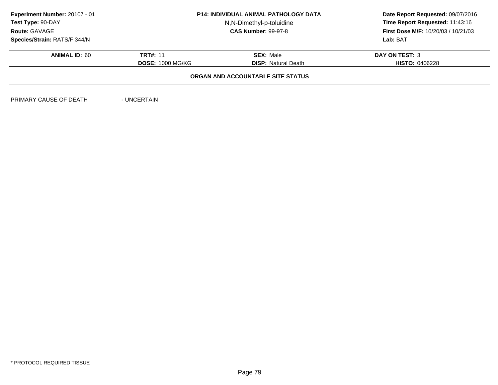| Experiment Number: 20107 - 01<br>Test Type: 90-DAY | <b>P14: INDIVIDUAL ANIMAL PATHOLOGY DATA</b><br>N,N-Dimethyl-p-toluidine |                            | Date Report Requested: 09/07/2016<br>Time Report Requested: 11:43:16 |  |  |
|----------------------------------------------------|--------------------------------------------------------------------------|----------------------------|----------------------------------------------------------------------|--|--|
| Route: GAVAGE                                      |                                                                          | <b>CAS Number: 99-97-8</b> |                                                                      |  |  |
| Species/Strain: RATS/F 344/N                       |                                                                          |                            | Lab: BAT                                                             |  |  |
| <b>ANIMAL ID: 60</b>                               | <b>TRT#: 11</b>                                                          | <b>SEX: Male</b>           | DAY ON TEST: 3                                                       |  |  |
|                                                    | <b>DOSE: 1000 MG/KG</b>                                                  | <b>DISP:</b> Natural Death | <b>HISTO: 0406228</b>                                                |  |  |
| ORGAN AND ACCOUNTABLE SITE STATUS                  |                                                                          |                            |                                                                      |  |  |
| PRIMARY CAUSE OF DEATH                             | - UNCERTAIN                                                              |                            |                                                                      |  |  |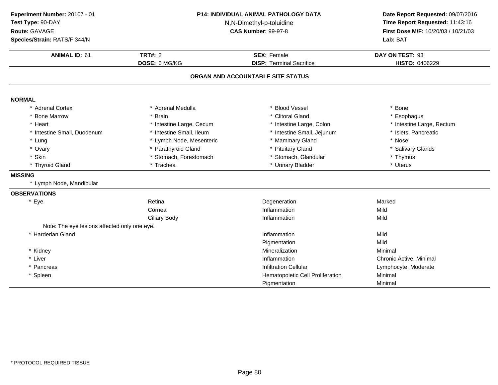| Experiment Number: 20107 - 01                |                          | P14: INDIVIDUAL ANIMAL PATHOLOGY DATA |                                     |
|----------------------------------------------|--------------------------|---------------------------------------|-------------------------------------|
| Test Type: 90-DAY                            | N,N-Dimethyl-p-toluidine |                                       | Time Report Requested: 11:43:16     |
| Route: GAVAGE                                |                          | <b>CAS Number: 99-97-8</b>            | First Dose M/F: 10/20/03 / 10/21/03 |
| Species/Strain: RATS/F 344/N                 |                          |                                       | Lab: BAT                            |
| <b>ANIMAL ID: 61</b>                         | <b>TRT#: 2</b>           | <b>SEX: Female</b>                    | DAY ON TEST: 93                     |
|                                              | DOSE: 0 MG/KG            | <b>DISP: Terminal Sacrifice</b>       | HISTO: 0406229                      |
|                                              |                          | ORGAN AND ACCOUNTABLE SITE STATUS     |                                     |
| <b>NORMAL</b>                                |                          |                                       |                                     |
| * Adrenal Cortex                             | * Adrenal Medulla        | <b>Blood Vessel</b>                   | Bone                                |
| * Bone Marrow                                | * Brain                  | * Clitoral Gland                      | * Esophagus                         |
| * Heart                                      | * Intestine Large, Cecum | * Intestine Large, Colon              | * Intestine Large, Rectum           |
| * Intestine Small, Duodenum                  | * Intestine Small, Ileum | * Intestine Small, Jejunum            | * Islets, Pancreatic                |
| * Lung                                       | * Lymph Node, Mesenteric | * Mammary Gland                       | * Nose                              |
| * Ovary                                      | * Parathyroid Gland      | * Pituitary Gland                     | * Salivary Glands                   |
| * Skin                                       | * Stomach, Forestomach   | * Stomach, Glandular                  | * Thymus                            |
| * Thyroid Gland                              | * Trachea                | * Urinary Bladder                     | * Uterus                            |
| <b>MISSING</b>                               |                          |                                       |                                     |
| * Lymph Node, Mandibular                     |                          |                                       |                                     |
| <b>OBSERVATIONS</b>                          |                          |                                       |                                     |
| * Eye                                        | Retina                   | Degeneration                          | Marked                              |
|                                              | Cornea                   | Inflammation                          | Mild                                |
|                                              | <b>Ciliary Body</b>      | Inflammation                          | Mild                                |
| Note: The eye lesions affected only one eye. |                          |                                       |                                     |
| * Harderian Gland                            |                          | Inflammation                          | Mild                                |
|                                              |                          | Pigmentation                          | Mild                                |
| * Kidney                                     |                          | Mineralization                        | Minimal                             |
| * Liver                                      |                          | Inflammation                          | Chronic Active, Minimal             |
| * Pancreas                                   |                          | <b>Infiltration Cellular</b>          | Lymphocyte, Moderate                |
| * Spleen                                     |                          | Hematopoietic Cell Proliferation      | Minimal                             |
|                                              |                          | Pigmentation                          | Minimal                             |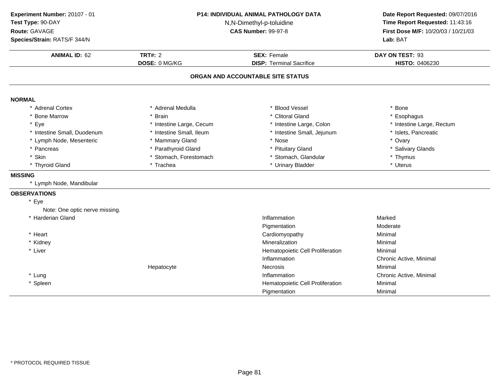| Experiment Number: 20107 - 01                 |                          | P14: INDIVIDUAL ANIMAL PATHOLOGY DATA | Date Report Requested: 09/07/2016   |  |
|-----------------------------------------------|--------------------------|---------------------------------------|-------------------------------------|--|
| Test Type: 90-DAY<br>N,N-Dimethyl-p-toluidine |                          |                                       | Time Report Requested: 11:43:16     |  |
| Route: GAVAGE                                 |                          | <b>CAS Number: 99-97-8</b>            | First Dose M/F: 10/20/03 / 10/21/03 |  |
| Species/Strain: RATS/F 344/N                  |                          |                                       | Lab: BAT                            |  |
| <b>ANIMAL ID: 62</b>                          | <b>TRT#: 2</b>           | <b>SEX: Female</b>                    | DAY ON TEST: 93                     |  |
|                                               | DOSE: 0 MG/KG            | <b>DISP: Terminal Sacrifice</b>       | HISTO: 0406230                      |  |
|                                               |                          | ORGAN AND ACCOUNTABLE SITE STATUS     |                                     |  |
| <b>NORMAL</b>                                 |                          |                                       |                                     |  |
| * Adrenal Cortex                              | * Adrenal Medulla        | <b>Blood Vessel</b>                   | * Bone                              |  |
| * Bone Marrow                                 | <b>Brain</b>             | * Clitoral Gland                      | * Esophagus                         |  |
| * Eye                                         | * Intestine Large, Cecum | * Intestine Large, Colon              | * Intestine Large, Rectum           |  |
| * Intestine Small, Duodenum                   | * Intestine Small, Ileum | * Intestine Small, Jejunum            | * Islets, Pancreatic                |  |
| * Lymph Node, Mesenteric                      | * Mammary Gland          | * Nose                                | * Ovary                             |  |
| * Pancreas                                    | * Parathyroid Gland      | * Pituitary Gland                     | * Salivary Glands                   |  |
| * Skin                                        | * Stomach, Forestomach   | * Stomach, Glandular                  | * Thymus                            |  |
| * Thyroid Gland                               | * Trachea                | * Urinary Bladder                     | * Uterus                            |  |
| <b>MISSING</b>                                |                          |                                       |                                     |  |
| * Lymph Node, Mandibular                      |                          |                                       |                                     |  |
| <b>OBSERVATIONS</b>                           |                          |                                       |                                     |  |
| * Eye                                         |                          |                                       |                                     |  |
| Note: One optic nerve missing.                |                          |                                       |                                     |  |
| * Harderian Gland                             |                          | Inflammation                          | Marked                              |  |
|                                               |                          | Pigmentation                          | Moderate                            |  |
| * Heart                                       |                          | Cardiomyopathy                        | Minimal                             |  |
| * Kidney                                      |                          | Mineralization                        | Minimal                             |  |
| * Liver                                       |                          | Hematopoietic Cell Proliferation      | Minimal                             |  |
|                                               |                          | Inflammation                          | Chronic Active, Minimal             |  |
|                                               | Hepatocyte               | <b>Necrosis</b>                       | Minimal                             |  |
| * Lung                                        |                          | Inflammation                          | Chronic Active, Minimal             |  |
| * Spleen                                      |                          | Hematopoietic Cell Proliferation      | Minimal                             |  |
|                                               |                          | Pigmentation                          | Minimal                             |  |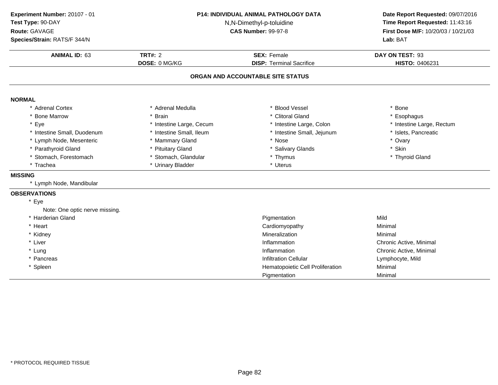| Experiment Number: 20107 - 01<br>Test Type: 90-DAY<br>Route: GAVAGE<br>Species/Strain: RATS/F 344/N | P14: INDIVIDUAL ANIMAL PATHOLOGY DATA<br>N,N-Dimethyl-p-toluidine<br><b>CAS Number: 99-97-8</b> |                                   | Date Report Requested: 09/07/2016<br>Time Report Requested: 11:43:16<br>First Dose M/F: 10/20/03 / 10/21/03<br>Lab: BAT |  |
|-----------------------------------------------------------------------------------------------------|-------------------------------------------------------------------------------------------------|-----------------------------------|-------------------------------------------------------------------------------------------------------------------------|--|
| <b>ANIMAL ID: 63</b>                                                                                | <b>TRT#: 2</b><br><b>SEX: Female</b><br><b>DISP: Terminal Sacrifice</b><br>DOSE: 0 MG/KG        |                                   | DAY ON TEST: 93<br>HISTO: 0406231                                                                                       |  |
|                                                                                                     |                                                                                                 | ORGAN AND ACCOUNTABLE SITE STATUS |                                                                                                                         |  |
| <b>NORMAL</b>                                                                                       |                                                                                                 |                                   |                                                                                                                         |  |
| * Adrenal Cortex                                                                                    | * Adrenal Medulla                                                                               | * Blood Vessel                    | * Bone                                                                                                                  |  |
| * Bone Marrow                                                                                       | * Brain                                                                                         | * Clitoral Gland                  | * Esophagus                                                                                                             |  |
| * Eye                                                                                               | * Intestine Large, Cecum                                                                        | * Intestine Large, Colon          | * Intestine Large, Rectum                                                                                               |  |
| * Intestine Small, Duodenum                                                                         | * Intestine Small, Ileum                                                                        | * Intestine Small, Jejunum        | * Islets, Pancreatic                                                                                                    |  |
| * Lymph Node, Mesenteric                                                                            | * Mammary Gland                                                                                 | * Nose                            | * Ovary                                                                                                                 |  |
| * Parathyroid Gland                                                                                 | * Pituitary Gland                                                                               | * Salivary Glands                 | * Skin                                                                                                                  |  |
| * Stomach, Forestomach                                                                              | * Stomach, Glandular                                                                            | * Thymus                          | * Thyroid Gland                                                                                                         |  |
| * Trachea                                                                                           | * Urinary Bladder                                                                               | * Uterus                          |                                                                                                                         |  |
| <b>MISSING</b>                                                                                      |                                                                                                 |                                   |                                                                                                                         |  |
| * Lymph Node, Mandibular                                                                            |                                                                                                 |                                   |                                                                                                                         |  |
| <b>OBSERVATIONS</b>                                                                                 |                                                                                                 |                                   |                                                                                                                         |  |
| * Eye                                                                                               |                                                                                                 |                                   |                                                                                                                         |  |
| Note: One optic nerve missing.                                                                      |                                                                                                 |                                   |                                                                                                                         |  |
| * Harderian Gland                                                                                   |                                                                                                 | Pigmentation                      | Mild                                                                                                                    |  |
| * Heart                                                                                             |                                                                                                 | Cardiomyopathy                    | Minimal                                                                                                                 |  |
| * Kidney                                                                                            |                                                                                                 | Mineralization                    | Minimal                                                                                                                 |  |
| * Liver                                                                                             |                                                                                                 | Inflammation                      | Chronic Active, Minimal                                                                                                 |  |
| * Lung                                                                                              |                                                                                                 | Inflammation                      | Chronic Active, Minimal                                                                                                 |  |
| * Pancreas                                                                                          |                                                                                                 | <b>Infiltration Cellular</b>      | Lymphocyte, Mild                                                                                                        |  |
| * Spleen                                                                                            |                                                                                                 | Hematopoietic Cell Proliferation  | Minimal                                                                                                                 |  |
|                                                                                                     |                                                                                                 | Pigmentation                      | Minimal                                                                                                                 |  |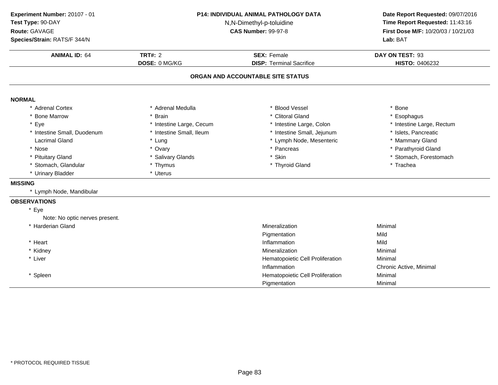| Experiment Number: 20107 - 01<br>Test Type: 90-DAY<br>Route: GAVAGE |                          | <b>P14: INDIVIDUAL ANIMAL PATHOLOGY DATA</b><br>N,N-Dimethyl-p-toluidine<br><b>CAS Number: 99-97-8</b> |                           |
|---------------------------------------------------------------------|--------------------------|--------------------------------------------------------------------------------------------------------|---------------------------|
| Species/Strain: RATS/F 344/N                                        |                          |                                                                                                        | Lab: BAT                  |
| <b>ANIMAL ID: 64</b>                                                | <b>TRT#: 2</b>           | <b>SEX: Female</b>                                                                                     | DAY ON TEST: 93           |
|                                                                     | DOSE: 0 MG/KG            | <b>DISP: Terminal Sacrifice</b>                                                                        | HISTO: 0406232            |
|                                                                     |                          | ORGAN AND ACCOUNTABLE SITE STATUS                                                                      |                           |
| <b>NORMAL</b>                                                       |                          |                                                                                                        |                           |
| * Adrenal Cortex                                                    | * Adrenal Medulla        | * Blood Vessel                                                                                         | * Bone                    |
| * Bone Marrow                                                       | <b>Brain</b>             | * Clitoral Gland                                                                                       | * Esophagus               |
| * Eye                                                               | * Intestine Large, Cecum | * Intestine Large, Colon                                                                               | * Intestine Large, Rectum |
| * Intestine Small, Duodenum                                         | * Intestine Small, Ileum | * Intestine Small, Jejunum                                                                             | * Islets, Pancreatic      |
| <b>Lacrimal Gland</b>                                               | * Lung                   | * Lymph Node, Mesenteric                                                                               | * Mammary Gland           |
| * Nose                                                              | * Ovary                  | * Pancreas                                                                                             | * Parathyroid Gland       |
| * Pituitary Gland                                                   | * Salivary Glands        | * Skin                                                                                                 | * Stomach, Forestomach    |
| * Stomach, Glandular                                                | * Thymus                 | * Thyroid Gland                                                                                        | * Trachea                 |
| * Urinary Bladder                                                   | * Uterus                 |                                                                                                        |                           |
| <b>MISSING</b>                                                      |                          |                                                                                                        |                           |
| * Lymph Node, Mandibular                                            |                          |                                                                                                        |                           |
| <b>OBSERVATIONS</b>                                                 |                          |                                                                                                        |                           |
| * Eye                                                               |                          |                                                                                                        |                           |
| Note: No optic nerves present.                                      |                          |                                                                                                        |                           |
| * Harderian Gland                                                   |                          | Mineralization                                                                                         | Minimal                   |
|                                                                     |                          | Pigmentation                                                                                           | Mild                      |
| * Heart                                                             |                          | Inflammation                                                                                           | Mild                      |
| * Kidney                                                            |                          | Mineralization                                                                                         | Minimal                   |
| * Liver                                                             |                          | Hematopoietic Cell Proliferation                                                                       | Minimal                   |
|                                                                     |                          | Inflammation                                                                                           | Chronic Active, Minimal   |
| * Spleen                                                            |                          | Hematopoietic Cell Proliferation                                                                       | Minimal                   |
|                                                                     |                          | Pigmentation                                                                                           | Minimal                   |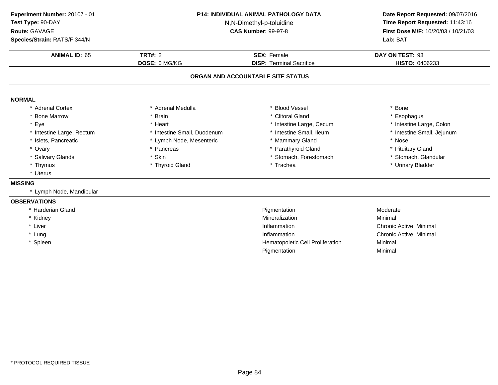| Experiment Number: 20107 - 01<br>Test Type: 90-DAY<br>Route: GAVAGE<br>Species/Strain: RATS/F 344/N | P14: INDIVIDUAL ANIMAL PATHOLOGY DATA<br>N,N-Dimethyl-p-toluidine<br><b>CAS Number: 99-97-8</b> |                                   | Date Report Requested: 09/07/2016<br>Time Report Requested: 11:43:16<br>First Dose M/F: 10/20/03 / 10/21/03<br>Lab: BAT |
|-----------------------------------------------------------------------------------------------------|-------------------------------------------------------------------------------------------------|-----------------------------------|-------------------------------------------------------------------------------------------------------------------------|
| <b>ANIMAL ID: 65</b>                                                                                | <b>TRT#: 2</b>                                                                                  | <b>SEX: Female</b>                | DAY ON TEST: 93                                                                                                         |
|                                                                                                     | DOSE: 0 MG/KG                                                                                   | <b>DISP: Terminal Sacrifice</b>   | HISTO: 0406233                                                                                                          |
|                                                                                                     |                                                                                                 | ORGAN AND ACCOUNTABLE SITE STATUS |                                                                                                                         |
| <b>NORMAL</b>                                                                                       |                                                                                                 |                                   |                                                                                                                         |
| * Adrenal Cortex                                                                                    | * Adrenal Medulla                                                                               | * Blood Vessel                    | * Bone                                                                                                                  |
| * Bone Marrow                                                                                       | * Brain                                                                                         | * Clitoral Gland                  | * Esophagus                                                                                                             |
| * Eye                                                                                               | * Heart                                                                                         | * Intestine Large, Cecum          | * Intestine Large, Colon                                                                                                |
| * Intestine Large, Rectum                                                                           | * Intestine Small, Duodenum                                                                     | Intestine Small, Ileum            | * Intestine Small, Jejunum                                                                                              |
| * Islets, Pancreatic                                                                                | * Lymph Node, Mesenteric                                                                        | * Mammary Gland                   | * Nose                                                                                                                  |
| * Ovary                                                                                             | * Pancreas                                                                                      | * Parathyroid Gland               | * Pituitary Gland                                                                                                       |
| * Salivary Glands                                                                                   | * Skin                                                                                          | * Stomach, Forestomach            | * Stomach, Glandular                                                                                                    |
| * Thymus                                                                                            | * Thyroid Gland                                                                                 | * Trachea                         | * Urinary Bladder                                                                                                       |
| * Uterus                                                                                            |                                                                                                 |                                   |                                                                                                                         |
| <b>MISSING</b>                                                                                      |                                                                                                 |                                   |                                                                                                                         |
| * Lymph Node, Mandibular                                                                            |                                                                                                 |                                   |                                                                                                                         |
| <b>OBSERVATIONS</b>                                                                                 |                                                                                                 |                                   |                                                                                                                         |
| * Harderian Gland                                                                                   |                                                                                                 | Pigmentation                      | Moderate                                                                                                                |
| * Kidney                                                                                            |                                                                                                 | Mineralization                    | Minimal                                                                                                                 |
| * Liver                                                                                             |                                                                                                 | Inflammation                      | Chronic Active, Minimal                                                                                                 |
| * Lung                                                                                              |                                                                                                 | Inflammation                      | Chronic Active, Minimal                                                                                                 |
| * Spleen                                                                                            |                                                                                                 | Hematopoietic Cell Proliferation  | Minimal                                                                                                                 |
|                                                                                                     |                                                                                                 | Pigmentation                      | Minimal                                                                                                                 |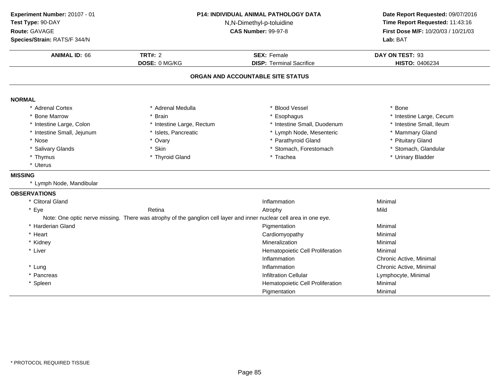| Experiment Number: 20107 - 01 |                                                                                                                     | P14: INDIVIDUAL ANIMAL PATHOLOGY DATA | Date Report Requested: 09/07/2016   |
|-------------------------------|---------------------------------------------------------------------------------------------------------------------|---------------------------------------|-------------------------------------|
| Test Type: 90-DAY             | N,N-Dimethyl-p-toluidine<br><b>CAS Number: 99-97-8</b>                                                              |                                       | Time Report Requested: 11:43:16     |
| Route: GAVAGE                 |                                                                                                                     |                                       | First Dose M/F: 10/20/03 / 10/21/03 |
| Species/Strain: RATS/F 344/N  |                                                                                                                     |                                       | Lab: BAT                            |
| <b>ANIMAL ID: 66</b>          | <b>TRT#: 2</b>                                                                                                      | <b>SEX: Female</b>                    | DAY ON TEST: 93                     |
|                               | DOSE: 0 MG/KG                                                                                                       | <b>DISP: Terminal Sacrifice</b>       | HISTO: 0406234                      |
|                               |                                                                                                                     | ORGAN AND ACCOUNTABLE SITE STATUS     |                                     |
| <b>NORMAL</b>                 |                                                                                                                     |                                       |                                     |
| * Adrenal Cortex              | * Adrenal Medulla                                                                                                   | * Blood Vessel                        | * Bone                              |
| * Bone Marrow                 | <b>Brain</b>                                                                                                        | * Esophagus                           | * Intestine Large, Cecum            |
| * Intestine Large, Colon      | * Intestine Large, Rectum                                                                                           | * Intestine Small, Duodenum           | * Intestine Small, Ileum            |
| * Intestine Small, Jejunum    | * Islets, Pancreatic                                                                                                | * Lymph Node, Mesenteric              | * Mammary Gland                     |
| * Nose                        | * Ovary                                                                                                             | * Parathyroid Gland                   | * Pituitary Gland                   |
| * Salivary Glands             | * Skin                                                                                                              | * Stomach, Forestomach                | * Stomach, Glandular                |
| * Thymus                      | * Thyroid Gland                                                                                                     | * Trachea                             | * Urinary Bladder                   |
| * Uterus                      |                                                                                                                     |                                       |                                     |
| <b>MISSING</b>                |                                                                                                                     |                                       |                                     |
| * Lymph Node, Mandibular      |                                                                                                                     |                                       |                                     |
| <b>OBSERVATIONS</b>           |                                                                                                                     |                                       |                                     |
| * Clitoral Gland              |                                                                                                                     | Inflammation                          | Minimal                             |
| * Eye                         | Retina                                                                                                              | Atrophy                               | Mild                                |
|                               | Note: One optic nerve missing. There was atrophy of the ganglion cell layer and inner nuclear cell area in one eye. |                                       |                                     |
| * Harderian Gland             |                                                                                                                     | Pigmentation                          | Minimal                             |
| * Heart                       |                                                                                                                     | Cardiomyopathy                        | Minimal                             |
| * Kidney                      |                                                                                                                     | Mineralization                        | Minimal                             |
| * Liver                       |                                                                                                                     | Hematopoietic Cell Proliferation      | Minimal                             |
|                               |                                                                                                                     | Inflammation                          | Chronic Active, Minimal             |
| * Lung                        |                                                                                                                     | Inflammation                          | Chronic Active, Minimal             |
| * Pancreas                    |                                                                                                                     | <b>Infiltration Cellular</b>          | Lymphocyte, Minimal                 |
| * Spleen                      |                                                                                                                     | Hematopoietic Cell Proliferation      | Minimal                             |
|                               |                                                                                                                     | Pigmentation                          | Minimal                             |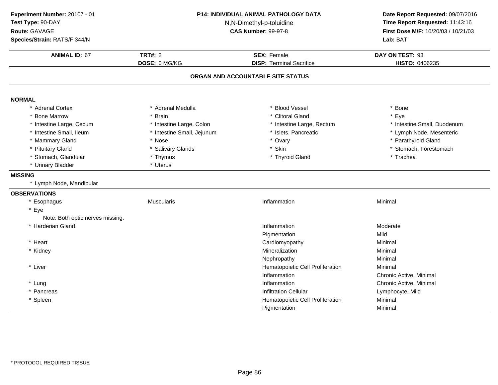| Experiment Number: 20107 - 01    |                            | P14: INDIVIDUAL ANIMAL PATHOLOGY DATA |                                     |  |
|----------------------------------|----------------------------|---------------------------------------|-------------------------------------|--|
| Test Type: 90-DAY                | N,N-Dimethyl-p-toluidine   |                                       | Time Report Requested: 11:43:16     |  |
| Route: GAVAGE                    |                            | <b>CAS Number: 99-97-8</b>            | First Dose M/F: 10/20/03 / 10/21/03 |  |
| Species/Strain: RATS/F 344/N     |                            |                                       | Lab: BAT                            |  |
| <b>ANIMAL ID: 67</b>             | <b>TRT#: 2</b>             | <b>SEX: Female</b>                    | DAY ON TEST: 93                     |  |
|                                  | DOSE: 0 MG/KG              | <b>DISP: Terminal Sacrifice</b>       | HISTO: 0406235                      |  |
|                                  |                            | ORGAN AND ACCOUNTABLE SITE STATUS     |                                     |  |
| <b>NORMAL</b>                    |                            |                                       |                                     |  |
| * Adrenal Cortex                 | * Adrenal Medulla          | * Blood Vessel                        | * Bone                              |  |
| * Bone Marrow                    | * Brain                    | * Clitoral Gland                      | * Eye                               |  |
| * Intestine Large, Cecum         | * Intestine Large, Colon   | * Intestine Large, Rectum             | * Intestine Small, Duodenum         |  |
| * Intestine Small, Ileum         | * Intestine Small, Jejunum | * Islets, Pancreatic                  | * Lymph Node, Mesenteric            |  |
| * Mammary Gland                  | * Nose                     | * Ovary                               | * Parathyroid Gland                 |  |
| * Pituitary Gland                | * Salivary Glands          | * Skin                                | * Stomach, Forestomach              |  |
| * Stomach, Glandular             | * Thymus                   | * Thyroid Gland                       | * Trachea                           |  |
| * Urinary Bladder                | * Uterus                   |                                       |                                     |  |
| <b>MISSING</b>                   |                            |                                       |                                     |  |
| * Lymph Node, Mandibular         |                            |                                       |                                     |  |
| <b>OBSERVATIONS</b>              |                            |                                       |                                     |  |
| * Esophagus                      | <b>Muscularis</b>          | Inflammation                          | Minimal                             |  |
| * Eye                            |                            |                                       |                                     |  |
| Note: Both optic nerves missing. |                            |                                       |                                     |  |
| * Harderian Gland                |                            | Inflammation                          | Moderate                            |  |
|                                  |                            | Pigmentation                          | Mild                                |  |
| * Heart                          |                            | Cardiomyopathy                        | Minimal                             |  |
| * Kidney                         |                            | Mineralization                        | Minimal                             |  |
|                                  |                            | Nephropathy                           | Minimal                             |  |
| * Liver                          |                            | Hematopoietic Cell Proliferation      | Minimal                             |  |
|                                  |                            | Inflammation                          | Chronic Active, Minimal             |  |
| * Lung                           |                            | Inflammation                          | Chronic Active, Minimal             |  |
| * Pancreas                       |                            | <b>Infiltration Cellular</b>          | Lymphocyte, Mild                    |  |
| * Spleen                         |                            | Hematopoietic Cell Proliferation      | Minimal                             |  |
|                                  |                            | Pigmentation                          | Minimal                             |  |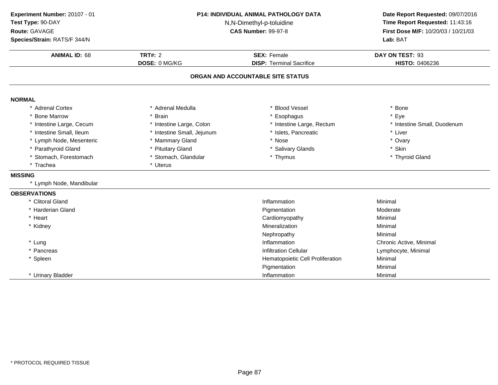| Experiment Number: 20107 - 01<br>Test Type: 90-DAY<br>Route: GAVAGE<br>Species/Strain: RATS/F 344/N | P14: INDIVIDUAL ANIMAL PATHOLOGY DATA<br>N,N-Dimethyl-p-toluidine<br><b>CAS Number: 99-97-8</b> |                                                       | Date Report Requested: 09/07/2016<br>Time Report Requested: 11:43:16<br>First Dose M/F: 10/20/03 / 10/21/03<br>Lab: BAT |
|-----------------------------------------------------------------------------------------------------|-------------------------------------------------------------------------------------------------|-------------------------------------------------------|-------------------------------------------------------------------------------------------------------------------------|
| <b>ANIMAL ID: 68</b>                                                                                | <b>TRT#: 2</b><br>DOSE: 0 MG/KG                                                                 | <b>SEX: Female</b><br><b>DISP: Terminal Sacrifice</b> | DAY ON TEST: 93<br>HISTO: 0406236                                                                                       |
|                                                                                                     |                                                                                                 | ORGAN AND ACCOUNTABLE SITE STATUS                     |                                                                                                                         |
| <b>NORMAL</b>                                                                                       |                                                                                                 |                                                       |                                                                                                                         |
| * Adrenal Cortex                                                                                    | * Adrenal Medulla                                                                               | * Blood Vessel                                        | * Bone                                                                                                                  |
| * Bone Marrow                                                                                       | * Brain                                                                                         | * Esophagus                                           | * Eye                                                                                                                   |
| * Intestine Large, Cecum                                                                            | * Intestine Large, Colon                                                                        | * Intestine Large, Rectum                             | * Intestine Small, Duodenum                                                                                             |
| * Intestine Small, Ileum                                                                            | * Intestine Small, Jejunum                                                                      | * Islets, Pancreatic                                  | * Liver                                                                                                                 |
| * Lymph Node, Mesenteric                                                                            | * Mammary Gland                                                                                 | * Nose                                                | * Ovary                                                                                                                 |
| * Parathyroid Gland                                                                                 | * Pituitary Gland                                                                               | * Salivary Glands                                     | * Skin                                                                                                                  |
| * Stomach, Forestomach                                                                              | * Stomach, Glandular                                                                            | * Thymus                                              | * Thyroid Gland                                                                                                         |
| * Trachea                                                                                           | * Uterus                                                                                        |                                                       |                                                                                                                         |
| <b>MISSING</b>                                                                                      |                                                                                                 |                                                       |                                                                                                                         |
| * Lymph Node, Mandibular                                                                            |                                                                                                 |                                                       |                                                                                                                         |
| <b>OBSERVATIONS</b>                                                                                 |                                                                                                 |                                                       |                                                                                                                         |
| * Clitoral Gland                                                                                    |                                                                                                 | Inflammation                                          | Minimal                                                                                                                 |
| * Harderian Gland                                                                                   |                                                                                                 | Pigmentation                                          | Moderate                                                                                                                |
| * Heart                                                                                             |                                                                                                 | Cardiomyopathy                                        | Minimal                                                                                                                 |
| * Kidney                                                                                            |                                                                                                 | Mineralization                                        | Minimal                                                                                                                 |
|                                                                                                     |                                                                                                 | Nephropathy                                           | Minimal                                                                                                                 |
| * Lung                                                                                              |                                                                                                 | Inflammation                                          | Chronic Active, Minimal                                                                                                 |
| * Pancreas                                                                                          |                                                                                                 | <b>Infiltration Cellular</b>                          | Lymphocyte, Minimal                                                                                                     |
| * Spleen                                                                                            |                                                                                                 | Hematopoietic Cell Proliferation                      | Minimal                                                                                                                 |
|                                                                                                     |                                                                                                 | Pigmentation                                          | Minimal                                                                                                                 |
| * Urinary Bladder                                                                                   |                                                                                                 | Inflammation                                          | Minimal                                                                                                                 |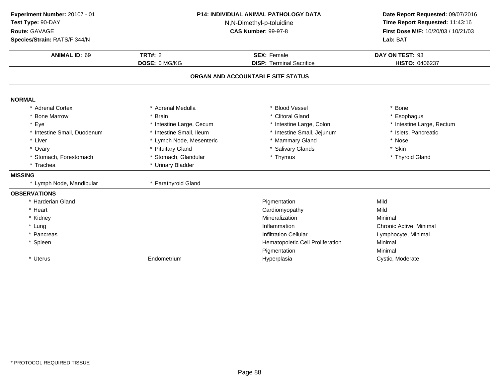| Experiment Number: 20107 - 01<br>Test Type: 90-DAY<br>Route: GAVAGE<br>Species/Strain: RATS/F 344/N | P14: INDIVIDUAL ANIMAL PATHOLOGY DATA<br>N,N-Dimethyl-p-toluidine<br><b>CAS Number: 99-97-8</b> |                                                       | Date Report Requested: 09/07/2016<br>Time Report Requested: 11:43:16<br>First Dose M/F: 10/20/03 / 10/21/03<br>Lab: BAT |
|-----------------------------------------------------------------------------------------------------|-------------------------------------------------------------------------------------------------|-------------------------------------------------------|-------------------------------------------------------------------------------------------------------------------------|
| <b>ANIMAL ID: 69</b>                                                                                | <b>TRT#: 2</b><br>DOSE: 0 MG/KG                                                                 | <b>SEX: Female</b><br><b>DISP: Terminal Sacrifice</b> | DAY ON TEST: 93<br>HISTO: 0406237                                                                                       |
|                                                                                                     |                                                                                                 | ORGAN AND ACCOUNTABLE SITE STATUS                     |                                                                                                                         |
| <b>NORMAL</b>                                                                                       |                                                                                                 |                                                       |                                                                                                                         |
| * Adrenal Cortex                                                                                    | * Adrenal Medulla                                                                               | * Blood Vessel                                        | * Bone                                                                                                                  |
| * Bone Marrow                                                                                       | * Brain                                                                                         | * Clitoral Gland                                      | * Esophagus                                                                                                             |
| * Eye                                                                                               | * Intestine Large, Cecum                                                                        | * Intestine Large, Colon                              | * Intestine Large, Rectum                                                                                               |
| * Intestine Small, Duodenum                                                                         | * Intestine Small, Ileum                                                                        | * Intestine Small, Jejunum                            | * Islets, Pancreatic                                                                                                    |
| * Liver                                                                                             | * Lymph Node, Mesenteric                                                                        | * Mammary Gland                                       | * Nose                                                                                                                  |
| * Ovary                                                                                             | * Pituitary Gland                                                                               | * Salivary Glands                                     | * Skin                                                                                                                  |
| * Stomach, Forestomach                                                                              | * Stomach, Glandular                                                                            | * Thymus                                              | * Thyroid Gland                                                                                                         |
| * Trachea                                                                                           | * Urinary Bladder                                                                               |                                                       |                                                                                                                         |
| <b>MISSING</b>                                                                                      |                                                                                                 |                                                       |                                                                                                                         |
| * Lymph Node, Mandibular                                                                            | * Parathyroid Gland                                                                             |                                                       |                                                                                                                         |
| <b>OBSERVATIONS</b>                                                                                 |                                                                                                 |                                                       |                                                                                                                         |
| * Harderian Gland                                                                                   |                                                                                                 | Pigmentation                                          | Mild                                                                                                                    |
| * Heart                                                                                             |                                                                                                 | Cardiomyopathy                                        | Mild                                                                                                                    |
| * Kidney                                                                                            |                                                                                                 | Mineralization                                        | Minimal                                                                                                                 |
| * Lung                                                                                              |                                                                                                 | Inflammation                                          | Chronic Active, Minimal                                                                                                 |
| * Pancreas                                                                                          |                                                                                                 | <b>Infiltration Cellular</b>                          | Lymphocyte, Minimal                                                                                                     |
| * Spleen                                                                                            |                                                                                                 | Hematopoietic Cell Proliferation                      | Minimal                                                                                                                 |
|                                                                                                     |                                                                                                 | Pigmentation                                          | Minimal                                                                                                                 |
| * Uterus                                                                                            | Endometrium                                                                                     | Hyperplasia                                           | Cystic, Moderate                                                                                                        |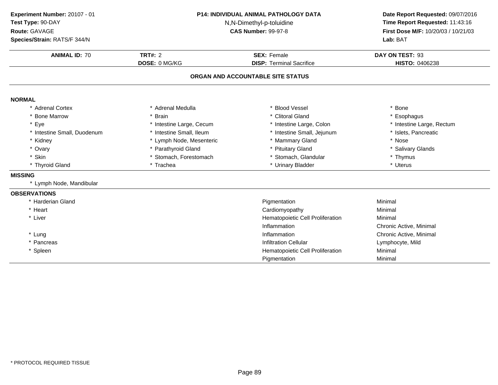| Experiment Number: 20107 - 01 | <b>P14: INDIVIDUAL ANIMAL PATHOLOGY DATA</b><br>N,N-Dimethyl-p-toluidine<br><b>CAS Number: 99-97-8</b> |                                   | Date Report Requested: 09/07/2016   |
|-------------------------------|--------------------------------------------------------------------------------------------------------|-----------------------------------|-------------------------------------|
| Test Type: 90-DAY             |                                                                                                        |                                   | Time Report Requested: 11:43:16     |
| Route: GAVAGE                 |                                                                                                        |                                   | First Dose M/F: 10/20/03 / 10/21/03 |
| Species/Strain: RATS/F 344/N  |                                                                                                        |                                   | Lab: BAT                            |
| <b>ANIMAL ID: 70</b>          | TRT#: $2$                                                                                              | <b>SEX: Female</b>                | DAY ON TEST: 93                     |
|                               | DOSE: 0 MG/KG                                                                                          | <b>DISP: Terminal Sacrifice</b>   | HISTO: 0406238                      |
|                               |                                                                                                        | ORGAN AND ACCOUNTABLE SITE STATUS |                                     |
| <b>NORMAL</b>                 |                                                                                                        |                                   |                                     |
| * Adrenal Cortex              | * Adrenal Medulla                                                                                      | * Blood Vessel                    | * Bone                              |
| * Bone Marrow                 | * Brain                                                                                                | * Clitoral Gland                  | * Esophagus                         |
| * Eye                         | * Intestine Large, Cecum                                                                               | Intestine Large, Colon            | * Intestine Large, Rectum           |
| * Intestine Small, Duodenum   | * Intestine Small, Ileum                                                                               | Intestine Small, Jejunum          | * Islets, Pancreatic                |
| * Kidney                      | * Lymph Node, Mesenteric                                                                               | * Mammary Gland                   | * Nose                              |
| * Ovary                       | * Parathyroid Gland                                                                                    | * Pituitary Gland                 | * Salivary Glands                   |
| * Skin                        | * Stomach, Forestomach                                                                                 | * Stomach, Glandular              | * Thymus                            |
| * Thyroid Gland               | * Trachea                                                                                              | * Urinary Bladder                 | * Uterus                            |
| <b>MISSING</b>                |                                                                                                        |                                   |                                     |
| * Lymph Node, Mandibular      |                                                                                                        |                                   |                                     |
| <b>OBSERVATIONS</b>           |                                                                                                        |                                   |                                     |
| * Harderian Gland             |                                                                                                        | Pigmentation                      | Minimal                             |
| * Heart                       |                                                                                                        | Cardiomyopathy                    | Minimal                             |
| * Liver                       |                                                                                                        | Hematopoietic Cell Proliferation  | Minimal                             |
|                               |                                                                                                        | Inflammation                      | Chronic Active, Minimal             |
| * Lung                        |                                                                                                        | Inflammation                      | Chronic Active, Minimal             |
| * Pancreas                    |                                                                                                        | <b>Infiltration Cellular</b>      | Lymphocyte, Mild                    |
| * Spleen                      |                                                                                                        | Hematopoietic Cell Proliferation  | Minimal                             |
|                               |                                                                                                        | Pigmentation                      | Minimal                             |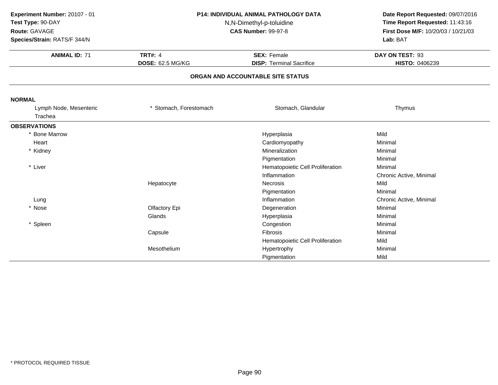| Experiment Number: 20107 - 01<br>Test Type: 90-DAY<br>Route: GAVAGE<br>Species/Strain: RATS/F 344/N | P14: INDIVIDUAL ANIMAL PATHOLOGY DATA<br>N,N-Dimethyl-p-toluidine<br><b>CAS Number: 99-97-8</b><br><b>TRT#: 4</b><br><b>SEX: Female</b><br><b>DOSE: 62.5 MG/KG</b><br><b>DISP: Terminal Sacrifice</b> |                                   | Date Report Requested: 09/07/2016<br>Time Report Requested: 11:43:16<br>First Dose M/F: 10/20/03 / 10/21/03<br>Lab: BAT |
|-----------------------------------------------------------------------------------------------------|-------------------------------------------------------------------------------------------------------------------------------------------------------------------------------------------------------|-----------------------------------|-------------------------------------------------------------------------------------------------------------------------|
| <b>ANIMAL ID: 71</b>                                                                                |                                                                                                                                                                                                       |                                   | DAY ON TEST: 93<br>HISTO: 0406239                                                                                       |
|                                                                                                     |                                                                                                                                                                                                       | ORGAN AND ACCOUNTABLE SITE STATUS |                                                                                                                         |
| <b>NORMAL</b>                                                                                       |                                                                                                                                                                                                       |                                   |                                                                                                                         |
| Lymph Node, Mesenteric<br>Trachea                                                                   | * Stomach, Forestomach                                                                                                                                                                                | Stomach, Glandular                | Thymus                                                                                                                  |
| <b>OBSERVATIONS</b>                                                                                 |                                                                                                                                                                                                       |                                   |                                                                                                                         |
| * Bone Marrow                                                                                       |                                                                                                                                                                                                       | Hyperplasia                       | Mild                                                                                                                    |
| Heart                                                                                               |                                                                                                                                                                                                       | Cardiomyopathy                    | Minimal                                                                                                                 |
| * Kidney                                                                                            |                                                                                                                                                                                                       | Mineralization                    | Minimal                                                                                                                 |
|                                                                                                     |                                                                                                                                                                                                       | Pigmentation                      | Minimal                                                                                                                 |
| * Liver                                                                                             |                                                                                                                                                                                                       | Hematopoietic Cell Proliferation  | Minimal                                                                                                                 |
|                                                                                                     |                                                                                                                                                                                                       | Inflammation                      | Chronic Active, Minimal                                                                                                 |
|                                                                                                     | Hepatocyte                                                                                                                                                                                            | Necrosis                          | Mild                                                                                                                    |
|                                                                                                     |                                                                                                                                                                                                       | Pigmentation                      | Minimal                                                                                                                 |
| Lung                                                                                                |                                                                                                                                                                                                       | Inflammation                      | Chronic Active, Minimal                                                                                                 |
| * Nose                                                                                              | Olfactory Epi                                                                                                                                                                                         | Degeneration                      | Minimal                                                                                                                 |
|                                                                                                     | Glands                                                                                                                                                                                                | Hyperplasia                       | Minimal                                                                                                                 |
| * Spleen                                                                                            |                                                                                                                                                                                                       | Congestion                        | Minimal                                                                                                                 |
|                                                                                                     | Capsule                                                                                                                                                                                               | Fibrosis                          | Minimal                                                                                                                 |
|                                                                                                     |                                                                                                                                                                                                       | Hematopoietic Cell Proliferation  | Mild                                                                                                                    |
|                                                                                                     | Mesothelium                                                                                                                                                                                           | Hypertrophy                       | Minimal                                                                                                                 |
|                                                                                                     |                                                                                                                                                                                                       | Pigmentation                      | Mild                                                                                                                    |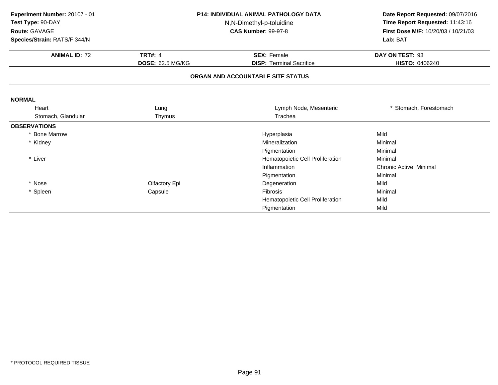| Experiment Number: 20107 - 01<br>Test Type: 90-DAY<br>Route: GAVAGE<br>Species/Strain: RATS/F 344/N |                         | <b>P14: INDIVIDUAL ANIMAL PATHOLOGY DATA</b><br>N,N-Dimethyl-p-toluidine<br><b>CAS Number: 99-97-8</b> | Date Report Requested: 09/07/2016<br>Time Report Requested: 11:43:16<br>First Dose M/F: 10/20/03 / 10/21/03<br>Lab: BAT |
|-----------------------------------------------------------------------------------------------------|-------------------------|--------------------------------------------------------------------------------------------------------|-------------------------------------------------------------------------------------------------------------------------|
| <b>ANIMAL ID: 72</b>                                                                                | <b>TRT#: 4</b>          | <b>SEX: Female</b>                                                                                     | DAY ON TEST: 93                                                                                                         |
|                                                                                                     | <b>DOSE: 62.5 MG/KG</b> | <b>DISP: Terminal Sacrifice</b>                                                                        | <b>HISTO: 0406240</b>                                                                                                   |
|                                                                                                     |                         | ORGAN AND ACCOUNTABLE SITE STATUS                                                                      |                                                                                                                         |
| <b>NORMAL</b>                                                                                       |                         |                                                                                                        |                                                                                                                         |
| Heart                                                                                               | Lung                    | Lymph Node, Mesenteric                                                                                 | * Stomach, Forestomach                                                                                                  |
| Stomach, Glandular                                                                                  | Thymus                  | Trachea                                                                                                |                                                                                                                         |
| <b>OBSERVATIONS</b>                                                                                 |                         |                                                                                                        |                                                                                                                         |
| * Bone Marrow                                                                                       |                         | Hyperplasia                                                                                            | Mild                                                                                                                    |
| * Kidney                                                                                            |                         | Mineralization                                                                                         | Minimal                                                                                                                 |
|                                                                                                     |                         | Pigmentation                                                                                           | Minimal                                                                                                                 |
| * Liver                                                                                             |                         | Hematopoietic Cell Proliferation                                                                       | Minimal                                                                                                                 |
|                                                                                                     |                         | Inflammation                                                                                           | Chronic Active, Minimal                                                                                                 |
|                                                                                                     |                         | Pigmentation                                                                                           | Minimal                                                                                                                 |
| * Nose                                                                                              | Olfactory Epi           | Degeneration                                                                                           | Mild                                                                                                                    |
| * Spleen                                                                                            | Capsule                 | <b>Fibrosis</b>                                                                                        | Minimal                                                                                                                 |
|                                                                                                     |                         | Hematopoietic Cell Proliferation                                                                       | Mild                                                                                                                    |
|                                                                                                     |                         | Pigmentation                                                                                           | Mild                                                                                                                    |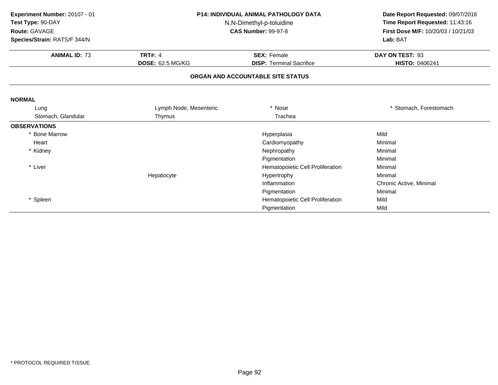| Experiment Number: 20107 - 01<br>Test Type: 90-DAY<br>Route: GAVAGE | P14: INDIVIDUAL ANIMAL PATHOLOGY DATA<br>N,N-Dimethyl-p-toluidine<br><b>CAS Number: 99-97-8</b> |                                   | Date Report Requested: 09/07/2016<br>Time Report Requested: 11:43:16<br>First Dose M/F: 10/20/03 / 10/21/03 |  |
|---------------------------------------------------------------------|-------------------------------------------------------------------------------------------------|-----------------------------------|-------------------------------------------------------------------------------------------------------------|--|
| Species/Strain: RATS/F 344/N                                        |                                                                                                 |                                   | Lab: BAT                                                                                                    |  |
| <b>ANIMAL ID: 73</b>                                                | <b>TRT#: 4</b>                                                                                  | <b>SEX: Female</b>                | DAY ON TEST: 93                                                                                             |  |
|                                                                     | <b>DOSE: 62.5 MG/KG</b>                                                                         | <b>DISP: Terminal Sacrifice</b>   | HISTO: 0406241                                                                                              |  |
|                                                                     |                                                                                                 | ORGAN AND ACCOUNTABLE SITE STATUS |                                                                                                             |  |
| <b>NORMAL</b>                                                       |                                                                                                 |                                   |                                                                                                             |  |
| Lung                                                                | Lymph Node, Mesenteric                                                                          | * Nose                            | * Stomach, Forestomach                                                                                      |  |
| Stomach, Glandular                                                  | Thymus                                                                                          | Trachea                           |                                                                                                             |  |
| <b>OBSERVATIONS</b>                                                 |                                                                                                 |                                   |                                                                                                             |  |
| * Bone Marrow                                                       |                                                                                                 | Hyperplasia                       | Mild                                                                                                        |  |
| Heart                                                               |                                                                                                 | Cardiomyopathy                    | Minimal                                                                                                     |  |
| * Kidney                                                            |                                                                                                 | Nephropathy                       | Minimal                                                                                                     |  |
|                                                                     |                                                                                                 | Pigmentation                      | Minimal                                                                                                     |  |
| * Liver                                                             |                                                                                                 | Hematopoietic Cell Proliferation  | Minimal                                                                                                     |  |
|                                                                     | Hepatocyte                                                                                      | Hypertrophy                       | Minimal                                                                                                     |  |
|                                                                     |                                                                                                 | Inflammation                      | Chronic Active, Minimal                                                                                     |  |
|                                                                     |                                                                                                 | Pigmentation                      | Minimal                                                                                                     |  |
| * Spleen                                                            |                                                                                                 | Hematopoietic Cell Proliferation  | Mild                                                                                                        |  |
|                                                                     |                                                                                                 | Pigmentation                      | Mild                                                                                                        |  |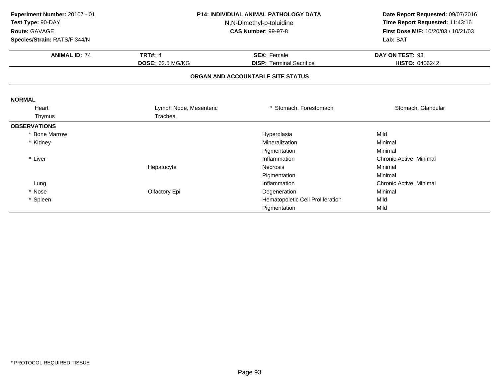| Experiment Number: 20107 - 01<br>Test Type: 90-DAY<br>Route: GAVAGE<br>Species/Strain: RATS/F 344/N | <b>P14: INDIVIDUAL ANIMAL PATHOLOGY DATA</b><br>N,N-Dimethyl-p-toluidine<br><b>CAS Number: 99-97-8</b> |                                   | Date Report Requested: 09/07/2016<br>Time Report Requested: 11:43:16<br>First Dose M/F: 10/20/03 / 10/21/03<br>Lab: BAT |  |
|-----------------------------------------------------------------------------------------------------|--------------------------------------------------------------------------------------------------------|-----------------------------------|-------------------------------------------------------------------------------------------------------------------------|--|
| <b>ANIMAL ID: 74</b>                                                                                | <b>TRT#: 4</b>                                                                                         | <b>SEX: Female</b>                | DAY ON TEST: 93                                                                                                         |  |
|                                                                                                     | <b>DOSE: 62.5 MG/KG</b>                                                                                | <b>DISP: Terminal Sacrifice</b>   | HISTO: 0406242                                                                                                          |  |
|                                                                                                     |                                                                                                        | ORGAN AND ACCOUNTABLE SITE STATUS |                                                                                                                         |  |
| <b>NORMAL</b>                                                                                       |                                                                                                        |                                   |                                                                                                                         |  |
| Heart                                                                                               | Lymph Node, Mesenteric                                                                                 | * Stomach, Forestomach            | Stomach, Glandular                                                                                                      |  |
| Thymus                                                                                              | Trachea                                                                                                |                                   |                                                                                                                         |  |
| <b>OBSERVATIONS</b>                                                                                 |                                                                                                        |                                   |                                                                                                                         |  |
| * Bone Marrow                                                                                       |                                                                                                        | Hyperplasia                       | Mild                                                                                                                    |  |
| * Kidney                                                                                            |                                                                                                        | Mineralization                    | Minimal                                                                                                                 |  |
|                                                                                                     |                                                                                                        | Pigmentation                      | Minimal                                                                                                                 |  |
| * Liver                                                                                             |                                                                                                        | Inflammation                      | Chronic Active, Minimal                                                                                                 |  |
|                                                                                                     | Hepatocyte                                                                                             | <b>Necrosis</b>                   | Minimal                                                                                                                 |  |
|                                                                                                     |                                                                                                        | Pigmentation                      | Minimal                                                                                                                 |  |
| Lung                                                                                                |                                                                                                        | Inflammation                      | Chronic Active, Minimal                                                                                                 |  |
| * Nose                                                                                              | Olfactory Epi                                                                                          | Degeneration                      | Minimal                                                                                                                 |  |
| * Spleen                                                                                            |                                                                                                        | Hematopoietic Cell Proliferation  | Mild                                                                                                                    |  |
|                                                                                                     |                                                                                                        | Pigmentation                      | Mild                                                                                                                    |  |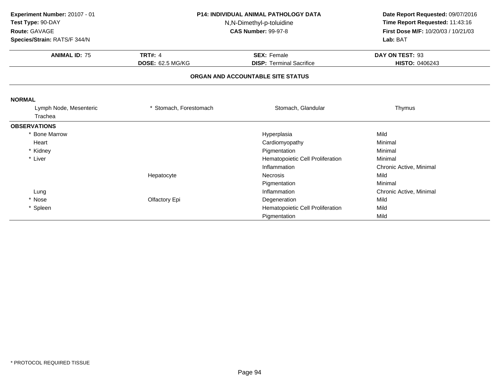| Experiment Number: 20107 - 01<br>Test Type: 90-DAY<br>Route: GAVAGE<br>Species/Strain: RATS/F 344/N |                         | <b>P14: INDIVIDUAL ANIMAL PATHOLOGY DATA</b><br>N,N-Dimethyl-p-toluidine<br><b>CAS Number: 99-97-8</b> |                         |
|-----------------------------------------------------------------------------------------------------|-------------------------|--------------------------------------------------------------------------------------------------------|-------------------------|
| <b>ANIMAL ID: 75</b>                                                                                | <b>TRT#: 4</b>          | <b>SEX: Female</b>                                                                                     | DAY ON TEST: 93         |
|                                                                                                     | <b>DOSE: 62.5 MG/KG</b> | <b>DISP: Terminal Sacrifice</b>                                                                        | HISTO: 0406243          |
|                                                                                                     |                         | ORGAN AND ACCOUNTABLE SITE STATUS                                                                      |                         |
| <b>NORMAL</b>                                                                                       |                         |                                                                                                        |                         |
| Lymph Node, Mesenteric                                                                              | Stomach, Forestomach    | Stomach, Glandular                                                                                     | Thymus                  |
| Trachea                                                                                             |                         |                                                                                                        |                         |
| <b>OBSERVATIONS</b>                                                                                 |                         |                                                                                                        |                         |
| * Bone Marrow                                                                                       |                         | Hyperplasia                                                                                            | Mild                    |
| Heart                                                                                               |                         | Cardiomyopathy                                                                                         | Minimal                 |
| * Kidney                                                                                            |                         | Pigmentation                                                                                           | Minimal                 |
| * Liver                                                                                             |                         | Hematopoietic Cell Proliferation                                                                       | Minimal                 |
|                                                                                                     |                         | Inflammation                                                                                           | Chronic Active, Minimal |
|                                                                                                     | Hepatocyte              | <b>Necrosis</b>                                                                                        | Mild                    |
|                                                                                                     |                         | Pigmentation                                                                                           | Minimal                 |
| Lung                                                                                                |                         | Inflammation                                                                                           | Chronic Active, Minimal |
| * Nose                                                                                              | Olfactory Epi           | Degeneration                                                                                           | Mild                    |
| * Spleen                                                                                            |                         | Hematopoietic Cell Proliferation                                                                       | Mild                    |
|                                                                                                     |                         | Pigmentation                                                                                           | Mild                    |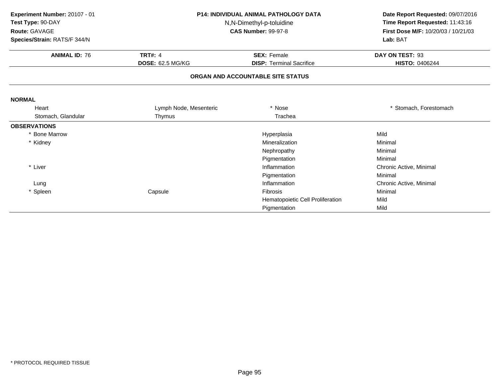| Experiment Number: 20107 - 01<br>Test Type: 90-DAY<br>Route: GAVAGE | <b>P14: INDIVIDUAL ANIMAL PATHOLOGY DATA</b><br>N,N-Dimethyl-p-toluidine<br><b>CAS Number: 99-97-8</b> |                                   | Date Report Requested: 09/07/2016<br>Time Report Requested: 11:43:16<br>First Dose M/F: 10/20/03 / 10/21/03 |  |
|---------------------------------------------------------------------|--------------------------------------------------------------------------------------------------------|-----------------------------------|-------------------------------------------------------------------------------------------------------------|--|
| Species/Strain: RATS/F 344/N                                        |                                                                                                        |                                   | Lab: BAT                                                                                                    |  |
| <b>ANIMAL ID: 76</b>                                                | <b>TRT#: 4</b>                                                                                         | <b>SEX: Female</b>                | DAY ON TEST: 93                                                                                             |  |
|                                                                     | <b>DOSE: 62.5 MG/KG</b>                                                                                | <b>DISP: Terminal Sacrifice</b>   | <b>HISTO: 0406244</b>                                                                                       |  |
|                                                                     |                                                                                                        | ORGAN AND ACCOUNTABLE SITE STATUS |                                                                                                             |  |
| <b>NORMAL</b>                                                       |                                                                                                        |                                   |                                                                                                             |  |
| Heart                                                               | Lymph Node, Mesenteric                                                                                 | * Nose                            | * Stomach, Forestomach                                                                                      |  |
| Stomach, Glandular                                                  | Thymus                                                                                                 | Trachea                           |                                                                                                             |  |
| <b>OBSERVATIONS</b>                                                 |                                                                                                        |                                   |                                                                                                             |  |
| * Bone Marrow                                                       |                                                                                                        | Hyperplasia                       | Mild                                                                                                        |  |
| * Kidney                                                            |                                                                                                        | Mineralization                    | Minimal                                                                                                     |  |
|                                                                     |                                                                                                        | Nephropathy                       | Minimal                                                                                                     |  |
|                                                                     |                                                                                                        | Pigmentation                      | Minimal                                                                                                     |  |
| * Liver                                                             |                                                                                                        | Inflammation                      | Chronic Active, Minimal                                                                                     |  |
|                                                                     |                                                                                                        | Pigmentation                      | Minimal                                                                                                     |  |
| Lung                                                                |                                                                                                        | Inflammation                      | Chronic Active, Minimal                                                                                     |  |
| * Spleen                                                            | Capsule                                                                                                | Fibrosis                          | Minimal                                                                                                     |  |
|                                                                     |                                                                                                        | Hematopoietic Cell Proliferation  | Mild                                                                                                        |  |
|                                                                     |                                                                                                        | Pigmentation                      | Mild                                                                                                        |  |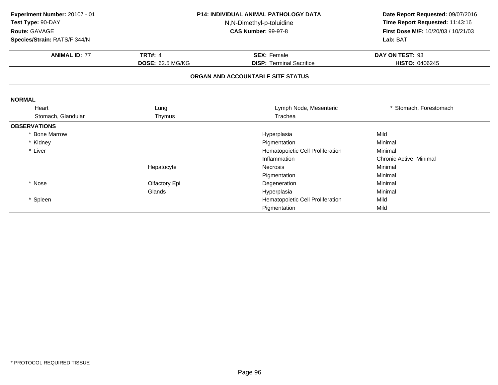| Experiment Number: 20107 - 01<br>Test Type: 90-DAY<br>Route: GAVAGE<br>Species/Strain: RATS/F 344/N | <b>P14: INDIVIDUAL ANIMAL PATHOLOGY DATA</b><br>N,N-Dimethyl-p-toluidine<br><b>CAS Number: 99-97-8</b> |                                                       | Date Report Requested: 09/07/2016<br>Time Report Requested: 11:43:16<br>First Dose M/F: 10/20/03 / 10/21/03<br>Lab: BAT |
|-----------------------------------------------------------------------------------------------------|--------------------------------------------------------------------------------------------------------|-------------------------------------------------------|-------------------------------------------------------------------------------------------------------------------------|
| <b>ANIMAL ID: 77</b>                                                                                | <b>TRT#: 4</b><br><b>DOSE: 62.5 MG/KG</b>                                                              | <b>SEX: Female</b><br><b>DISP: Terminal Sacrifice</b> | DAY ON TEST: 93<br>HISTO: 0406245                                                                                       |
|                                                                                                     |                                                                                                        | ORGAN AND ACCOUNTABLE SITE STATUS                     |                                                                                                                         |
| <b>NORMAL</b>                                                                                       |                                                                                                        |                                                       |                                                                                                                         |
| Heart                                                                                               | Lung                                                                                                   | Lymph Node, Mesenteric                                | * Stomach, Forestomach                                                                                                  |
| Stomach, Glandular                                                                                  | Thymus                                                                                                 | Trachea                                               |                                                                                                                         |
| <b>OBSERVATIONS</b>                                                                                 |                                                                                                        |                                                       |                                                                                                                         |
| * Bone Marrow                                                                                       |                                                                                                        | Hyperplasia                                           | Mild                                                                                                                    |
| * Kidney                                                                                            |                                                                                                        | Pigmentation                                          | Minimal                                                                                                                 |
| * Liver                                                                                             |                                                                                                        | Hematopoietic Cell Proliferation                      | Minimal                                                                                                                 |
|                                                                                                     |                                                                                                        | Inflammation                                          | Chronic Active, Minimal                                                                                                 |
|                                                                                                     | Hepatocyte                                                                                             | <b>Necrosis</b>                                       | Minimal                                                                                                                 |
|                                                                                                     |                                                                                                        | Pigmentation                                          | Minimal                                                                                                                 |
| * Nose                                                                                              | Olfactory Epi                                                                                          | Degeneration                                          | Minimal                                                                                                                 |
|                                                                                                     | Glands                                                                                                 | Hyperplasia                                           | Minimal                                                                                                                 |
| * Spleen                                                                                            |                                                                                                        | Hematopoietic Cell Proliferation                      | Mild                                                                                                                    |
|                                                                                                     |                                                                                                        | Pigmentation                                          | Mild                                                                                                                    |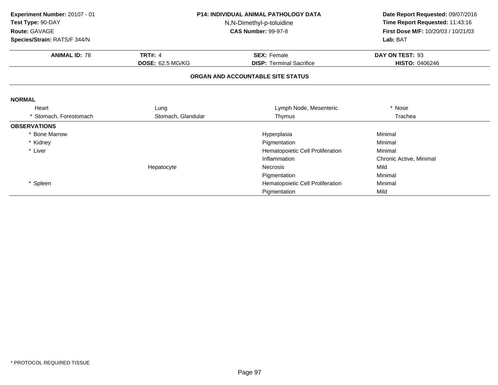| Experiment Number: 20107 - 01 | <b>P14: INDIVIDUAL ANIMAL PATHOLOGY DATA</b><br>N,N-Dimethyl-p-toluidine |                                   | Date Report Requested: 09/07/2016   |
|-------------------------------|--------------------------------------------------------------------------|-----------------------------------|-------------------------------------|
| Test Type: 90-DAY             |                                                                          |                                   | Time Report Requested: 11:43:16     |
| Route: GAVAGE                 |                                                                          | <b>CAS Number: 99-97-8</b>        | First Dose M/F: 10/20/03 / 10/21/03 |
| Species/Strain: RATS/F 344/N  |                                                                          |                                   | Lab: BAT                            |
| <b>ANIMAL ID: 78</b>          | <b>TRT#: 4</b>                                                           | <b>SEX: Female</b>                | DAY ON TEST: 93                     |
|                               | <b>DOSE: 62.5 MG/KG</b>                                                  | <b>DISP: Terminal Sacrifice</b>   | <b>HISTO: 0406246</b>               |
|                               |                                                                          | ORGAN AND ACCOUNTABLE SITE STATUS |                                     |
| <b>NORMAL</b>                 |                                                                          |                                   |                                     |
| Heart                         | Lung                                                                     | Lymph Node, Mesenteric            | * Nose                              |
| * Stomach, Forestomach        | Stomach, Glandular                                                       | Thymus                            | Trachea                             |
| <b>OBSERVATIONS</b>           |                                                                          |                                   |                                     |
| <b>Bone Marrow</b>            |                                                                          | Hyperplasia                       | Minimal                             |
| * Kidney                      |                                                                          | Pigmentation                      | Minimal                             |
| * Liver                       |                                                                          | Hematopoietic Cell Proliferation  | Minimal                             |
|                               |                                                                          | Inflammation                      | Chronic Active, Minimal             |
|                               | Hepatocyte                                                               | <b>Necrosis</b>                   | Mild                                |
|                               |                                                                          | Pigmentation                      | Minimal                             |
| * Spleen                      |                                                                          | Hematopoietic Cell Proliferation  | Minimal                             |
|                               |                                                                          | Pigmentation                      | Mild                                |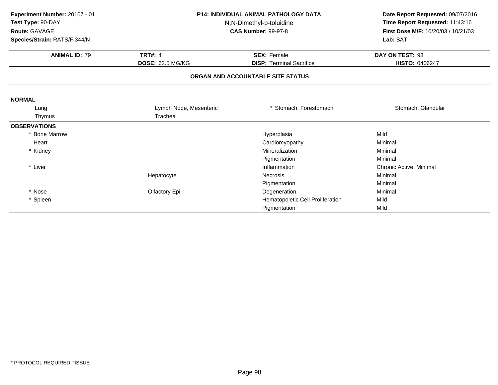| Experiment Number: 20107 - 01<br>Test Type: 90-DAY<br>Route: GAVAGE<br>Species/Strain: RATS/F 344/N | P14: INDIVIDUAL ANIMAL PATHOLOGY DATA<br>N,N-Dimethyl-p-toluidine<br><b>CAS Number: 99-97-8</b> |                                   | Date Report Requested: 09/07/2016<br>Time Report Requested: 11:43:16<br>First Dose M/F: 10/20/03 / 10/21/03<br>Lab: BAT |  |
|-----------------------------------------------------------------------------------------------------|-------------------------------------------------------------------------------------------------|-----------------------------------|-------------------------------------------------------------------------------------------------------------------------|--|
| <b>ANIMAL ID: 79</b>                                                                                | <b>TRT#: 4</b>                                                                                  | <b>SEX: Female</b>                | DAY ON TEST: 93                                                                                                         |  |
|                                                                                                     | <b>DOSE: 62.5 MG/KG</b>                                                                         | <b>DISP: Terminal Sacrifice</b>   | HISTO: 0406247                                                                                                          |  |
|                                                                                                     |                                                                                                 | ORGAN AND ACCOUNTABLE SITE STATUS |                                                                                                                         |  |
| <b>NORMAL</b>                                                                                       |                                                                                                 |                                   |                                                                                                                         |  |
| Lung                                                                                                | Lymph Node, Mesenteric                                                                          | * Stomach, Forestomach            | Stomach, Glandular                                                                                                      |  |
| Thymus                                                                                              | Trachea                                                                                         |                                   |                                                                                                                         |  |
| <b>OBSERVATIONS</b>                                                                                 |                                                                                                 |                                   |                                                                                                                         |  |
| * Bone Marrow                                                                                       |                                                                                                 | Hyperplasia                       | Mild                                                                                                                    |  |
| Heart                                                                                               |                                                                                                 | Cardiomyopathy                    | Minimal                                                                                                                 |  |
| * Kidney                                                                                            |                                                                                                 | Mineralization                    | Minimal                                                                                                                 |  |
|                                                                                                     |                                                                                                 | Pigmentation                      | Minimal                                                                                                                 |  |
| * Liver                                                                                             |                                                                                                 | Inflammation                      | Chronic Active, Minimal                                                                                                 |  |
|                                                                                                     | Hepatocyte                                                                                      | <b>Necrosis</b>                   | Minimal                                                                                                                 |  |
|                                                                                                     |                                                                                                 | Pigmentation                      | Minimal                                                                                                                 |  |
| * Nose                                                                                              | Olfactory Epi                                                                                   | Degeneration                      | Minimal                                                                                                                 |  |
| * Spleen                                                                                            |                                                                                                 | Hematopoietic Cell Proliferation  | Mild                                                                                                                    |  |
|                                                                                                     |                                                                                                 | Pigmentation                      | Mild                                                                                                                    |  |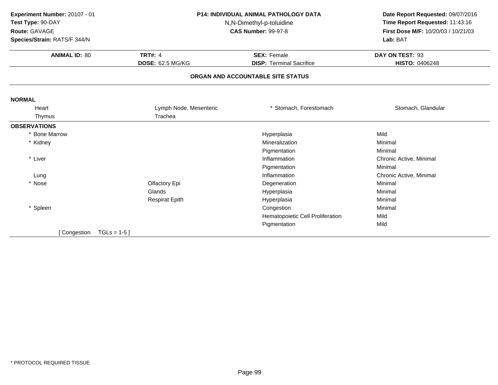| Experiment Number: 20107 - 01<br>Test Type: 90-DAY<br>Route: GAVAGE<br>Species/Strain: RATS/F 344/N | <b>P14: INDIVIDUAL ANIMAL PATHOLOGY DATA</b><br>N,N-Dimethyl-p-toluidine<br><b>CAS Number: 99-97-8</b> |                                   | Date Report Requested: 09/07/2016<br>Time Report Requested: 11:43:16<br>First Dose M/F: 10/20/03 / 10/21/03<br>Lab: BAT |  |
|-----------------------------------------------------------------------------------------------------|--------------------------------------------------------------------------------------------------------|-----------------------------------|-------------------------------------------------------------------------------------------------------------------------|--|
| <b>ANIMAL ID: 80</b>                                                                                | <b>TRT#: 4</b>                                                                                         | <b>SEX: Female</b>                | DAY ON TEST: 93                                                                                                         |  |
|                                                                                                     | <b>DOSE: 62.5 MG/KG</b>                                                                                | <b>DISP: Terminal Sacrifice</b>   | HISTO: 0406248                                                                                                          |  |
|                                                                                                     |                                                                                                        | ORGAN AND ACCOUNTABLE SITE STATUS |                                                                                                                         |  |
| <b>NORMAL</b>                                                                                       |                                                                                                        |                                   |                                                                                                                         |  |
| Heart                                                                                               | Lymph Node, Mesenteric                                                                                 | * Stomach, Forestomach            | Stomach, Glandular                                                                                                      |  |
| Thymus                                                                                              | Trachea                                                                                                |                                   |                                                                                                                         |  |
| <b>OBSERVATIONS</b>                                                                                 |                                                                                                        |                                   |                                                                                                                         |  |
| * Bone Marrow                                                                                       |                                                                                                        | Hyperplasia                       | Mild                                                                                                                    |  |
| * Kidney                                                                                            |                                                                                                        | Mineralization                    | Minimal                                                                                                                 |  |
|                                                                                                     |                                                                                                        | Pigmentation                      | Minimal                                                                                                                 |  |
| * Liver                                                                                             |                                                                                                        | Inflammation                      | Chronic Active, Minimal                                                                                                 |  |
|                                                                                                     |                                                                                                        | Pigmentation                      | Minimal                                                                                                                 |  |
| Lung                                                                                                |                                                                                                        | Inflammation                      | Chronic Active, Minimal                                                                                                 |  |
| * Nose                                                                                              | Olfactory Epi                                                                                          | Degeneration                      | Minimal                                                                                                                 |  |
|                                                                                                     | Glands                                                                                                 | Hyperplasia                       | Minimal                                                                                                                 |  |
|                                                                                                     | <b>Respirat Epith</b>                                                                                  | Hyperplasia                       | Minimal                                                                                                                 |  |
| * Spleen                                                                                            |                                                                                                        | Congestion                        | Minimal                                                                                                                 |  |
|                                                                                                     |                                                                                                        | Hematopoietic Cell Proliferation  | Mild                                                                                                                    |  |
|                                                                                                     |                                                                                                        | Pigmentation                      | Mild                                                                                                                    |  |
| $TGLs = 1-5$ ]<br>[ Congestion                                                                      |                                                                                                        |                                   |                                                                                                                         |  |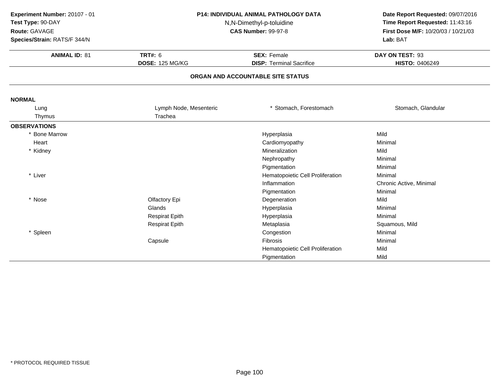| Experiment Number: 20107 - 01<br>Test Type: 90-DAY<br>Route: GAVAGE<br>Species/Strain: RATS/F 344/N | P14: INDIVIDUAL ANIMAL PATHOLOGY DATA<br>N,N-Dimethyl-p-toluidine<br><b>CAS Number: 99-97-8</b> |                                                       | Date Report Requested: 09/07/2016<br>Time Report Requested: 11:43:16<br>First Dose M/F: 10/20/03 / 10/21/03<br>Lab: BAT |
|-----------------------------------------------------------------------------------------------------|-------------------------------------------------------------------------------------------------|-------------------------------------------------------|-------------------------------------------------------------------------------------------------------------------------|
| <b>ANIMAL ID: 81</b>                                                                                | <b>TRT#: 6</b><br><b>DOSE: 125 MG/KG</b>                                                        | <b>SEX: Female</b><br><b>DISP: Terminal Sacrifice</b> | DAY ON TEST: 93<br>HISTO: 0406249                                                                                       |
|                                                                                                     |                                                                                                 |                                                       |                                                                                                                         |
|                                                                                                     |                                                                                                 | ORGAN AND ACCOUNTABLE SITE STATUS                     |                                                                                                                         |
| <b>NORMAL</b>                                                                                       |                                                                                                 |                                                       |                                                                                                                         |
| Lung                                                                                                | Lymph Node, Mesenteric                                                                          | * Stomach, Forestomach                                | Stomach, Glandular                                                                                                      |
| Thymus                                                                                              | Trachea                                                                                         |                                                       |                                                                                                                         |
| <b>OBSERVATIONS</b>                                                                                 |                                                                                                 |                                                       |                                                                                                                         |
| * Bone Marrow                                                                                       |                                                                                                 | Hyperplasia                                           | Mild                                                                                                                    |
| Heart                                                                                               |                                                                                                 | Cardiomyopathy                                        | Minimal                                                                                                                 |
| * Kidney                                                                                            |                                                                                                 | Mineralization                                        | Mild                                                                                                                    |
|                                                                                                     |                                                                                                 | Nephropathy                                           | Minimal                                                                                                                 |
|                                                                                                     |                                                                                                 | Pigmentation                                          | Minimal                                                                                                                 |
| * Liver                                                                                             |                                                                                                 | Hematopoietic Cell Proliferation                      | Minimal                                                                                                                 |
|                                                                                                     |                                                                                                 | Inflammation                                          | Chronic Active, Minimal                                                                                                 |
|                                                                                                     |                                                                                                 | Pigmentation                                          | Minimal                                                                                                                 |
| * Nose                                                                                              | Olfactory Epi                                                                                   | Degeneration                                          | Mild                                                                                                                    |
|                                                                                                     | Glands                                                                                          | Hyperplasia                                           | Minimal                                                                                                                 |
|                                                                                                     | <b>Respirat Epith</b>                                                                           | Hyperplasia                                           | Minimal                                                                                                                 |
|                                                                                                     | <b>Respirat Epith</b>                                                                           | Metaplasia                                            | Squamous, Mild                                                                                                          |
| * Spleen                                                                                            |                                                                                                 | Congestion                                            | Minimal                                                                                                                 |
|                                                                                                     | Capsule                                                                                         | Fibrosis                                              | Minimal                                                                                                                 |
|                                                                                                     |                                                                                                 | Hematopoietic Cell Proliferation                      | Mild                                                                                                                    |
|                                                                                                     |                                                                                                 | Pigmentation                                          | Mild                                                                                                                    |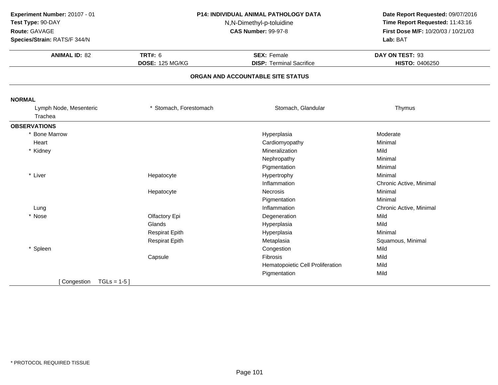| Experiment Number: 20107 - 01<br>Test Type: 90-DAY<br>Route: GAVAGE<br>Species/Strain: RATS/F 344/N | P14: INDIVIDUAL ANIMAL PATHOLOGY DATA<br>N,N-Dimethyl-p-toluidine<br><b>CAS Number: 99-97-8</b><br><b>TRT#: 6</b><br><b>SEX: Female</b><br><b>DOSE: 125 MG/KG</b><br><b>DISP: Terminal Sacrifice</b> |                                   | Date Report Requested: 09/07/2016<br>Time Report Requested: 11:43:16<br>First Dose M/F: 10/20/03 / 10/21/03<br>Lab: BAT |
|-----------------------------------------------------------------------------------------------------|------------------------------------------------------------------------------------------------------------------------------------------------------------------------------------------------------|-----------------------------------|-------------------------------------------------------------------------------------------------------------------------|
| <b>ANIMAL ID: 82</b>                                                                                |                                                                                                                                                                                                      |                                   | DAY ON TEST: 93<br>HISTO: 0406250                                                                                       |
|                                                                                                     |                                                                                                                                                                                                      | ORGAN AND ACCOUNTABLE SITE STATUS |                                                                                                                         |
| <b>NORMAL</b>                                                                                       |                                                                                                                                                                                                      |                                   |                                                                                                                         |
| Lymph Node, Mesenteric<br>Trachea                                                                   | * Stomach, Forestomach                                                                                                                                                                               | Stomach, Glandular                | Thymus                                                                                                                  |
| <b>OBSERVATIONS</b>                                                                                 |                                                                                                                                                                                                      |                                   |                                                                                                                         |
| * Bone Marrow                                                                                       |                                                                                                                                                                                                      | Hyperplasia                       | Moderate                                                                                                                |
| Heart                                                                                               |                                                                                                                                                                                                      | Cardiomyopathy                    | Minimal                                                                                                                 |
| * Kidney                                                                                            |                                                                                                                                                                                                      | Mineralization                    | Mild                                                                                                                    |
|                                                                                                     |                                                                                                                                                                                                      | Nephropathy                       | Minimal                                                                                                                 |
|                                                                                                     |                                                                                                                                                                                                      | Pigmentation                      | Minimal                                                                                                                 |
| * Liver                                                                                             | Hepatocyte                                                                                                                                                                                           | Hypertrophy                       | Minimal                                                                                                                 |
|                                                                                                     |                                                                                                                                                                                                      | Inflammation                      | Chronic Active, Minimal                                                                                                 |
|                                                                                                     | Hepatocyte                                                                                                                                                                                           | Necrosis                          | Minimal                                                                                                                 |
|                                                                                                     |                                                                                                                                                                                                      | Pigmentation                      | Minimal                                                                                                                 |
| Lung                                                                                                |                                                                                                                                                                                                      | Inflammation                      | Chronic Active, Minimal                                                                                                 |
| * Nose                                                                                              | Olfactory Epi                                                                                                                                                                                        | Degeneration                      | Mild                                                                                                                    |
|                                                                                                     | Glands                                                                                                                                                                                               | Hyperplasia                       | Mild                                                                                                                    |
|                                                                                                     | <b>Respirat Epith</b>                                                                                                                                                                                | Hyperplasia                       | Minimal                                                                                                                 |
|                                                                                                     | <b>Respirat Epith</b>                                                                                                                                                                                | Metaplasia                        | Squamous, Minimal                                                                                                       |
| * Spleen                                                                                            |                                                                                                                                                                                                      | Congestion                        | Mild                                                                                                                    |
|                                                                                                     | Capsule                                                                                                                                                                                              | Fibrosis                          | Mild                                                                                                                    |
|                                                                                                     |                                                                                                                                                                                                      | Hematopoietic Cell Proliferation  | Mild                                                                                                                    |
|                                                                                                     |                                                                                                                                                                                                      | Pigmentation                      | Mild                                                                                                                    |
| $TGLs = 1-5$<br>[Congestion                                                                         |                                                                                                                                                                                                      |                                   |                                                                                                                         |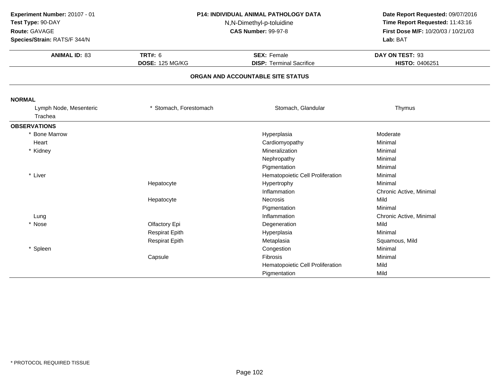| Experiment Number: 20107 - 01<br>Test Type: 90-DAY<br>Route: GAVAGE<br>Species/Strain: RATS/F 344/N | <b>P14: INDIVIDUAL ANIMAL PATHOLOGY DATA</b><br>N,N-Dimethyl-p-toluidine<br><b>CAS Number: 99-97-8</b> |                                                       | Date Report Requested: 09/07/2016<br>Time Report Requested: 11:43:16<br>First Dose M/F: 10/20/03 / 10/21/03<br>Lab: BAT |
|-----------------------------------------------------------------------------------------------------|--------------------------------------------------------------------------------------------------------|-------------------------------------------------------|-------------------------------------------------------------------------------------------------------------------------|
| <b>ANIMAL ID: 83</b>                                                                                | <b>TRT#: 6</b><br><b>DOSE: 125 MG/KG</b>                                                               | <b>SEX: Female</b><br><b>DISP: Terminal Sacrifice</b> | DAY ON TEST: 93<br>HISTO: 0406251                                                                                       |
|                                                                                                     |                                                                                                        | ORGAN AND ACCOUNTABLE SITE STATUS                     |                                                                                                                         |
| <b>NORMAL</b>                                                                                       |                                                                                                        |                                                       |                                                                                                                         |
| Lymph Node, Mesenteric                                                                              | * Stomach, Forestomach                                                                                 | Stomach, Glandular                                    | Thymus                                                                                                                  |
| Trachea                                                                                             |                                                                                                        |                                                       |                                                                                                                         |
| <b>OBSERVATIONS</b>                                                                                 |                                                                                                        |                                                       |                                                                                                                         |
| * Bone Marrow                                                                                       |                                                                                                        | Hyperplasia                                           | Moderate                                                                                                                |
| Heart                                                                                               |                                                                                                        | Cardiomyopathy                                        | Minimal                                                                                                                 |
| * Kidney                                                                                            |                                                                                                        | Mineralization                                        | Minimal                                                                                                                 |
|                                                                                                     |                                                                                                        | Nephropathy                                           | Minimal                                                                                                                 |
|                                                                                                     |                                                                                                        | Pigmentation                                          | Minimal                                                                                                                 |
| * Liver                                                                                             |                                                                                                        | Hematopoietic Cell Proliferation                      | Minimal                                                                                                                 |
|                                                                                                     | Hepatocyte                                                                                             | Hypertrophy                                           | Minimal                                                                                                                 |
|                                                                                                     |                                                                                                        | Inflammation                                          | Chronic Active, Minimal                                                                                                 |
|                                                                                                     | Hepatocyte                                                                                             | Necrosis                                              | Mild                                                                                                                    |
|                                                                                                     |                                                                                                        | Pigmentation                                          | Minimal                                                                                                                 |
| Lung                                                                                                |                                                                                                        | Inflammation                                          | Chronic Active, Minimal                                                                                                 |
| * Nose                                                                                              | Olfactory Epi                                                                                          | Degeneration                                          | Mild                                                                                                                    |
|                                                                                                     | <b>Respirat Epith</b>                                                                                  | Hyperplasia                                           | Minimal                                                                                                                 |
|                                                                                                     | <b>Respirat Epith</b>                                                                                  | Metaplasia                                            | Squamous, Mild                                                                                                          |
| * Spleen                                                                                            |                                                                                                        | Congestion                                            | Minimal                                                                                                                 |
|                                                                                                     | Capsule                                                                                                | Fibrosis                                              | Minimal                                                                                                                 |
|                                                                                                     |                                                                                                        | Hematopoietic Cell Proliferation                      | Mild                                                                                                                    |
|                                                                                                     |                                                                                                        | Pigmentation                                          | Mild                                                                                                                    |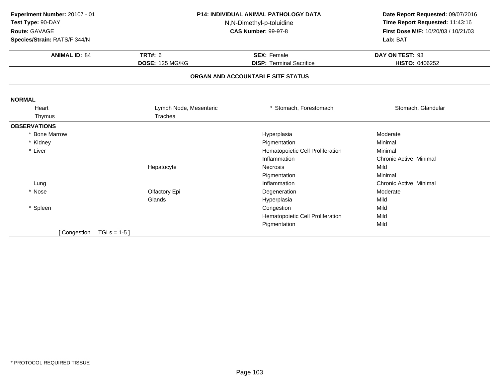| Experiment Number: 20107 - 01<br>Test Type: 90-DAY<br>Route: GAVAGE<br>Species/Strain: RATS/F 344/N | <b>P14: INDIVIDUAL ANIMAL PATHOLOGY DATA</b><br>N,N-Dimethyl-p-toluidine<br><b>CAS Number: 99-97-8</b> |                                                       | Date Report Requested: 09/07/2016<br>Time Report Requested: 11:43:16<br>First Dose M/F: 10/20/03 / 10/21/03<br>Lab: BAT |
|-----------------------------------------------------------------------------------------------------|--------------------------------------------------------------------------------------------------------|-------------------------------------------------------|-------------------------------------------------------------------------------------------------------------------------|
| <b>ANIMAL ID: 84</b>                                                                                | <b>TRT#: 6</b><br><b>DOSE: 125 MG/KG</b>                                                               | <b>SEX: Female</b><br><b>DISP: Terminal Sacrifice</b> | DAY ON TEST: 93<br>HISTO: 0406252                                                                                       |
|                                                                                                     |                                                                                                        | ORGAN AND ACCOUNTABLE SITE STATUS                     |                                                                                                                         |
| <b>NORMAL</b>                                                                                       |                                                                                                        |                                                       |                                                                                                                         |
| Heart                                                                                               | Lymph Node, Mesenteric                                                                                 | * Stomach, Forestomach                                | Stomach, Glandular                                                                                                      |
| Thymus                                                                                              | Trachea                                                                                                |                                                       |                                                                                                                         |
| <b>OBSERVATIONS</b>                                                                                 |                                                                                                        |                                                       |                                                                                                                         |
| * Bone Marrow                                                                                       |                                                                                                        | Hyperplasia                                           | Moderate                                                                                                                |
| * Kidney                                                                                            |                                                                                                        | Pigmentation                                          | Minimal                                                                                                                 |
| * Liver                                                                                             |                                                                                                        | Hematopoietic Cell Proliferation                      | Minimal                                                                                                                 |
|                                                                                                     |                                                                                                        | Inflammation                                          | Chronic Active, Minimal                                                                                                 |
|                                                                                                     | Hepatocyte                                                                                             | Necrosis                                              | Mild                                                                                                                    |
|                                                                                                     |                                                                                                        | Pigmentation                                          | Minimal                                                                                                                 |
| Lung                                                                                                |                                                                                                        | Inflammation                                          | Chronic Active, Minimal                                                                                                 |
| * Nose                                                                                              | Olfactory Epi                                                                                          | Degeneration                                          | Moderate                                                                                                                |
|                                                                                                     | Glands                                                                                                 | Hyperplasia                                           | Mild                                                                                                                    |
| * Spleen                                                                                            |                                                                                                        | Congestion                                            | Mild                                                                                                                    |
|                                                                                                     |                                                                                                        | Hematopoietic Cell Proliferation                      | Mild                                                                                                                    |
|                                                                                                     |                                                                                                        | Pigmentation                                          | Mild                                                                                                                    |
| $TGLs = 1-5$ ]<br>[ Congestion                                                                      |                                                                                                        |                                                       |                                                                                                                         |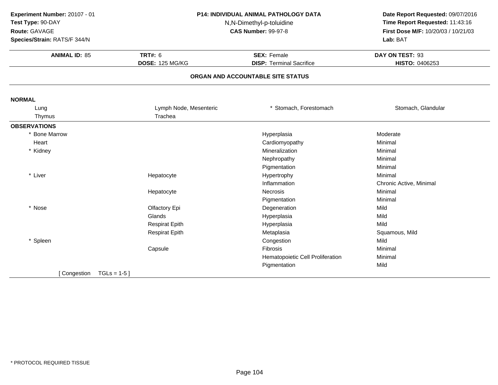| Experiment Number: 20107 - 01<br>Test Type: 90-DAY<br>Route: GAVAGE<br>Species/Strain: RATS/F 344/N | <b>P14: INDIVIDUAL ANIMAL PATHOLOGY DATA</b><br>N,N-Dimethyl-p-toluidine<br><b>CAS Number: 99-97-8</b> |                                                       | Date Report Requested: 09/07/2016<br>Time Report Requested: 11:43:16<br>First Dose M/F: 10/20/03 / 10/21/03<br>Lab: BAT |
|-----------------------------------------------------------------------------------------------------|--------------------------------------------------------------------------------------------------------|-------------------------------------------------------|-------------------------------------------------------------------------------------------------------------------------|
| <b>ANIMAL ID: 85</b>                                                                                | <b>TRT#: 6</b><br><b>DOSE: 125 MG/KG</b>                                                               | <b>SEX: Female</b><br><b>DISP: Terminal Sacrifice</b> | DAY ON TEST: 93<br>HISTO: 0406253                                                                                       |
|                                                                                                     |                                                                                                        | ORGAN AND ACCOUNTABLE SITE STATUS                     |                                                                                                                         |
| <b>NORMAL</b>                                                                                       |                                                                                                        |                                                       |                                                                                                                         |
| Lung                                                                                                | Lymph Node, Mesenteric                                                                                 | * Stomach, Forestomach                                | Stomach, Glandular                                                                                                      |
| Thymus                                                                                              | Trachea                                                                                                |                                                       |                                                                                                                         |
| <b>OBSERVATIONS</b>                                                                                 |                                                                                                        |                                                       |                                                                                                                         |
| * Bone Marrow                                                                                       |                                                                                                        | Hyperplasia                                           | Moderate                                                                                                                |
| Heart                                                                                               |                                                                                                        | Cardiomyopathy                                        | Minimal                                                                                                                 |
| * Kidney                                                                                            |                                                                                                        | Mineralization                                        | Minimal                                                                                                                 |
|                                                                                                     |                                                                                                        | Nephropathy                                           | Minimal                                                                                                                 |
|                                                                                                     |                                                                                                        | Pigmentation                                          | Minimal                                                                                                                 |
| * Liver                                                                                             | Hepatocyte                                                                                             | Hypertrophy                                           | Minimal                                                                                                                 |
|                                                                                                     |                                                                                                        | Inflammation                                          | Chronic Active, Minimal                                                                                                 |
|                                                                                                     | Hepatocyte                                                                                             | Necrosis                                              | Minimal                                                                                                                 |
|                                                                                                     |                                                                                                        | Pigmentation                                          | Minimal                                                                                                                 |
| * Nose                                                                                              | Olfactory Epi                                                                                          | Degeneration                                          | Mild                                                                                                                    |
|                                                                                                     | Glands                                                                                                 | Hyperplasia                                           | Mild                                                                                                                    |
|                                                                                                     | <b>Respirat Epith</b>                                                                                  | Hyperplasia                                           | Mild                                                                                                                    |
|                                                                                                     | <b>Respirat Epith</b>                                                                                  | Metaplasia                                            | Squamous, Mild                                                                                                          |
| * Spleen                                                                                            |                                                                                                        | Congestion                                            | Mild                                                                                                                    |
|                                                                                                     | Capsule                                                                                                | Fibrosis                                              | Minimal                                                                                                                 |
|                                                                                                     |                                                                                                        | Hematopoietic Cell Proliferation                      | Minimal                                                                                                                 |
|                                                                                                     |                                                                                                        | Pigmentation                                          | Mild                                                                                                                    |
| [Congestion<br>$TGLs = 1-5$                                                                         |                                                                                                        |                                                       |                                                                                                                         |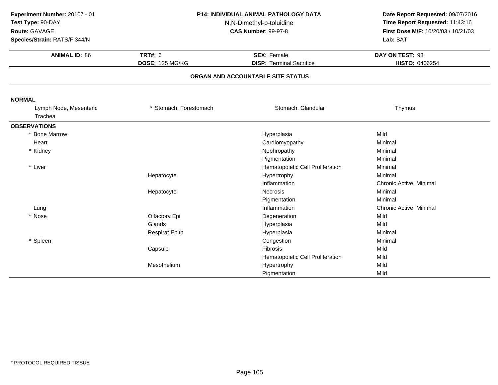| Experiment Number: 20107 - 01<br>Test Type: 90-DAY<br>Route: GAVAGE<br>Species/Strain: RATS/F 344/N | P14: INDIVIDUAL ANIMAL PATHOLOGY DATA<br>N,N-Dimethyl-p-toluidine<br><b>CAS Number: 99-97-8</b><br><b>TRT#: 6</b><br><b>SEX: Female</b><br><b>DOSE: 125 MG/KG</b><br><b>DISP: Terminal Sacrifice</b> |                                   | Date Report Requested: 09/07/2016<br>Time Report Requested: 11:43:16<br>First Dose M/F: 10/20/03 / 10/21/03<br>Lab: BAT |
|-----------------------------------------------------------------------------------------------------|------------------------------------------------------------------------------------------------------------------------------------------------------------------------------------------------------|-----------------------------------|-------------------------------------------------------------------------------------------------------------------------|
| <b>ANIMAL ID: 86</b>                                                                                |                                                                                                                                                                                                      |                                   | DAY ON TEST: 93<br>HISTO: 0406254                                                                                       |
|                                                                                                     |                                                                                                                                                                                                      | ORGAN AND ACCOUNTABLE SITE STATUS |                                                                                                                         |
| <b>NORMAL</b>                                                                                       |                                                                                                                                                                                                      |                                   |                                                                                                                         |
| Lymph Node, Mesenteric                                                                              | * Stomach, Forestomach                                                                                                                                                                               | Stomach, Glandular                | Thymus                                                                                                                  |
| Trachea                                                                                             |                                                                                                                                                                                                      |                                   |                                                                                                                         |
| <b>OBSERVATIONS</b>                                                                                 |                                                                                                                                                                                                      |                                   |                                                                                                                         |
| * Bone Marrow                                                                                       |                                                                                                                                                                                                      | Hyperplasia                       | Mild                                                                                                                    |
| Heart                                                                                               |                                                                                                                                                                                                      | Cardiomyopathy                    | Minimal                                                                                                                 |
| * Kidney                                                                                            |                                                                                                                                                                                                      | Nephropathy                       | Minimal                                                                                                                 |
|                                                                                                     |                                                                                                                                                                                                      | Pigmentation                      | Minimal                                                                                                                 |
| * Liver                                                                                             |                                                                                                                                                                                                      | Hematopoietic Cell Proliferation  | Minimal                                                                                                                 |
|                                                                                                     | Hepatocyte                                                                                                                                                                                           | Hypertrophy                       | Minimal                                                                                                                 |
|                                                                                                     |                                                                                                                                                                                                      | Inflammation                      | Chronic Active, Minimal                                                                                                 |
|                                                                                                     | Hepatocyte                                                                                                                                                                                           | Necrosis                          | Minimal                                                                                                                 |
|                                                                                                     |                                                                                                                                                                                                      | Pigmentation                      | Minimal                                                                                                                 |
| Lung                                                                                                |                                                                                                                                                                                                      | Inflammation                      | Chronic Active, Minimal                                                                                                 |
| * Nose                                                                                              | Olfactory Epi                                                                                                                                                                                        | Degeneration                      | Mild                                                                                                                    |
|                                                                                                     | Glands                                                                                                                                                                                               | Hyperplasia                       | Mild                                                                                                                    |
|                                                                                                     | <b>Respirat Epith</b>                                                                                                                                                                                | Hyperplasia                       | Minimal                                                                                                                 |
| * Spleen                                                                                            |                                                                                                                                                                                                      | Congestion                        | Minimal                                                                                                                 |
|                                                                                                     | Capsule                                                                                                                                                                                              | Fibrosis                          | Mild                                                                                                                    |
|                                                                                                     |                                                                                                                                                                                                      | Hematopoietic Cell Proliferation  | Mild                                                                                                                    |
|                                                                                                     | Mesothelium                                                                                                                                                                                          | Hypertrophy                       | Mild                                                                                                                    |
|                                                                                                     |                                                                                                                                                                                                      | Pigmentation                      | Mild                                                                                                                    |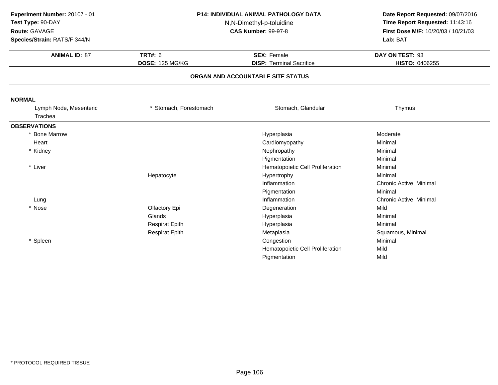| Experiment Number: 20107 - 01<br>Test Type: 90-DAY<br>Route: GAVAGE<br>Species/Strain: RATS/F 344/N | P14: INDIVIDUAL ANIMAL PATHOLOGY DATA<br>N,N-Dimethyl-p-toluidine<br><b>CAS Number: 99-97-8</b> |                                                       | Date Report Requested: 09/07/2016<br>Time Report Requested: 11:43:16<br>First Dose M/F: 10/20/03 / 10/21/03<br>Lab: BAT |
|-----------------------------------------------------------------------------------------------------|-------------------------------------------------------------------------------------------------|-------------------------------------------------------|-------------------------------------------------------------------------------------------------------------------------|
| <b>ANIMAL ID: 87</b>                                                                                | <b>TRT#: 6</b><br><b>DOSE: 125 MG/KG</b>                                                        | <b>SEX: Female</b><br><b>DISP: Terminal Sacrifice</b> | DAY ON TEST: 93<br>HISTO: 0406255                                                                                       |
|                                                                                                     |                                                                                                 | ORGAN AND ACCOUNTABLE SITE STATUS                     |                                                                                                                         |
| <b>NORMAL</b>                                                                                       |                                                                                                 |                                                       |                                                                                                                         |
| Lymph Node, Mesenteric<br>Trachea                                                                   | * Stomach, Forestomach                                                                          | Stomach, Glandular                                    | Thymus                                                                                                                  |
| <b>OBSERVATIONS</b>                                                                                 |                                                                                                 |                                                       |                                                                                                                         |
| * Bone Marrow                                                                                       |                                                                                                 | Hyperplasia                                           | Moderate                                                                                                                |
| Heart                                                                                               |                                                                                                 | Cardiomyopathy                                        | Minimal                                                                                                                 |
| * Kidney                                                                                            |                                                                                                 | Nephropathy                                           | Minimal                                                                                                                 |
|                                                                                                     |                                                                                                 | Pigmentation                                          | Minimal                                                                                                                 |
| * Liver                                                                                             |                                                                                                 | Hematopoietic Cell Proliferation                      | Minimal                                                                                                                 |
|                                                                                                     | Hepatocyte                                                                                      | Hypertrophy                                           | Minimal                                                                                                                 |
|                                                                                                     |                                                                                                 | Inflammation                                          | Chronic Active, Minimal                                                                                                 |
|                                                                                                     |                                                                                                 | Pigmentation                                          | Minimal                                                                                                                 |
| Lung                                                                                                |                                                                                                 | Inflammation                                          | Chronic Active, Minimal                                                                                                 |
| * Nose                                                                                              | Olfactory Epi                                                                                   | Degeneration                                          | Mild                                                                                                                    |
|                                                                                                     | Glands                                                                                          | Hyperplasia                                           | Minimal                                                                                                                 |
|                                                                                                     | <b>Respirat Epith</b>                                                                           | Hyperplasia                                           | Minimal                                                                                                                 |
|                                                                                                     | <b>Respirat Epith</b>                                                                           | Metaplasia                                            | Squamous, Minimal                                                                                                       |
| * Spleen                                                                                            |                                                                                                 | Congestion                                            | Minimal                                                                                                                 |
|                                                                                                     |                                                                                                 | Hematopoietic Cell Proliferation                      | Mild                                                                                                                    |
|                                                                                                     |                                                                                                 | Pigmentation                                          | Mild                                                                                                                    |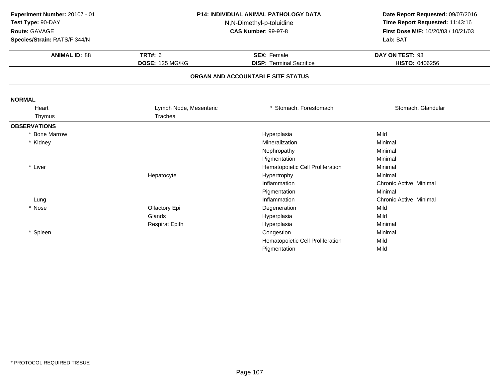| Experiment Number: 20107 - 01<br>Test Type: 90-DAY<br>Route: GAVAGE<br>Species/Strain: RATS/F 344/N<br><b>ANIMAL ID: 88</b> | <b>P14: INDIVIDUAL ANIMAL PATHOLOGY DATA</b><br>N,N-Dimethyl-p-toluidine<br><b>CAS Number: 99-97-8</b><br><b>TRT#: 6</b><br><b>SEX: Female</b><br><b>DOSE: 125 MG/KG</b><br><b>DISP: Terminal Sacrifice</b> |                                   | Date Report Requested: 09/07/2016<br>Time Report Requested: 11:43:16<br>First Dose M/F: 10/20/03 / 10/21/03<br>Lab: BAT<br>DAY ON TEST: 93<br>HISTO: 0406256 |
|-----------------------------------------------------------------------------------------------------------------------------|-------------------------------------------------------------------------------------------------------------------------------------------------------------------------------------------------------------|-----------------------------------|--------------------------------------------------------------------------------------------------------------------------------------------------------------|
|                                                                                                                             |                                                                                                                                                                                                             | ORGAN AND ACCOUNTABLE SITE STATUS |                                                                                                                                                              |
| <b>NORMAL</b>                                                                                                               |                                                                                                                                                                                                             |                                   |                                                                                                                                                              |
| Heart                                                                                                                       | Lymph Node, Mesenteric                                                                                                                                                                                      | Stomach, Forestomach              | Stomach, Glandular                                                                                                                                           |
| Thymus                                                                                                                      | Trachea                                                                                                                                                                                                     |                                   |                                                                                                                                                              |
| <b>OBSERVATIONS</b>                                                                                                         |                                                                                                                                                                                                             |                                   |                                                                                                                                                              |
| <b>Bone Marrow</b>                                                                                                          |                                                                                                                                                                                                             | Hyperplasia                       | Mild                                                                                                                                                         |
| * Kidney                                                                                                                    |                                                                                                                                                                                                             | Mineralization                    | Minimal                                                                                                                                                      |
|                                                                                                                             |                                                                                                                                                                                                             | Nephropathy                       | Minimal                                                                                                                                                      |
|                                                                                                                             |                                                                                                                                                                                                             | Pigmentation                      | Minimal                                                                                                                                                      |
| * Liver                                                                                                                     |                                                                                                                                                                                                             | Hematopoietic Cell Proliferation  | Minimal                                                                                                                                                      |
|                                                                                                                             | Hepatocyte                                                                                                                                                                                                  | Hypertrophy                       | Minimal                                                                                                                                                      |
|                                                                                                                             |                                                                                                                                                                                                             | Inflammation                      | Chronic Active, Minimal                                                                                                                                      |
|                                                                                                                             |                                                                                                                                                                                                             | Pigmentation                      | Minimal                                                                                                                                                      |
| Lung                                                                                                                        |                                                                                                                                                                                                             | Inflammation                      | Chronic Active, Minimal                                                                                                                                      |
| * Nose                                                                                                                      | Olfactory Epi                                                                                                                                                                                               | Degeneration                      | Mild                                                                                                                                                         |
|                                                                                                                             | Glands                                                                                                                                                                                                      | Hyperplasia                       | Mild                                                                                                                                                         |
|                                                                                                                             | <b>Respirat Epith</b>                                                                                                                                                                                       | Hyperplasia                       | Minimal                                                                                                                                                      |
| Spleen                                                                                                                      |                                                                                                                                                                                                             | Congestion                        | Minimal                                                                                                                                                      |
|                                                                                                                             |                                                                                                                                                                                                             | Hematopoietic Cell Proliferation  | Mild                                                                                                                                                         |
|                                                                                                                             |                                                                                                                                                                                                             | Pigmentation                      | Mild                                                                                                                                                         |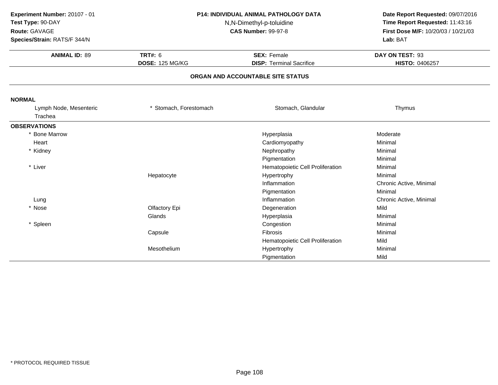| Experiment Number: 20107 - 01<br>Test Type: 90-DAY<br>Route: GAVAGE<br>Species/Strain: RATS/F 344/N | P14: INDIVIDUAL ANIMAL PATHOLOGY DATA<br>N,N-Dimethyl-p-toluidine<br><b>CAS Number: 99-97-8</b><br><b>TRT#: 6</b><br><b>SEX: Female</b><br><b>DOSE: 125 MG/KG</b><br><b>DISP: Terminal Sacrifice</b> |                                   | Date Report Requested: 09/07/2016<br>Time Report Requested: 11:43:16<br>First Dose M/F: 10/20/03 / 10/21/03<br>Lab: BAT |
|-----------------------------------------------------------------------------------------------------|------------------------------------------------------------------------------------------------------------------------------------------------------------------------------------------------------|-----------------------------------|-------------------------------------------------------------------------------------------------------------------------|
| <b>ANIMAL ID: 89</b>                                                                                |                                                                                                                                                                                                      |                                   | DAY ON TEST: 93<br>HISTO: 0406257                                                                                       |
|                                                                                                     |                                                                                                                                                                                                      | ORGAN AND ACCOUNTABLE SITE STATUS |                                                                                                                         |
| <b>NORMAL</b>                                                                                       |                                                                                                                                                                                                      |                                   |                                                                                                                         |
| Lymph Node, Mesenteric<br>Trachea                                                                   | * Stomach, Forestomach                                                                                                                                                                               | Stomach, Glandular                | Thymus                                                                                                                  |
| <b>OBSERVATIONS</b>                                                                                 |                                                                                                                                                                                                      |                                   |                                                                                                                         |
| * Bone Marrow                                                                                       |                                                                                                                                                                                                      | Hyperplasia                       | Moderate                                                                                                                |
| Heart                                                                                               |                                                                                                                                                                                                      | Cardiomyopathy                    | Minimal                                                                                                                 |
| * Kidney                                                                                            |                                                                                                                                                                                                      | Nephropathy                       | Minimal                                                                                                                 |
|                                                                                                     |                                                                                                                                                                                                      | Pigmentation                      | Minimal                                                                                                                 |
| * Liver                                                                                             |                                                                                                                                                                                                      | Hematopoietic Cell Proliferation  | Minimal                                                                                                                 |
|                                                                                                     | Hepatocyte                                                                                                                                                                                           | Hypertrophy                       | Minimal                                                                                                                 |
|                                                                                                     |                                                                                                                                                                                                      | Inflammation                      | Chronic Active, Minimal                                                                                                 |
|                                                                                                     |                                                                                                                                                                                                      | Pigmentation                      | Minimal                                                                                                                 |
| Lung                                                                                                |                                                                                                                                                                                                      | Inflammation                      | Chronic Active, Minimal                                                                                                 |
| * Nose                                                                                              | Olfactory Epi                                                                                                                                                                                        | Degeneration                      | Mild                                                                                                                    |
|                                                                                                     | Glands                                                                                                                                                                                               | Hyperplasia                       | Minimal                                                                                                                 |
| * Spleen                                                                                            |                                                                                                                                                                                                      | Congestion                        | Minimal                                                                                                                 |
|                                                                                                     | Capsule                                                                                                                                                                                              | Fibrosis                          | Minimal                                                                                                                 |
|                                                                                                     |                                                                                                                                                                                                      | Hematopoietic Cell Proliferation  | Mild                                                                                                                    |
|                                                                                                     | Mesothelium                                                                                                                                                                                          | Hypertrophy                       | Minimal                                                                                                                 |
|                                                                                                     |                                                                                                                                                                                                      | Pigmentation                      | Mild                                                                                                                    |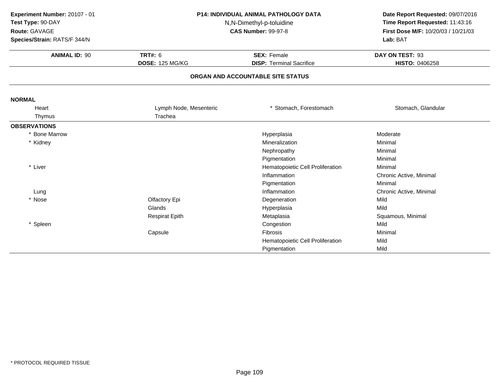| Experiment Number: 20107 - 01<br>Test Type: 90-DAY<br>Route: GAVAGE<br>Species/Strain: RATS/F 344/N<br><b>ANIMAL ID: 90</b> | <b>TRT#: 6</b><br><b>DOSE: 125 MG/KG</b> | <b>P14: INDIVIDUAL ANIMAL PATHOLOGY DATA</b><br>N,N-Dimethyl-p-toluidine<br><b>CAS Number: 99-97-8</b><br><b>SEX: Female</b><br><b>DISP: Terminal Sacrifice</b> |                         |
|-----------------------------------------------------------------------------------------------------------------------------|------------------------------------------|-----------------------------------------------------------------------------------------------------------------------------------------------------------------|-------------------------|
|                                                                                                                             |                                          | ORGAN AND ACCOUNTABLE SITE STATUS                                                                                                                               |                         |
| <b>NORMAL</b>                                                                                                               |                                          |                                                                                                                                                                 |                         |
| Heart                                                                                                                       | Lymph Node, Mesenteric                   | Stomach, Forestomach                                                                                                                                            | Stomach, Glandular      |
| Thymus                                                                                                                      | Trachea                                  |                                                                                                                                                                 |                         |
| <b>OBSERVATIONS</b>                                                                                                         |                                          |                                                                                                                                                                 |                         |
| * Bone Marrow                                                                                                               |                                          | Hyperplasia                                                                                                                                                     | Moderate                |
| * Kidney                                                                                                                    |                                          | Mineralization                                                                                                                                                  | Minimal                 |
|                                                                                                                             |                                          | Nephropathy                                                                                                                                                     | Minimal                 |
|                                                                                                                             |                                          | Pigmentation                                                                                                                                                    | Minimal                 |
| * Liver                                                                                                                     |                                          | Hematopoietic Cell Proliferation                                                                                                                                | Minimal                 |
|                                                                                                                             |                                          | Inflammation                                                                                                                                                    | Chronic Active, Minimal |
|                                                                                                                             |                                          | Pigmentation                                                                                                                                                    | Minimal                 |
| Lung                                                                                                                        |                                          | Inflammation                                                                                                                                                    | Chronic Active, Minimal |
| * Nose                                                                                                                      | Olfactory Epi                            | Degeneration                                                                                                                                                    | Mild                    |
|                                                                                                                             | Glands                                   | Hyperplasia                                                                                                                                                     | Mild                    |
|                                                                                                                             | <b>Respirat Epith</b>                    | Metaplasia                                                                                                                                                      | Squamous, Minimal       |
| * Spleen                                                                                                                    |                                          | Congestion                                                                                                                                                      | Mild                    |
|                                                                                                                             | Capsule                                  | <b>Fibrosis</b>                                                                                                                                                 | Minimal                 |
|                                                                                                                             |                                          | Hematopoietic Cell Proliferation                                                                                                                                | Mild                    |
|                                                                                                                             |                                          | Pigmentation                                                                                                                                                    | Mild                    |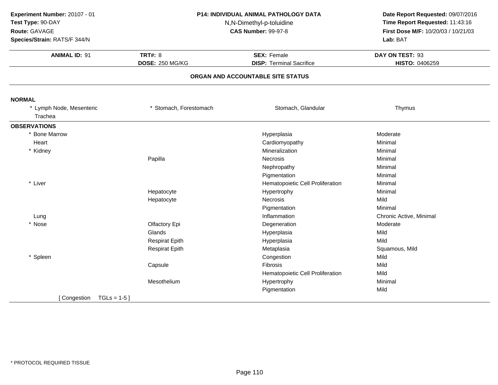| Experiment Number: 20107 - 01<br>Test Type: 90-DAY<br>Route: GAVAGE<br>Species/Strain: RATS/F 344/N | P14: INDIVIDUAL ANIMAL PATHOLOGY DATA<br>N,N-Dimethyl-p-toluidine<br><b>CAS Number: 99-97-8</b> |                                                       | Date Report Requested: 09/07/2016<br>Time Report Requested: 11:43:16<br>First Dose M/F: 10/20/03 / 10/21/03<br>Lab: BAT |
|-----------------------------------------------------------------------------------------------------|-------------------------------------------------------------------------------------------------|-------------------------------------------------------|-------------------------------------------------------------------------------------------------------------------------|
| <b>ANIMAL ID: 91</b>                                                                                | <b>TRT#: 8</b><br><b>DOSE: 250 MG/KG</b>                                                        | <b>SEX: Female</b><br><b>DISP: Terminal Sacrifice</b> | DAY ON TEST: 93<br>HISTO: 0406259                                                                                       |
|                                                                                                     |                                                                                                 | ORGAN AND ACCOUNTABLE SITE STATUS                     |                                                                                                                         |
| <b>NORMAL</b>                                                                                       |                                                                                                 |                                                       |                                                                                                                         |
| * Lymph Node, Mesenteric<br>Trachea                                                                 | * Stomach, Forestomach                                                                          | Stomach, Glandular                                    | Thymus                                                                                                                  |
| <b>OBSERVATIONS</b>                                                                                 |                                                                                                 |                                                       |                                                                                                                         |
| * Bone Marrow                                                                                       |                                                                                                 | Hyperplasia                                           | Moderate                                                                                                                |
| Heart                                                                                               |                                                                                                 | Cardiomyopathy                                        | Minimal                                                                                                                 |
| * Kidney                                                                                            |                                                                                                 | Mineralization                                        | Minimal                                                                                                                 |
|                                                                                                     | Papilla                                                                                         | Necrosis                                              | Minimal                                                                                                                 |
|                                                                                                     |                                                                                                 | Nephropathy                                           | Minimal                                                                                                                 |
|                                                                                                     |                                                                                                 | Pigmentation                                          | Minimal                                                                                                                 |
| * Liver                                                                                             |                                                                                                 | Hematopoietic Cell Proliferation                      | Minimal                                                                                                                 |
|                                                                                                     | Hepatocyte                                                                                      | Hypertrophy                                           | Minimal                                                                                                                 |
|                                                                                                     | Hepatocyte                                                                                      | Necrosis                                              | Mild                                                                                                                    |
|                                                                                                     |                                                                                                 | Pigmentation                                          | Minimal                                                                                                                 |
| Lung                                                                                                |                                                                                                 | Inflammation                                          | Chronic Active, Minimal                                                                                                 |
| * Nose                                                                                              | Olfactory Epi                                                                                   | Degeneration                                          | Moderate                                                                                                                |
|                                                                                                     | Glands                                                                                          | Hyperplasia                                           | Mild                                                                                                                    |
|                                                                                                     | <b>Respirat Epith</b>                                                                           | Hyperplasia                                           | Mild                                                                                                                    |
|                                                                                                     | <b>Respirat Epith</b>                                                                           | Metaplasia                                            | Squamous, Mild                                                                                                          |
| * Spleen                                                                                            |                                                                                                 | Congestion                                            | Mild                                                                                                                    |
|                                                                                                     | Capsule                                                                                         | Fibrosis                                              | Mild                                                                                                                    |
|                                                                                                     |                                                                                                 | Hematopoietic Cell Proliferation                      | Mild                                                                                                                    |
|                                                                                                     | Mesothelium                                                                                     | Hypertrophy                                           | Minimal                                                                                                                 |
|                                                                                                     |                                                                                                 | Pigmentation                                          | Mild                                                                                                                    |
| [Congestion<br>$TGLs = 1-5$ ]                                                                       |                                                                                                 |                                                       |                                                                                                                         |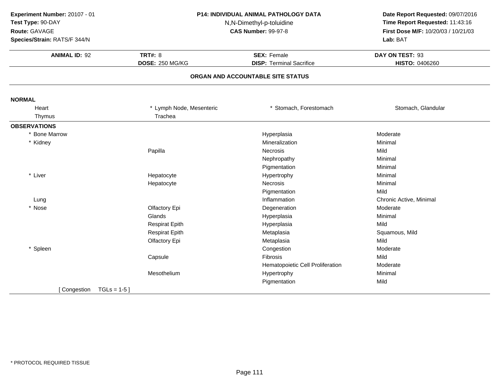| Experiment Number: 20107 - 01<br>Test Type: 90-DAY<br>Route: GAVAGE<br>Species/Strain: RATS/F 344/N | P14: INDIVIDUAL ANIMAL PATHOLOGY DATA<br>N,N-Dimethyl-p-toluidine<br><b>CAS Number: 99-97-8</b> |                                   | Date Report Requested: 09/07/2016<br>Time Report Requested: 11:43:16<br>First Dose M/F: 10/20/03 / 10/21/03<br>Lab: BAT |
|-----------------------------------------------------------------------------------------------------|-------------------------------------------------------------------------------------------------|-----------------------------------|-------------------------------------------------------------------------------------------------------------------------|
| <b>ANIMAL ID: 92</b>                                                                                | <b>TRT#: 8</b>                                                                                  | <b>SEX: Female</b>                | DAY ON TEST: 93                                                                                                         |
|                                                                                                     | DOSE: 250 MG/KG                                                                                 | <b>DISP: Terminal Sacrifice</b>   | HISTO: 0406260                                                                                                          |
|                                                                                                     |                                                                                                 | ORGAN AND ACCOUNTABLE SITE STATUS |                                                                                                                         |
| <b>NORMAL</b>                                                                                       |                                                                                                 |                                   |                                                                                                                         |
| Heart                                                                                               | * Lymph Node, Mesenteric                                                                        | * Stomach, Forestomach            | Stomach, Glandular                                                                                                      |
| Thymus                                                                                              | Trachea                                                                                         |                                   |                                                                                                                         |
| <b>OBSERVATIONS</b>                                                                                 |                                                                                                 |                                   |                                                                                                                         |
| * Bone Marrow                                                                                       |                                                                                                 | Hyperplasia                       | Moderate                                                                                                                |
| * Kidney                                                                                            |                                                                                                 | Mineralization                    | Minimal                                                                                                                 |
|                                                                                                     | Papilla                                                                                         | <b>Necrosis</b>                   | Mild                                                                                                                    |
|                                                                                                     |                                                                                                 | Nephropathy                       | Minimal                                                                                                                 |
|                                                                                                     |                                                                                                 | Pigmentation                      | Minimal                                                                                                                 |
| * Liver                                                                                             | Hepatocyte                                                                                      | Hypertrophy                       | Minimal                                                                                                                 |
|                                                                                                     | Hepatocyte                                                                                      | Necrosis                          | Minimal                                                                                                                 |
|                                                                                                     |                                                                                                 | Pigmentation                      | Mild                                                                                                                    |
| Lung                                                                                                |                                                                                                 | Inflammation                      | Chronic Active, Minimal                                                                                                 |
| * Nose                                                                                              | Olfactory Epi                                                                                   | Degeneration                      | Moderate                                                                                                                |
|                                                                                                     | Glands                                                                                          | Hyperplasia                       | Minimal                                                                                                                 |
|                                                                                                     | <b>Respirat Epith</b>                                                                           | Hyperplasia                       | Mild                                                                                                                    |
|                                                                                                     | <b>Respirat Epith</b>                                                                           | Metaplasia                        | Squamous, Mild                                                                                                          |
|                                                                                                     | Olfactory Epi                                                                                   | Metaplasia                        | Mild                                                                                                                    |
| * Spleen                                                                                            |                                                                                                 | Congestion                        | Moderate                                                                                                                |
|                                                                                                     | Capsule                                                                                         | Fibrosis                          | Mild                                                                                                                    |
|                                                                                                     |                                                                                                 | Hematopoietic Cell Proliferation  | Moderate                                                                                                                |
|                                                                                                     | Mesothelium                                                                                     | Hypertrophy                       | Minimal                                                                                                                 |
|                                                                                                     |                                                                                                 | Pigmentation                      | Mild                                                                                                                    |
| [Congestion<br>$TGLs = 1-5$                                                                         |                                                                                                 |                                   |                                                                                                                         |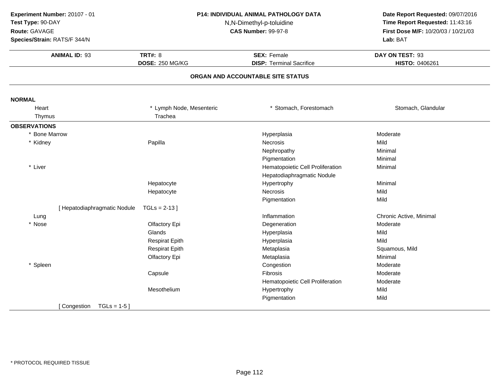| Experiment Number: 20107 - 01<br>Test Type: 90-DAY<br>Route: GAVAGE<br>Species/Strain: RATS/F 344/N | P14: INDIVIDUAL ANIMAL PATHOLOGY DATA<br>N,N-Dimethyl-p-toluidine<br><b>CAS Number: 99-97-8</b> |                                   | Date Report Requested: 09/07/2016<br>Time Report Requested: 11:43:16<br>First Dose M/F: 10/20/03 / 10/21/03<br>Lab: BAT |
|-----------------------------------------------------------------------------------------------------|-------------------------------------------------------------------------------------------------|-----------------------------------|-------------------------------------------------------------------------------------------------------------------------|
| <b>ANIMAL ID: 93</b>                                                                                | <b>TRT#: 8</b>                                                                                  | <b>SEX: Female</b>                | DAY ON TEST: 93                                                                                                         |
|                                                                                                     | <b>DOSE: 250 MG/KG</b>                                                                          | <b>DISP: Terminal Sacrifice</b>   | HISTO: 0406261                                                                                                          |
|                                                                                                     |                                                                                                 | ORGAN AND ACCOUNTABLE SITE STATUS |                                                                                                                         |
| <b>NORMAL</b>                                                                                       |                                                                                                 |                                   |                                                                                                                         |
| Heart                                                                                               | * Lymph Node, Mesenteric                                                                        | * Stomach, Forestomach            | Stomach, Glandular                                                                                                      |
| Thymus                                                                                              | Trachea                                                                                         |                                   |                                                                                                                         |
| <b>OBSERVATIONS</b>                                                                                 |                                                                                                 |                                   |                                                                                                                         |
| * Bone Marrow                                                                                       |                                                                                                 | Hyperplasia                       | Moderate                                                                                                                |
| * Kidney                                                                                            | Papilla                                                                                         | Necrosis                          | Mild                                                                                                                    |
|                                                                                                     |                                                                                                 | Nephropathy                       | Minimal                                                                                                                 |
|                                                                                                     |                                                                                                 | Pigmentation                      | Minimal                                                                                                                 |
| * Liver                                                                                             |                                                                                                 | Hematopoietic Cell Proliferation  | Minimal                                                                                                                 |
|                                                                                                     |                                                                                                 | Hepatodiaphragmatic Nodule        |                                                                                                                         |
|                                                                                                     | Hepatocyte                                                                                      | Hypertrophy                       | Minimal                                                                                                                 |
|                                                                                                     | Hepatocyte                                                                                      | Necrosis                          | Mild                                                                                                                    |
|                                                                                                     |                                                                                                 | Pigmentation                      | Mild                                                                                                                    |
| [ Hepatodiaphragmatic Nodule                                                                        | $TGLs = 2-13$                                                                                   |                                   |                                                                                                                         |
| Lung                                                                                                |                                                                                                 | Inflammation                      | Chronic Active, Minimal                                                                                                 |
| * Nose                                                                                              | Olfactory Epi                                                                                   | Degeneration                      | Moderate                                                                                                                |
|                                                                                                     | Glands                                                                                          | Hyperplasia                       | Mild                                                                                                                    |
|                                                                                                     | <b>Respirat Epith</b>                                                                           | Hyperplasia                       | Mild                                                                                                                    |
|                                                                                                     | <b>Respirat Epith</b>                                                                           | Metaplasia                        | Squamous, Mild                                                                                                          |
|                                                                                                     | Olfactory Epi                                                                                   | Metaplasia                        | Minimal                                                                                                                 |
| * Spleen                                                                                            |                                                                                                 | Congestion                        | Moderate                                                                                                                |
|                                                                                                     | Capsule                                                                                         | Fibrosis                          | Moderate                                                                                                                |
|                                                                                                     |                                                                                                 | Hematopoietic Cell Proliferation  | Moderate                                                                                                                |
|                                                                                                     | Mesothelium                                                                                     | Hypertrophy                       | Mild                                                                                                                    |
|                                                                                                     |                                                                                                 | Pigmentation                      | Mild                                                                                                                    |
| [Congestion<br>$TGLs = 1-5$ ]                                                                       |                                                                                                 |                                   |                                                                                                                         |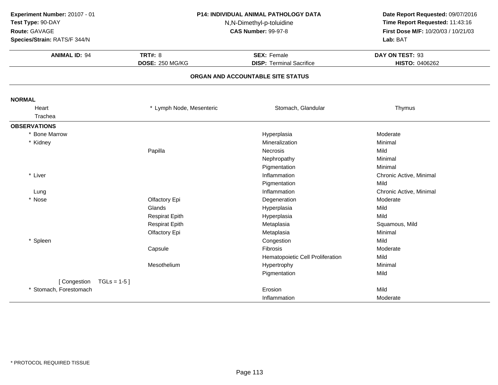| Experiment Number: 20107 - 01<br>Test Type: 90-DAY<br>Route: GAVAGE<br>Species/Strain: RATS/F 344/N | P14: INDIVIDUAL ANIMAL PATHOLOGY DATA<br>N,N-Dimethyl-p-toluidine<br><b>CAS Number: 99-97-8</b> |                                                       | Date Report Requested: 09/07/2016<br>Time Report Requested: 11:43:16<br>First Dose M/F: 10/20/03 / 10/21/03<br>Lab: BAT |
|-----------------------------------------------------------------------------------------------------|-------------------------------------------------------------------------------------------------|-------------------------------------------------------|-------------------------------------------------------------------------------------------------------------------------|
| <b>ANIMAL ID: 94</b>                                                                                | <b>TRT#: 8</b><br><b>DOSE: 250 MG/KG</b>                                                        | <b>SEX: Female</b><br><b>DISP: Terminal Sacrifice</b> | DAY ON TEST: 93<br>HISTO: 0406262                                                                                       |
|                                                                                                     |                                                                                                 | ORGAN AND ACCOUNTABLE SITE STATUS                     |                                                                                                                         |
| <b>NORMAL</b>                                                                                       |                                                                                                 |                                                       |                                                                                                                         |
| Heart<br>Trachea                                                                                    | * Lymph Node, Mesenteric                                                                        | Stomach, Glandular                                    | Thymus                                                                                                                  |
| <b>OBSERVATIONS</b>                                                                                 |                                                                                                 |                                                       |                                                                                                                         |
| * Bone Marrow                                                                                       |                                                                                                 | Hyperplasia                                           | Moderate                                                                                                                |
| * Kidney                                                                                            |                                                                                                 | Mineralization                                        | Minimal                                                                                                                 |
|                                                                                                     | Papilla                                                                                         | Necrosis                                              | Mild                                                                                                                    |
|                                                                                                     |                                                                                                 | Nephropathy                                           | Minimal                                                                                                                 |
|                                                                                                     |                                                                                                 | Pigmentation                                          | Minimal                                                                                                                 |
| * Liver                                                                                             |                                                                                                 | Inflammation                                          | Chronic Active, Minimal                                                                                                 |
|                                                                                                     |                                                                                                 | Pigmentation                                          | Mild                                                                                                                    |
| Lung                                                                                                |                                                                                                 | Inflammation                                          | Chronic Active, Minimal                                                                                                 |
| * Nose                                                                                              | Olfactory Epi                                                                                   | Degeneration                                          | Moderate                                                                                                                |
|                                                                                                     | Glands                                                                                          | Hyperplasia                                           | Mild                                                                                                                    |
|                                                                                                     | <b>Respirat Epith</b>                                                                           | Hyperplasia                                           | Mild                                                                                                                    |
|                                                                                                     | <b>Respirat Epith</b>                                                                           | Metaplasia                                            | Squamous, Mild                                                                                                          |
|                                                                                                     | Olfactory Epi                                                                                   | Metaplasia                                            | Minimal                                                                                                                 |
| * Spleen                                                                                            |                                                                                                 | Congestion                                            | Mild                                                                                                                    |
|                                                                                                     | Capsule                                                                                         | Fibrosis                                              | Moderate                                                                                                                |
|                                                                                                     |                                                                                                 | Hematopoietic Cell Proliferation                      | Mild                                                                                                                    |
|                                                                                                     | Mesothelium                                                                                     | Hypertrophy                                           | Minimal                                                                                                                 |
|                                                                                                     |                                                                                                 | Pigmentation                                          | Mild                                                                                                                    |
| [ Congestion<br>$TGLs = 1-5$ ]                                                                      |                                                                                                 |                                                       |                                                                                                                         |
| * Stomach, Forestomach                                                                              |                                                                                                 | Erosion                                               | Mild                                                                                                                    |
|                                                                                                     |                                                                                                 | Inflammation                                          | Moderate                                                                                                                |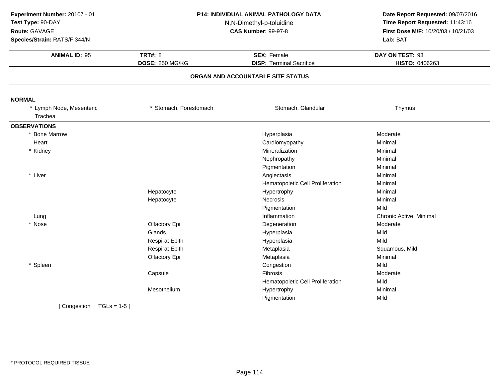| Experiment Number: 20107 - 01<br>Test Type: 90-DAY<br>Route: GAVAGE<br>Species/Strain: RATS/F 344/N | P14: INDIVIDUAL ANIMAL PATHOLOGY DATA<br>N,N-Dimethyl-p-toluidine<br><b>CAS Number: 99-97-8</b> |                                                                      | Date Report Requested: 09/07/2016<br>Time Report Requested: 11:43:16<br>First Dose M/F: 10/20/03 / 10/21/03<br>Lab: BAT |
|-----------------------------------------------------------------------------------------------------|-------------------------------------------------------------------------------------------------|----------------------------------------------------------------------|-------------------------------------------------------------------------------------------------------------------------|
| <b>ANIMAL ID: 95</b>                                                                                | <b>TRT#: 8</b>                                                                                  | <b>SEX: Female</b>                                                   | DAY ON TEST: 93                                                                                                         |
|                                                                                                     | <b>DOSE: 250 MG/KG</b>                                                                          | <b>DISP: Terminal Sacrifice</b><br>ORGAN AND ACCOUNTABLE SITE STATUS | HISTO: 0406263                                                                                                          |
|                                                                                                     |                                                                                                 |                                                                      |                                                                                                                         |
| <b>NORMAL</b>                                                                                       |                                                                                                 |                                                                      |                                                                                                                         |
| * Lymph Node, Mesenteric                                                                            | * Stomach, Forestomach                                                                          | Stomach, Glandular                                                   | Thymus                                                                                                                  |
| Trachea                                                                                             |                                                                                                 |                                                                      |                                                                                                                         |
| <b>OBSERVATIONS</b>                                                                                 |                                                                                                 |                                                                      |                                                                                                                         |
| * Bone Marrow                                                                                       |                                                                                                 | Hyperplasia                                                          | Moderate                                                                                                                |
| Heart                                                                                               |                                                                                                 | Cardiomyopathy                                                       | Minimal                                                                                                                 |
| * Kidney                                                                                            |                                                                                                 | Mineralization                                                       | Minimal                                                                                                                 |
|                                                                                                     |                                                                                                 | Nephropathy                                                          | Minimal                                                                                                                 |
|                                                                                                     |                                                                                                 | Pigmentation                                                         | Minimal                                                                                                                 |
| * Liver                                                                                             |                                                                                                 | Angiectasis                                                          | Minimal                                                                                                                 |
|                                                                                                     |                                                                                                 | Hematopoietic Cell Proliferation                                     | Minimal                                                                                                                 |
|                                                                                                     | Hepatocyte                                                                                      | Hypertrophy                                                          | Minimal                                                                                                                 |
|                                                                                                     | Hepatocyte                                                                                      | Necrosis                                                             | Minimal                                                                                                                 |
|                                                                                                     |                                                                                                 | Pigmentation                                                         | Mild                                                                                                                    |
| Lung                                                                                                |                                                                                                 | Inflammation                                                         | Chronic Active, Minimal                                                                                                 |
| * Nose                                                                                              | Olfactory Epi                                                                                   | Degeneration                                                         | Moderate                                                                                                                |
|                                                                                                     | Glands                                                                                          | Hyperplasia                                                          | Mild                                                                                                                    |
|                                                                                                     | <b>Respirat Epith</b>                                                                           | Hyperplasia                                                          | Mild                                                                                                                    |
|                                                                                                     | <b>Respirat Epith</b>                                                                           | Metaplasia                                                           | Squamous, Mild                                                                                                          |
|                                                                                                     | Olfactory Epi                                                                                   | Metaplasia                                                           | Minimal                                                                                                                 |
| * Spleen                                                                                            |                                                                                                 | Congestion                                                           | Mild                                                                                                                    |
|                                                                                                     | Capsule                                                                                         | Fibrosis                                                             | Moderate                                                                                                                |
|                                                                                                     |                                                                                                 | Hematopoietic Cell Proliferation                                     | Mild                                                                                                                    |
|                                                                                                     | Mesothelium                                                                                     | Hypertrophy                                                          | Minimal                                                                                                                 |
|                                                                                                     |                                                                                                 | Pigmentation                                                         | Mild                                                                                                                    |
| [Congestion<br>$TGLs = 1-5$ ]                                                                       |                                                                                                 |                                                                      |                                                                                                                         |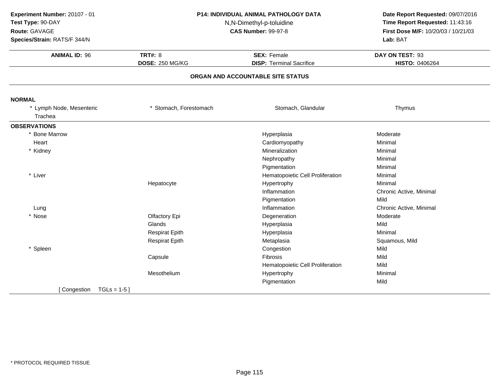| Experiment Number: 20107 - 01<br>Test Type: 90-DAY<br>Route: GAVAGE<br>Species/Strain: RATS/F 344/N | P14: INDIVIDUAL ANIMAL PATHOLOGY DATA<br>N,N-Dimethyl-p-toluidine<br><b>CAS Number: 99-97-8</b> |                                   | Date Report Requested: 09/07/2016<br>Time Report Requested: 11:43:16<br>First Dose M/F: 10/20/03 / 10/21/03<br>Lab: BAT |
|-----------------------------------------------------------------------------------------------------|-------------------------------------------------------------------------------------------------|-----------------------------------|-------------------------------------------------------------------------------------------------------------------------|
| <b>ANIMAL ID: 96</b>                                                                                | <b>TRT#: 8</b>                                                                                  | <b>SEX: Female</b>                | DAY ON TEST: 93                                                                                                         |
|                                                                                                     | DOSE: 250 MG/KG                                                                                 | <b>DISP: Terminal Sacrifice</b>   | HISTO: 0406264                                                                                                          |
|                                                                                                     |                                                                                                 | ORGAN AND ACCOUNTABLE SITE STATUS |                                                                                                                         |
| <b>NORMAL</b>                                                                                       |                                                                                                 |                                   |                                                                                                                         |
| * Lymph Node, Mesenteric                                                                            | * Stomach, Forestomach                                                                          | Stomach, Glandular                | Thymus                                                                                                                  |
| Trachea                                                                                             |                                                                                                 |                                   |                                                                                                                         |
| <b>OBSERVATIONS</b>                                                                                 |                                                                                                 |                                   |                                                                                                                         |
| * Bone Marrow                                                                                       |                                                                                                 | Hyperplasia                       | Moderate                                                                                                                |
| Heart                                                                                               |                                                                                                 | Cardiomyopathy                    | Minimal                                                                                                                 |
| * Kidney                                                                                            |                                                                                                 | Mineralization                    | Minimal                                                                                                                 |
|                                                                                                     |                                                                                                 | Nephropathy                       | Minimal                                                                                                                 |
|                                                                                                     |                                                                                                 | Pigmentation                      | Minimal                                                                                                                 |
| * Liver                                                                                             |                                                                                                 | Hematopoietic Cell Proliferation  | Minimal                                                                                                                 |
|                                                                                                     | Hepatocyte                                                                                      | Hypertrophy                       | Minimal                                                                                                                 |
|                                                                                                     |                                                                                                 | Inflammation                      | Chronic Active, Minimal                                                                                                 |
|                                                                                                     |                                                                                                 | Pigmentation                      | Mild                                                                                                                    |
| Lung                                                                                                |                                                                                                 | Inflammation                      | Chronic Active, Minimal                                                                                                 |
| * Nose                                                                                              | Olfactory Epi                                                                                   | Degeneration                      | Moderate                                                                                                                |
|                                                                                                     | Glands                                                                                          | Hyperplasia                       | Mild                                                                                                                    |
|                                                                                                     | <b>Respirat Epith</b>                                                                           | Hyperplasia                       | Minimal                                                                                                                 |
|                                                                                                     | <b>Respirat Epith</b>                                                                           | Metaplasia                        | Squamous, Mild                                                                                                          |
| * Spleen                                                                                            |                                                                                                 | Congestion                        | Mild                                                                                                                    |
|                                                                                                     | Capsule                                                                                         | Fibrosis                          | Mild                                                                                                                    |
|                                                                                                     |                                                                                                 | Hematopoietic Cell Proliferation  | Mild                                                                                                                    |
|                                                                                                     | Mesothelium                                                                                     | Hypertrophy                       | Minimal                                                                                                                 |
|                                                                                                     |                                                                                                 | Pigmentation                      | Mild                                                                                                                    |
| [Congestion<br>$TGLs = 1-5$ ]                                                                       |                                                                                                 |                                   |                                                                                                                         |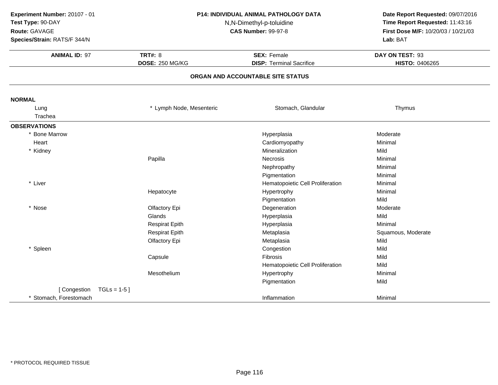| Experiment Number: 20107 - 01<br>Test Type: 90-DAY<br>Route: GAVAGE<br>Species/Strain: RATS/F 344/N | P14: INDIVIDUAL ANIMAL PATHOLOGY DATA<br>N,N-Dimethyl-p-toluidine<br><b>CAS Number: 99-97-8</b> |                                                       | Date Report Requested: 09/07/2016<br>Time Report Requested: 11:43:16<br>First Dose M/F: 10/20/03 / 10/21/03<br>Lab: BAT |
|-----------------------------------------------------------------------------------------------------|-------------------------------------------------------------------------------------------------|-------------------------------------------------------|-------------------------------------------------------------------------------------------------------------------------|
| <b>ANIMAL ID: 97</b>                                                                                | <b>TRT#: 8</b><br><b>DOSE: 250 MG/KG</b>                                                        | <b>SEX: Female</b><br><b>DISP: Terminal Sacrifice</b> | DAY ON TEST: 93<br>HISTO: 0406265                                                                                       |
|                                                                                                     |                                                                                                 | ORGAN AND ACCOUNTABLE SITE STATUS                     |                                                                                                                         |
| <b>NORMAL</b>                                                                                       |                                                                                                 |                                                       |                                                                                                                         |
| Lung                                                                                                | * Lymph Node, Mesenteric                                                                        | Stomach, Glandular                                    | Thymus                                                                                                                  |
| Trachea                                                                                             |                                                                                                 |                                                       |                                                                                                                         |
| <b>OBSERVATIONS</b>                                                                                 |                                                                                                 |                                                       |                                                                                                                         |
| <b>Bone Marrow</b>                                                                                  |                                                                                                 | Hyperplasia                                           | Moderate                                                                                                                |
| Heart                                                                                               |                                                                                                 | Cardiomyopathy                                        | Minimal                                                                                                                 |
| * Kidney                                                                                            |                                                                                                 | Mineralization                                        | Mild                                                                                                                    |
|                                                                                                     | Papilla                                                                                         | <b>Necrosis</b>                                       | Minimal                                                                                                                 |
|                                                                                                     |                                                                                                 | Nephropathy                                           | Minimal                                                                                                                 |
|                                                                                                     |                                                                                                 | Pigmentation                                          | Minimal                                                                                                                 |
| * Liver                                                                                             |                                                                                                 | Hematopoietic Cell Proliferation                      | Minimal                                                                                                                 |
|                                                                                                     | Hepatocyte                                                                                      | Hypertrophy                                           | Minimal                                                                                                                 |
|                                                                                                     |                                                                                                 | Pigmentation                                          | Mild                                                                                                                    |
| * Nose                                                                                              | Olfactory Epi                                                                                   | Degeneration                                          | Moderate                                                                                                                |
|                                                                                                     | Glands                                                                                          | Hyperplasia                                           | Mild                                                                                                                    |
|                                                                                                     | <b>Respirat Epith</b>                                                                           | Hyperplasia                                           | Minimal                                                                                                                 |
|                                                                                                     | <b>Respirat Epith</b>                                                                           | Metaplasia                                            | Squamous, Moderate                                                                                                      |
|                                                                                                     | Olfactory Epi                                                                                   | Metaplasia                                            | Mild                                                                                                                    |
| * Spleen                                                                                            |                                                                                                 | Congestion                                            | Mild                                                                                                                    |
|                                                                                                     | Capsule                                                                                         | <b>Fibrosis</b>                                       | Mild                                                                                                                    |
|                                                                                                     |                                                                                                 | Hematopoietic Cell Proliferation                      | Mild                                                                                                                    |
|                                                                                                     | Mesothelium                                                                                     | Hypertrophy                                           | Minimal                                                                                                                 |
|                                                                                                     |                                                                                                 | Pigmentation                                          | Mild                                                                                                                    |
| [Congestion<br>$TGLs = 1-5$ ]                                                                       |                                                                                                 |                                                       |                                                                                                                         |
| * Stomach, Forestomach                                                                              |                                                                                                 | Inflammation                                          | Minimal                                                                                                                 |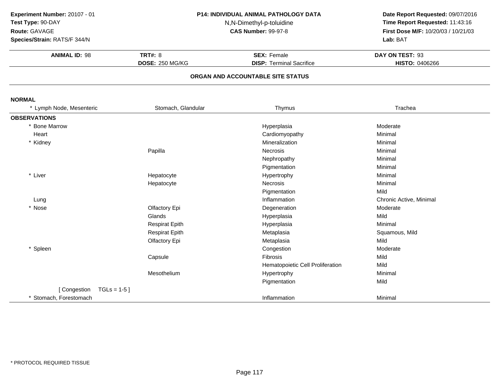| Experiment Number: 20107 - 01<br>Test Type: 90-DAY<br>Route: GAVAGE<br>Species/Strain: RATS/F 344/N | P14: INDIVIDUAL ANIMAL PATHOLOGY DATA<br>N,N-Dimethyl-p-toluidine<br><b>CAS Number: 99-97-8</b> |                                   | Date Report Requested: 09/07/2016<br>Time Report Requested: 11:43:16<br>First Dose M/F: 10/20/03 / 10/21/03<br>Lab: BAT |  |
|-----------------------------------------------------------------------------------------------------|-------------------------------------------------------------------------------------------------|-----------------------------------|-------------------------------------------------------------------------------------------------------------------------|--|
| <b>ANIMAL ID: 98</b>                                                                                | <b>TRT#: 8</b>                                                                                  | <b>SEX: Female</b>                | DAY ON TEST: 93                                                                                                         |  |
|                                                                                                     | DOSE: 250 MG/KG                                                                                 | <b>DISP: Terminal Sacrifice</b>   | HISTO: 0406266                                                                                                          |  |
|                                                                                                     |                                                                                                 | ORGAN AND ACCOUNTABLE SITE STATUS |                                                                                                                         |  |
| <b>NORMAL</b>                                                                                       |                                                                                                 |                                   |                                                                                                                         |  |
| * Lymph Node, Mesenteric                                                                            | Stomach, Glandular                                                                              | Thymus                            | Trachea                                                                                                                 |  |
| <b>OBSERVATIONS</b>                                                                                 |                                                                                                 |                                   |                                                                                                                         |  |
| * Bone Marrow                                                                                       |                                                                                                 | Hyperplasia                       | Moderate                                                                                                                |  |
| Heart                                                                                               |                                                                                                 | Cardiomyopathy                    | Minimal                                                                                                                 |  |
| * Kidney                                                                                            |                                                                                                 | Mineralization                    | Minimal                                                                                                                 |  |
|                                                                                                     | Papilla                                                                                         | Necrosis                          | Minimal                                                                                                                 |  |
|                                                                                                     |                                                                                                 | Nephropathy                       | Minimal                                                                                                                 |  |
|                                                                                                     |                                                                                                 | Pigmentation                      | Minimal                                                                                                                 |  |
| * Liver                                                                                             | Hepatocyte                                                                                      | Hypertrophy                       | Minimal                                                                                                                 |  |
|                                                                                                     | Hepatocyte                                                                                      | Necrosis                          | Minimal                                                                                                                 |  |
|                                                                                                     |                                                                                                 | Pigmentation                      | Mild                                                                                                                    |  |
| Lung                                                                                                |                                                                                                 | Inflammation                      | Chronic Active, Minimal                                                                                                 |  |
| * Nose                                                                                              | Olfactory Epi                                                                                   | Degeneration                      | Moderate                                                                                                                |  |
|                                                                                                     | Glands                                                                                          | Hyperplasia                       | Mild                                                                                                                    |  |
|                                                                                                     | <b>Respirat Epith</b>                                                                           | Hyperplasia                       | Minimal                                                                                                                 |  |
|                                                                                                     | <b>Respirat Epith</b>                                                                           | Metaplasia                        | Squamous, Mild                                                                                                          |  |
|                                                                                                     | Olfactory Epi                                                                                   | Metaplasia                        | Mild                                                                                                                    |  |
| * Spleen                                                                                            |                                                                                                 | Congestion                        | Moderate                                                                                                                |  |
|                                                                                                     | Capsule                                                                                         | Fibrosis                          | Mild                                                                                                                    |  |
|                                                                                                     |                                                                                                 | Hematopoietic Cell Proliferation  | Mild                                                                                                                    |  |
|                                                                                                     | Mesothelium                                                                                     | Hypertrophy                       | Minimal                                                                                                                 |  |
|                                                                                                     |                                                                                                 | Pigmentation                      | Mild                                                                                                                    |  |
| [ Congestion<br>$TGLs = 1-5$ ]                                                                      |                                                                                                 |                                   |                                                                                                                         |  |
| * Stomach, Forestomach                                                                              |                                                                                                 | Inflammation                      | Minimal                                                                                                                 |  |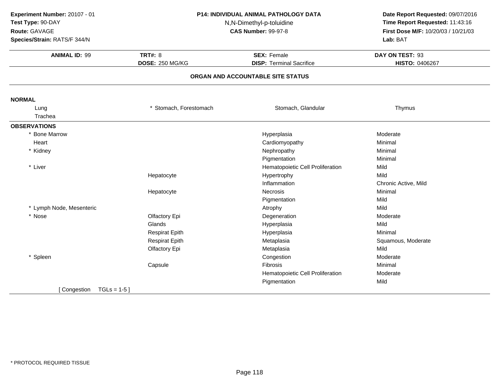| Experiment Number: 20107 - 01<br>Test Type: 90-DAY<br>Route: GAVAGE<br>Species/Strain: RATS/F 344/N | P14: INDIVIDUAL ANIMAL PATHOLOGY DATA<br>N,N-Dimethyl-p-toluidine<br><b>CAS Number: 99-97-8</b> |                                   |                      |  | Date Report Requested: 09/07/2016<br>Time Report Requested: 11:43:16<br>First Dose M/F: 10/20/03 / 10/21/03<br>Lab: BAT |
|-----------------------------------------------------------------------------------------------------|-------------------------------------------------------------------------------------------------|-----------------------------------|----------------------|--|-------------------------------------------------------------------------------------------------------------------------|
| <b>ANIMAL ID: 99</b>                                                                                | <b>TRT#: 8</b>                                                                                  | <b>SEX: Female</b>                | DAY ON TEST: 93      |  |                                                                                                                         |
|                                                                                                     | <b>DOSE: 250 MG/KG</b>                                                                          | <b>DISP: Terminal Sacrifice</b>   | HISTO: 0406267       |  |                                                                                                                         |
|                                                                                                     |                                                                                                 | ORGAN AND ACCOUNTABLE SITE STATUS |                      |  |                                                                                                                         |
| <b>NORMAL</b>                                                                                       |                                                                                                 |                                   |                      |  |                                                                                                                         |
| Lung                                                                                                | * Stomach, Forestomach                                                                          | Stomach, Glandular                | Thymus               |  |                                                                                                                         |
| Trachea                                                                                             |                                                                                                 |                                   |                      |  |                                                                                                                         |
| <b>OBSERVATIONS</b>                                                                                 |                                                                                                 |                                   |                      |  |                                                                                                                         |
| * Bone Marrow                                                                                       |                                                                                                 | Hyperplasia                       | Moderate             |  |                                                                                                                         |
| Heart                                                                                               |                                                                                                 | Cardiomyopathy                    | Minimal              |  |                                                                                                                         |
| * Kidney                                                                                            |                                                                                                 | Nephropathy                       | Minimal              |  |                                                                                                                         |
|                                                                                                     |                                                                                                 | Pigmentation                      | Minimal              |  |                                                                                                                         |
| * Liver                                                                                             |                                                                                                 | Hematopoietic Cell Proliferation  | Mild                 |  |                                                                                                                         |
|                                                                                                     | Hepatocyte                                                                                      | Hypertrophy                       | Mild                 |  |                                                                                                                         |
|                                                                                                     |                                                                                                 | Inflammation                      | Chronic Active, Mild |  |                                                                                                                         |
|                                                                                                     | Hepatocyte                                                                                      | Necrosis                          | Minimal              |  |                                                                                                                         |
|                                                                                                     |                                                                                                 | Pigmentation                      | Mild                 |  |                                                                                                                         |
| * Lymph Node, Mesenteric                                                                            |                                                                                                 | Atrophy                           | Mild                 |  |                                                                                                                         |
| * Nose                                                                                              | Olfactory Epi                                                                                   | Degeneration                      | Moderate             |  |                                                                                                                         |
|                                                                                                     | Glands                                                                                          | Hyperplasia                       | Mild                 |  |                                                                                                                         |
|                                                                                                     | <b>Respirat Epith</b>                                                                           | Hyperplasia                       | Minimal              |  |                                                                                                                         |
|                                                                                                     | <b>Respirat Epith</b>                                                                           | Metaplasia                        | Squamous, Moderate   |  |                                                                                                                         |
|                                                                                                     | Olfactory Epi                                                                                   | Metaplasia                        | Mild                 |  |                                                                                                                         |
| * Spleen                                                                                            |                                                                                                 | Congestion                        | Moderate             |  |                                                                                                                         |
|                                                                                                     | Capsule                                                                                         | Fibrosis                          | Minimal              |  |                                                                                                                         |
|                                                                                                     |                                                                                                 | Hematopoietic Cell Proliferation  | Moderate             |  |                                                                                                                         |
|                                                                                                     |                                                                                                 | Pigmentation                      | Mild                 |  |                                                                                                                         |
| [Congestion<br>$TGLs = 1-5$                                                                         |                                                                                                 |                                   |                      |  |                                                                                                                         |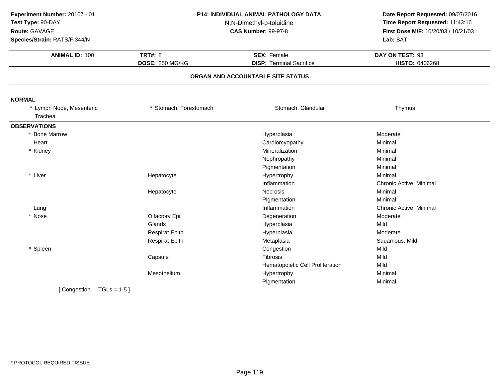| Experiment Number: 20107 - 01<br>Test Type: 90-DAY<br>Route: GAVAGE<br>Species/Strain: RATS/F 344/N | P14: INDIVIDUAL ANIMAL PATHOLOGY DATA<br>N,N-Dimethyl-p-toluidine<br><b>CAS Number: 99-97-8</b> |                                   | Date Report Requested: 09/07/2016<br>Time Report Requested: 11:43:16<br>First Dose M/F: 10/20/03 / 10/21/03<br>Lab: BAT |  |
|-----------------------------------------------------------------------------------------------------|-------------------------------------------------------------------------------------------------|-----------------------------------|-------------------------------------------------------------------------------------------------------------------------|--|
| <b>ANIMAL ID: 100</b>                                                                               | <b>TRT#: 8</b>                                                                                  | <b>SEX: Female</b>                | DAY ON TEST: 93                                                                                                         |  |
|                                                                                                     | <b>DOSE: 250 MG/KG</b>                                                                          | <b>DISP: Terminal Sacrifice</b>   | HISTO: 0406268                                                                                                          |  |
|                                                                                                     |                                                                                                 | ORGAN AND ACCOUNTABLE SITE STATUS |                                                                                                                         |  |
| <b>NORMAL</b>                                                                                       |                                                                                                 |                                   |                                                                                                                         |  |
| * Lymph Node, Mesenteric<br>Trachea                                                                 | * Stomach, Forestomach                                                                          | Stomach, Glandular                | Thymus                                                                                                                  |  |
| <b>OBSERVATIONS</b>                                                                                 |                                                                                                 |                                   |                                                                                                                         |  |
| * Bone Marrow                                                                                       |                                                                                                 | Hyperplasia                       | Moderate                                                                                                                |  |
| Heart                                                                                               |                                                                                                 | Cardiomyopathy                    | Minimal                                                                                                                 |  |
| * Kidney                                                                                            |                                                                                                 | Mineralization                    | Minimal                                                                                                                 |  |
|                                                                                                     |                                                                                                 | Nephropathy                       | Minimal                                                                                                                 |  |
|                                                                                                     |                                                                                                 | Pigmentation                      | Minimal                                                                                                                 |  |
| * Liver                                                                                             | Hepatocyte                                                                                      | Hypertrophy                       | Minimal                                                                                                                 |  |
|                                                                                                     |                                                                                                 | Inflammation                      | Chronic Active, Minimal                                                                                                 |  |
|                                                                                                     | Hepatocyte                                                                                      | Necrosis                          | Minimal                                                                                                                 |  |
|                                                                                                     |                                                                                                 | Pigmentation                      | Minimal                                                                                                                 |  |
| Lung                                                                                                |                                                                                                 | Inflammation                      | Chronic Active, Minimal                                                                                                 |  |
| * Nose                                                                                              | Olfactory Epi                                                                                   | Degeneration                      | Moderate                                                                                                                |  |
|                                                                                                     | Glands                                                                                          | Hyperplasia                       | Mild                                                                                                                    |  |
|                                                                                                     | <b>Respirat Epith</b>                                                                           | Hyperplasia                       | Moderate                                                                                                                |  |
|                                                                                                     | <b>Respirat Epith</b>                                                                           | Metaplasia                        | Squamous, Mild                                                                                                          |  |
| * Spleen                                                                                            |                                                                                                 | Congestion                        | Mild                                                                                                                    |  |
|                                                                                                     | Capsule                                                                                         | Fibrosis                          | Mild                                                                                                                    |  |
|                                                                                                     |                                                                                                 | Hematopoietic Cell Proliferation  | Mild                                                                                                                    |  |
|                                                                                                     | Mesothelium                                                                                     | Hypertrophy                       | Minimal                                                                                                                 |  |
|                                                                                                     |                                                                                                 | Pigmentation                      | Minimal                                                                                                                 |  |
| [Congestion<br>$TGLs = 1-5$                                                                         |                                                                                                 |                                   |                                                                                                                         |  |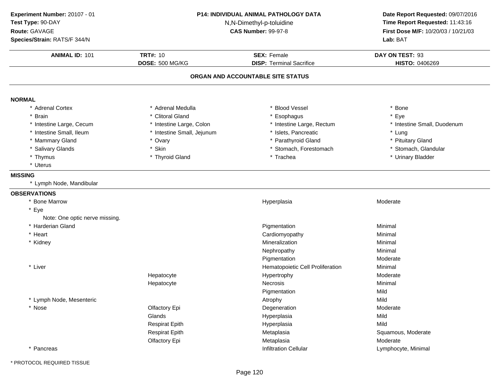| Experiment Number: 20107 - 01  | P14: INDIVIDUAL ANIMAL PATHOLOGY DATA                  |                                   | Date Report Requested: 09/07/2016   |  |
|--------------------------------|--------------------------------------------------------|-----------------------------------|-------------------------------------|--|
| Test Type: 90-DAY              | N,N-Dimethyl-p-toluidine<br><b>CAS Number: 99-97-8</b> |                                   | Time Report Requested: 11:43:16     |  |
| Route: GAVAGE                  |                                                        |                                   | First Dose M/F: 10/20/03 / 10/21/03 |  |
| Species/Strain: RATS/F 344/N   |                                                        |                                   | Lab: BAT                            |  |
| <b>ANIMAL ID: 101</b>          | <b>TRT#: 10</b>                                        | <b>SEX: Female</b>                | DAY ON TEST: 93                     |  |
|                                | DOSE: 500 MG/KG                                        | <b>DISP: Terminal Sacrifice</b>   | HISTO: 0406269                      |  |
|                                |                                                        | ORGAN AND ACCOUNTABLE SITE STATUS |                                     |  |
| <b>NORMAL</b>                  |                                                        |                                   |                                     |  |
| * Adrenal Cortex               | * Adrenal Medulla                                      | * Blood Vessel                    | * Bone                              |  |
| * Brain                        | * Clitoral Gland                                       | * Esophagus                       | * Eye                               |  |
| * Intestine Large, Cecum       | * Intestine Large, Colon                               | * Intestine Large, Rectum         | * Intestine Small, Duodenum         |  |
| * Intestine Small, Ileum       | * Intestine Small, Jejunum                             | * Islets, Pancreatic              | * Lung                              |  |
| * Mammary Gland                | * Ovary                                                | * Parathyroid Gland               | * Pituitary Gland                   |  |
| * Salivary Glands              | * Skin                                                 | * Stomach, Forestomach            | * Stomach, Glandular                |  |
| * Thymus                       | * Thyroid Gland                                        | * Trachea                         | * Urinary Bladder                   |  |
| * Uterus                       |                                                        |                                   |                                     |  |
| <b>MISSING</b>                 |                                                        |                                   |                                     |  |
| * Lymph Node, Mandibular       |                                                        |                                   |                                     |  |
| <b>OBSERVATIONS</b>            |                                                        |                                   |                                     |  |
| * Bone Marrow                  |                                                        | Hyperplasia                       | Moderate                            |  |
| * Eye                          |                                                        |                                   |                                     |  |
| Note: One optic nerve missing. |                                                        |                                   |                                     |  |
| * Harderian Gland              |                                                        | Pigmentation                      | Minimal                             |  |
| * Heart                        |                                                        | Cardiomyopathy                    | Minimal                             |  |
| * Kidney                       |                                                        | Mineralization                    | Minimal                             |  |
|                                |                                                        | Nephropathy                       | Minimal                             |  |
|                                |                                                        | Pigmentation                      | Moderate                            |  |
| * Liver                        |                                                        | Hematopoietic Cell Proliferation  | Minimal                             |  |
|                                | Hepatocyte                                             | Hypertrophy                       | Moderate                            |  |
|                                | Hepatocyte                                             | Necrosis                          | Minimal                             |  |
|                                |                                                        | Pigmentation                      | Mild                                |  |
| * Lymph Node, Mesenteric       |                                                        | Atrophy                           | Mild                                |  |
| * Nose                         | Olfactory Epi                                          | Degeneration                      | Moderate                            |  |
|                                | Glands                                                 | Hyperplasia                       | Mild                                |  |
|                                | <b>Respirat Epith</b>                                  | Hyperplasia                       | Mild                                |  |
|                                | <b>Respirat Epith</b>                                  | Metaplasia                        | Squamous, Moderate                  |  |
|                                | Olfactory Epi                                          | Metaplasia                        | Moderate                            |  |
| * Pancreas                     |                                                        | <b>Infiltration Cellular</b>      | Lymphocyte, Minimal                 |  |
|                                |                                                        |                                   |                                     |  |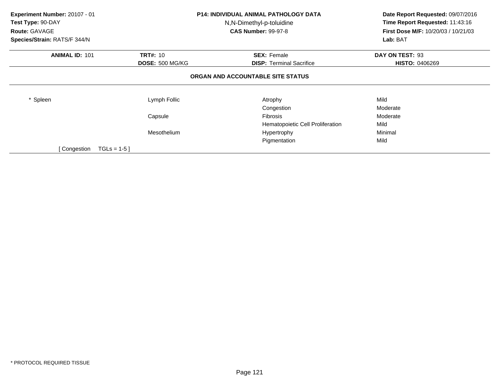| Experiment Number: 20107 - 01<br>Test Type: 90-DAY<br>Route: GAVAGE<br>Species/Strain: RATS/F 344/N |                                           | <b>P14: INDIVIDUAL ANIMAL PATHOLOGY DATA</b><br>N,N-Dimethyl-p-toluidine<br><b>CAS Number: 99-97-8</b> | Date Report Requested: 09/07/2016<br>Time Report Requested: 11:43:16<br>First Dose M/F: 10/20/03 / 10/21/03<br>Lab: BAT |  |
|-----------------------------------------------------------------------------------------------------|-------------------------------------------|--------------------------------------------------------------------------------------------------------|-------------------------------------------------------------------------------------------------------------------------|--|
| <b>ANIMAL ID: 101</b>                                                                               | <b>TRT#: 10</b><br><b>DOSE: 500 MG/KG</b> | <b>SEX: Female</b><br><b>DISP:</b> Terminal Sacrifice                                                  | DAY ON TEST: 93<br><b>HISTO: 0406269</b>                                                                                |  |
|                                                                                                     |                                           | ORGAN AND ACCOUNTABLE SITE STATUS                                                                      |                                                                                                                         |  |
| Spleen                                                                                              | Lymph Follic                              | Atrophy<br>Congestion                                                                                  | Mild<br>Moderate                                                                                                        |  |
|                                                                                                     | Capsule                                   | <b>Fibrosis</b><br>Hematopoietic Cell Proliferation                                                    | Moderate<br>Mild                                                                                                        |  |
| $TGLs = 1-5$<br>[ Congestion                                                                        | Mesothelium                               | Hypertrophy<br>Pigmentation                                                                            | Minimal<br>Mild                                                                                                         |  |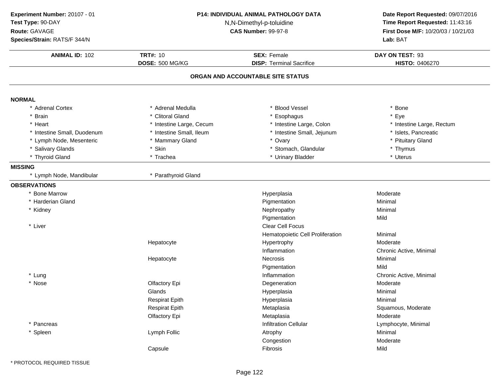| Experiment Number: 20107 - 01 | <b>P14: INDIVIDUAL ANIMAL PATHOLOGY DATA</b> |                                   | Date Report Requested: 09/07/2016   |
|-------------------------------|----------------------------------------------|-----------------------------------|-------------------------------------|
| Test Type: 90-DAY             |                                              | N,N-Dimethyl-p-toluidine          | Time Report Requested: 11:43:16     |
| Route: GAVAGE                 |                                              | <b>CAS Number: 99-97-8</b>        | First Dose M/F: 10/20/03 / 10/21/03 |
| Species/Strain: RATS/F 344/N  |                                              | Lab: BAT                          |                                     |
| <b>ANIMAL ID: 102</b>         | <b>TRT#: 10</b>                              | <b>SEX: Female</b>                | DAY ON TEST: 93                     |
|                               | DOSE: 500 MG/KG                              | <b>DISP: Terminal Sacrifice</b>   | HISTO: 0406270                      |
|                               |                                              | ORGAN AND ACCOUNTABLE SITE STATUS |                                     |
| <b>NORMAL</b>                 |                                              |                                   |                                     |
| * Adrenal Cortex              | * Adrenal Medulla                            | * Blood Vessel                    | * Bone                              |
| * Brain                       | * Clitoral Gland                             | * Esophagus                       | * Eye                               |
| * Heart                       | * Intestine Large, Cecum                     | * Intestine Large, Colon          | * Intestine Large, Rectum           |
| * Intestine Small, Duodenum   | * Intestine Small, Ileum                     | * Intestine Small, Jejunum        | * Islets, Pancreatic                |
| * Lymph Node, Mesenteric      | * Mammary Gland                              | * Ovary                           | * Pituitary Gland                   |
| * Salivary Glands             | * Skin                                       | * Stomach, Glandular              | * Thymus                            |
| * Thyroid Gland               | * Trachea                                    | * Urinary Bladder                 | * Uterus                            |
| <b>MISSING</b>                |                                              |                                   |                                     |
| * Lymph Node, Mandibular      | * Parathyroid Gland                          |                                   |                                     |
| <b>OBSERVATIONS</b>           |                                              |                                   |                                     |
| <b>Bone Marrow</b>            |                                              | Hyperplasia                       | Moderate                            |
| * Harderian Gland             |                                              | Pigmentation                      | Minimal                             |
| * Kidney                      |                                              | Nephropathy                       | Minimal                             |
|                               |                                              | Pigmentation                      | Mild                                |
| * Liver                       |                                              | <b>Clear Cell Focus</b>           |                                     |
|                               |                                              | Hematopoietic Cell Proliferation  | Minimal                             |
|                               | Hepatocyte                                   | Hypertrophy                       | Moderate                            |
|                               |                                              | Inflammation                      | Chronic Active, Minimal             |
|                               | Hepatocyte                                   | Necrosis                          | Minimal                             |
|                               |                                              | Pigmentation                      | Mild                                |
| * Lung                        |                                              | Inflammation                      | Chronic Active, Minimal             |
| * Nose                        | Olfactory Epi                                | Degeneration                      | Moderate                            |
|                               | Glands                                       | Hyperplasia                       | Minimal                             |
|                               | <b>Respirat Epith</b>                        | Hyperplasia                       | Minimal                             |
|                               | <b>Respirat Epith</b>                        | Metaplasia                        | Squamous, Moderate                  |
|                               | Olfactory Epi                                | Metaplasia                        | Moderate                            |
| * Pancreas                    |                                              | <b>Infiltration Cellular</b>      | Lymphocyte, Minimal                 |
| * Spleen                      | Lymph Follic                                 | Atrophy                           | Minimal                             |
|                               |                                              | Congestion                        | Moderate                            |
|                               | Capsule                                      | Fibrosis                          | Mild                                |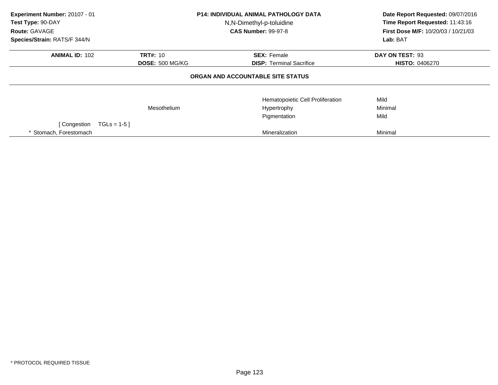| Experiment Number: 20107 - 01<br>Test Type: 90-DAY<br><b>Route: GAVAGE</b><br>Species/Strain: RATS/F 344/N | <b>P14: INDIVIDUAL ANIMAL PATHOLOGY DATA</b><br>N,N-Dimethyl-p-toluidine<br><b>CAS Number: 99-97-8</b> |                                                       | Date Report Requested: 09/07/2016<br>Time Report Requested: 11:43:16<br><b>First Dose M/F: 10/20/03 / 10/21/03</b><br>Lab: BAT |  |
|------------------------------------------------------------------------------------------------------------|--------------------------------------------------------------------------------------------------------|-------------------------------------------------------|--------------------------------------------------------------------------------------------------------------------------------|--|
| <b>ANIMAL ID: 102</b>                                                                                      | <b>TRT#: 10</b><br><b>DOSE: 500 MG/KG</b>                                                              | <b>SEX: Female</b><br><b>DISP:</b> Terminal Sacrifice | DAY ON TEST: 93<br><b>HISTO: 0406270</b>                                                                                       |  |
|                                                                                                            |                                                                                                        | ORGAN AND ACCOUNTABLE SITE STATUS                     |                                                                                                                                |  |
|                                                                                                            |                                                                                                        | Hematopoietic Cell Proliferation                      | Mild                                                                                                                           |  |
|                                                                                                            | Mesothelium                                                                                            | Hypertrophy                                           | Minimal                                                                                                                        |  |
| $TGLs = 1-5$ ]<br>[ Congestion                                                                             |                                                                                                        | Pigmentation                                          | Mild                                                                                                                           |  |
| Stomach, Forestomach                                                                                       |                                                                                                        | Mineralization                                        | Minimal                                                                                                                        |  |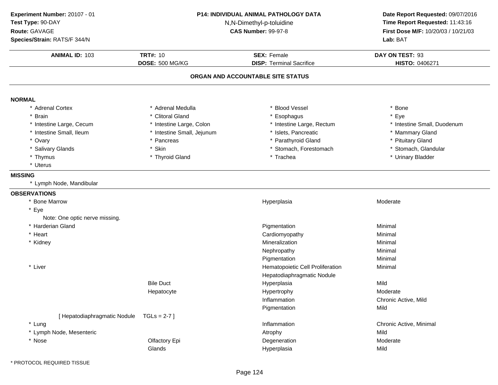| Experiment Number: 20107 - 01  |                            | P14: INDIVIDUAL ANIMAL PATHOLOGY DATA | Date Report Requested: 09/07/2016   |  |
|--------------------------------|----------------------------|---------------------------------------|-------------------------------------|--|
| Test Type: 90-DAY              | N,N-Dimethyl-p-toluidine   |                                       | Time Report Requested: 11:43:16     |  |
| Route: GAVAGE                  |                            | <b>CAS Number: 99-97-8</b>            | First Dose M/F: 10/20/03 / 10/21/03 |  |
| Species/Strain: RATS/F 344/N   |                            |                                       | Lab: BAT                            |  |
| <b>ANIMAL ID: 103</b>          | <b>TRT#: 10</b>            | <b>SEX: Female</b>                    | DAY ON TEST: 93                     |  |
|                                | DOSE: 500 MG/KG            | <b>DISP: Terminal Sacrifice</b>       | HISTO: 0406271                      |  |
|                                |                            | ORGAN AND ACCOUNTABLE SITE STATUS     |                                     |  |
| <b>NORMAL</b>                  |                            |                                       |                                     |  |
| * Adrenal Cortex               | * Adrenal Medulla          | * Blood Vessel                        | * Bone                              |  |
| * Brain                        | * Clitoral Gland           | * Esophagus                           | * Eye                               |  |
| * Intestine Large, Cecum       | * Intestine Large, Colon   | * Intestine Large, Rectum             | * Intestine Small, Duodenum         |  |
| * Intestine Small, Ileum       | * Intestine Small, Jejunum | * Islets, Pancreatic                  | * Mammary Gland                     |  |
| * Ovary                        | * Pancreas                 | * Parathyroid Gland                   | * Pituitary Gland                   |  |
| * Salivary Glands              | * Skin                     | * Stomach, Forestomach                | * Stomach, Glandular                |  |
| * Thymus                       | * Thyroid Gland            | * Trachea                             | * Urinary Bladder                   |  |
| * Uterus                       |                            |                                       |                                     |  |
| <b>MISSING</b>                 |                            |                                       |                                     |  |
| * Lymph Node, Mandibular       |                            |                                       |                                     |  |
| <b>OBSERVATIONS</b>            |                            |                                       |                                     |  |
| * Bone Marrow                  |                            | Hyperplasia                           | Moderate                            |  |
| * Eye                          |                            |                                       |                                     |  |
| Note: One optic nerve missing. |                            |                                       |                                     |  |
| * Harderian Gland              |                            | Pigmentation                          | Minimal                             |  |
| * Heart                        |                            | Cardiomyopathy                        | Minimal                             |  |
| * Kidney                       |                            | Mineralization                        | Minimal                             |  |
|                                |                            | Nephropathy                           | Minimal                             |  |
|                                |                            | Pigmentation                          | Minimal                             |  |
| * Liver                        |                            | Hematopoietic Cell Proliferation      | Minimal                             |  |
|                                |                            | Hepatodiaphragmatic Nodule            |                                     |  |
|                                | <b>Bile Duct</b>           | Hyperplasia                           | Mild                                |  |
|                                | Hepatocyte                 | Hypertrophy                           | Moderate                            |  |
|                                |                            | Inflammation                          | Chronic Active, Mild                |  |
|                                |                            | Pigmentation                          | Mild                                |  |
| [Hepatodiaphragmatic Nodule    | $TGLs = 2-7$ ]             |                                       |                                     |  |
| * Lung                         |                            | Inflammation                          | Chronic Active, Minimal             |  |
| * Lymph Node, Mesenteric       |                            | Atrophy                               | Mild                                |  |
| * Nose                         | Olfactory Epi              | Degeneration                          | Moderate                            |  |
|                                | Glands                     | Hyperplasia                           | Mild                                |  |
|                                |                            |                                       |                                     |  |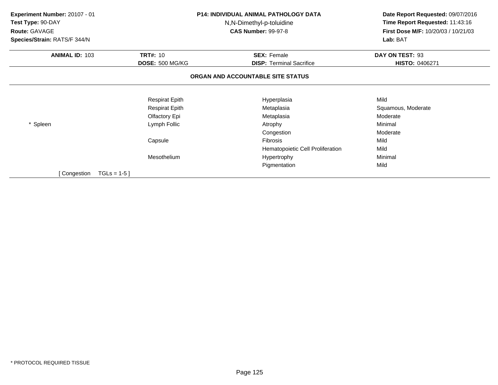| Experiment Number: 20107 - 01<br>Test Type: 90-DAY<br>Route: GAVAGE<br>Species/Strain: RATS/F 344/N |                       | P14: INDIVIDUAL ANIMAL PATHOLOGY DATA<br>N,N-Dimethyl-p-toluidine<br><b>CAS Number: 99-97-8</b> |                    |
|-----------------------------------------------------------------------------------------------------|-----------------------|-------------------------------------------------------------------------------------------------|--------------------|
| <b>ANIMAL ID: 103</b>                                                                               | <b>TRT#: 10</b>       | <b>SEX: Female</b>                                                                              | DAY ON TEST: 93    |
|                                                                                                     | DOSE: 500 MG/KG       | <b>DISP: Terminal Sacrifice</b>                                                                 | HISTO: 0406271     |
|                                                                                                     |                       | ORGAN AND ACCOUNTABLE SITE STATUS                                                               |                    |
|                                                                                                     | <b>Respirat Epith</b> | Hyperplasia                                                                                     | Mild               |
|                                                                                                     | <b>Respirat Epith</b> | Metaplasia                                                                                      | Squamous, Moderate |
|                                                                                                     | Olfactory Epi         | Metaplasia                                                                                      | Moderate           |
| Spleen                                                                                              | Lymph Follic          | Atrophy                                                                                         | Minimal            |
|                                                                                                     |                       | Congestion                                                                                      | Moderate           |
|                                                                                                     | Capsule               | Fibrosis                                                                                        | Mild               |
|                                                                                                     |                       | Hematopoietic Cell Proliferation                                                                | Mild               |
|                                                                                                     | Mesothelium           | Hypertrophy                                                                                     | Minimal            |
|                                                                                                     |                       | Pigmentation                                                                                    | Mild               |
| [ Congestion                                                                                        | $TGLs = 1-5$          |                                                                                                 |                    |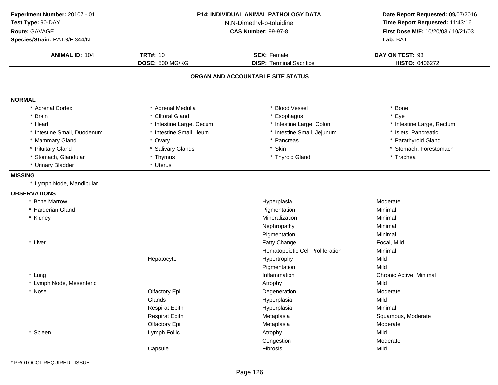| Date Report Requested: 09/07/2016<br>Time Report Requested: 11:43:16<br>First Dose M/F: 10/20/03 / 10/21/03<br>DAY ON TEST: 93<br>HISTO: 0406272 |
|--------------------------------------------------------------------------------------------------------------------------------------------------|
|                                                                                                                                                  |
|                                                                                                                                                  |
|                                                                                                                                                  |
|                                                                                                                                                  |
|                                                                                                                                                  |
|                                                                                                                                                  |
|                                                                                                                                                  |
|                                                                                                                                                  |
|                                                                                                                                                  |
| * Intestine Large, Rectum                                                                                                                        |
| * Islets, Pancreatic                                                                                                                             |
| * Parathyroid Gland                                                                                                                              |
| * Stomach, Forestomach                                                                                                                           |
|                                                                                                                                                  |
|                                                                                                                                                  |
|                                                                                                                                                  |
|                                                                                                                                                  |
|                                                                                                                                                  |
|                                                                                                                                                  |
|                                                                                                                                                  |
|                                                                                                                                                  |
|                                                                                                                                                  |
|                                                                                                                                                  |
|                                                                                                                                                  |
|                                                                                                                                                  |
|                                                                                                                                                  |
|                                                                                                                                                  |
| Chronic Active, Minimal                                                                                                                          |
|                                                                                                                                                  |
|                                                                                                                                                  |
|                                                                                                                                                  |
|                                                                                                                                                  |
|                                                                                                                                                  |
| Squamous, Moderate                                                                                                                               |
|                                                                                                                                                  |
|                                                                                                                                                  |
|                                                                                                                                                  |
|                                                                                                                                                  |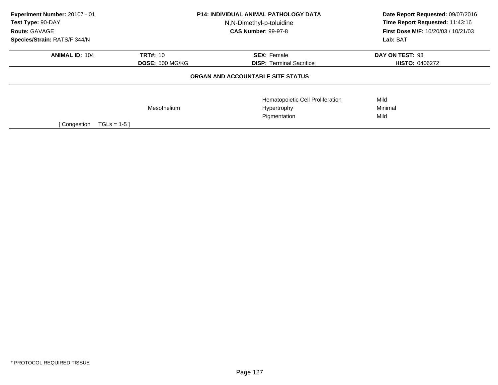| Experiment Number: 20107 - 01<br>Test Type: 90-DAY<br>Route: GAVAGE<br>Species/Strain: RATS/F 344/N | <b>P14: INDIVIDUAL ANIMAL PATHOLOGY DATA</b><br>N,N-Dimethyl-p-toluidine<br><b>CAS Number: 99-97-8</b> |                                                       | Date Report Requested: 09/07/2016<br>Time Report Requested: 11:43:16<br>First Dose M/F: 10/20/03 / 10/21/03<br>Lab: BAT |  |
|-----------------------------------------------------------------------------------------------------|--------------------------------------------------------------------------------------------------------|-------------------------------------------------------|-------------------------------------------------------------------------------------------------------------------------|--|
| <b>ANIMAL ID: 104</b>                                                                               | <b>TRT#: 10</b><br><b>DOSE: 500 MG/KG</b>                                                              | <b>SEX: Female</b><br><b>DISP: Terminal Sacrifice</b> | DAY ON TEST: 93<br><b>HISTO: 0406272</b>                                                                                |  |
|                                                                                                     |                                                                                                        | ORGAN AND ACCOUNTABLE SITE STATUS                     |                                                                                                                         |  |
|                                                                                                     |                                                                                                        | Hematopoietic Cell Proliferation                      | Mild                                                                                                                    |  |
|                                                                                                     | Mesothelium                                                                                            | Hypertrophy                                           | Minimal                                                                                                                 |  |
| [ Congestion<br>$TGLs = 1-5$                                                                        |                                                                                                        | Pigmentation                                          | Mild                                                                                                                    |  |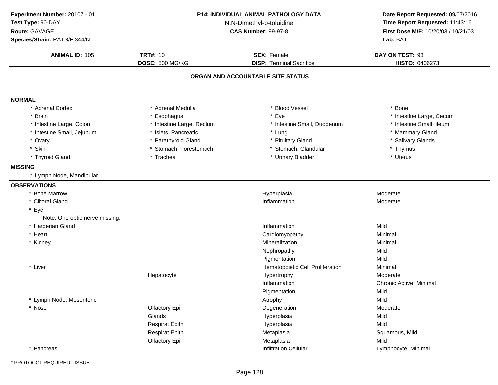| Experiment Number: 20107 - 01  |                           | P14: INDIVIDUAL ANIMAL PATHOLOGY DATA | Date Report Requested: 09/07/2016   |
|--------------------------------|---------------------------|---------------------------------------|-------------------------------------|
| Test Type: 90-DAY              | N,N-Dimethyl-p-toluidine  |                                       | Time Report Requested: 11:43:16     |
| Route: GAVAGE                  |                           | <b>CAS Number: 99-97-8</b>            | First Dose M/F: 10/20/03 / 10/21/03 |
| Species/Strain: RATS/F 344/N   |                           | Lab: BAT                              |                                     |
| <b>ANIMAL ID: 105</b>          | <b>TRT#: 10</b>           | <b>SEX: Female</b>                    | DAY ON TEST: 93                     |
|                                | DOSE: 500 MG/KG           | <b>DISP: Terminal Sacrifice</b>       | HISTO: 0406273                      |
|                                |                           | ORGAN AND ACCOUNTABLE SITE STATUS     |                                     |
| <b>NORMAL</b>                  |                           |                                       |                                     |
| * Adrenal Cortex               | * Adrenal Medulla         | * Blood Vessel                        | * Bone                              |
| * Brain                        | * Esophagus               | * Eye                                 | * Intestine Large, Cecum            |
| * Intestine Large, Colon       | * Intestine Large, Rectum | * Intestine Small, Duodenum           | * Intestine Small, Ileum            |
| * Intestine Small, Jejunum     | * Islets, Pancreatic      | * Lung                                | * Mammary Gland                     |
| * Ovary                        | * Parathyroid Gland       | * Pituitary Gland                     | * Salivary Glands                   |
| * Skin                         | * Stomach, Forestomach    | * Stomach, Glandular                  | * Thymus                            |
| * Thyroid Gland                | * Trachea                 | * Urinary Bladder                     | * Uterus                            |
| <b>MISSING</b>                 |                           |                                       |                                     |
| * Lymph Node, Mandibular       |                           |                                       |                                     |
| <b>OBSERVATIONS</b>            |                           |                                       |                                     |
| * Bone Marrow                  |                           | Hyperplasia                           | Moderate                            |
| * Clitoral Gland               |                           | Inflammation                          | Moderate                            |
| * Eye                          |                           |                                       |                                     |
| Note: One optic nerve missing. |                           |                                       |                                     |
| * Harderian Gland              |                           | Inflammation                          | Mild                                |
| * Heart                        |                           | Cardiomyopathy                        | Minimal                             |
| * Kidney                       |                           | Mineralization                        | Minimal                             |
|                                |                           | Nephropathy                           | Mild                                |
|                                |                           | Pigmentation                          | Mild                                |
| * Liver                        |                           | Hematopoietic Cell Proliferation      | Minimal                             |
|                                | Hepatocyte                | Hypertrophy                           | Moderate                            |
|                                |                           | Inflammation                          | Chronic Active, Minimal             |
|                                |                           | Pigmentation                          | Mild                                |
| * Lymph Node, Mesenteric       |                           | Atrophy                               | Mild                                |
| * Nose                         | Olfactory Epi             | Degeneration                          | Moderate                            |
|                                | Glands                    | Hyperplasia                           | Mild                                |
|                                | <b>Respirat Epith</b>     | Hyperplasia                           | Mild                                |
|                                | <b>Respirat Epith</b>     | Metaplasia                            | Squamous, Mild                      |
|                                | Olfactory Epi             | Metaplasia                            | Mild                                |
| * Pancreas                     |                           | <b>Infiltration Cellular</b>          | Lymphocyte, Minimal                 |
|                                |                           |                                       |                                     |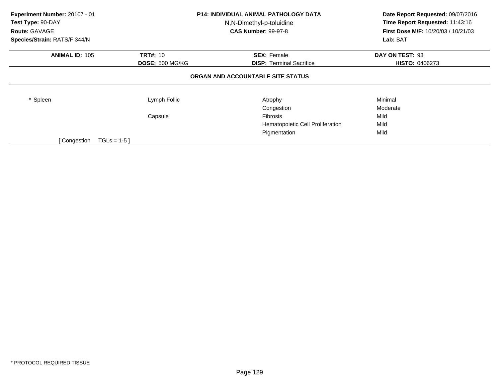| Experiment Number: 20107 - 01<br>Test Type: 90-DAY<br>Route: GAVAGE<br>Species/Strain: RATS/F 344/N |                                           | <b>P14: INDIVIDUAL ANIMAL PATHOLOGY DATA</b><br>N,N-Dimethyl-p-toluidine<br><b>CAS Number: 99-97-8</b> |                                          |
|-----------------------------------------------------------------------------------------------------|-------------------------------------------|--------------------------------------------------------------------------------------------------------|------------------------------------------|
| <b>ANIMAL ID: 105</b>                                                                               | <b>TRT#: 10</b><br><b>DOSE: 500 MG/KG</b> | <b>SEX: Female</b><br><b>DISP: Terminal Sacrifice</b>                                                  | DAY ON TEST: 93<br><b>HISTO: 0406273</b> |
|                                                                                                     |                                           | ORGAN AND ACCOUNTABLE SITE STATUS                                                                      |                                          |
| Spleen                                                                                              | Lymph Follic                              | Atrophy<br>Congestion                                                                                  | Minimal<br>Moderate                      |
|                                                                                                     | Capsule                                   | Fibrosis<br>Hematopoietic Cell Proliferation<br>Pigmentation                                           | Mild<br>Mild<br>Mild                     |
| $TGLs = 1-5$<br>[ Congestion                                                                        |                                           |                                                                                                        |                                          |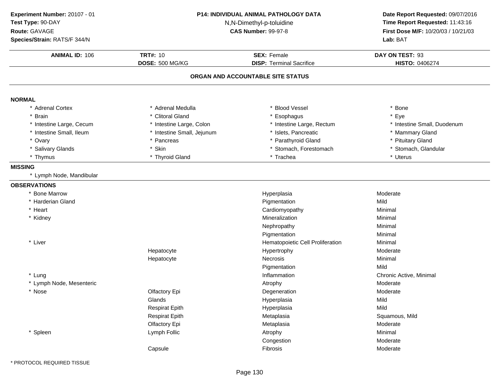| Experiment Number: 20107 - 01 |                            | P14: INDIVIDUAL ANIMAL PATHOLOGY DATA | Date Report Requested: 09/07/2016<br>Time Report Requested: 11:43:16 |  |
|-------------------------------|----------------------------|---------------------------------------|----------------------------------------------------------------------|--|
| Test Type: 90-DAY             |                            | N,N-Dimethyl-p-toluidine              |                                                                      |  |
| Route: GAVAGE                 |                            | <b>CAS Number: 99-97-8</b>            | First Dose M/F: 10/20/03 / 10/21/03                                  |  |
| Species/Strain: RATS/F 344/N  |                            |                                       | Lab: BAT                                                             |  |
| <b>ANIMAL ID: 106</b>         | <b>TRT#: 10</b>            | <b>SEX: Female</b>                    | DAY ON TEST: 93                                                      |  |
|                               | DOSE: 500 MG/KG            | <b>DISP: Terminal Sacrifice</b>       | HISTO: 0406274                                                       |  |
|                               |                            | ORGAN AND ACCOUNTABLE SITE STATUS     |                                                                      |  |
| <b>NORMAL</b>                 |                            |                                       |                                                                      |  |
| * Adrenal Cortex              | * Adrenal Medulla          | * Blood Vessel                        | * Bone                                                               |  |
| * Brain                       | * Clitoral Gland           | * Esophagus                           | * Eye                                                                |  |
| * Intestine Large, Cecum      | * Intestine Large, Colon   | * Intestine Large, Rectum             | * Intestine Small, Duodenum                                          |  |
| * Intestine Small, Ileum      | * Intestine Small, Jejunum | * Islets, Pancreatic                  | * Mammary Gland                                                      |  |
| * Ovary                       | * Pancreas                 | * Parathyroid Gland                   | * Pituitary Gland                                                    |  |
| * Salivary Glands             | * Skin                     | * Stomach, Forestomach                | * Stomach, Glandular                                                 |  |
| * Thymus                      | * Thyroid Gland            | * Trachea                             | * Uterus                                                             |  |
| <b>MISSING</b>                |                            |                                       |                                                                      |  |
| * Lymph Node, Mandibular      |                            |                                       |                                                                      |  |
| <b>OBSERVATIONS</b>           |                            |                                       |                                                                      |  |
| * Bone Marrow                 |                            | Hyperplasia                           | Moderate                                                             |  |
| * Harderian Gland             |                            | Pigmentation                          | Mild                                                                 |  |
| * Heart                       |                            | Cardiomyopathy                        | Minimal                                                              |  |
| * Kidney                      |                            | Mineralization                        | Minimal                                                              |  |
|                               |                            | Nephropathy                           | Minimal                                                              |  |
|                               |                            | Pigmentation                          | Minimal                                                              |  |
| * Liver                       |                            | Hematopoietic Cell Proliferation      | Minimal                                                              |  |
|                               | Hepatocyte                 | Hypertrophy                           | Moderate                                                             |  |
|                               | Hepatocyte                 | Necrosis                              | Minimal                                                              |  |
|                               |                            | Pigmentation                          | Mild                                                                 |  |
| * Lung                        |                            | Inflammation                          | Chronic Active, Minimal                                              |  |
| * Lymph Node, Mesenteric      |                            | Atrophy                               | Moderate                                                             |  |
| * Nose                        | Olfactory Epi              | Degeneration                          | Moderate                                                             |  |
|                               | Glands                     | Hyperplasia                           | Mild                                                                 |  |
|                               | <b>Respirat Epith</b>      | Hyperplasia                           | Mild                                                                 |  |
|                               | <b>Respirat Epith</b>      | Metaplasia                            | Squamous, Mild                                                       |  |
|                               | Olfactory Epi              | Metaplasia                            | Moderate                                                             |  |
| * Spleen                      | Lymph Follic               | Atrophy                               | Minimal                                                              |  |
|                               |                            | Congestion                            | Moderate                                                             |  |
|                               | Capsule                    | Fibrosis                              | Moderate                                                             |  |
|                               |                            |                                       |                                                                      |  |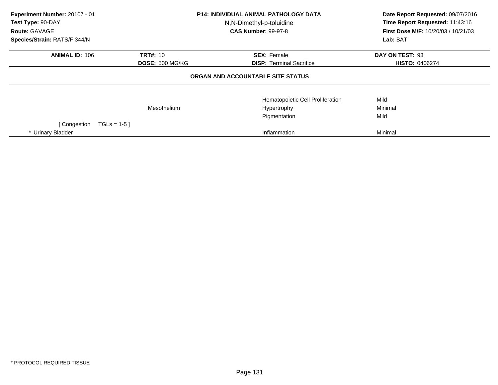| Experiment Number: 20107 - 01<br>Test Type: 90-DAY<br>Route: GAVAGE<br>Species/Strain: RATS/F 344/N | <b>P14: INDIVIDUAL ANIMAL PATHOLOGY DATA</b><br>N,N-Dimethyl-p-toluidine<br><b>CAS Number: 99-97-8</b> |                                                       | Date Report Requested: 09/07/2016<br>Time Report Requested: 11:43:16<br>First Dose M/F: 10/20/03 / 10/21/03<br>Lab: BAT |  |
|-----------------------------------------------------------------------------------------------------|--------------------------------------------------------------------------------------------------------|-------------------------------------------------------|-------------------------------------------------------------------------------------------------------------------------|--|
| <b>ANIMAL ID: 106</b>                                                                               | <b>TRT#: 10</b><br><b>DOSE: 500 MG/KG</b>                                                              | <b>SEX: Female</b><br><b>DISP:</b> Terminal Sacrifice | DAY ON TEST: 93<br><b>HISTO: 0406274</b>                                                                                |  |
|                                                                                                     |                                                                                                        | ORGAN AND ACCOUNTABLE SITE STATUS                     |                                                                                                                         |  |
|                                                                                                     |                                                                                                        | Hematopoietic Cell Proliferation                      | Mild                                                                                                                    |  |
|                                                                                                     | Mesothelium                                                                                            | Hypertrophy<br>Pigmentation                           | Minimal<br>Mild                                                                                                         |  |
| [ Congestion<br>TGLs = $1-5$ ]                                                                      |                                                                                                        |                                                       |                                                                                                                         |  |
| * Urinary Bladder                                                                                   |                                                                                                        | Inflammation                                          | Minimal                                                                                                                 |  |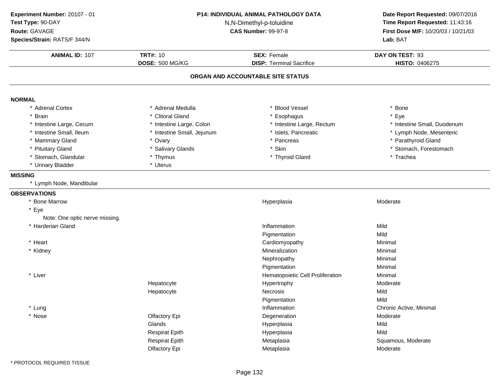| Experiment Number: 20107 - 01  |                            | P14: INDIVIDUAL ANIMAL PATHOLOGY DATA |                                                                      |  |
|--------------------------------|----------------------------|---------------------------------------|----------------------------------------------------------------------|--|
| Test Type: 90-DAY              | N,N-Dimethyl-p-toluidine   |                                       | Date Report Requested: 09/07/2016<br>Time Report Requested: 11:43:16 |  |
| Route: GAVAGE                  |                            | <b>CAS Number: 99-97-8</b>            | First Dose M/F: 10/20/03 / 10/21/03                                  |  |
| Species/Strain: RATS/F 344/N   |                            |                                       | Lab: BAT                                                             |  |
| <b>ANIMAL ID: 107</b>          | <b>TRT#: 10</b>            | <b>SEX: Female</b>                    | DAY ON TEST: 93                                                      |  |
|                                | DOSE: 500 MG/KG            | <b>DISP: Terminal Sacrifice</b>       | HISTO: 0406275                                                       |  |
|                                |                            | ORGAN AND ACCOUNTABLE SITE STATUS     |                                                                      |  |
| <b>NORMAL</b>                  |                            |                                       |                                                                      |  |
| * Adrenal Cortex               | * Adrenal Medulla          | * Blood Vessel                        | * Bone                                                               |  |
| * Brain                        | * Clitoral Gland           | * Esophagus                           | * Eye                                                                |  |
| * Intestine Large, Cecum       | * Intestine Large, Colon   | * Intestine Large, Rectum             | * Intestine Small, Duodenum                                          |  |
| * Intestine Small, Ileum       | * Intestine Small, Jejunum | * Islets, Pancreatic                  | * Lymph Node, Mesenteric                                             |  |
| * Mammary Gland                | * Ovary                    | * Pancreas                            | * Parathyroid Gland                                                  |  |
| * Pituitary Gland              | * Salivary Glands          | * Skin                                | * Stomach, Forestomach                                               |  |
| * Stomach, Glandular           | * Thymus                   | * Thyroid Gland                       | * Trachea                                                            |  |
| * Urinary Bladder              | * Uterus                   |                                       |                                                                      |  |
| <b>MISSING</b>                 |                            |                                       |                                                                      |  |
| * Lymph Node, Mandibular       |                            |                                       |                                                                      |  |
| <b>OBSERVATIONS</b>            |                            |                                       |                                                                      |  |
| * Bone Marrow                  |                            | Hyperplasia                           | Moderate                                                             |  |
| * Eye                          |                            |                                       |                                                                      |  |
| Note: One optic nerve missing. |                            |                                       |                                                                      |  |
| * Harderian Gland              |                            | Inflammation                          | Mild                                                                 |  |
|                                |                            | Pigmentation                          | Mild                                                                 |  |
| * Heart                        |                            | Cardiomyopathy                        | Minimal                                                              |  |
| * Kidney                       |                            | Mineralization                        | Minimal                                                              |  |
|                                |                            | Nephropathy                           | Minimal                                                              |  |
|                                |                            | Pigmentation                          | Minimal                                                              |  |
| * Liver                        |                            | Hematopoietic Cell Proliferation      | Minimal                                                              |  |
|                                | Hepatocyte                 | Hypertrophy                           | Moderate                                                             |  |
|                                | Hepatocyte                 | Necrosis                              | Mild                                                                 |  |
|                                |                            | Pigmentation                          | Mild                                                                 |  |
| * Lung                         |                            | Inflammation                          | Chronic Active, Minimal                                              |  |
| * Nose                         | Olfactory Epi              | Degeneration                          | Moderate                                                             |  |
|                                | Glands                     | Hyperplasia                           | Mild                                                                 |  |
|                                | <b>Respirat Epith</b>      | Hyperplasia                           | Mild                                                                 |  |
|                                | <b>Respirat Epith</b>      | Metaplasia                            | Squamous, Moderate                                                   |  |
|                                | Olfactory Epi              | Metaplasia                            | Moderate                                                             |  |
|                                |                            |                                       |                                                                      |  |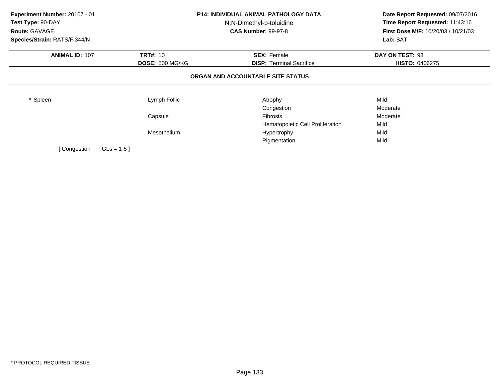| Experiment Number: 20107 - 01<br>Test Type: 90-DAY<br>Route: GAVAGE<br>Species/Strain: RATS/F 344/N |                                       | <b>P14: INDIVIDUAL ANIMAL PATHOLOGY DATA</b><br>N,N-Dimethyl-p-toluidine<br><b>CAS Number: 99-97-8</b> | Date Report Requested: 09/07/2016<br>Time Report Requested: 11:43:16<br>First Dose M/F: 10/20/03 / 10/21/03<br>Lab: BAT |
|-----------------------------------------------------------------------------------------------------|---------------------------------------|--------------------------------------------------------------------------------------------------------|-------------------------------------------------------------------------------------------------------------------------|
| <b>ANIMAL ID: 107</b>                                                                               | <b>TRT#: 10</b><br>DOSE: 500 MG/KG    | <b>SEX: Female</b><br><b>DISP: Terminal Sacrifice</b>                                                  | DAY ON TEST: 93<br><b>HISTO: 0406275</b>                                                                                |
|                                                                                                     |                                       | ORGAN AND ACCOUNTABLE SITE STATUS                                                                      |                                                                                                                         |
| Spleen                                                                                              | Lymph Follic<br>Atrophy<br>Congestion |                                                                                                        | Mild<br>Moderate                                                                                                        |
|                                                                                                     | Capsule                               | <b>Fibrosis</b><br>Hematopoietic Cell Proliferation                                                    | Moderate<br>Mild                                                                                                        |
| $TGLs = 1-5$<br>Congestion                                                                          | Mesothelium                           | Hypertrophy<br>Pigmentation                                                                            | Mild<br>Mild                                                                                                            |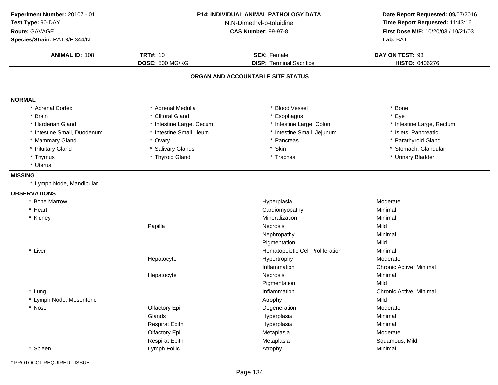| Experiment Number: 20107 - 01 |                                                        | <b>P14: INDIVIDUAL ANIMAL PATHOLOGY DATA</b> | Date Report Requested: 09/07/2016                                      |
|-------------------------------|--------------------------------------------------------|----------------------------------------------|------------------------------------------------------------------------|
| Test Type: 90-DAY             | N,N-Dimethyl-p-toluidine<br><b>CAS Number: 99-97-8</b> |                                              | Time Report Requested: 11:43:16<br>First Dose M/F: 10/20/03 / 10/21/03 |
| Route: GAVAGE                 |                                                        |                                              |                                                                        |
| Species/Strain: RATS/F 344/N  |                                                        |                                              | Lab: BAT                                                               |
| <b>ANIMAL ID: 108</b>         | <b>TRT#: 10</b>                                        | <b>SEX: Female</b>                           | DAY ON TEST: 93                                                        |
|                               | DOSE: 500 MG/KG                                        | <b>DISP: Terminal Sacrifice</b>              | HISTO: 0406276                                                         |
|                               |                                                        | ORGAN AND ACCOUNTABLE SITE STATUS            |                                                                        |
| <b>NORMAL</b>                 |                                                        |                                              |                                                                        |
| * Adrenal Cortex              | * Adrenal Medulla                                      | * Blood Vessel                               | * Bone                                                                 |
| * Brain                       | * Clitoral Gland                                       | * Esophagus                                  | * Eye                                                                  |
| * Harderian Gland             | * Intestine Large, Cecum                               | * Intestine Large, Colon                     | * Intestine Large, Rectum                                              |
| * Intestine Small, Duodenum   | * Intestine Small, Ileum                               | * Intestine Small, Jejunum                   | * Islets, Pancreatic                                                   |
| * Mammary Gland               | * Ovary                                                | * Pancreas                                   | * Parathyroid Gland                                                    |
| * Pituitary Gland             | * Salivary Glands                                      | * Skin                                       | * Stomach, Glandular                                                   |
| * Thymus                      | * Thyroid Gland                                        | * Trachea                                    | * Urinary Bladder                                                      |
| * Uterus                      |                                                        |                                              |                                                                        |
| <b>MISSING</b>                |                                                        |                                              |                                                                        |
| * Lymph Node, Mandibular      |                                                        |                                              |                                                                        |
| <b>OBSERVATIONS</b>           |                                                        |                                              |                                                                        |
| * Bone Marrow                 |                                                        | Hyperplasia                                  | Moderate                                                               |
| * Heart                       |                                                        | Cardiomyopathy                               | Minimal                                                                |
| * Kidney                      |                                                        | Mineralization                               | Minimal                                                                |
|                               | Papilla                                                | <b>Necrosis</b>                              | Mild                                                                   |
|                               |                                                        | Nephropathy                                  | Minimal                                                                |
|                               |                                                        | Pigmentation                                 | Mild                                                                   |
| * Liver                       |                                                        | Hematopoietic Cell Proliferation             | Minimal                                                                |
|                               | Hepatocyte                                             | Hypertrophy                                  | Moderate                                                               |
|                               |                                                        | Inflammation                                 | Chronic Active, Minimal                                                |
|                               | Hepatocyte                                             | Necrosis                                     | Minimal                                                                |
|                               |                                                        | Pigmentation                                 | Mild                                                                   |
| * Lung                        |                                                        | Inflammation                                 | Chronic Active, Minimal                                                |
| * Lymph Node, Mesenteric      |                                                        | Atrophy                                      | Mild                                                                   |
| * Nose                        | Olfactory Epi                                          | Degeneration                                 | Moderate                                                               |
|                               | Glands                                                 | Hyperplasia                                  | Minimal                                                                |
|                               | <b>Respirat Epith</b>                                  | Hyperplasia                                  | Minimal                                                                |
|                               | Olfactory Epi                                          | Metaplasia                                   | Moderate                                                               |
|                               | <b>Respirat Epith</b>                                  | Metaplasia                                   | Squamous, Mild                                                         |
| * Spleen                      | Lymph Follic                                           | Atrophy                                      | Minimal                                                                |
|                               |                                                        |                                              |                                                                        |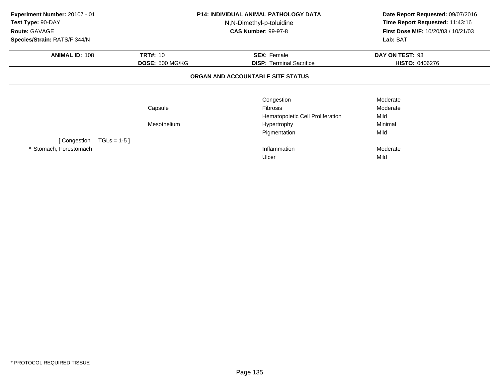| Experiment Number: 20107 - 01<br>Test Type: 90-DAY<br>Route: GAVAGE<br>Species/Strain: RATS/F 344/N | <b>P14: INDIVIDUAL ANIMAL PATHOLOGY DATA</b><br>N,N-Dimethyl-p-toluidine<br><b>CAS Number: 99-97-8</b> |                                   | Date Report Requested: 09/07/2016<br>Time Report Requested: 11:43:16<br>First Dose M/F: 10/20/03 / 10/21/03<br>Lab: BAT |
|-----------------------------------------------------------------------------------------------------|--------------------------------------------------------------------------------------------------------|-----------------------------------|-------------------------------------------------------------------------------------------------------------------------|
| <b>ANIMAL ID: 108</b>                                                                               | <b>TRT#: 10</b>                                                                                        | <b>SEX: Female</b>                | DAY ON TEST: 93                                                                                                         |
|                                                                                                     | <b>DOSE: 500 MG/KG</b>                                                                                 | <b>DISP:</b> Terminal Sacrifice   | <b>HISTO: 0406276</b>                                                                                                   |
|                                                                                                     |                                                                                                        | ORGAN AND ACCOUNTABLE SITE STATUS |                                                                                                                         |
|                                                                                                     |                                                                                                        | Congestion                        | Moderate                                                                                                                |
|                                                                                                     | Capsule                                                                                                | <b>Fibrosis</b>                   | Moderate                                                                                                                |
|                                                                                                     |                                                                                                        | Hematopoietic Cell Proliferation  | Mild                                                                                                                    |
|                                                                                                     | Mesothelium<br>Hypertrophy                                                                             |                                   | Minimal                                                                                                                 |
|                                                                                                     |                                                                                                        | Pigmentation                      | Mild                                                                                                                    |
| $TGLs = 1-5$<br>[ Congestion                                                                        |                                                                                                        |                                   |                                                                                                                         |
| Stomach, Forestomach                                                                                |                                                                                                        | Inflammation                      | Moderate                                                                                                                |
|                                                                                                     |                                                                                                        | Ulcer                             | Mild                                                                                                                    |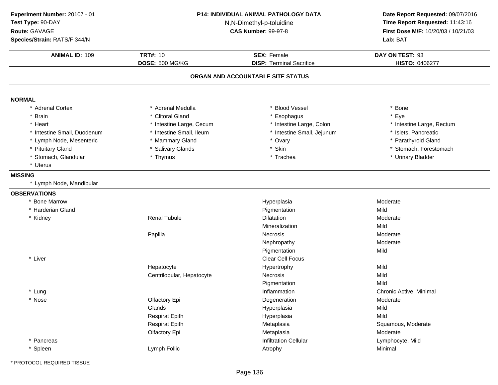| Experiment Number: 20107 - 01 | <b>P14: INDIVIDUAL ANIMAL PATHOLOGY DATA</b>           |                                   | Date Report Requested: 09/07/2016                                      |
|-------------------------------|--------------------------------------------------------|-----------------------------------|------------------------------------------------------------------------|
| Test Type: 90-DAY             | N,N-Dimethyl-p-toluidine<br><b>CAS Number: 99-97-8</b> |                                   | Time Report Requested: 11:43:16<br>First Dose M/F: 10/20/03 / 10/21/03 |
| Route: GAVAGE                 |                                                        |                                   |                                                                        |
| Species/Strain: RATS/F 344/N  |                                                        |                                   | Lab: BAT                                                               |
| <b>ANIMAL ID: 109</b>         | <b>TRT#: 10</b>                                        | <b>SEX: Female</b>                | DAY ON TEST: 93                                                        |
|                               | DOSE: 500 MG/KG                                        | <b>DISP: Terminal Sacrifice</b>   | HISTO: 0406277                                                         |
|                               |                                                        | ORGAN AND ACCOUNTABLE SITE STATUS |                                                                        |
| <b>NORMAL</b>                 |                                                        |                                   |                                                                        |
| * Adrenal Cortex              | * Adrenal Medulla                                      | * Blood Vessel                    | * Bone                                                                 |
| * Brain                       | * Clitoral Gland                                       | * Esophagus                       | * Eye                                                                  |
| * Heart                       | * Intestine Large, Cecum                               | * Intestine Large, Colon          | * Intestine Large, Rectum                                              |
| * Intestine Small, Duodenum   | * Intestine Small, Ileum                               | * Intestine Small, Jejunum        | * Islets, Pancreatic                                                   |
| * Lymph Node, Mesenteric      | * Mammary Gland                                        | * Ovary                           | * Parathyroid Gland                                                    |
| * Pituitary Gland             | * Salivary Glands                                      | * Skin                            | * Stomach, Forestomach                                                 |
| * Stomach, Glandular          | * Thymus                                               | * Trachea                         | * Urinary Bladder                                                      |
| * Uterus                      |                                                        |                                   |                                                                        |
| <b>MISSING</b>                |                                                        |                                   |                                                                        |
| * Lymph Node, Mandibular      |                                                        |                                   |                                                                        |
| <b>OBSERVATIONS</b>           |                                                        |                                   |                                                                        |
| * Bone Marrow                 |                                                        | Hyperplasia                       | Moderate                                                               |
| * Harderian Gland             |                                                        | Pigmentation                      | Mild                                                                   |
| * Kidney                      | <b>Renal Tubule</b>                                    | <b>Dilatation</b>                 | Moderate                                                               |
|                               |                                                        | Mineralization                    | Mild                                                                   |
|                               | Papilla                                                | Necrosis                          | Moderate                                                               |
|                               |                                                        | Nephropathy                       | Moderate                                                               |
|                               |                                                        | Pigmentation                      | Mild                                                                   |
| * Liver                       |                                                        | Clear Cell Focus                  |                                                                        |
|                               | Hepatocyte                                             | Hypertrophy                       | Mild                                                                   |
|                               | Centrilobular, Hepatocyte                              | Necrosis                          | Mild                                                                   |
|                               |                                                        | Pigmentation                      | Mild                                                                   |
| * Lung                        |                                                        | Inflammation                      | Chronic Active, Minimal                                                |
| * Nose                        | Olfactory Epi                                          | Degeneration                      | Moderate                                                               |
|                               | Glands                                                 | Hyperplasia                       | Mild                                                                   |
|                               | <b>Respirat Epith</b>                                  | Hyperplasia                       | Mild                                                                   |
|                               | <b>Respirat Epith</b>                                  | Metaplasia                        | Squamous, Moderate                                                     |
|                               | Olfactory Epi                                          | Metaplasia                        | Moderate                                                               |
| * Pancreas                    |                                                        | <b>Infiltration Cellular</b>      |                                                                        |
|                               |                                                        |                                   | Lymphocyte, Mild                                                       |
| * Spleen                      | Lymph Follic                                           | Atrophy                           | Minimal                                                                |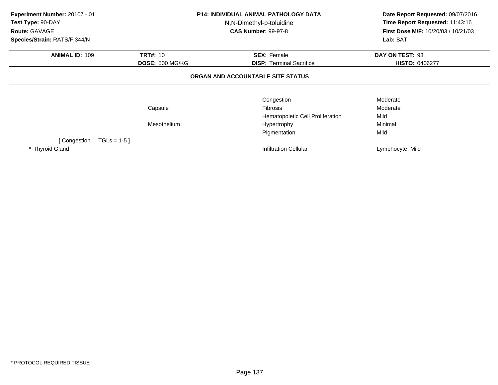| Experiment Number: 20107 - 01<br>Test Type: 90-DAY<br>Route: GAVAGE<br>Species/Strain: RATS/F 344/N |                                           | <b>P14: INDIVIDUAL ANIMAL PATHOLOGY DATA</b><br>N,N-Dimethyl-p-toluidine<br><b>CAS Number: 99-97-8</b> | Date Report Requested: 09/07/2016<br>Time Report Requested: 11:43:16<br><b>First Dose M/F: 10/20/03 / 10/21/03</b><br>Lab: BAT |  |  |  |  |
|-----------------------------------------------------------------------------------------------------|-------------------------------------------|--------------------------------------------------------------------------------------------------------|--------------------------------------------------------------------------------------------------------------------------------|--|--|--|--|
| <b>ANIMAL ID: 109</b>                                                                               | <b>TRT#: 10</b><br><b>DOSE: 500 MG/KG</b> | <b>SEX: Female</b><br><b>DISP: Terminal Sacrifice</b>                                                  | DAY ON TEST: 93<br><b>HISTO: 0406277</b>                                                                                       |  |  |  |  |
|                                                                                                     | ORGAN AND ACCOUNTABLE SITE STATUS         |                                                                                                        |                                                                                                                                |  |  |  |  |
|                                                                                                     |                                           | Congestion                                                                                             | Moderate                                                                                                                       |  |  |  |  |
|                                                                                                     | Capsule                                   | <b>Fibrosis</b>                                                                                        | Moderate                                                                                                                       |  |  |  |  |
|                                                                                                     |                                           | Hematopoietic Cell Proliferation                                                                       | Mild                                                                                                                           |  |  |  |  |
|                                                                                                     | Mesothelium                               | Hypertrophy                                                                                            | Minimal                                                                                                                        |  |  |  |  |
|                                                                                                     |                                           | Pigmentation                                                                                           | Mild                                                                                                                           |  |  |  |  |
| [ Congestion<br>TGLs = $1-5$ ]                                                                      |                                           |                                                                                                        |                                                                                                                                |  |  |  |  |
| * Thyroid Gland                                                                                     |                                           | <b>Infiltration Cellular</b>                                                                           | Lymphocyte, Mild                                                                                                               |  |  |  |  |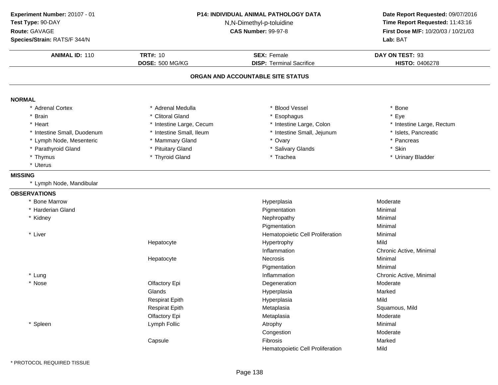| Experiment Number: 20107 - 01 | P14: INDIVIDUAL ANIMAL PATHOLOGY DATA<br>N,N-Dimethyl-p-toluidine |                                   | Date Report Requested: 09/07/2016<br>Time Report Requested: 11:43:16<br>First Dose M/F: 10/20/03 / 10/21/03 |
|-------------------------------|-------------------------------------------------------------------|-----------------------------------|-------------------------------------------------------------------------------------------------------------|
| Test Type: 90-DAY             |                                                                   |                                   |                                                                                                             |
| Route: GAVAGE                 |                                                                   | <b>CAS Number: 99-97-8</b>        |                                                                                                             |
| Species/Strain: RATS/F 344/N  |                                                                   |                                   | Lab: BAT                                                                                                    |
| <b>ANIMAL ID: 110</b>         | <b>TRT#: 10</b>                                                   | <b>SEX: Female</b>                | DAY ON TEST: 93                                                                                             |
|                               | DOSE: 500 MG/KG                                                   | <b>DISP: Terminal Sacrifice</b>   | HISTO: 0406278                                                                                              |
|                               |                                                                   | ORGAN AND ACCOUNTABLE SITE STATUS |                                                                                                             |
| <b>NORMAL</b>                 |                                                                   |                                   |                                                                                                             |
| * Adrenal Cortex              | * Adrenal Medulla                                                 | <b>Blood Vessel</b>               | * Bone                                                                                                      |
| * Brain                       | * Clitoral Gland                                                  | Esophagus                         | * Eye                                                                                                       |
| * Heart                       | * Intestine Large, Cecum                                          | * Intestine Large, Colon          | * Intestine Large, Rectum                                                                                   |
| * Intestine Small, Duodenum   | * Intestine Small, Ileum                                          | * Intestine Small, Jejunum        | * Islets, Pancreatic                                                                                        |
| * Lymph Node, Mesenteric      | * Mammary Gland                                                   | * Ovary                           | * Pancreas                                                                                                  |
| * Parathyroid Gland           | * Pituitary Gland                                                 | * Salivary Glands                 | * Skin                                                                                                      |
| * Thymus                      | * Thyroid Gland                                                   | * Trachea                         | * Urinary Bladder                                                                                           |
| * Uterus                      |                                                                   |                                   |                                                                                                             |
| <b>MISSING</b>                |                                                                   |                                   |                                                                                                             |
| * Lymph Node, Mandibular      |                                                                   |                                   |                                                                                                             |
| <b>OBSERVATIONS</b>           |                                                                   |                                   |                                                                                                             |
| * Bone Marrow                 |                                                                   | Hyperplasia                       | Moderate                                                                                                    |
| * Harderian Gland             |                                                                   | Pigmentation                      | Minimal                                                                                                     |
| * Kidney                      |                                                                   | Nephropathy                       | Minimal                                                                                                     |
|                               |                                                                   | Pigmentation                      | Minimal                                                                                                     |
| * Liver                       |                                                                   | Hematopoietic Cell Proliferation  | Minimal                                                                                                     |
|                               | Hepatocyte                                                        | Hypertrophy                       | Mild                                                                                                        |
|                               |                                                                   | Inflammation                      | Chronic Active, Minimal                                                                                     |
|                               | Hepatocyte                                                        | <b>Necrosis</b>                   | Minimal                                                                                                     |
|                               |                                                                   | Pigmentation                      | Minimal                                                                                                     |
| * Lung                        |                                                                   | Inflammation                      | Chronic Active, Minimal                                                                                     |
| * Nose                        | Olfactory Epi                                                     | Degeneration                      | Moderate                                                                                                    |
|                               | Glands                                                            | Hyperplasia                       | Marked                                                                                                      |
|                               | <b>Respirat Epith</b>                                             | Hyperplasia                       | Mild                                                                                                        |
|                               | <b>Respirat Epith</b>                                             | Metaplasia                        | Squamous, Mild                                                                                              |
|                               | Olfactory Epi                                                     | Metaplasia                        | Moderate                                                                                                    |
| * Spleen                      | Lymph Follic                                                      | Atrophy                           | Minimal                                                                                                     |
|                               |                                                                   | Congestion                        | Moderate                                                                                                    |
|                               | Capsule                                                           | Fibrosis                          | Marked                                                                                                      |
|                               |                                                                   | Hematopoietic Cell Proliferation  | Mild                                                                                                        |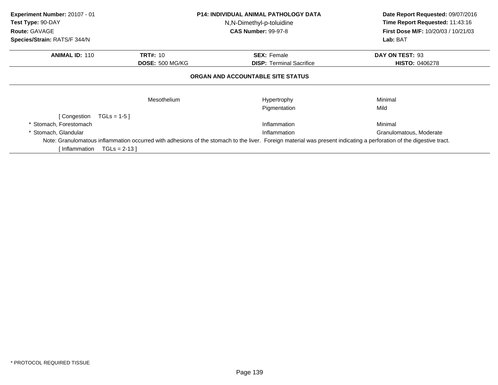| Experiment Number: 20107 - 01<br>Test Type: 90-DAY<br>Route: GAVAGE<br>Species/Strain: RATS/F 344/N |                                           | <b>P14: INDIVIDUAL ANIMAL PATHOLOGY DATA</b><br>N,N-Dimethyl-p-toluidine<br><b>CAS Number: 99-97-8</b>                                                              | Date Report Requested: 09/07/2016<br>Time Report Requested: 11:43:16<br><b>First Dose M/F: 10/20/03 / 10/21/03</b><br>Lab: BAT |  |  |
|-----------------------------------------------------------------------------------------------------|-------------------------------------------|---------------------------------------------------------------------------------------------------------------------------------------------------------------------|--------------------------------------------------------------------------------------------------------------------------------|--|--|
| <b>ANIMAL ID: 110</b>                                                                               | <b>TRT#: 10</b><br><b>DOSE: 500 MG/KG</b> | <b>SEX: Female</b><br><b>DISP:</b> Terminal Sacrifice                                                                                                               | DAY ON TEST: 93<br><b>HISTO: 0406278</b>                                                                                       |  |  |
|                                                                                                     | ORGAN AND ACCOUNTABLE SITE STATUS         |                                                                                                                                                                     |                                                                                                                                |  |  |
|                                                                                                     | Mesothelium                               | Hypertrophy                                                                                                                                                         | Minimal<br>Mild                                                                                                                |  |  |
| [ Congestion<br>$TGLs = 1-5$                                                                        |                                           | Pigmentation                                                                                                                                                        |                                                                                                                                |  |  |
| * Stomach, Forestomach                                                                              | Inflammation                              |                                                                                                                                                                     | Minimal                                                                                                                        |  |  |
| Stomach, Glandular                                                                                  | Inflammation                              |                                                                                                                                                                     | Granulomatous, Moderate                                                                                                        |  |  |
| [ Inflammation                                                                                      | $TGLs = 2-13$                             | Note: Granulomatous inflammation occurred with adhesions of the stomach to the liver. Foreign material was present indicating a perforation of the digestive tract. |                                                                                                                                |  |  |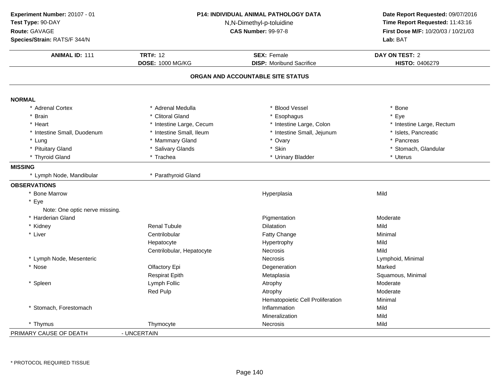| Experiment Number: 20107 - 01                       |                            | P14: INDIVIDUAL ANIMAL PATHOLOGY DATA                                  | Date Report Requested: 09/07/2016 |
|-----------------------------------------------------|----------------------------|------------------------------------------------------------------------|-----------------------------------|
| Test Type: 90-DAY                                   | N,N-Dimethyl-p-toluidine   | Time Report Requested: 11:43:16<br>First Dose M/F: 10/20/03 / 10/21/03 |                                   |
| Route: GAVAGE                                       | <b>CAS Number: 99-97-8</b> |                                                                        |                                   |
| Species/Strain: RATS/F 344/N                        |                            |                                                                        | Lab: BAT                          |
| <b>ANIMAL ID: 111</b>                               | <b>TRT#: 12</b>            | <b>SEX: Female</b>                                                     | DAY ON TEST: 2                    |
|                                                     | <b>DOSE: 1000 MG/KG</b>    | <b>DISP:</b> Moribund Sacrifice                                        | HISTO: 0406279                    |
|                                                     |                            | ORGAN AND ACCOUNTABLE SITE STATUS                                      |                                   |
|                                                     |                            |                                                                        |                                   |
| <b>NORMAL</b><br>* Adrenal Cortex                   | * Adrenal Medulla          | * Blood Vessel                                                         | * Bone                            |
| Brain                                               | * Clitoral Gland           | * Esophagus                                                            | * Eye                             |
| * Heart                                             | * Intestine Large, Cecum   | * Intestine Large, Colon                                               | * Intestine Large, Rectum         |
| * Intestine Small, Duodenum                         | * Intestine Small, Ileum   | * Intestine Small, Jejunum                                             | * Islets, Pancreatic              |
| * Lung                                              | * Mammary Gland            | * Ovary                                                                | * Pancreas                        |
| * Pituitary Gland                                   | * Salivary Glands          | * Skin                                                                 | * Stomach, Glandular              |
| * Thyroid Gland                                     | * Trachea                  | * Urinary Bladder                                                      | * Uterus                          |
|                                                     |                            |                                                                        |                                   |
| <b>MISSING</b><br>* Lymph Node, Mandibular          | * Parathyroid Gland        |                                                                        |                                   |
|                                                     |                            |                                                                        |                                   |
| <b>OBSERVATIONS</b>                                 |                            |                                                                        |                                   |
| * Bone Marrow                                       |                            | Hyperplasia                                                            | Mild                              |
| * Eye                                               |                            |                                                                        |                                   |
| Note: One optic nerve missing.<br>* Harderian Gland |                            |                                                                        | Moderate                          |
|                                                     |                            | Pigmentation                                                           |                                   |
| * Kidney                                            | <b>Renal Tubule</b>        | <b>Dilatation</b>                                                      | Mild                              |
| * Liver                                             | Centrilobular              | Fatty Change                                                           | Minimal                           |
|                                                     | Hepatocyte                 | Hypertrophy                                                            | Mild<br>Mild                      |
| * Lymph Node, Mesenteric                            | Centrilobular, Hepatocyte  | <b>Necrosis</b>                                                        |                                   |
| * Nose                                              | Olfactory Epi              | <b>Necrosis</b><br>Degeneration                                        | Lymphoid, Minimal<br>Marked       |
|                                                     | <b>Respirat Epith</b>      | Metaplasia                                                             | Squamous, Minimal                 |
| * Spleen                                            | Lymph Follic               | Atrophy                                                                | Moderate                          |
|                                                     | Red Pulp                   | Atrophy                                                                | Moderate                          |
|                                                     |                            | Hematopoietic Cell Proliferation                                       | Minimal                           |
| * Stomach, Forestomach                              |                            | Inflammation                                                           | Mild                              |
|                                                     |                            | Mineralization                                                         | Mild                              |
| * Thymus                                            | Thymocyte                  | Necrosis                                                               | Mild                              |
| PRIMARY CAUSE OF DEATH                              | - UNCERTAIN                |                                                                        |                                   |
|                                                     |                            |                                                                        |                                   |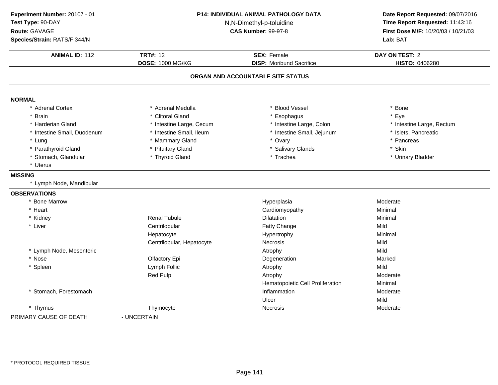| Experiment Number: 20107 - 01 |                                                        | <b>P14: INDIVIDUAL ANIMAL PATHOLOGY DATA</b> | Date Report Requested: 09/07/2016                                      |
|-------------------------------|--------------------------------------------------------|----------------------------------------------|------------------------------------------------------------------------|
| Test Type: 90-DAY             | N,N-Dimethyl-p-toluidine<br><b>CAS Number: 99-97-8</b> |                                              | Time Report Requested: 11:43:16<br>First Dose M/F: 10/20/03 / 10/21/03 |
| Route: GAVAGE                 |                                                        |                                              |                                                                        |
| Species/Strain: RATS/F 344/N  |                                                        |                                              | Lab: BAT                                                               |
| <b>ANIMAL ID: 112</b>         | <b>TRT#: 12</b>                                        | <b>SEX: Female</b>                           | <b>DAY ON TEST: 2</b>                                                  |
|                               | <b>DOSE: 1000 MG/KG</b>                                | <b>DISP:</b> Moribund Sacrifice              | HISTO: 0406280                                                         |
|                               |                                                        | ORGAN AND ACCOUNTABLE SITE STATUS            |                                                                        |
| <b>NORMAL</b>                 |                                                        |                                              |                                                                        |
| * Adrenal Cortex              | * Adrenal Medulla                                      | * Blood Vessel                               | * Bone                                                                 |
| * Brain                       | * Clitoral Gland                                       | * Esophagus                                  | * Eye                                                                  |
| * Harderian Gland             | * Intestine Large, Cecum                               | * Intestine Large, Colon                     | * Intestine Large, Rectum                                              |
| * Intestine Small, Duodenum   | * Intestine Small, Ileum                               | * Intestine Small, Jejunum                   | * Islets, Pancreatic                                                   |
| * Lung                        | * Mammary Gland                                        | * Ovary                                      | * Pancreas                                                             |
| * Parathyroid Gland           | * Pituitary Gland                                      | * Salivary Glands                            | * Skin                                                                 |
| * Stomach, Glandular          | * Thyroid Gland                                        | * Trachea                                    | * Urinary Bladder                                                      |
| * Uterus                      |                                                        |                                              |                                                                        |
| <b>MISSING</b>                |                                                        |                                              |                                                                        |
| * Lymph Node, Mandibular      |                                                        |                                              |                                                                        |
| <b>OBSERVATIONS</b>           |                                                        |                                              |                                                                        |
| <b>Bone Marrow</b>            |                                                        | Hyperplasia                                  | Moderate                                                               |
| * Heart                       |                                                        | Cardiomyopathy                               | Minimal                                                                |
| * Kidney                      | <b>Renal Tubule</b>                                    | <b>Dilatation</b>                            | Minimal                                                                |
| * Liver                       | Centrilobular                                          | Fatty Change                                 | Mild                                                                   |
|                               | Hepatocyte                                             | Hypertrophy                                  | Minimal                                                                |
|                               | Centrilobular, Hepatocyte                              | <b>Necrosis</b>                              | Mild                                                                   |
| * Lymph Node, Mesenteric      |                                                        | Atrophy                                      | Mild                                                                   |
| * Nose                        | Olfactory Epi                                          | Degeneration                                 | Marked                                                                 |
| * Spleen                      | Lymph Follic                                           | Atrophy                                      | Mild                                                                   |
|                               | Red Pulp                                               | Atrophy                                      | Moderate                                                               |
|                               |                                                        | Hematopoietic Cell Proliferation             | Minimal                                                                |
| * Stomach, Forestomach        |                                                        | Inflammation                                 | Moderate                                                               |
|                               |                                                        | Ulcer                                        | Mild                                                                   |
| * Thymus                      | Thymocyte                                              | Necrosis                                     | Moderate                                                               |
| PRIMARY CAUSE OF DEATH        | - UNCERTAIN                                            |                                              |                                                                        |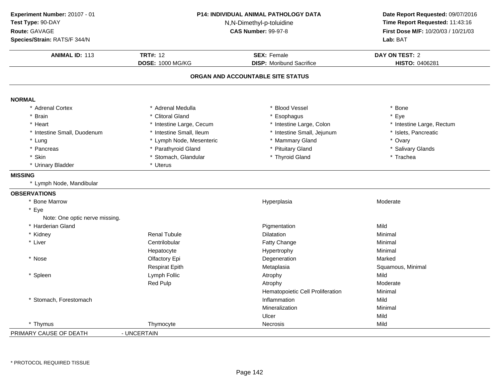| Experiment Number: 20107 - 01              |                                                        | P14: INDIVIDUAL ANIMAL PATHOLOGY DATA | Date Report Requested: 09/07/2016                 |  |
|--------------------------------------------|--------------------------------------------------------|---------------------------------------|---------------------------------------------------|--|
| Test Type: 90-DAY                          | N,N-Dimethyl-p-toluidine<br><b>CAS Number: 99-97-8</b> |                                       | Time Report Requested: 11:43:16                   |  |
| Route: GAVAGE                              |                                                        |                                       | First Dose M/F: 10/20/03 / 10/21/03               |  |
| Species/Strain: RATS/F 344/N               |                                                        |                                       | Lab: BAT                                          |  |
| <b>ANIMAL ID: 113</b>                      | <b>TRT#: 12</b>                                        | <b>SEX: Female</b>                    | <b>DAY ON TEST: 2</b>                             |  |
|                                            | <b>DOSE: 1000 MG/KG</b>                                | <b>DISP:</b> Moribund Sacrifice       | HISTO: 0406281                                    |  |
|                                            |                                                        | ORGAN AND ACCOUNTABLE SITE STATUS     |                                                   |  |
|                                            |                                                        |                                       |                                                   |  |
| <b>NORMAL</b>                              | * Adrenal Medulla                                      | * Blood Vessel                        |                                                   |  |
| * Adrenal Cortex<br>* Brain                | * Clitoral Gland                                       | * Esophagus                           | * Bone<br>* Eye                                   |  |
| * Heart                                    | * Intestine Large, Cecum                               | * Intestine Large, Colon              |                                                   |  |
| * Intestine Small, Duodenum                | * Intestine Small, Ileum                               | * Intestine Small, Jejunum            | * Intestine Large, Rectum<br>* Islets, Pancreatic |  |
| * Lung                                     | * Lymph Node, Mesenteric                               | * Mammary Gland                       | * Ovary                                           |  |
| * Pancreas                                 | * Parathyroid Gland                                    | * Pituitary Gland                     | * Salivary Glands                                 |  |
| * Skin                                     | * Stomach, Glandular                                   | * Thyroid Gland                       | * Trachea                                         |  |
| * Urinary Bladder                          | * Uterus                                               |                                       |                                                   |  |
|                                            |                                                        |                                       |                                                   |  |
| <b>MISSING</b><br>* Lymph Node, Mandibular |                                                        |                                       |                                                   |  |
| <b>OBSERVATIONS</b>                        |                                                        |                                       |                                                   |  |
| * Bone Marrow                              |                                                        | Hyperplasia                           | Moderate                                          |  |
| * Eye                                      |                                                        |                                       |                                                   |  |
| Note: One optic nerve missing.             |                                                        |                                       |                                                   |  |
| * Harderian Gland                          |                                                        | Pigmentation                          | Mild                                              |  |
| * Kidney                                   | <b>Renal Tubule</b>                                    | <b>Dilatation</b>                     | Minimal                                           |  |
| * Liver                                    | Centrilobular                                          | Fatty Change                          | Minimal                                           |  |
|                                            | Hepatocyte                                             | Hypertrophy                           | Minimal                                           |  |
| * Nose                                     | Olfactory Epi                                          | Degeneration                          | Marked                                            |  |
|                                            | <b>Respirat Epith</b>                                  | Metaplasia                            | Squamous, Minimal                                 |  |
| * Spleen                                   | Lymph Follic                                           | Atrophy                               | Mild                                              |  |
|                                            | Red Pulp                                               | Atrophy                               | Moderate                                          |  |
|                                            |                                                        | Hematopoietic Cell Proliferation      | Minimal                                           |  |
| * Stomach, Forestomach                     |                                                        | Inflammation                          | Mild                                              |  |
|                                            |                                                        | Mineralization                        | Minimal                                           |  |
|                                            |                                                        | Ulcer                                 | Mild                                              |  |
| * Thymus                                   | Thymocyte                                              | Necrosis                              | Mild                                              |  |
| PRIMARY CAUSE OF DEATH                     | - UNCERTAIN                                            |                                       |                                                   |  |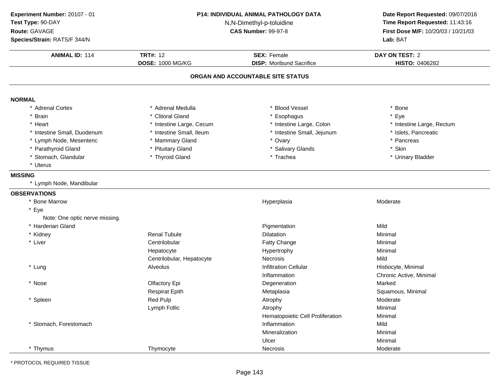| Experiment Number: 20107 - 01  | <b>P14: INDIVIDUAL ANIMAL PATHOLOGY DATA</b>           |                                   | Date Report Requested: 09/07/2016                                      |  |
|--------------------------------|--------------------------------------------------------|-----------------------------------|------------------------------------------------------------------------|--|
| Test Type: 90-DAY              | N,N-Dimethyl-p-toluidine<br><b>CAS Number: 99-97-8</b> |                                   | Time Report Requested: 11:43:16<br>First Dose M/F: 10/20/03 / 10/21/03 |  |
| Route: GAVAGE                  |                                                        |                                   |                                                                        |  |
| Species/Strain: RATS/F 344/N   |                                                        |                                   | Lab: BAT                                                               |  |
| <b>ANIMAL ID: 114</b>          | <b>TRT#: 12</b>                                        | <b>SEX: Female</b>                | DAY ON TEST: 2                                                         |  |
|                                | <b>DOSE: 1000 MG/KG</b>                                | <b>DISP:</b> Moribund Sacrifice   | <b>HISTO: 0406282</b>                                                  |  |
|                                |                                                        | ORGAN AND ACCOUNTABLE SITE STATUS |                                                                        |  |
| <b>NORMAL</b>                  |                                                        |                                   |                                                                        |  |
| * Adrenal Cortex               | * Adrenal Medulla                                      | <b>Blood Vessel</b>               | * Bone                                                                 |  |
| * Brain                        | * Clitoral Gland                                       | Esophagus                         | * Eye                                                                  |  |
| * Heart                        | * Intestine Large, Cecum                               | * Intestine Large, Colon          | * Intestine Large, Rectum                                              |  |
| * Intestine Small, Duodenum    | * Intestine Small, Ileum                               | * Intestine Small, Jejunum        | * Islets, Pancreatic                                                   |  |
| * Lymph Node, Mesenteric       | * Mammary Gland                                        | * Ovary                           | * Pancreas                                                             |  |
| * Parathyroid Gland            | * Pituitary Gland                                      | * Salivary Glands                 | * Skin                                                                 |  |
| * Stomach, Glandular           | * Thyroid Gland                                        | * Trachea                         | * Urinary Bladder                                                      |  |
| * Uterus                       |                                                        |                                   |                                                                        |  |
| <b>MISSING</b>                 |                                                        |                                   |                                                                        |  |
| * Lymph Node, Mandibular       |                                                        |                                   |                                                                        |  |
| <b>OBSERVATIONS</b>            |                                                        |                                   |                                                                        |  |
| * Bone Marrow                  |                                                        | Hyperplasia                       | Moderate                                                               |  |
| * Eye                          |                                                        |                                   |                                                                        |  |
| Note: One optic nerve missing. |                                                        |                                   |                                                                        |  |
| * Harderian Gland              |                                                        | Pigmentation                      | Mild                                                                   |  |
| * Kidney                       | <b>Renal Tubule</b>                                    | <b>Dilatation</b>                 | Minimal                                                                |  |
| * Liver                        | Centrilobular                                          | Fatty Change                      | Minimal                                                                |  |
|                                | Hepatocyte                                             | Hypertrophy                       | Minimal                                                                |  |
|                                | Centrilobular, Hepatocyte                              | <b>Necrosis</b>                   | Mild                                                                   |  |
| * Lung                         | Alveolus                                               | <b>Infiltration Cellular</b>      | Histiocyte, Minimal                                                    |  |
|                                |                                                        | Inflammation                      | Chronic Active, Minimal                                                |  |
| * Nose                         | Olfactory Epi                                          | Degeneration                      | Marked                                                                 |  |
|                                | <b>Respirat Epith</b>                                  | Metaplasia                        | Squamous, Minimal                                                      |  |
| * Spleen                       | Red Pulp                                               | Atrophy                           | Moderate                                                               |  |
|                                | Lymph Follic                                           | Atrophy                           | Minimal                                                                |  |
|                                |                                                        | Hematopoietic Cell Proliferation  | Minimal                                                                |  |
| * Stomach, Forestomach         |                                                        | Inflammation                      | Mild                                                                   |  |
|                                |                                                        | Mineralization                    | Minimal                                                                |  |
|                                |                                                        | Ulcer                             | Minimal                                                                |  |
| * Thymus                       | Thymocyte                                              | Necrosis                          | Moderate                                                               |  |
|                                |                                                        |                                   |                                                                        |  |

\* PROTOCOL REQUIRED TISSUE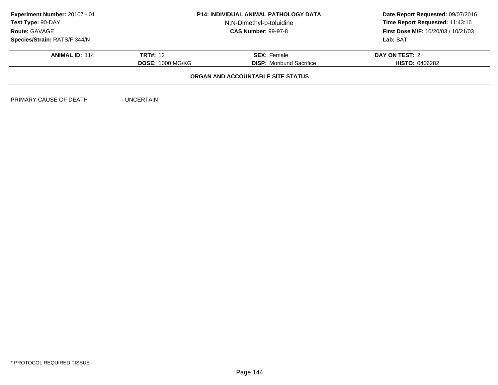| Experiment Number: 20107 - 01<br>Test Type: 90-DAY | <b>P14: INDIVIDUAL ANIMAL PATHOLOGY DATA</b><br>N,N-Dimethyl-p-toluidine |                                 | Date Report Requested: 09/07/2016<br>Time Report Requested: 11:43:16 |  |  |
|----------------------------------------------------|--------------------------------------------------------------------------|---------------------------------|----------------------------------------------------------------------|--|--|
| Route: GAVAGE                                      |                                                                          | <b>CAS Number: 99-97-8</b>      | <b>First Dose M/F: 10/20/03 / 10/21/03</b>                           |  |  |
| Species/Strain: RATS/F 344/N                       |                                                                          |                                 | Lab: BAT                                                             |  |  |
| <b>ANIMAL ID: 114</b>                              | <b>TRT#: 12</b>                                                          | <b>SEX: Female</b>              | DAY ON TEST: 2                                                       |  |  |
|                                                    | <b>DOSE: 1000 MG/KG</b>                                                  | <b>DISP:</b> Moribund Sacrifice | <b>HISTO: 0406282</b>                                                |  |  |
| ORGAN AND ACCOUNTABLE SITE STATUS                  |                                                                          |                                 |                                                                      |  |  |
| PRIMARY CAUSE OF DEATH                             | - UNCERTAIN                                                              |                                 |                                                                      |  |  |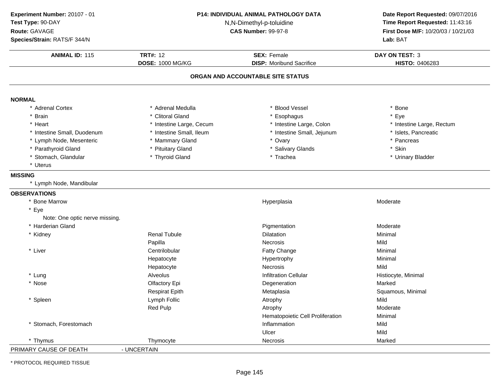| Experiment Number: 20107 - 01  | <b>P14: INDIVIDUAL ANIMAL PATHOLOGY DATA</b><br>N,N-Dimethyl-p-toluidine<br><b>CAS Number: 99-97-8</b> |                                   | Date Report Requested: 09/07/2016   |  |
|--------------------------------|--------------------------------------------------------------------------------------------------------|-----------------------------------|-------------------------------------|--|
| Test Type: 90-DAY              |                                                                                                        |                                   | Time Report Requested: 11:43:16     |  |
| Route: GAVAGE                  |                                                                                                        |                                   | First Dose M/F: 10/20/03 / 10/21/03 |  |
| Species/Strain: RATS/F 344/N   |                                                                                                        |                                   | Lab: BAT                            |  |
| <b>ANIMAL ID: 115</b>          | <b>TRT#: 12</b>                                                                                        | <b>SEX: Female</b>                | <b>DAY ON TEST: 3</b>               |  |
|                                | <b>DOSE: 1000 MG/KG</b>                                                                                | <b>DISP:</b> Moribund Sacrifice   | HISTO: 0406283                      |  |
|                                |                                                                                                        | ORGAN AND ACCOUNTABLE SITE STATUS |                                     |  |
| <b>NORMAL</b>                  |                                                                                                        |                                   |                                     |  |
| * Adrenal Cortex               | * Adrenal Medulla                                                                                      | * Blood Vessel                    | * Bone                              |  |
| * Brain                        | * Clitoral Gland                                                                                       | * Esophagus                       | * Eye                               |  |
| * Heart                        | * Intestine Large, Cecum                                                                               | * Intestine Large, Colon          | * Intestine Large, Rectum           |  |
| * Intestine Small, Duodenum    | * Intestine Small, Ileum                                                                               | * Intestine Small, Jejunum        | * Islets, Pancreatic                |  |
| * Lymph Node, Mesenteric       | * Mammary Gland                                                                                        | * Ovary                           | * Pancreas                          |  |
| * Parathyroid Gland            | * Pituitary Gland                                                                                      | * Salivary Glands                 | * Skin                              |  |
| * Stomach, Glandular           | * Thyroid Gland                                                                                        | * Trachea                         | * Urinary Bladder                   |  |
| * Uterus                       |                                                                                                        |                                   |                                     |  |
| <b>MISSING</b>                 |                                                                                                        |                                   |                                     |  |
| * Lymph Node, Mandibular       |                                                                                                        |                                   |                                     |  |
| <b>OBSERVATIONS</b>            |                                                                                                        |                                   |                                     |  |
| * Bone Marrow                  |                                                                                                        | Hyperplasia                       | Moderate                            |  |
| * Eye                          |                                                                                                        |                                   |                                     |  |
| Note: One optic nerve missing. |                                                                                                        |                                   |                                     |  |
| * Harderian Gland              |                                                                                                        | Pigmentation                      | Moderate                            |  |
| * Kidney                       | <b>Renal Tubule</b>                                                                                    | <b>Dilatation</b>                 | Minimal                             |  |
|                                | Papilla                                                                                                | <b>Necrosis</b>                   | Mild                                |  |
| * Liver                        | Centrilobular                                                                                          | Fatty Change                      | Minimal                             |  |
|                                | Hepatocyte                                                                                             | Hypertrophy                       | Minimal                             |  |
|                                | Hepatocyte                                                                                             | <b>Necrosis</b>                   | Mild                                |  |
| * Lung                         | Alveolus                                                                                               | <b>Infiltration Cellular</b>      | Histiocyte, Minimal                 |  |
| * Nose                         | Olfactory Epi                                                                                          | Degeneration                      | Marked                              |  |
|                                | <b>Respirat Epith</b>                                                                                  | Metaplasia                        | Squamous, Minimal                   |  |
| * Spleen                       | Lymph Follic                                                                                           | Atrophy                           | Mild                                |  |
|                                | Red Pulp                                                                                               | Atrophy                           | Moderate                            |  |
|                                |                                                                                                        | Hematopoietic Cell Proliferation  | Minimal                             |  |
| * Stomach, Forestomach         |                                                                                                        | Inflammation                      | Mild                                |  |
|                                |                                                                                                        | Ulcer                             | Mild                                |  |
| * Thymus                       | Thymocyte                                                                                              | Necrosis                          | Marked                              |  |
| PRIMARY CAUSE OF DEATH         | - UNCERTAIN                                                                                            |                                   |                                     |  |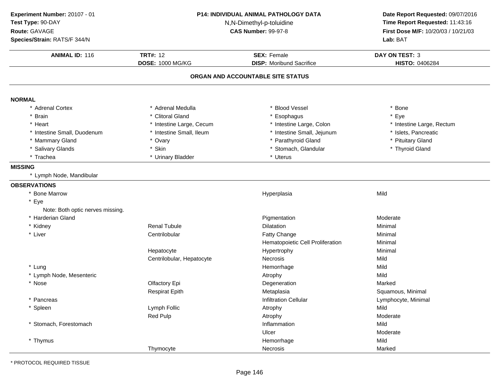| Experiment Number: 20107 - 01    | <b>P14: INDIVIDUAL ANIMAL PATHOLOGY DATA</b>           |                                   | Date Report Requested: 09/07/2016<br>Time Report Requested: 11:43:16<br>First Dose M/F: 10/20/03 / 10/21/03 |  |
|----------------------------------|--------------------------------------------------------|-----------------------------------|-------------------------------------------------------------------------------------------------------------|--|
| Test Type: 90-DAY                |                                                        |                                   |                                                                                                             |  |
| Route: GAVAGE                    | N,N-Dimethyl-p-toluidine<br><b>CAS Number: 99-97-8</b> |                                   |                                                                                                             |  |
| Species/Strain: RATS/F 344/N     |                                                        |                                   | Lab: BAT                                                                                                    |  |
| <b>ANIMAL ID: 116</b>            | <b>TRT#: 12</b>                                        | <b>SEX: Female</b>                | <b>DAY ON TEST: 3</b>                                                                                       |  |
|                                  | <b>DOSE: 1000 MG/KG</b>                                | <b>DISP:</b> Moribund Sacrifice   | HISTO: 0406284                                                                                              |  |
|                                  |                                                        | ORGAN AND ACCOUNTABLE SITE STATUS |                                                                                                             |  |
| <b>NORMAL</b>                    |                                                        |                                   |                                                                                                             |  |
| * Adrenal Cortex                 | * Adrenal Medulla                                      | * Blood Vessel                    | * Bone                                                                                                      |  |
| * Brain                          | * Clitoral Gland                                       | * Esophagus                       | * Eye                                                                                                       |  |
| * Heart                          | * Intestine Large, Cecum                               | * Intestine Large, Colon          | * Intestine Large, Rectum                                                                                   |  |
| * Intestine Small, Duodenum      | * Intestine Small, Ileum                               | * Intestine Small, Jejunum        | * Islets, Pancreatic                                                                                        |  |
| * Mammary Gland                  | * Ovary                                                | * Parathyroid Gland               | * Pituitary Gland                                                                                           |  |
| * Salivary Glands                | * Skin                                                 | * Stomach, Glandular              | * Thyroid Gland                                                                                             |  |
| * Trachea                        | * Urinary Bladder                                      | * Uterus                          |                                                                                                             |  |
| <b>MISSING</b>                   |                                                        |                                   |                                                                                                             |  |
| * Lymph Node, Mandibular         |                                                        |                                   |                                                                                                             |  |
| <b>OBSERVATIONS</b>              |                                                        |                                   |                                                                                                             |  |
| * Bone Marrow                    |                                                        | Hyperplasia                       | Mild                                                                                                        |  |
| * Eye                            |                                                        |                                   |                                                                                                             |  |
| Note: Both optic nerves missing. |                                                        |                                   |                                                                                                             |  |
| * Harderian Gland                |                                                        | Pigmentation                      | Moderate                                                                                                    |  |
| * Kidney                         | <b>Renal Tubule</b>                                    | <b>Dilatation</b>                 | Minimal                                                                                                     |  |
| * Liver                          | Centrilobular                                          | Fatty Change                      | Minimal                                                                                                     |  |
|                                  |                                                        | Hematopoietic Cell Proliferation  | Minimal                                                                                                     |  |
|                                  | Hepatocyte                                             | Hypertrophy                       | Minimal                                                                                                     |  |
|                                  | Centrilobular, Hepatocyte                              | Necrosis                          | Mild                                                                                                        |  |
| * Lung                           |                                                        | Hemorrhage                        | Mild                                                                                                        |  |
| * Lymph Node, Mesenteric         |                                                        | Atrophy                           | Mild                                                                                                        |  |
| * Nose                           | Olfactory Epi                                          | Degeneration                      | Marked                                                                                                      |  |
|                                  | <b>Respirat Epith</b>                                  | Metaplasia                        | Squamous, Minimal                                                                                           |  |
| * Pancreas                       |                                                        | <b>Infiltration Cellular</b>      | Lymphocyte, Minimal                                                                                         |  |
| * Spleen                         | Lymph Follic                                           | Atrophy                           | Mild                                                                                                        |  |
|                                  | Red Pulp                                               | Atrophy                           | Moderate                                                                                                    |  |
| * Stomach, Forestomach           |                                                        | Inflammation                      | Mild                                                                                                        |  |
|                                  |                                                        | Ulcer                             | Moderate                                                                                                    |  |
| * Thymus                         |                                                        | Hemorrhage                        | Mild                                                                                                        |  |
|                                  | Thymocyte                                              | Necrosis                          | Marked                                                                                                      |  |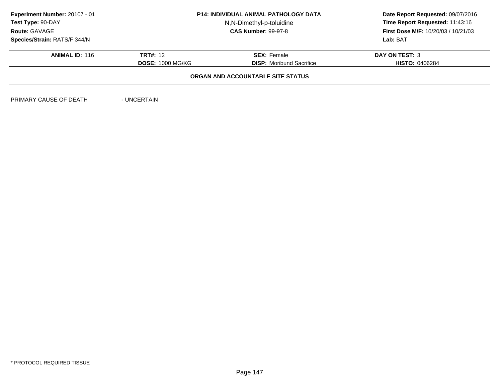| Experiment Number: 20107 - 01<br>Test Type: 90-DAY                                                                       | <b>P14: INDIVIDUAL ANIMAL PATHOLOGY DATA</b><br>N,N-Dimethyl-p-toluidine |                    | Date Report Requested: 09/07/2016<br>Time Report Requested: 11:43:16 |  |
|--------------------------------------------------------------------------------------------------------------------------|--------------------------------------------------------------------------|--------------------|----------------------------------------------------------------------|--|
| <b>Route: GAVAGE</b><br>Species/Strain: RATS/F 344/N                                                                     | <b>CAS Number: 99-97-8</b>                                               |                    | <b>First Dose M/F: 10/20/03 / 10/21/03</b><br>Lab: BAT               |  |
| <b>ANIMAL ID: 116</b>                                                                                                    | TRT#: 12                                                                 | <b>SEX:</b> Female | DAY ON TEST: 3                                                       |  |
| <b>DOSE: 1000 MG/KG</b><br><b>DISP:</b> Moribund Sacrifice<br><b>HISTO: 0406284</b><br>ORGAN AND ACCOUNTABLE SITE STATUS |                                                                          |                    |                                                                      |  |
| PRIMARY CAUSE OF DEATH                                                                                                   | - UNCERTAIN                                                              |                    |                                                                      |  |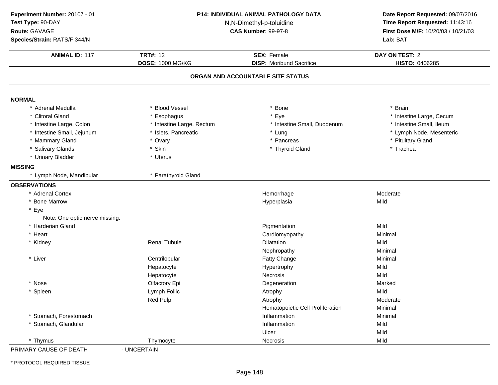| Experiment Number: 20107 - 01  | <b>P14: INDIVIDUAL ANIMAL PATHOLOGY DATA</b><br>N,N-Dimethyl-p-toluidine<br><b>CAS Number: 99-97-8</b> |                                   | Date Report Requested: 09/07/2016<br>Time Report Requested: 11:43:16<br>First Dose M/F: 10/20/03 / 10/21/03 |  |
|--------------------------------|--------------------------------------------------------------------------------------------------------|-----------------------------------|-------------------------------------------------------------------------------------------------------------|--|
| Test Type: 90-DAY              |                                                                                                        |                                   |                                                                                                             |  |
| Route: GAVAGE                  |                                                                                                        |                                   |                                                                                                             |  |
| Species/Strain: RATS/F 344/N   |                                                                                                        |                                   | Lab: BAT                                                                                                    |  |
| <b>ANIMAL ID: 117</b>          | <b>TRT#: 12</b>                                                                                        | <b>SEX: Female</b>                | <b>DAY ON TEST: 2</b>                                                                                       |  |
|                                | <b>DOSE: 1000 MG/KG</b>                                                                                | <b>DISP:</b> Moribund Sacrifice   | HISTO: 0406285                                                                                              |  |
|                                |                                                                                                        | ORGAN AND ACCOUNTABLE SITE STATUS |                                                                                                             |  |
| <b>NORMAL</b>                  |                                                                                                        |                                   |                                                                                                             |  |
| * Adrenal Medulla              | * Blood Vessel                                                                                         | * Bone                            | * Brain                                                                                                     |  |
| * Clitoral Gland               | * Esophagus                                                                                            | * Eye                             | * Intestine Large, Cecum                                                                                    |  |
| * Intestine Large, Colon       | * Intestine Large, Rectum                                                                              | * Intestine Small, Duodenum       | * Intestine Small, Ileum                                                                                    |  |
| * Intestine Small, Jejunum     | * Islets, Pancreatic                                                                                   | * Lung                            | * Lymph Node, Mesenteric                                                                                    |  |
| * Mammary Gland                | * Ovary                                                                                                | * Pancreas                        | * Pituitary Gland                                                                                           |  |
| * Salivary Glands              | * Skin                                                                                                 | * Thyroid Gland                   | * Trachea                                                                                                   |  |
| * Urinary Bladder              | * Uterus                                                                                               |                                   |                                                                                                             |  |
| <b>MISSING</b>                 |                                                                                                        |                                   |                                                                                                             |  |
| * Lymph Node, Mandibular       | * Parathyroid Gland                                                                                    |                                   |                                                                                                             |  |
| <b>OBSERVATIONS</b>            |                                                                                                        |                                   |                                                                                                             |  |
| * Adrenal Cortex               |                                                                                                        | Hemorrhage                        | Moderate                                                                                                    |  |
| <b>Bone Marrow</b>             |                                                                                                        | Hyperplasia                       | Mild                                                                                                        |  |
| * Eye                          |                                                                                                        |                                   |                                                                                                             |  |
| Note: One optic nerve missing. |                                                                                                        |                                   |                                                                                                             |  |
| * Harderian Gland              |                                                                                                        | Pigmentation                      | Mild                                                                                                        |  |
| * Heart                        |                                                                                                        | Cardiomyopathy                    | Minimal                                                                                                     |  |
| * Kidney                       | Renal Tubule                                                                                           | <b>Dilatation</b>                 | Mild                                                                                                        |  |
|                                |                                                                                                        | Nephropathy                       | Minimal                                                                                                     |  |
| * Liver                        | Centrilobular                                                                                          | Fatty Change                      | Minimal                                                                                                     |  |
|                                | Hepatocyte                                                                                             | Hypertrophy                       | Mild                                                                                                        |  |
|                                | Hepatocyte                                                                                             | Necrosis                          | Mild                                                                                                        |  |
| * Nose                         | Olfactory Epi                                                                                          | Degeneration                      | Marked                                                                                                      |  |
| * Spleen                       | Lymph Follic                                                                                           | Atrophy                           | Mild                                                                                                        |  |
|                                | Red Pulp                                                                                               | Atrophy                           | Moderate                                                                                                    |  |
|                                |                                                                                                        | Hematopoietic Cell Proliferation  | Minimal                                                                                                     |  |
| * Stomach, Forestomach         |                                                                                                        | Inflammation                      | Minimal                                                                                                     |  |
| * Stomach, Glandular           |                                                                                                        | Inflammation                      | Mild                                                                                                        |  |
|                                |                                                                                                        | Ulcer                             | Mild                                                                                                        |  |
| * Thymus                       | Thymocyte                                                                                              | Necrosis                          | Mild                                                                                                        |  |
| PRIMARY CAUSE OF DEATH         | - UNCERTAIN                                                                                            |                                   |                                                                                                             |  |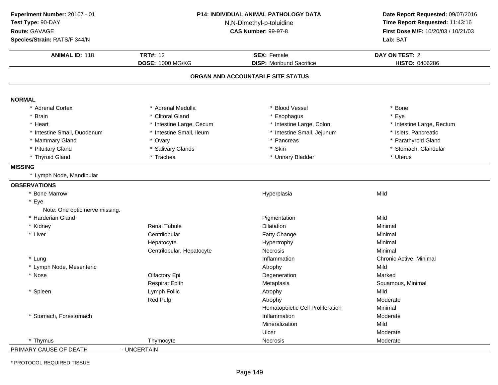| Experiment Number: 20107 - 01  | <b>P14: INDIVIDUAL ANIMAL PATHOLOGY DATA</b><br>N,N-Dimethyl-p-toluidine<br><b>CAS Number: 99-97-8</b> |                                   | Date Report Requested: 09/07/2016<br>Time Report Requested: 11:43:16<br>First Dose M/F: 10/20/03 / 10/21/03 |  |
|--------------------------------|--------------------------------------------------------------------------------------------------------|-----------------------------------|-------------------------------------------------------------------------------------------------------------|--|
| Test Type: 90-DAY              |                                                                                                        |                                   |                                                                                                             |  |
| Route: GAVAGE                  |                                                                                                        |                                   |                                                                                                             |  |
| Species/Strain: RATS/F 344/N   |                                                                                                        |                                   | Lab: BAT                                                                                                    |  |
| <b>ANIMAL ID: 118</b>          | <b>TRT#: 12</b>                                                                                        | <b>SEX: Female</b>                | DAY ON TEST: 2                                                                                              |  |
|                                | <b>DOSE: 1000 MG/KG</b>                                                                                | <b>DISP:</b> Moribund Sacrifice   | HISTO: 0406286                                                                                              |  |
|                                |                                                                                                        | ORGAN AND ACCOUNTABLE SITE STATUS |                                                                                                             |  |
| <b>NORMAL</b>                  |                                                                                                        |                                   |                                                                                                             |  |
| * Adrenal Cortex               | * Adrenal Medulla                                                                                      | * Blood Vessel                    | * Bone                                                                                                      |  |
| * Brain                        | * Clitoral Gland                                                                                       | Esophagus                         | * Eye                                                                                                       |  |
| * Heart                        | * Intestine Large, Cecum                                                                               | * Intestine Large, Colon          | * Intestine Large, Rectum                                                                                   |  |
| * Intestine Small, Duodenum    | * Intestine Small, Ileum                                                                               | * Intestine Small, Jejunum        | * Islets, Pancreatic                                                                                        |  |
| * Mammary Gland                | * Ovary                                                                                                | * Pancreas                        | * Parathyroid Gland                                                                                         |  |
| * Pituitary Gland              | * Salivary Glands                                                                                      | * Skin                            | * Stomach, Glandular                                                                                        |  |
| * Thyroid Gland                | * Trachea                                                                                              | * Urinary Bladder                 | * Uterus                                                                                                    |  |
| <b>MISSING</b>                 |                                                                                                        |                                   |                                                                                                             |  |
| * Lymph Node, Mandibular       |                                                                                                        |                                   |                                                                                                             |  |
| <b>OBSERVATIONS</b>            |                                                                                                        |                                   |                                                                                                             |  |
| * Bone Marrow                  |                                                                                                        | Hyperplasia                       | Mild                                                                                                        |  |
| * Eye                          |                                                                                                        |                                   |                                                                                                             |  |
| Note: One optic nerve missing. |                                                                                                        |                                   |                                                                                                             |  |
| * Harderian Gland              |                                                                                                        | Pigmentation                      | Mild                                                                                                        |  |
| * Kidney                       | <b>Renal Tubule</b>                                                                                    | Dilatation                        | Minimal                                                                                                     |  |
| * Liver                        | Centrilobular                                                                                          | Fatty Change                      | Minimal                                                                                                     |  |
|                                | Hepatocyte                                                                                             | Hypertrophy                       | Minimal                                                                                                     |  |
|                                | Centrilobular, Hepatocyte                                                                              | Necrosis                          | Minimal                                                                                                     |  |
| * Lung                         |                                                                                                        | Inflammation                      | Chronic Active, Minimal                                                                                     |  |
| * Lymph Node, Mesenteric       |                                                                                                        | Atrophy                           | Mild                                                                                                        |  |
| * Nose                         | Olfactory Epi                                                                                          | Degeneration                      | Marked                                                                                                      |  |
|                                | <b>Respirat Epith</b>                                                                                  | Metaplasia                        | Squamous, Minimal                                                                                           |  |
| * Spleen                       | Lymph Follic                                                                                           | Atrophy                           | Mild                                                                                                        |  |
|                                | Red Pulp                                                                                               | Atrophy                           | Moderate                                                                                                    |  |
|                                |                                                                                                        | Hematopoietic Cell Proliferation  | Minimal                                                                                                     |  |
| * Stomach, Forestomach         |                                                                                                        | Inflammation                      | Moderate                                                                                                    |  |
|                                |                                                                                                        | Mineralization                    | Mild                                                                                                        |  |
|                                |                                                                                                        | Ulcer                             | Moderate                                                                                                    |  |
| * Thymus                       | Thymocyte                                                                                              | Necrosis                          | Moderate                                                                                                    |  |
| PRIMARY CAUSE OF DEATH         | - UNCERTAIN                                                                                            |                                   |                                                                                                             |  |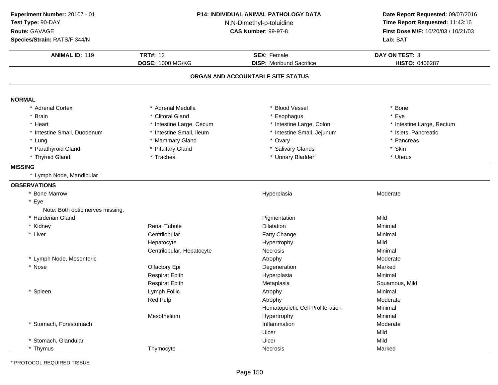| Experiment Number: 20107 - 01    | <b>P14: INDIVIDUAL ANIMAL PATHOLOGY DATA</b> |                                   | Date Report Requested: 09/07/2016<br>Time Report Requested: 11:43:16 |  |
|----------------------------------|----------------------------------------------|-----------------------------------|----------------------------------------------------------------------|--|
| Test Type: 90-DAY                | N,N-Dimethyl-p-toluidine                     |                                   |                                                                      |  |
| Route: GAVAGE                    | <b>CAS Number: 99-97-8</b>                   |                                   | First Dose M/F: 10/20/03 / 10/21/03                                  |  |
| Species/Strain: RATS/F 344/N     |                                              |                                   | Lab: BAT                                                             |  |
| <b>ANIMAL ID: 119</b>            | <b>TRT#: 12</b>                              | <b>SEX: Female</b>                | <b>DAY ON TEST: 3</b>                                                |  |
|                                  | <b>DOSE: 1000 MG/KG</b>                      | <b>DISP:</b> Moribund Sacrifice   | HISTO: 0406287                                                       |  |
|                                  |                                              | ORGAN AND ACCOUNTABLE SITE STATUS |                                                                      |  |
| <b>NORMAL</b>                    |                                              |                                   |                                                                      |  |
| * Adrenal Cortex                 | * Adrenal Medulla                            | * Blood Vessel                    | * Bone                                                               |  |
| * Brain                          | * Clitoral Gland                             | * Esophagus                       | * Eye                                                                |  |
| * Heart                          | * Intestine Large, Cecum                     | * Intestine Large, Colon          | * Intestine Large, Rectum                                            |  |
| * Intestine Small, Duodenum      | * Intestine Small, Ileum                     | * Intestine Small, Jejunum        | * Islets, Pancreatic                                                 |  |
| * Lung                           | * Mammary Gland                              | * Ovary                           | * Pancreas                                                           |  |
| * Parathyroid Gland              | * Pituitary Gland                            | * Salivary Glands                 | * Skin                                                               |  |
| * Thyroid Gland                  | * Trachea                                    | * Urinary Bladder                 | * Uterus                                                             |  |
| <b>MISSING</b>                   |                                              |                                   |                                                                      |  |
| * Lymph Node, Mandibular         |                                              |                                   |                                                                      |  |
| <b>OBSERVATIONS</b>              |                                              |                                   |                                                                      |  |
| * Bone Marrow                    |                                              | Hyperplasia                       | Moderate                                                             |  |
| * Eye                            |                                              |                                   |                                                                      |  |
| Note: Both optic nerves missing. |                                              |                                   |                                                                      |  |
| * Harderian Gland                |                                              | Pigmentation                      | Mild                                                                 |  |
| * Kidney                         | <b>Renal Tubule</b>                          | <b>Dilatation</b>                 | Minimal                                                              |  |
| * Liver                          | Centrilobular                                | Fatty Change                      | Minimal                                                              |  |
|                                  | Hepatocyte                                   | Hypertrophy                       | Mild                                                                 |  |
|                                  | Centrilobular, Hepatocyte                    | <b>Necrosis</b>                   | Minimal                                                              |  |
| * Lymph Node, Mesenteric         |                                              | Atrophy                           | Moderate                                                             |  |
| * Nose                           | Olfactory Epi                                | Degeneration                      | Marked                                                               |  |
|                                  | <b>Respirat Epith</b>                        | Hyperplasia                       | Minimal                                                              |  |
|                                  | <b>Respirat Epith</b>                        | Metaplasia                        | Squamous, Mild                                                       |  |
| * Spleen                         | Lymph Follic                                 | Atrophy                           | Minimal                                                              |  |
|                                  | Red Pulp                                     | Atrophy                           | Moderate                                                             |  |
|                                  |                                              | Hematopoietic Cell Proliferation  | Minimal                                                              |  |
|                                  | Mesothelium                                  | Hypertrophy                       | Minimal                                                              |  |
| * Stomach, Forestomach           |                                              | Inflammation                      | Moderate                                                             |  |
|                                  |                                              | Ulcer                             | Mild                                                                 |  |
| * Stomach, Glandular             |                                              | Ulcer                             | Mild                                                                 |  |
| * Thymus                         | Thymocyte                                    | Necrosis                          | Marked                                                               |  |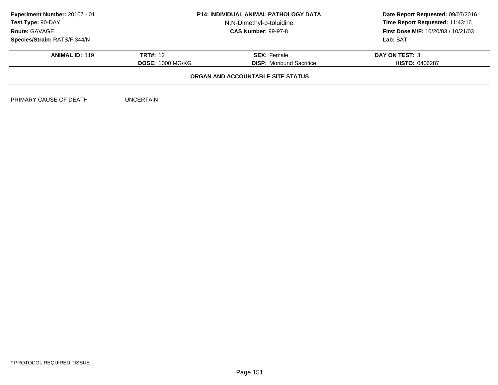| Experiment Number: 20107 - 01<br>Test Type: 90-DAY<br>Route: GAVAGE | <b>P14: INDIVIDUAL ANIMAL PATHOLOGY DATA</b><br>N,N-Dimethyl-p-toluidine<br><b>CAS Number: 99-97-8</b> |                                                       | Date Report Requested: 09/07/2016<br>Time Report Requested: 11:43:16<br>First Dose M/F: 10/20/03 / 10/21/03 |  |  |
|---------------------------------------------------------------------|--------------------------------------------------------------------------------------------------------|-------------------------------------------------------|-------------------------------------------------------------------------------------------------------------|--|--|
| Species/Strain: RATS/F 344/N                                        |                                                                                                        |                                                       | Lab: BAT                                                                                                    |  |  |
| <b>ANIMAL ID: 119</b>                                               | <b>TRT#: 12</b><br><b>DOSE: 1000 MG/KG</b>                                                             | <b>SEX: Female</b><br><b>DISP:</b> Moribund Sacrifice | DAY ON TEST: 3<br><b>HISTO: 0406287</b>                                                                     |  |  |
| ORGAN AND ACCOUNTABLE SITE STATUS                                   |                                                                                                        |                                                       |                                                                                                             |  |  |
| PRIMARY CAUSE OF DEATH                                              | - UNCERTAIN                                                                                            |                                                       |                                                                                                             |  |  |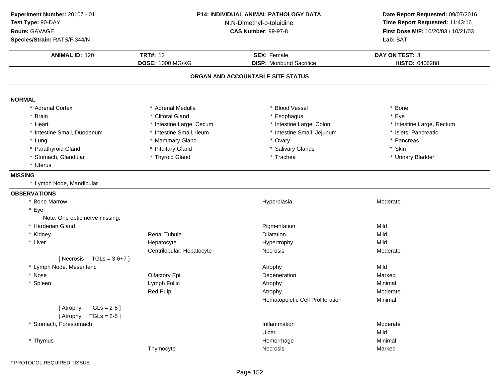| Experiment Number: 20107 - 01  | P14: INDIVIDUAL ANIMAL PATHOLOGY DATA<br>N,N-Dimethyl-p-toluidine<br><b>CAS Number: 99-97-8</b> |                                   | Date Report Requested: 09/07/2016<br>Time Report Requested: 11:43:16 |  |
|--------------------------------|-------------------------------------------------------------------------------------------------|-----------------------------------|----------------------------------------------------------------------|--|
| Test Type: 90-DAY              |                                                                                                 |                                   |                                                                      |  |
| Route: GAVAGE                  |                                                                                                 |                                   | First Dose M/F: 10/20/03 / 10/21/03                                  |  |
| Species/Strain: RATS/F 344/N   |                                                                                                 |                                   | Lab: BAT                                                             |  |
| <b>ANIMAL ID: 120</b>          | <b>TRT#: 12</b>                                                                                 | <b>SEX: Female</b>                | <b>DAY ON TEST: 3</b>                                                |  |
|                                | <b>DOSE: 1000 MG/KG</b>                                                                         | <b>DISP:</b> Moribund Sacrifice   | HISTO: 0406288                                                       |  |
|                                |                                                                                                 | ORGAN AND ACCOUNTABLE SITE STATUS |                                                                      |  |
| <b>NORMAL</b>                  |                                                                                                 |                                   |                                                                      |  |
| * Adrenal Cortex               | * Adrenal Medulla                                                                               | * Blood Vessel                    | * Bone                                                               |  |
| * Brain                        | * Clitoral Gland                                                                                | * Esophagus                       | * Eye                                                                |  |
| * Heart                        | * Intestine Large, Cecum                                                                        | * Intestine Large, Colon          | * Intestine Large, Rectum                                            |  |
| * Intestine Small, Duodenum    | * Intestine Small, Ileum                                                                        | * Intestine Small, Jejunum        | * Islets, Pancreatic                                                 |  |
| * Lung                         | * Mammary Gland                                                                                 | * Ovary                           | * Pancreas                                                           |  |
| * Parathyroid Gland            | * Pituitary Gland                                                                               | * Salivary Glands                 | * Skin                                                               |  |
| * Stomach, Glandular           | * Thyroid Gland                                                                                 | * Trachea                         | * Urinary Bladder                                                    |  |
| * Uterus                       |                                                                                                 |                                   |                                                                      |  |
| <b>MISSING</b>                 |                                                                                                 |                                   |                                                                      |  |
| * Lymph Node, Mandibular       |                                                                                                 |                                   |                                                                      |  |
| <b>OBSERVATIONS</b>            |                                                                                                 |                                   |                                                                      |  |
| * Bone Marrow                  |                                                                                                 | Hyperplasia                       | Moderate                                                             |  |
| * Eye                          |                                                                                                 |                                   |                                                                      |  |
| Note: One optic nerve missing. |                                                                                                 |                                   |                                                                      |  |
| * Harderian Gland              |                                                                                                 | Pigmentation                      | Mild                                                                 |  |
| * Kidney                       | <b>Renal Tubule</b>                                                                             | <b>Dilatation</b>                 | Mild                                                                 |  |
| * Liver                        | Hepatocyte                                                                                      | Hypertrophy                       | Mild                                                                 |  |
|                                | Centrilobular, Hepatocyte                                                                       | <b>Necrosis</b>                   | Moderate                                                             |  |
| [ Necrosis<br>$TGLs = 3-6+7$ ] |                                                                                                 |                                   |                                                                      |  |
| * Lymph Node, Mesenteric       |                                                                                                 | Atrophy                           | Mild                                                                 |  |
| * Nose                         | Olfactory Epi                                                                                   | Degeneration                      | Marked                                                               |  |
| * Spleen                       | Lymph Follic                                                                                    | Atrophy                           | Minimal                                                              |  |
|                                | Red Pulp                                                                                        | Atrophy                           | Moderate                                                             |  |
|                                |                                                                                                 | Hematopoietic Cell Proliferation  | Minimal                                                              |  |
| [ Atrophy<br>$TGLs = 2-5$ ]    |                                                                                                 |                                   |                                                                      |  |
| [ Atrophy<br>$TGLs = 2-5$ ]    |                                                                                                 |                                   |                                                                      |  |
| * Stomach, Forestomach         |                                                                                                 | Inflammation                      | Moderate                                                             |  |
|                                |                                                                                                 | Ulcer                             | Mild                                                                 |  |
| * Thymus                       |                                                                                                 | Hemorrhage                        | Minimal                                                              |  |
|                                | Thymocyte                                                                                       | Necrosis                          | Marked                                                               |  |